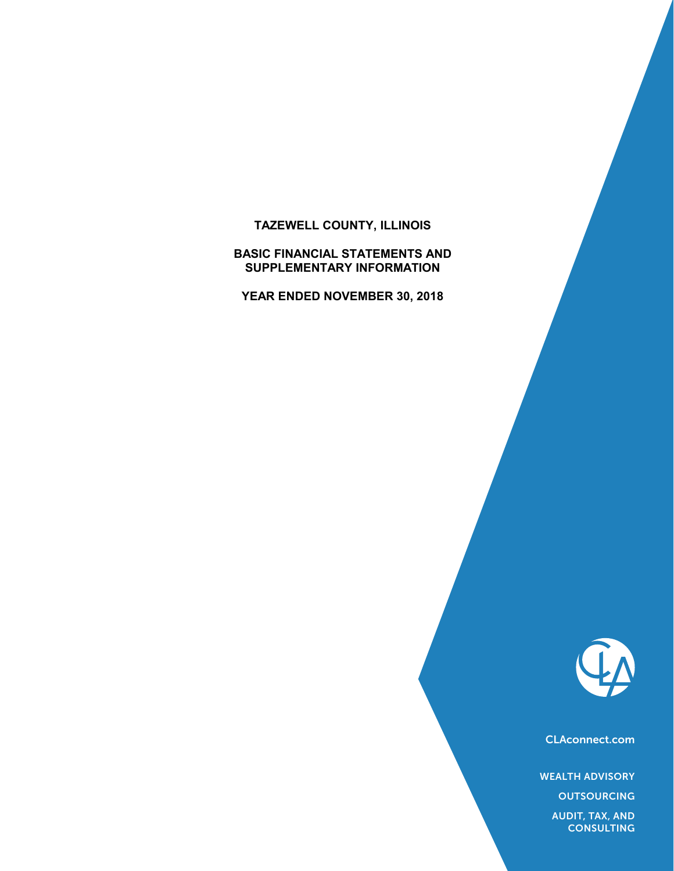# **TAZEWELL COUNTY, ILLINOIS**

**BASIC FINANCIAL STATEMENTS AND SUPPLEMENTARY INFORMATION**

**YEAR ENDED NOVEMBER 30, 2018**



CLAconnect.com

WEALTH ADVISORY

**OUTSOURCING** 

AUDIT, TAX, AND **CONSULTING**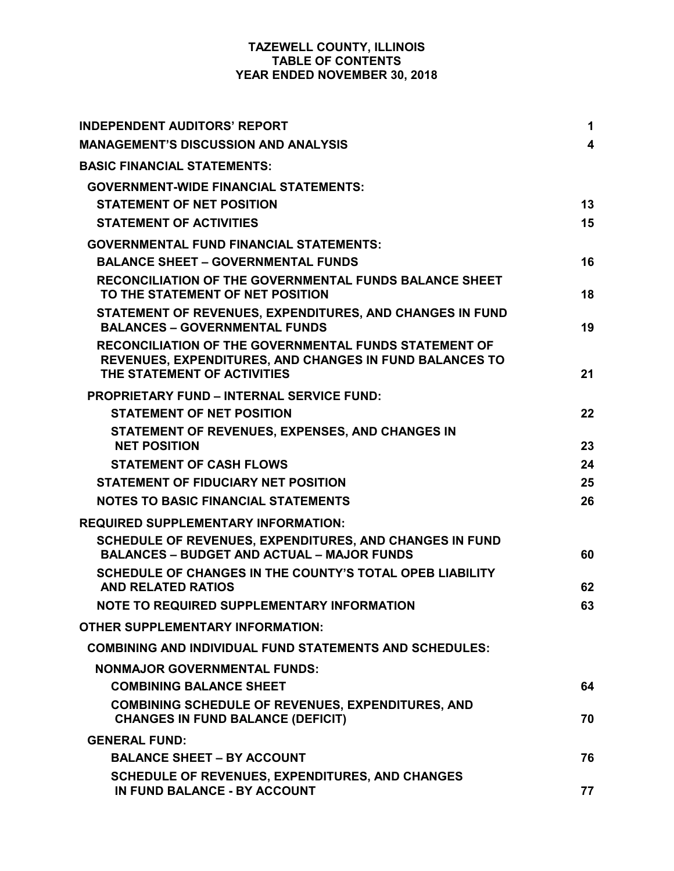## **TAZEWELL COUNTY, ILLINOIS TABLE OF CONTENTS YEAR ENDED NOVEMBER 30, 2018**

| <b>INDEPENDENT AUDITORS' REPORT</b>                                                                                                                           | 1  |
|---------------------------------------------------------------------------------------------------------------------------------------------------------------|----|
| <b>MANAGEMENT'S DISCUSSION AND ANALYSIS</b>                                                                                                                   | 4  |
| <b>BASIC FINANCIAL STATEMENTS:</b>                                                                                                                            |    |
| <b>GOVERNMENT-WIDE FINANCIAL STATEMENTS:</b>                                                                                                                  |    |
| <b>STATEMENT OF NET POSITION</b>                                                                                                                              | 13 |
| <b>STATEMENT OF ACTIVITIES</b>                                                                                                                                | 15 |
| <b>GOVERNMENTAL FUND FINANCIAL STATEMENTS:</b>                                                                                                                |    |
| <b>BALANCE SHEET - GOVERNMENTAL FUNDS</b>                                                                                                                     | 16 |
| <b>RECONCILIATION OF THE GOVERNMENTAL FUNDS BALANCE SHEET</b><br>TO THE STATEMENT OF NET POSITION                                                             | 18 |
| STATEMENT OF REVENUES, EXPENDITURES, AND CHANGES IN FUND<br><b>BALANCES - GOVERNMENTAL FUNDS</b>                                                              | 19 |
| <b>RECONCILIATION OF THE GOVERNMENTAL FUNDS STATEMENT OF</b><br><b>REVENUES, EXPENDITURES, AND CHANGES IN FUND BALANCES TO</b><br>THE STATEMENT OF ACTIVITIES | 21 |
| <b>PROPRIETARY FUND - INTERNAL SERVICE FUND:</b>                                                                                                              |    |
| <b>STATEMENT OF NET POSITION</b>                                                                                                                              | 22 |
| STATEMENT OF REVENUES, EXPENSES, AND CHANGES IN<br><b>NET POSITION</b>                                                                                        | 23 |
| <b>STATEMENT OF CASH FLOWS</b>                                                                                                                                | 24 |
| <b>STATEMENT OF FIDUCIARY NET POSITION</b>                                                                                                                    | 25 |
| <b>NOTES TO BASIC FINANCIAL STATEMENTS</b>                                                                                                                    | 26 |
| <b>REQUIRED SUPPLEMENTARY INFORMATION:</b>                                                                                                                    |    |
| SCHEDULE OF REVENUES, EXPENDITURES, AND CHANGES IN FUND<br><b>BALANCES - BUDGET AND ACTUAL - MAJOR FUNDS</b>                                                  | 60 |
| SCHEDULE OF CHANGES IN THE COUNTY'S TOTAL OPEB LIABILITY                                                                                                      |    |
| <b>AND RELATED RATIOS</b>                                                                                                                                     | 62 |
| NOTE TO REQUIRED SUPPLEMENTARY INFORMATION                                                                                                                    | 63 |
| <b>OTHER SUPPLEMENTARY INFORMATION:</b>                                                                                                                       |    |
| <b>COMBINING AND INDIVIDUAL FUND STATEMENTS AND SCHEDULES:</b>                                                                                                |    |
| <b>NONMAJOR GOVERNMENTAL FUNDS:</b>                                                                                                                           |    |
| <b>COMBINING BALANCE SHEET</b>                                                                                                                                | 64 |
| <b>COMBINING SCHEDULE OF REVENUES, EXPENDITURES, AND</b><br><b>CHANGES IN FUND BALANCE (DEFICIT)</b>                                                          | 70 |
| <b>GENERAL FUND:</b>                                                                                                                                          |    |
| <b>BALANCE SHEET - BY ACCOUNT</b>                                                                                                                             | 76 |
| <b>SCHEDULE OF REVENUES, EXPENDITURES, AND CHANGES</b><br>IN FUND BALANCE - BY ACCOUNT                                                                        | 77 |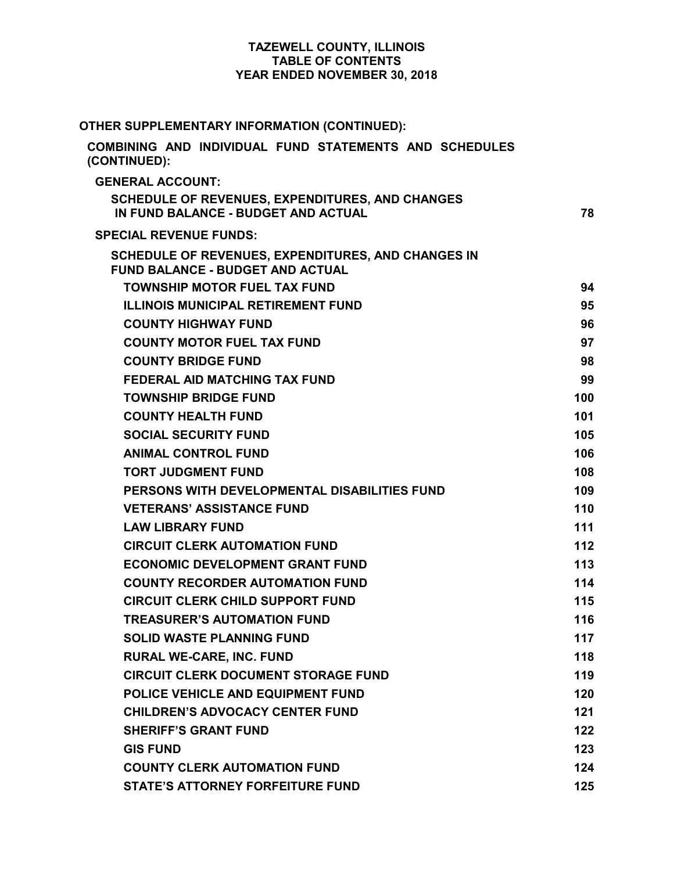## **TAZEWELL COUNTY, ILLINOIS TABLE OF CONTENTS YEAR ENDED NOVEMBER 30, 2018**

| OTHER SUPPLEMENTARY INFORMATION (CONTINUED):                                                  |       |
|-----------------------------------------------------------------------------------------------|-------|
| COMBINING AND INDIVIDUAL FUND STATEMENTS AND SCHEDULES<br>(CONTINUED):                        |       |
| <b>GENERAL ACCOUNT:</b>                                                                       |       |
| <b>SCHEDULE OF REVENUES, EXPENDITURES, AND CHANGES</b>                                        |       |
| IN FUND BALANCE - BUDGET AND ACTUAL                                                           | 78    |
| <b>SPECIAL REVENUE FUNDS:</b>                                                                 |       |
| SCHEDULE OF REVENUES, EXPENDITURES, AND CHANGES IN<br><b>FUND BALANCE - BUDGET AND ACTUAL</b> |       |
| <b>TOWNSHIP MOTOR FUEL TAX FUND</b>                                                           | 94    |
| <b>ILLINOIS MUNICIPAL RETIREMENT FUND</b>                                                     | 95    |
| <b>COUNTY HIGHWAY FUND</b>                                                                    | 96    |
| <b>COUNTY MOTOR FUEL TAX FUND</b>                                                             | 97    |
| <b>COUNTY BRIDGE FUND</b>                                                                     | 98    |
| <b>FEDERAL AID MATCHING TAX FUND</b>                                                          | 99    |
| <b>TOWNSHIP BRIDGE FUND</b>                                                                   | 100   |
| <b>COUNTY HEALTH FUND</b>                                                                     | 101   |
| <b>SOCIAL SECURITY FUND</b>                                                                   | 105   |
| <b>ANIMAL CONTROL FUND</b>                                                                    | 106   |
| <b>TORT JUDGMENT FUND</b>                                                                     | 108   |
| PERSONS WITH DEVELOPMENTAL DISABILITIES FUND                                                  | 109   |
| <b>VETERANS' ASSISTANCE FUND</b>                                                              | 110   |
| <b>LAW LIBRARY FUND</b>                                                                       | 111   |
| <b>CIRCUIT CLERK AUTOMATION FUND</b>                                                          | $112$ |
| <b>ECONOMIC DEVELOPMENT GRANT FUND</b>                                                        | 113   |
| <b>COUNTY RECORDER AUTOMATION FUND</b>                                                        | 114   |
| <b>CIRCUIT CLERK CHILD SUPPORT FUND</b>                                                       | 115   |
| <b>TREASURER'S AUTOMATION FUND</b>                                                            | 116   |
| <b>SOLID WASTE PLANNING FUND</b>                                                              | 117   |
| <b>RURAL WE-CARE, INC. FUND</b>                                                               | 118   |
| <b>CIRCUIT CLERK DOCUMENT STORAGE FUND</b>                                                    | 119   |
| POLICE VEHICLE AND EQUIPMENT FUND                                                             | 120   |
| <b>CHILDREN'S ADVOCACY CENTER FUND</b>                                                        | 121   |
| <b>SHERIFF'S GRANT FUND</b>                                                                   | 122   |
| <b>GIS FUND</b>                                                                               | 123   |
| <b>COUNTY CLERK AUTOMATION FUND</b>                                                           | 124   |
| <b>STATE'S ATTORNEY FORFEITURE FUND</b>                                                       | 125   |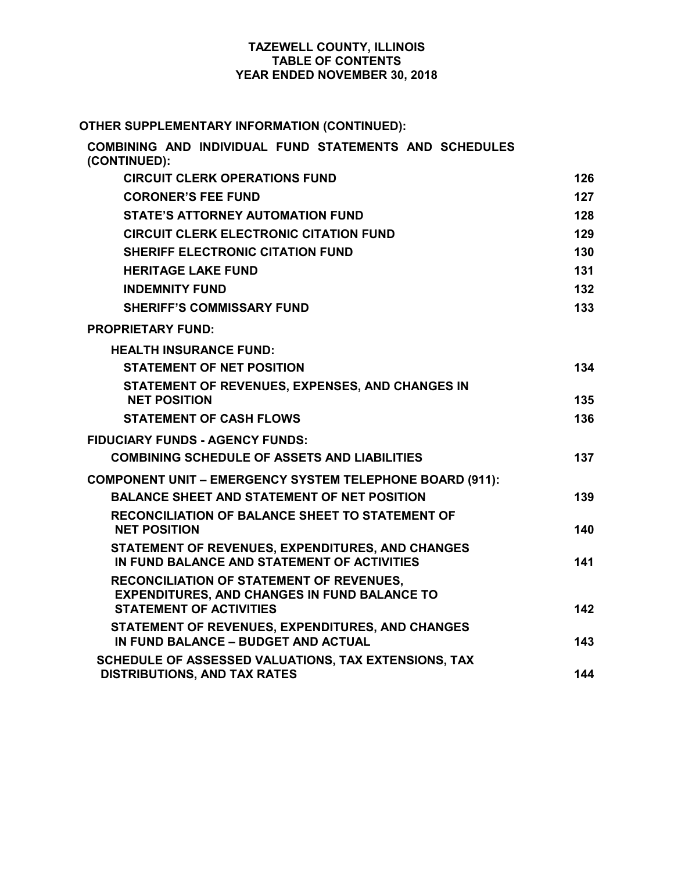## **TAZEWELL COUNTY, ILLINOIS TABLE OF CONTENTS YEAR ENDED NOVEMBER 30, 2018**

# **OTHER SUPPLEMENTARY INFORMATION (CONTINUED):**

| COMBINING AND INDIVIDUAL FUND STATEMENTS AND SCHEDULES<br>(CONTINUED):                          |     |
|-------------------------------------------------------------------------------------------------|-----|
| <b>CIRCUIT CLERK OPERATIONS FUND</b>                                                            | 126 |
| <b>CORONER'S FEE FUND</b>                                                                       | 127 |
| <b>STATE'S ATTORNEY AUTOMATION FUND</b>                                                         | 128 |
| <b>CIRCUIT CLERK ELECTRONIC CITATION FUND</b>                                                   | 129 |
| <b>SHERIFF ELECTRONIC CITATION FUND</b>                                                         | 130 |
| <b>HERITAGE LAKE FUND</b>                                                                       | 131 |
| <b>INDEMNITY FUND</b>                                                                           | 132 |
| <b>SHERIFF'S COMMISSARY FUND</b>                                                                | 133 |
| <b>PROPRIETARY FUND:</b>                                                                        |     |
| <b>HEALTH INSURANCE FUND:</b>                                                                   |     |
| <b>STATEMENT OF NET POSITION</b>                                                                | 134 |
| STATEMENT OF REVENUES, EXPENSES, AND CHANGES IN<br><b>NET POSITION</b>                          | 135 |
| <b>STATEMENT OF CASH FLOWS</b>                                                                  | 136 |
| <b>FIDUCIARY FUNDS - AGENCY FUNDS:</b>                                                          |     |
| <b>COMBINING SCHEDULE OF ASSETS AND LIABILITIES</b>                                             | 137 |
| <b>COMPONENT UNIT - EMERGENCY SYSTEM TELEPHONE BOARD (911):</b>                                 |     |
| <b>BALANCE SHEET AND STATEMENT OF NET POSITION</b>                                              | 139 |
| <b>RECONCILIATION OF BALANCE SHEET TO STATEMENT OF</b>                                          |     |
| <b>NET POSITION</b>                                                                             | 140 |
| STATEMENT OF REVENUES, EXPENDITURES, AND CHANGES<br>IN FUND BALANCE AND STATEMENT OF ACTIVITIES | 141 |
| <b>RECONCILIATION OF STATEMENT OF REVENUES,</b>                                                 |     |
| <b>EXPENDITURES, AND CHANGES IN FUND BALANCE TO</b><br><b>STATEMENT OF ACTIVITIES</b>           | 142 |
| STATEMENT OF REVENUES, EXPENDITURES, AND CHANGES                                                |     |
| IN FUND BALANCE - BUDGET AND ACTUAL                                                             | 143 |
| SCHEDULE OF ASSESSED VALUATIONS, TAX EXTENSIONS, TAX<br><b>DISTRIBUTIONS, AND TAX RATES</b>     | 144 |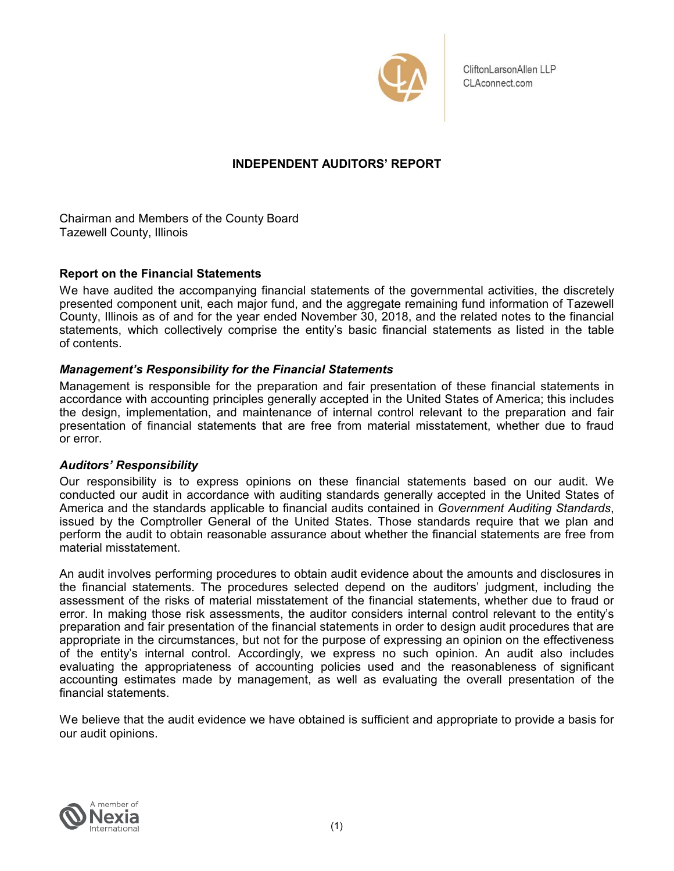

CliftonLarsonAllen LLP CLAconnect.com

## **INDEPENDENT AUDITORS' REPORT**

Chairman and Members of the County Board Tazewell County, Illinois

## **Report on the Financial Statements**

We have audited the accompanying financial statements of the governmental activities, the discretely presented component unit, each major fund, and the aggregate remaining fund information of Tazewell County, Illinois as of and for the year ended November 30, 2018, and the related notes to the financial statements, which collectively comprise the entity's basic financial statements as listed in the table of contents.

## *Management's Responsibility for the Financial Statements*

Management is responsible for the preparation and fair presentation of these financial statements in accordance with accounting principles generally accepted in the United States of America; this includes the design, implementation, and maintenance of internal control relevant to the preparation and fair presentation of financial statements that are free from material misstatement, whether due to fraud or error.

## *Auditors' Responsibility*

Our responsibility is to express opinions on these financial statements based on our audit. We conducted our audit in accordance with auditing standards generally accepted in the United States of America and the standards applicable to financial audits contained in *Government Auditing Standards*, issued by the Comptroller General of the United States. Those standards require that we plan and perform the audit to obtain reasonable assurance about whether the financial statements are free from material misstatement.

An audit involves performing procedures to obtain audit evidence about the amounts and disclosures in the financial statements. The procedures selected depend on the auditors' judgment, including the assessment of the risks of material misstatement of the financial statements, whether due to fraud or error. In making those risk assessments, the auditor considers internal control relevant to the entity's preparation and fair presentation of the financial statements in order to design audit procedures that are appropriate in the circumstances, but not for the purpose of expressing an opinion on the effectiveness of the entity's internal control. Accordingly, we express no such opinion. An audit also includes evaluating the appropriateness of accounting policies used and the reasonableness of significant accounting estimates made by management, as well as evaluating the overall presentation of the financial statements.

We believe that the audit evidence we have obtained is sufficient and appropriate to provide a basis for our audit opinions.

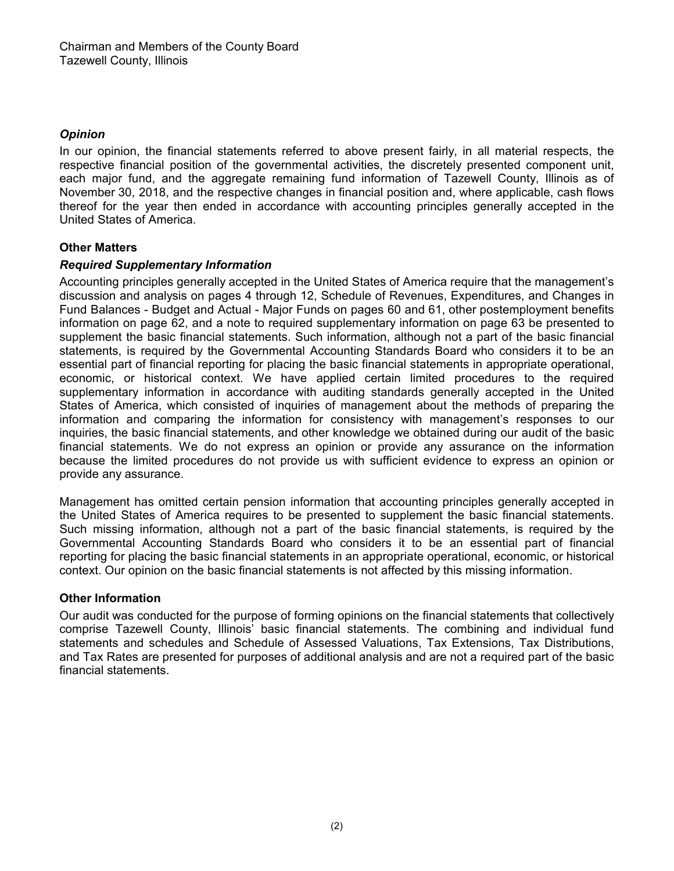## *Opinion*

In our opinion, the financial statements referred to above present fairly, in all material respects, the respective financial position of the governmental activities, the discretely presented component unit, each major fund, and the aggregate remaining fund information of Tazewell County, Illinois as of November 30, 2018, and the respective changes in financial position and, where applicable, cash flows thereof for the year then ended in accordance with accounting principles generally accepted in the United States of America.

## **Other Matters**

## *Required Supplementary Information*

Accounting principles generally accepted in the United States of America require that the management's discussion and analysis on pages 4 through 12, Schedule of Revenues, Expenditures, and Changes in Fund Balances - Budget and Actual - Major Funds on pages 60 and 61, other postemployment benefits information on page 62, and a note to required supplementary information on page 63 be presented to supplement the basic financial statements. Such information, although not a part of the basic financial statements, is required by the Governmental Accounting Standards Board who considers it to be an essential part of financial reporting for placing the basic financial statements in appropriate operational, economic, or historical context. We have applied certain limited procedures to the required supplementary information in accordance with auditing standards generally accepted in the United States of America, which consisted of inquiries of management about the methods of preparing the information and comparing the information for consistency with management's responses to our inquiries, the basic financial statements, and other knowledge we obtained during our audit of the basic financial statements. We do not express an opinion or provide any assurance on the information because the limited procedures do not provide us with sufficient evidence to express an opinion or provide any assurance.

Management has omitted certain pension information that accounting principles generally accepted in the United States of America requires to be presented to supplement the basic financial statements. Such missing information, although not a part of the basic financial statements, is required by the Governmental Accounting Standards Board who considers it to be an essential part of financial reporting for placing the basic financial statements in an appropriate operational, economic, or historical context. Our opinion on the basic financial statements is not affected by this missing information.

## **Other Information**

Our audit was conducted for the purpose of forming opinions on the financial statements that collectively comprise Tazewell County, Illinois' basic financial statements. The combining and individual fund statements and schedules and Schedule of Assessed Valuations, Tax Extensions, Tax Distributions, and Tax Rates are presented for purposes of additional analysis and are not a required part of the basic financial statements.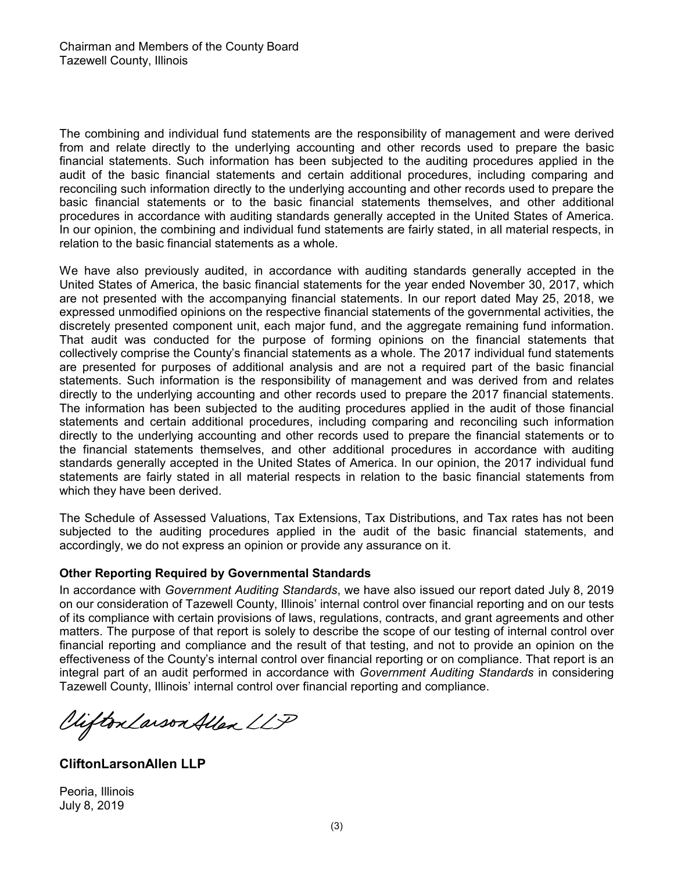The combining and individual fund statements are the responsibility of management and were derived from and relate directly to the underlying accounting and other records used to prepare the basic financial statements. Such information has been subjected to the auditing procedures applied in the audit of the basic financial statements and certain additional procedures, including comparing and reconciling such information directly to the underlying accounting and other records used to prepare the basic financial statements or to the basic financial statements themselves, and other additional procedures in accordance with auditing standards generally accepted in the United States of America. In our opinion, the combining and individual fund statements are fairly stated, in all material respects, in relation to the basic financial statements as a whole.

We have also previously audited, in accordance with auditing standards generally accepted in the United States of America, the basic financial statements for the year ended November 30, 2017, which are not presented with the accompanying financial statements. In our report dated May 25, 2018, we expressed unmodified opinions on the respective financial statements of the governmental activities, the discretely presented component unit, each major fund, and the aggregate remaining fund information. That audit was conducted for the purpose of forming opinions on the financial statements that collectively comprise the County's financial statements as a whole. The 2017 individual fund statements are presented for purposes of additional analysis and are not a required part of the basic financial statements. Such information is the responsibility of management and was derived from and relates directly to the underlying accounting and other records used to prepare the 2017 financial statements. The information has been subjected to the auditing procedures applied in the audit of those financial statements and certain additional procedures, including comparing and reconciling such information directly to the underlying accounting and other records used to prepare the financial statements or to the financial statements themselves, and other additional procedures in accordance with auditing standards generally accepted in the United States of America. In our opinion, the 2017 individual fund statements are fairly stated in all material respects in relation to the basic financial statements from which they have been derived.

The Schedule of Assessed Valuations, Tax Extensions, Tax Distributions, and Tax rates has not been subjected to the auditing procedures applied in the audit of the basic financial statements, and accordingly, we do not express an opinion or provide any assurance on it.

## **Other Reporting Required by Governmental Standards**

In accordance with *Government Auditing Standards*, we have also issued our report dated July 8, 2019 on our consideration of Tazewell County, Illinois' internal control over financial reporting and on our tests of its compliance with certain provisions of laws, regulations, contracts, and grant agreements and other matters. The purpose of that report is solely to describe the scope of our testing of internal control over financial reporting and compliance and the result of that testing, and not to provide an opinion on the effectiveness of the County's internal control over financial reporting or on compliance. That report is an integral part of an audit performed in accordance with *Government Auditing Standards* in considering Taz ewell County, Illinois' internal control over financial reporting and compliance.

Clifton Larson Allen LLP

**CliftonLarsonAllen LLP**

Peoria, Illinois July 8, 2019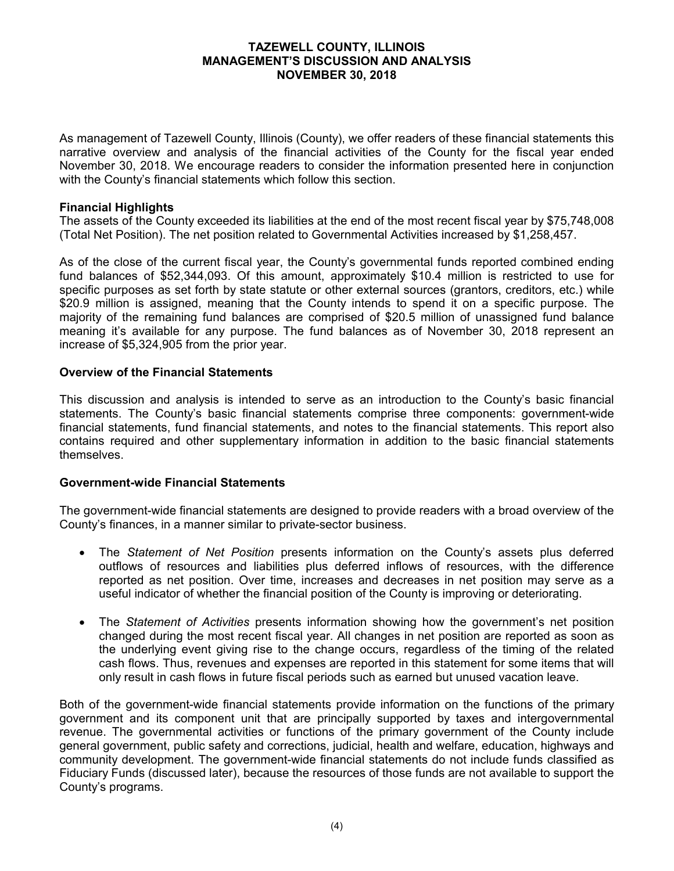As management of Tazewell County, Illinois (County), we offer readers of these financial statements this narrative overview and analysis of the financial activities of the County for the fiscal year ended November 30, 2018. We encourage readers to consider the information presented here in conjunction with the County's financial statements which follow this section.

## **Financial Highlights**

The assets of the County exceeded its liabilities at the end of the most recent fiscal year by \$75,748,008 (Total Net Position). The net position related to Governmental Activities increased by \$1,258,457.

As of the close of the current fiscal year, the County's governmental funds reported combined ending fund balances of \$52,344,093. Of this amount, approximately \$10.4 million is restricted to use for specific purposes as set forth by state statute or other external sources (grantors, creditors, etc.) while \$20.9 million is assigned, meaning that the County intends to spend it on a specific purpose. The majority of the remaining fund balances are comprised of \$20.5 million of unassigned fund balance meaning it's available for any purpose. The fund balances as of November 30, 2018 represent an increase of \$5,324,905 from the prior year.

#### **Overview of the Financial Statements**

This discussion and analysis is intended to serve as an introduction to the County's basic financial statements. The County's basic financial statements comprise three components: government-wide financial statements, fund financial statements, and notes to the financial statements. This report also contains required and other supplementary information in addition to the basic financial statements themselves.

#### **Government-wide Financial Statements**

The government-wide financial statements are designed to provide readers with a broad overview of the County's finances, in a manner similar to private-sector business.

- The *Statement of Net Position* presents information on the County's assets plus deferred outflows of resources and liabilities plus deferred inflows of resources, with the difference reported as net position. Over time, increases and decreases in net position may serve as a useful indicator of whether the financial position of the County is improving or deteriorating.
- The *Statement of Activities* presents information showing how the government's net position changed during the most recent fiscal year. All changes in net position are reported as soon as the underlying event giving rise to the change occurs, regardless of the timing of the related cash flows. Thus, revenues and expenses are reported in this statement for some items that will only result in cash flows in future fiscal periods such as earned but unused vacation leave.

Both of the government-wide financial statements provide information on the functions of the primary government and its component unit that are principally supported by taxes and intergovernmental revenue. The governmental activities or functions of the primary government of the County include general government, public safety and corrections, judicial, health and welfare, education, highways and community development. The government-wide financial statements do not include funds classified as Fiduciary Funds (discussed later), because the resources of those funds are not available to support the County's programs.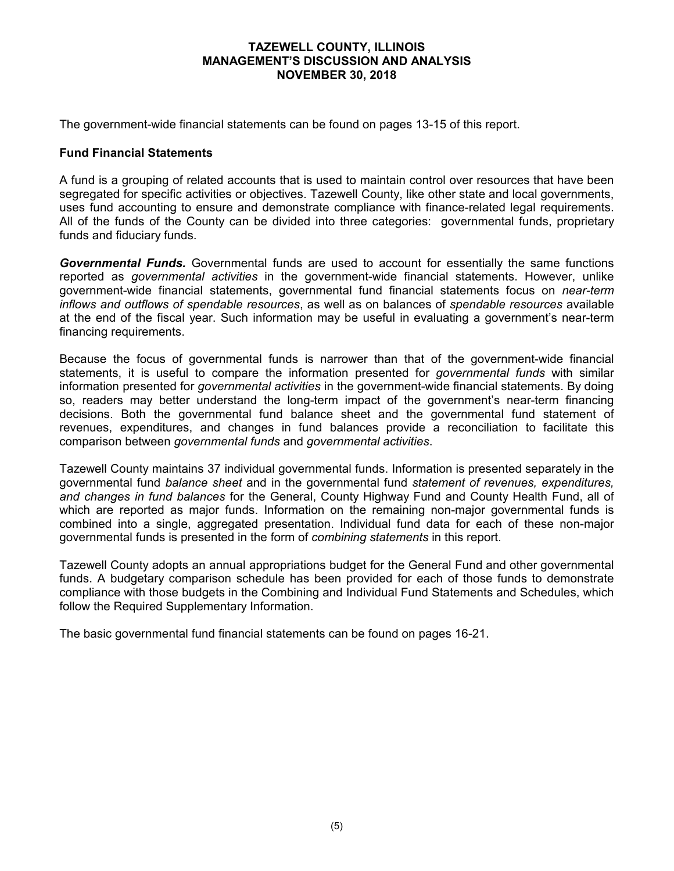The government-wide financial statements can be found on pages 13-15 of this report.

## **Fund Financial Statements**

A fund is a grouping of related accounts that is used to maintain control over resources that have been segregated for specific activities or objectives. Tazewell County, like other state and local governments, uses fund accounting to ensure and demonstrate compliance with finance-related legal requirements. All of the funds of the County can be divided into three categories: governmental funds, proprietary funds and fiduciary funds.

*Governmental Funds.* Governmental funds are used to account for essentially the same functions reported as *governmental activities* in the government-wide financial statements. However, unlike government-wide financial statements, governmental fund financial statements focus on *near-term inflows and outflows of spendable resources*, as well as on balances of *spendable resources* available at the end of the fiscal year. Such information may be useful in evaluating a government's near-term financing requirements.

Because the focus of governmental funds is narrower than that of the government-wide financial statements, it is useful to compare the information presented for *governmental funds* with similar information presented for *governmental activities* in the government-wide financial statements. By doing so, readers may better understand the long-term impact of the government's near-term financing decisions. Both the governmental fund balance sheet and the governmental fund statement of revenues, expenditures, and changes in fund balances provide a reconciliation to facilitate this comparison between *governmental funds* and *governmental activities*.

Tazewell County maintains 37 individual governmental funds. Information is presented separately in the governmental fund *balance sheet* and in the governmental fund *statement of revenues, expenditures, and changes in fund balances* for the General, County Highway Fund and County Health Fund, all of which are reported as major funds. Information on the remaining non-major governmental funds is combined into a single, aggregated presentation. Individual fund data for each of these non-major governmental funds is presented in the form of *combining statements* in this report.

Tazewell County adopts an annual appropriations budget for the General Fund and other governmental funds. A budgetary comparison schedule has been provided for each of those funds to demonstrate compliance with those budgets in the Combining and Individual Fund Statements and Schedules, which follow the Required Supplementary Information.

The basic governmental fund financial statements can be found on pages 16-21.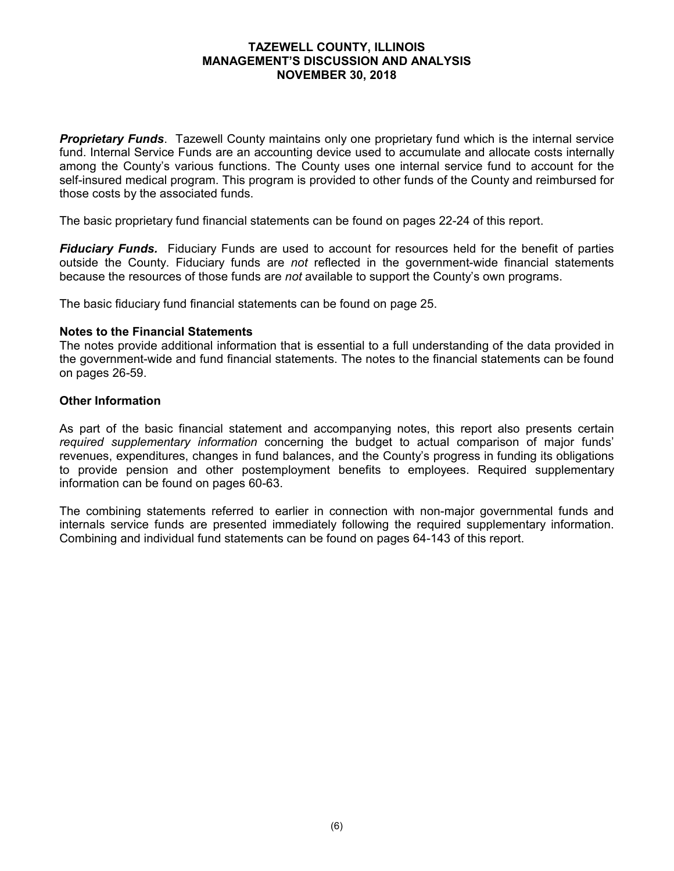*Proprietary Funds*. Tazewell County maintains only one proprietary fund which is the internal service fund. Internal Service Funds are an accounting device used to accumulate and allocate costs internally among the County's various functions. The County uses one internal service fund to account for the self-insured medical program. This program is provided to other funds of the County and reimbursed for those costs by the associated funds.

The basic proprietary fund financial statements can be found on pages 22-24 of this report.

*Fiduciary Funds.* Fiduciary Funds are used to account for resources held for the benefit of parties outside the County. Fiduciary funds are *not* reflected in the government-wide financial statements because the resources of those funds are *not* available to support the County's own programs.

The basic fiduciary fund financial statements can be found on page 25.

## **Notes to the Financial Statements**

The notes provide additional information that is essential to a full understanding of the data provided in the government-wide and fund financial statements. The notes to the financial statements can be found on pages 26-59.

## **Other Information**

As part of the basic financial statement and accompanying notes, this report also presents certain *required supplementary information* concerning the budget to actual comparison of major funds' revenues, expenditures, changes in fund balances, and the County's progress in funding its obligations to provide pension and other postemployment benefits to employees. Required supplementary information can be found on pages 60-63.

The combining statements referred to earlier in connection with non-major governmental funds and internals service funds are presented immediately following the required supplementary information. Combining and individual fund statements can be found on pages 64-143 of this report.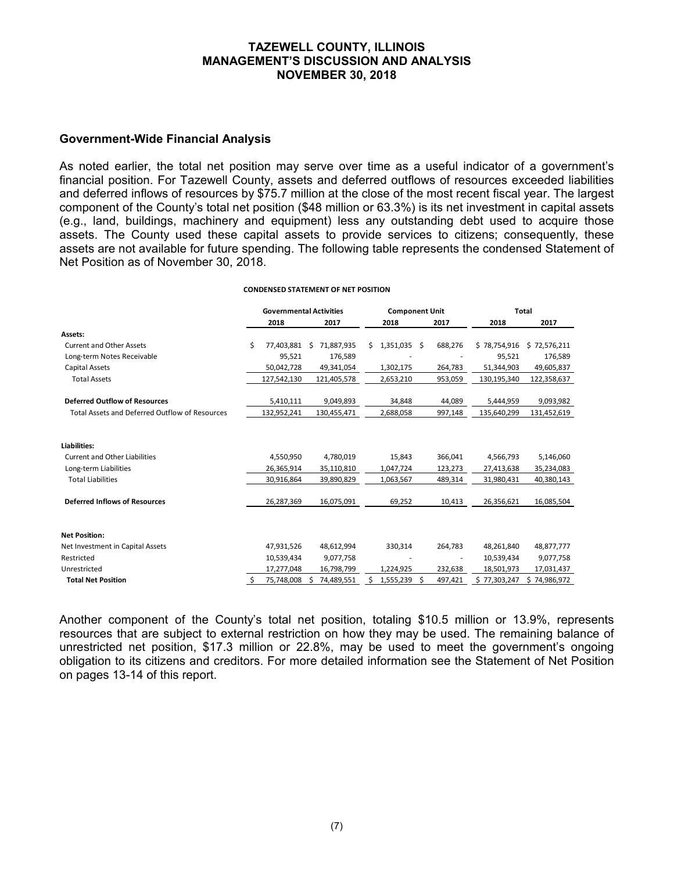#### **Government-Wide Financial Analysis**

As noted earlier, the total net position may serve over time as a useful indicator of a government's financial position. For Tazewell County, assets and deferred outflows of resources exceeded liabilities and deferred inflows of resources by \$75.7 million at the close of the most recent fiscal year. The largest component of the County's total net position (\$48 million or 63.3%) is its net investment in capital assets (e.g., land, buildings, machinery and equipment) less any outstanding debt used to acquire those assets. The County used these capital assets to provide services to citizens; consequently, these assets are not available for future spending. The following table represents the condensed Statement of Net Position as of November 30, 2018.

#### **CONDENSED STATEMENT OF NET POSITION**

|                                                |   | <b>Governmental Activities</b> |                 |    | <b>Component Unit</b> |         | <b>Total</b> |              |  |
|------------------------------------------------|---|--------------------------------|-----------------|----|-----------------------|---------|--------------|--------------|--|
|                                                |   | 2018                           | 2017            |    | 2018                  | 2017    | 2018         | 2017         |  |
| Assets:                                        |   |                                |                 |    |                       |         |              |              |  |
| <b>Current and Other Assets</b>                | Ś | 77,403,881                     | 71,887,935<br>Ŝ | Ś. | $1,351,035$ \$        | 688,276 | \$78,754,916 | \$72,576,211 |  |
| Long-term Notes Receivable                     |   | 95,521                         | 176,589         |    |                       |         | 95,521       | 176,589      |  |
| Capital Assets                                 |   | 50,042,728                     | 49,341,054      |    | 1,302,175             | 264,783 | 51,344,903   | 49,605,837   |  |
| <b>Total Assets</b>                            |   | 127,542,130                    | 121,405,578     |    | 2,653,210             | 953,059 | 130,195,340  | 122,358,637  |  |
| <b>Deferred Outflow of Resources</b>           |   | 5,410,111                      | 9,049,893       |    | 34,848                | 44,089  | 5,444,959    | 9,093,982    |  |
| Total Assets and Deferred Outflow of Resources |   | 132,952,241                    | 130,455,471     |    | 2,688,058             | 997,148 | 135,640,299  | 131,452,619  |  |
|                                                |   |                                |                 |    |                       |         |              |              |  |
| Liabilities:                                   |   |                                |                 |    |                       |         |              |              |  |
| <b>Current and Other Liabilities</b>           |   | 4,550,950                      | 4,780,019       |    | 15,843                | 366,041 | 4,566,793    | 5,146,060    |  |
| Long-term Liabilities                          |   | 26,365,914                     | 35,110,810      |    | 1,047,724             | 123,273 | 27,413,638   | 35,234,083   |  |
| <b>Total Liabilities</b>                       |   | 30,916,864                     | 39,890,829      |    | 1,063,567             | 489,314 | 31,980,431   | 40,380,143   |  |
| <b>Deferred Inflows of Resources</b>           |   | 26,287,369                     | 16,075,091      |    | 69,252                | 10,413  | 26,356,621   | 16,085,504   |  |
| <b>Net Position:</b>                           |   |                                |                 |    |                       |         |              |              |  |
| Net Investment in Capital Assets               |   | 47,931,526                     | 48,612,994      |    | 330,314               | 264,783 | 48,261,840   | 48,877,777   |  |
| Restricted                                     |   | 10,539,434                     | 9,077,758       |    |                       |         | 10,539,434   | 9,077,758    |  |
| Unrestricted                                   |   | 17,277,048                     | 16,798,799      |    | 1,224,925             | 232,638 | 18,501,973   | 17,031,437   |  |
| <b>Total Net Position</b>                      | Ş | 75,748,008                     | 74,489,551      |    | 1,555,239 \$          | 497,421 | \$77,303,247 | \$74,986,972 |  |

Another component of the County's total net position, totaling \$10.5 million or 13.9%, represents resources that are subject to external restriction on how they may be used. The remaining balance of unrestricted net position, \$17.3 million or 22.8%, may be used to meet the government's ongoing obligation to its citizens and creditors. For more detailed information see the Statement of Net Position on pages 13-14 of this report.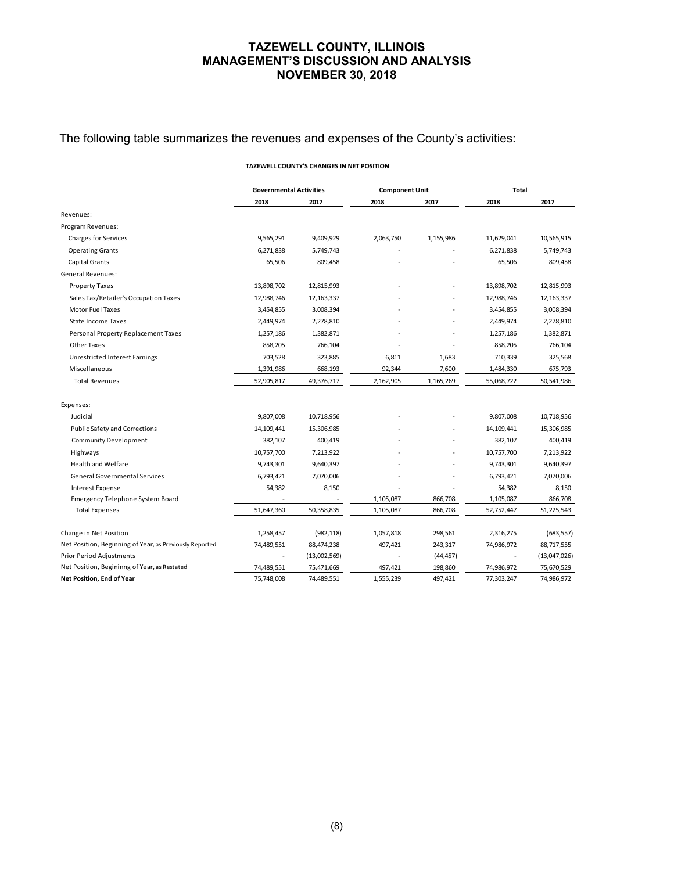## The following table summarizes the revenues and expenses of the County's activities:

#### **TAZEWELL COUNTY'S CHANGES IN NET POSITION**

|                                                                          | <b>Governmental Activities</b> |                          | <b>Component Unit</b> |                    | <b>Total</b>             |                          |  |
|--------------------------------------------------------------------------|--------------------------------|--------------------------|-----------------------|--------------------|--------------------------|--------------------------|--|
|                                                                          | 2018                           | 2017                     | 2018                  | 2017               | 2018                     | 2017                     |  |
| Revenues:                                                                |                                |                          |                       |                    |                          |                          |  |
| Program Revenues:                                                        |                                |                          |                       |                    |                          |                          |  |
| <b>Charges for Services</b>                                              | 9,565,291                      | 9,409,929                | 2,063,750             | 1,155,986          | 11,629,041               | 10,565,915               |  |
| <b>Operating Grants</b>                                                  | 6,271,838                      | 5,749,743                |                       |                    | 6,271,838                | 5,749,743                |  |
| Capital Grants                                                           | 65,506                         | 809,458                  |                       |                    | 65,506                   | 809,458                  |  |
| <b>General Revenues:</b>                                                 |                                |                          |                       |                    |                          |                          |  |
| <b>Property Taxes</b>                                                    | 13,898,702                     | 12,815,993               |                       |                    | 13,898,702               | 12,815,993               |  |
| Sales Tax/Retailer's Occupation Taxes                                    | 12,988,746                     | 12, 163, 337             |                       |                    | 12,988,746               | 12, 163, 337             |  |
| <b>Motor Fuel Taxes</b>                                                  | 3,454,855                      | 3,008,394                |                       |                    | 3,454,855                | 3,008,394                |  |
| <b>State Income Taxes</b>                                                | 2,449,974                      | 2,278,810                |                       | ä,                 | 2,449,974                | 2,278,810                |  |
| Personal Property Replacement Taxes                                      | 1,257,186                      | 1,382,871                |                       |                    | 1,257,186                | 1,382,871                |  |
| <b>Other Taxes</b>                                                       | 858,205                        | 766,104                  |                       |                    | 858,205                  | 766,104                  |  |
| <b>Unrestricted Interest Earnings</b>                                    | 703,528                        | 323,885                  | 6,811                 | 1,683              | 710,339                  | 325,568                  |  |
| Miscellaneous                                                            | 1,391,986                      | 668,193                  | 92,344                | 7,600              | 1,484,330                | 675,793                  |  |
| <b>Total Revenues</b>                                                    | 52,905,817                     | 49,376,717               | 2,162,905             | 1,165,269          | 55,068,722               | 50,541,986               |  |
| Expenses:                                                                |                                |                          |                       |                    |                          |                          |  |
| Judicial                                                                 | 9,807,008                      | 10,718,956               |                       |                    | 9,807,008                | 10,718,956               |  |
| Public Safety and Corrections                                            | 14,109,441                     | 15,306,985               |                       |                    | 14, 109, 441             | 15,306,985               |  |
| <b>Community Development</b>                                             | 382,107                        | 400,419                  |                       |                    | 382,107                  | 400,419                  |  |
| Highways                                                                 | 10,757,700                     | 7,213,922                |                       |                    | 10,757,700               | 7,213,922                |  |
| <b>Health and Welfare</b>                                                | 9,743,301                      | 9,640,397                |                       |                    | 9,743,301                | 9,640,397                |  |
| <b>General Governmental Services</b>                                     | 6,793,421                      | 7,070,006                |                       |                    | 6,793,421                | 7,070,006                |  |
| <b>Interest Expense</b>                                                  | 54,382                         | 8,150                    |                       |                    | 54,382                   | 8,150                    |  |
| <b>Emergency Telephone System Board</b>                                  |                                |                          | 1,105,087             | 866,708            | 1,105,087                | 866,708                  |  |
| <b>Total Expenses</b>                                                    | 51,647,360                     | 50,358,835               | 1,105,087             | 866,708            | 52,752,447               | 51,225,543               |  |
|                                                                          |                                |                          |                       |                    |                          |                          |  |
| Change in Net Position                                                   | 1,258,457                      | (982, 118)               | 1,057,818             | 298,561            | 2,316,275                | (683, 557)               |  |
| Net Position, Beginning of Year, as Previously Reported                  | 74,489,551                     | 88,474,238               | 497,421               | 243,317            | 74,986,972               | 88,717,555               |  |
| Prior Period Adjustments<br>Net Position, Begininng of Year, as Restated | 74,489,551                     | (13,002,569)             |                       | (44, 457)          |                          | (13,047,026)             |  |
| Net Position, End of Year                                                | 75.748.008                     | 75,471,669<br>74,489,551 | 497,421<br>1,555,239  | 198,860<br>497.421 | 74,986,972<br>77.303.247 | 75,670,529<br>74,986,972 |  |
|                                                                          |                                |                          |                       |                    |                          |                          |  |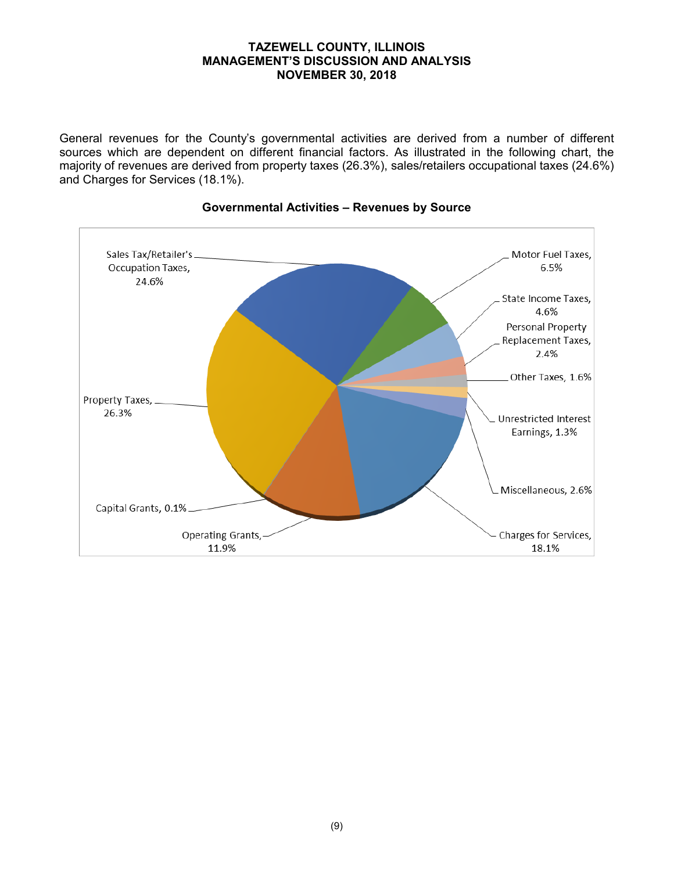General revenues for the County's governmental activities are derived from a number of different sources which are dependent on different financial factors. As illustrated in the following chart, the majority of revenues are derived from property taxes (26.3%), sales/retailers occupational taxes (24.6%) and Charges for Services (18.1%).



## **Governmental Activities – Revenues by Source**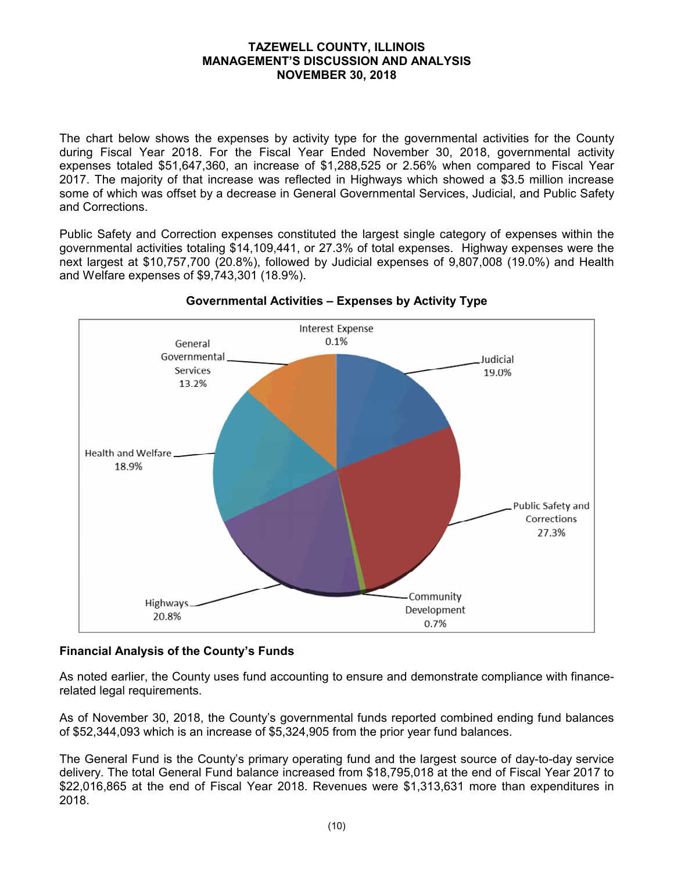The chart below shows the expenses by activity type for the governmental activities for the County during Fiscal Year 2018. For the Fiscal Year Ended November 30, 2018, governmental activity expenses totaled \$51,647,360, an increase of \$1,288,525 or 2.56% when compared to Fiscal Year 2017. The majority of that increase was reflected in Highways which showed a \$3.5 million increase some of which was offset by a decrease in General Governmental Services, Judicial, and Public Safety and Corrections.

Public Safety and Correction expenses constituted the largest single category of expenses within the governmental activities totaling \$14,109,441, or 27.3% of total expenses. Highway expenses were the next largest at \$10,757,700 (20.8%), followed by Judicial expenses of 9,807,008 (19.0%) and Health and Welfare expenses of \$9,743,301 (18.9%).



## **Governmental Activities – Expenses by Activity Type**

# **Financial Analysis of the County's Funds**

As noted earlier, the County uses fund accounting to ensure and demonstrate compliance with financerelated legal requirements.

As of November 30, 2018, the County's governmental funds reported combined ending fund balances of \$52,344,093 which is an increase of \$5,324,905 from the prior year fund balances.

The General Fund is the County's primary operating fund and the largest source of day-to-day service delivery. The total General Fund balance increased from \$18,795,018 at the end of Fiscal Year 2017 to \$22,016,865 at the end of Fiscal Year 2018. Revenues were \$1,313,631 more than expenditures in 2018.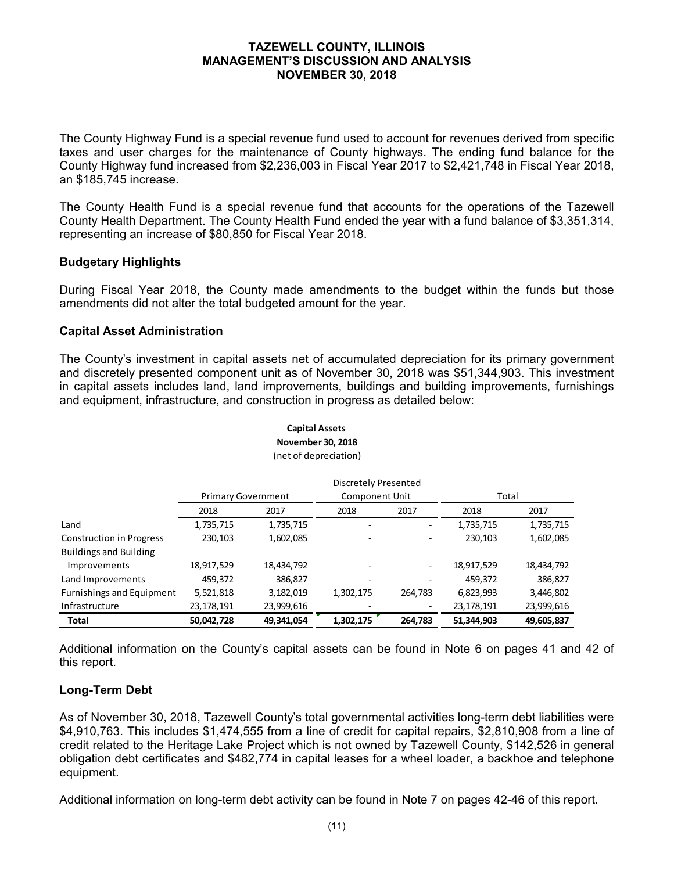The County Highway Fund is a special revenue fund used to account for revenues derived from specific taxes and user charges for the maintenance of County highways. The ending fund balance for the County Highway fund increased from \$2,236,003 in Fiscal Year 2017 to \$2,421,748 in Fiscal Year 2018, an \$185,745 increase.

The County Health Fund is a special revenue fund that accounts for the operations of the Tazewell County Health Department. The County Health Fund ended the year with a fund balance of \$3,351,314, representing an increase of \$80,850 for Fiscal Year 2018.

## **Budgetary Highlights**

During Fiscal Year 2018, the County made amendments to the budget within the funds but those amendments did not alter the total budgeted amount for the year.

## **Capital Asset Administration**

The County's investment in capital assets net of accumulated depreciation for its primary government and discretely presented component unit as of November 30, 2018 was \$51,344,903. This investment in capital assets includes land, land improvements, buildings and building improvements, furnishings and equipment, infrastructure, and construction in progress as detailed below:

|                                  |                           |            | Discretely Presented  |         |            |            |  |
|----------------------------------|---------------------------|------------|-----------------------|---------|------------|------------|--|
|                                  | <b>Primary Government</b> |            | <b>Component Unit</b> |         | Total      |            |  |
|                                  | 2018                      | 2017       | 2018                  | 2017    | 2018       | 2017       |  |
| Land                             | 1,735,715                 | 1,735,715  |                       |         | 1,735,715  | 1,735,715  |  |
| <b>Construction in Progress</b>  | 230,103                   | 1,602,085  |                       |         | 230,103    | 1,602,085  |  |
| <b>Buildings and Building</b>    |                           |            |                       |         |            |            |  |
| Improvements                     | 18,917,529                | 18,434,792 |                       | -       | 18,917,529 | 18,434,792 |  |
| Land Improvements                | 459,372                   | 386,827    |                       |         | 459,372    | 386,827    |  |
| <b>Furnishings and Equipment</b> | 5,521,818                 | 3,182,019  | 1,302,175             | 264,783 | 6,823,993  | 3,446,802  |  |
| Infrastructure                   | 23, 178, 191              | 23,999,616 |                       |         | 23,178,191 | 23,999,616 |  |
| <b>Total</b>                     | 50,042,728                | 49,341,054 | 1,302,175             | 264,783 | 51,344,903 | 49,605,837 |  |

#### **Capital Assets November 30, 2018** (net of depreciation)

Additional information on the County's capital assets can be found in Note 6 on pages 41 and 42 of this report.

## **Long-Term Debt**

As of November 30, 2018, Tazewell County's total governmental activities long-term debt liabilities were \$4,910,763. This includes \$1,474,555 from a line of credit for capital repairs, \$2,810,908 from a line of credit related to the Heritage Lake Project which is not owned by Tazewell County, \$142,526 in general obligation debt certificates and \$482,774 in capital leases for a wheel loader, a backhoe and telephone equipment.

Additional information on long-term debt activity can be found in Note 7 on pages 42-46 of this report.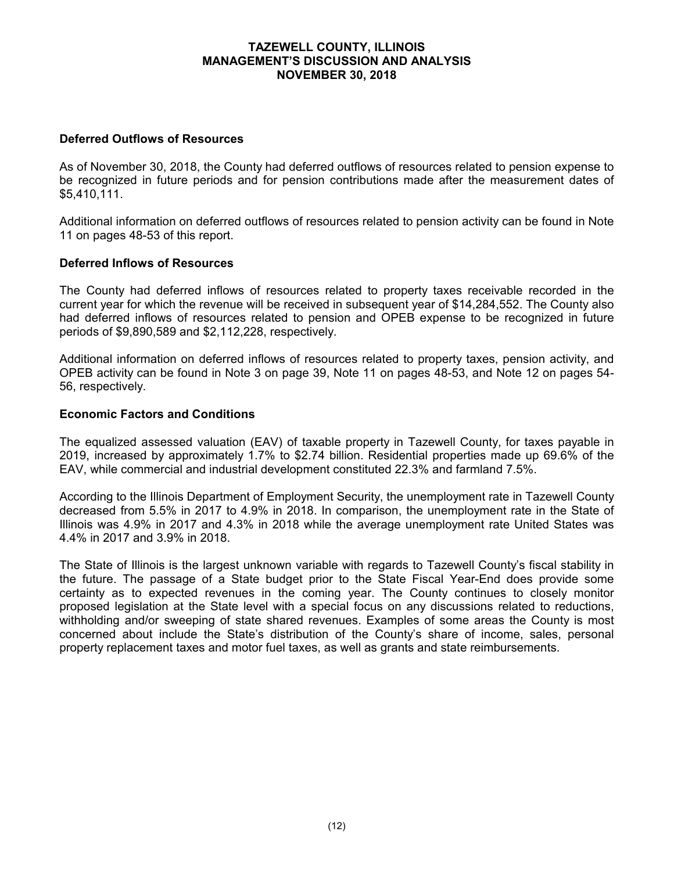## **Deferred Outflows of Resources**

As of November 30, 2018, the County had deferred outflows of resources related to pension expense to be recognized in future periods and for pension contributions made after the measurement dates of \$5,410,111.

Additional information on deferred outflows of resources related to pension activity can be found in Note 11 on pages 48-53 of this report.

## **Deferred Inflows of Resources**

The County had deferred inflows of resources related to property taxes receivable recorded in the current year for which the revenue will be received in subsequent year of \$14,284,552. The County also had deferred inflows of resources related to pension and OPEB expense to be recognized in future periods of \$9,890,589 and \$2,112,228, respectively.

Additional information on deferred inflows of resources related to property taxes, pension activity, and OPEB activity can be found in Note 3 on page 39, Note 11 on pages 48-53, and Note 12 on pages 54- 56, respectively.

## **Economic Factors and Conditions**

The equalized assessed valuation (EAV) of taxable property in Tazewell County, for taxes payable in 2019, increased by approximately 1.7% to \$2.74 billion. Residential properties made up 69.6% of the EAV, while commercial and industrial development constituted 22.3% and farmland 7.5%.

According to the Illinois Department of Employment Security, the unemployment rate in Tazewell County decreased from 5.5% in 2017 to 4.9% in 2018. In comparison, the unemployment rate in the State of Illinois was 4.9% in 2017 and 4.3% in 2018 while the average unemployment rate United States was 4.4% in 2017 and 3.9% in 2018.

The State of Illinois is the largest unknown variable with regards to Tazewell County's fiscal stability in the future. The passage of a State budget prior to the State Fiscal Year-End does provide some certainty as to expected revenues in the coming year. The County continues to closely monitor proposed legislation at the State level with a special focus on any discussions related to reductions, withholding and/or sweeping of state shared revenues. Examples of some areas the County is most concerned about include the State's distribution of the County's share of income, sales, personal property replacement taxes and motor fuel taxes, as well as grants and state reimbursements.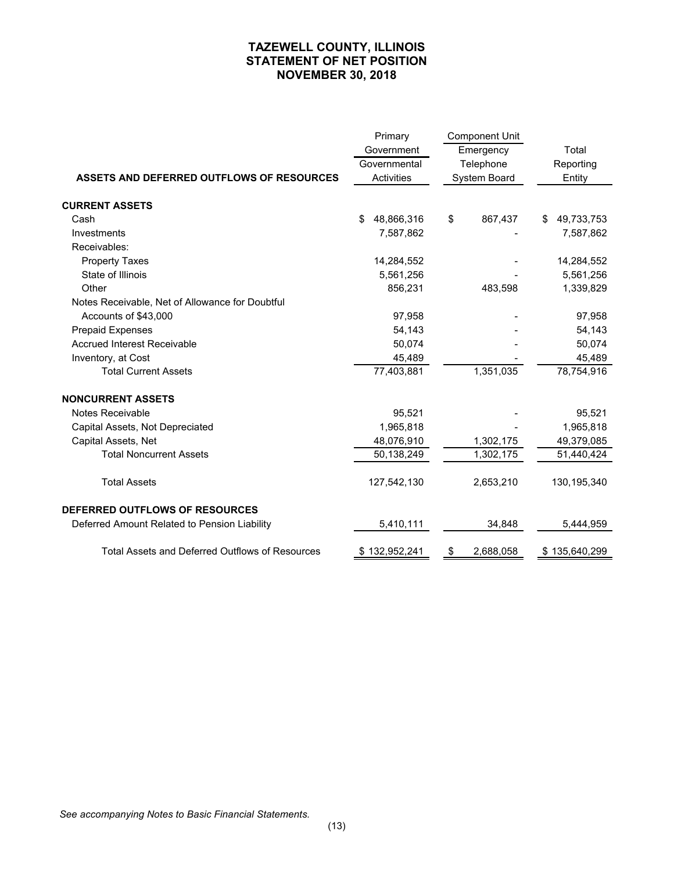## **TAZEWELL COUNTY, ILLINOIS STATEMENT OF NET POSITION NOVEMBER 30, 2018**

|                                                        | Primary          | <b>Component Unit</b> |                  |
|--------------------------------------------------------|------------------|-----------------------|------------------|
|                                                        | Government       | Emergency             | Total            |
|                                                        | Governmental     | Telephone             | Reporting        |
| ASSETS AND DEFERRED OUTFLOWS OF RESOURCES              | Activities       | System Board          | Entity           |
|                                                        |                  |                       |                  |
| <b>CURRENT ASSETS</b>                                  |                  |                       |                  |
| Cash                                                   | 48,866,316<br>\$ | 867,437<br>\$         | 49,733,753<br>\$ |
| Investments                                            | 7,587,862        |                       | 7,587,862        |
| Receivables:                                           |                  |                       |                  |
| <b>Property Taxes</b>                                  | 14,284,552       |                       | 14,284,552       |
| State of Illinois                                      | 5,561,256        |                       | 5,561,256        |
| Other                                                  | 856,231          | 483,598               | 1,339,829        |
| Notes Receivable, Net of Allowance for Doubtful        |                  |                       |                  |
| Accounts of \$43,000                                   | 97,958           |                       | 97,958           |
| <b>Prepaid Expenses</b>                                | 54,143           |                       | 54,143           |
| <b>Accrued Interest Receivable</b>                     | 50,074           |                       | 50,074           |
| Inventory, at Cost                                     | 45,489           |                       | 45,489           |
| <b>Total Current Assets</b>                            | 77,403,881       | 1,351,035             | 78,754,916       |
| <b>NONCURRENT ASSETS</b>                               |                  |                       |                  |
| Notes Receivable                                       | 95,521           |                       | 95,521           |
| Capital Assets, Not Depreciated                        | 1,965,818        |                       | 1,965,818        |
| Capital Assets, Net                                    | 48,076,910       | 1,302,175             | 49,379,085       |
| <b>Total Noncurrent Assets</b>                         | 50,138,249       | 1,302,175             | 51,440,424       |
| <b>Total Assets</b>                                    | 127,542,130      | 2,653,210             | 130, 195, 340    |
| <b>DEFERRED OUTFLOWS OF RESOURCES</b>                  |                  |                       |                  |
| Deferred Amount Related to Pension Liability           | 5,410,111        | 34,848                | 5,444,959        |
| <b>Total Assets and Deferred Outflows of Resources</b> | \$132,952,241    | 2,688,058<br>\$       | \$135,640,299    |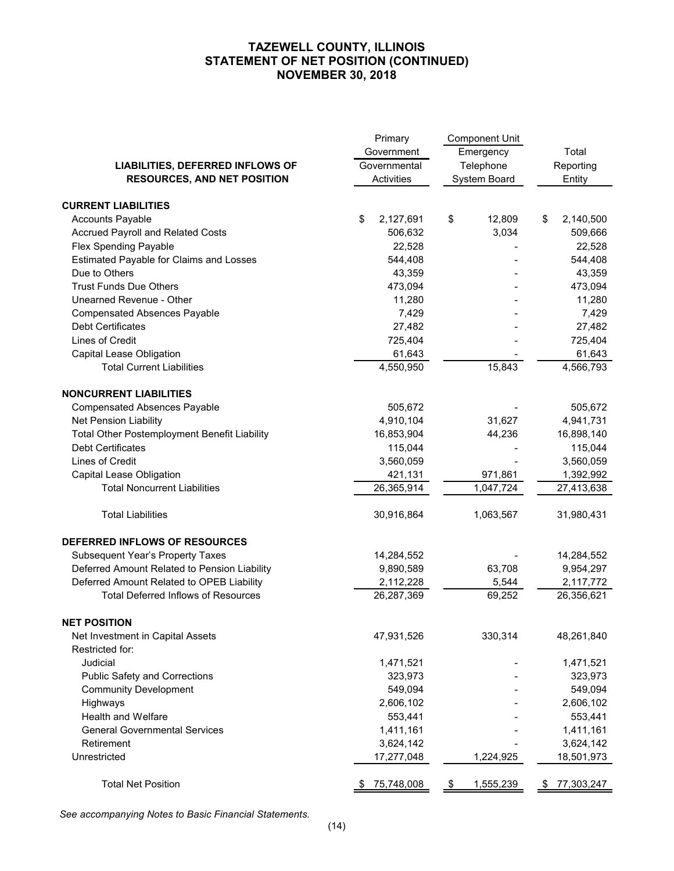## **TAZEWELL COUNTY, ILLINOIS STATEMENT OF NET POSITION (CONTINUED) NOVEMBER 30, 2018**

|                                                     | Primary           | <b>Component Unit</b> |                  |  |
|-----------------------------------------------------|-------------------|-----------------------|------------------|--|
|                                                     | Government        | Emergency             | Total            |  |
| LIABILITIES, DEFERRED INFLOWS OF                    | Governmental      | Telephone             | Reporting        |  |
| <b>RESOURCES, AND NET POSITION</b>                  | Activities        | System Board          | Entity           |  |
|                                                     |                   |                       |                  |  |
| <b>CURRENT LIABILITIES</b>                          |                   |                       |                  |  |
| <b>Accounts Payable</b>                             | \$<br>2,127,691   | \$<br>12,809          | \$<br>2,140,500  |  |
| Accrued Payroll and Related Costs                   | 506,632           | 3,034                 | 509,666          |  |
| Flex Spending Payable                               | 22,528            |                       | 22,528           |  |
| Estimated Payable for Claims and Losses             | 544,408           |                       | 544,408          |  |
| Due to Others                                       | 43,359            |                       | 43,359           |  |
| <b>Trust Funds Due Others</b>                       | 473,094           |                       | 473,094          |  |
| Unearned Revenue - Other                            | 11,280            |                       | 11,280           |  |
| <b>Compensated Absences Payable</b>                 | 7,429             |                       | 7,429            |  |
| Debt Certificates                                   | 27,482            |                       | 27,482           |  |
| Lines of Credit                                     | 725,404           |                       | 725,404          |  |
| <b>Capital Lease Obligation</b>                     | 61,643            |                       | 61,643           |  |
| <b>Total Current Liabilities</b>                    | 4,550,950         | 15,843                | 4,566,793        |  |
| <b>NONCURRENT LIABILITIES</b>                       |                   |                       |                  |  |
| <b>Compensated Absences Payable</b>                 | 505,672           |                       | 505,672          |  |
| Net Pension Liability                               | 4,910,104         | 31,627                | 4,941,731        |  |
| <b>Total Other Postemployment Benefit Liability</b> | 16,853,904        | 44,236                | 16,898,140       |  |
| <b>Debt Certificates</b>                            | 115,044           |                       | 115,044          |  |
| Lines of Credit                                     | 3,560,059         |                       | 3,560,059        |  |
| Capital Lease Obligation                            | 421,131           | 971,861               | 1,392,992        |  |
| <b>Total Noncurrent Liabilities</b>                 | 26,365,914        | 1,047,724             | 27,413,638       |  |
| <b>Total Liabilities</b>                            | 30,916,864        | 1,063,567             | 31,980,431       |  |
|                                                     |                   |                       |                  |  |
| DEFERRED INFLOWS OF RESOURCES                       |                   |                       |                  |  |
| Subsequent Year's Property Taxes                    | 14,284,552        |                       | 14,284,552       |  |
| Deferred Amount Related to Pension Liability        | 9,890,589         | 63,708                | 9,954,297        |  |
| Deferred Amount Related to OPEB Liability           | 2,112,228         | 5,544                 | 2,117,772        |  |
| <b>Total Deferred Inflows of Resources</b>          | 26,287,369        | 69,252                | 26,356,621       |  |
| <b>NET POSITION</b>                                 |                   |                       |                  |  |
| Net Investment in Capital Assets                    | 47,931,526        | 330,314               | 48,261,840       |  |
| Restricted for:                                     |                   |                       |                  |  |
| Judicial                                            | 1,471,521         |                       | 1,471,521        |  |
| <b>Public Safety and Corrections</b>                | 323,973           |                       | 323,973          |  |
| <b>Community Development</b>                        | 549,094           |                       | 549,094          |  |
| Highways                                            | 2,606,102         |                       | 2,606,102        |  |
| Health and Welfare                                  | 553,441           |                       | 553,441          |  |
| <b>General Governmental Services</b>                | 1,411,161         |                       | 1,411,161        |  |
| Retirement                                          | 3,624,142         |                       | 3,624,142        |  |
| Unrestricted                                        | 17,277,048        | 1,224,925             | 18,501,973       |  |
| <b>Total Net Position</b>                           | 75,748,008<br>\$. | 1,555,239<br>\$       | 77,303,247<br>S. |  |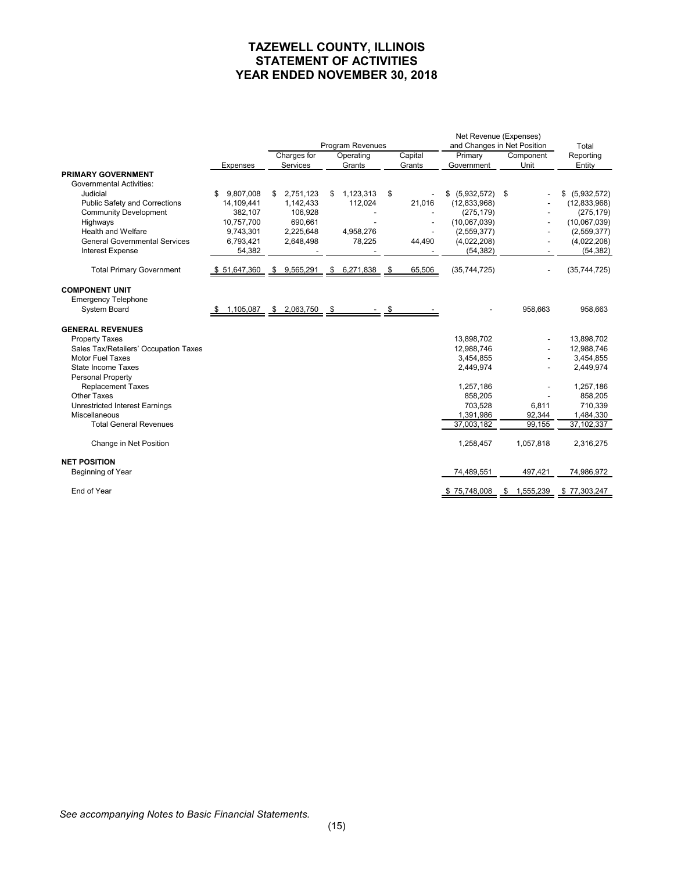## **TAZEWELL COUNTY, ILLINOIS STATEMENT OF ACTIVITIES YEAR ENDED NOVEMBER 30, 2018**

|                                                |                               | Program Revenues |             |    |              |      |         | Net Revenue (Expenses)<br>and Changes in Net Position |  |           | Total          |
|------------------------------------------------|-------------------------------|------------------|-------------|----|--------------|------|---------|-------------------------------------------------------|--|-----------|----------------|
|                                                |                               |                  | Charges for |    | Operating    |      | Capital | Primary                                               |  | Component | Reporting      |
| <b>PRIMARY GOVERNMENT</b>                      | Expenses                      |                  | Services    |    | Grants       |      | Grants  | Government                                            |  | Unit      | Entity         |
| <b>Governmental Activities:</b>                |                               |                  |             |    |              |      |         |                                                       |  |           |                |
| Judicial                                       | 9,807,008<br>S                | \$               | 2,751,123   | \$ | 1,123,313    | \$   |         | \$ (5,932,572) \$                                     |  |           | \$ (5,932,572) |
| Public Safety and Corrections                  | 14,109,441                    |                  | 1,142,433   |    | 112,024      |      | 21,016  | (12,833,968)                                          |  |           | (12, 833, 968) |
| <b>Community Development</b>                   | 382,107                       |                  | 106,928     |    |              |      |         | (275, 179)                                            |  |           | (275, 179)     |
| Highways                                       | 10,757,700                    |                  | 690,661     |    |              |      |         | (10,067,039)                                          |  |           | (10,067,039)   |
| Health and Welfare                             | 9,743,301                     |                  | 2,225,648   |    | 4,958,276    |      |         | (2,559,377)                                           |  |           | (2,559,377)    |
| <b>General Governmental Services</b>           | 6,793,421                     |                  | 2,648,498   |    | 78,225       |      | 44,490  | (4,022,208)                                           |  |           | (4,022,208)    |
| <b>Interest Expense</b>                        | 54,382                        |                  |             |    |              |      |         | (54, 382)                                             |  |           | (54, 382)      |
| <b>Total Primary Government</b>                | \$51,647,360                  |                  | \$9,565,291 |    | \$ 6,271,838 | - \$ | 65,506  | (35,744,725)                                          |  |           | (35,744,725)   |
| <b>COMPONENT UNIT</b>                          |                               |                  |             |    |              |      |         |                                                       |  |           |                |
| <b>Emergency Telephone</b>                     |                               |                  |             |    |              |      |         |                                                       |  |           |                |
| System Board                                   | $$1,105,087$ $$2,063,750$ $$$ |                  |             |    |              |      |         |                                                       |  | 958,663   | 958,663        |
| <b>GENERAL REVENUES</b>                        |                               |                  |             |    |              |      |         |                                                       |  |           |                |
| <b>Property Taxes</b>                          |                               |                  |             |    |              |      |         | 13,898,702                                            |  |           | 13,898,702     |
| Sales Tax/Retailers' Occupation Taxes          |                               |                  |             |    |              |      |         | 12,988,746                                            |  |           | 12,988,746     |
| <b>Motor Fuel Taxes</b>                        |                               |                  |             |    |              |      |         | 3,454,855                                             |  |           | 3,454,855      |
| <b>State Income Taxes</b><br>Personal Property |                               |                  |             |    |              |      |         | 2,449,974                                             |  |           | 2,449,974      |
| <b>Replacement Taxes</b>                       |                               |                  |             |    |              |      |         | 1,257,186                                             |  |           | 1,257,186      |
| <b>Other Taxes</b>                             |                               |                  |             |    |              |      |         | 858.205                                               |  |           | 858,205        |
| <b>Unrestricted Interest Earnings</b>          |                               |                  |             |    |              |      |         | 703.528                                               |  | 6.811     | 710,339        |
| Miscellaneous                                  |                               |                  |             |    |              |      |         | 1,391,986                                             |  | 92,344    | 1,484,330      |
| <b>Total General Revenues</b>                  |                               |                  |             |    |              |      |         | 37,003,182                                            |  | 99,155    | 37,102,337     |
| Change in Net Position                         |                               |                  |             |    |              |      |         | 1,258,457                                             |  | 1,057,818 | 2,316,275      |
| <b>NET POSITION</b>                            |                               |                  |             |    |              |      |         |                                                       |  |           |                |
| Beginning of Year                              |                               |                  |             |    |              |      |         | 74,489,551                                            |  | 497,421   | 74,986,972     |
| End of Year                                    |                               |                  |             |    |              |      |         | \$75,748,008 \$1,555,239 \$77,303,247                 |  |           |                |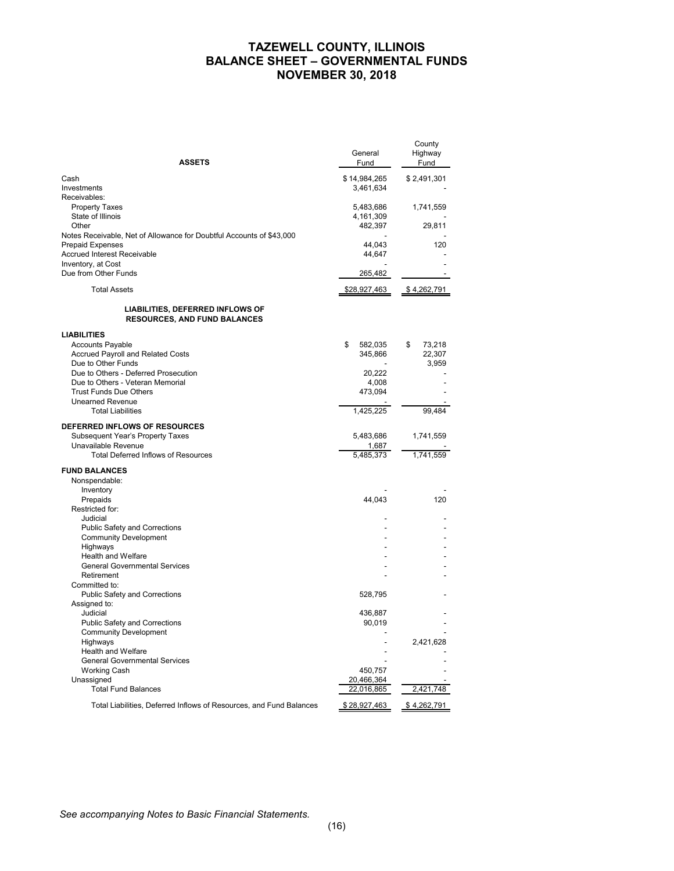## **TAZEWELL COUNTY, ILLINOIS BALANCE SHEET – GOVERNMENTAL FUNDS NOVEMBER 30, 2018**

| <b>ASSETS</b>                                                           | General<br>Fund | County<br>Highway<br>Fund |
|-------------------------------------------------------------------------|-----------------|---------------------------|
| Cash                                                                    | \$14,984,265    | \$2,491,301               |
| Investments                                                             | 3,461,634       |                           |
| Receivables:                                                            |                 |                           |
| <b>Property Taxes</b>                                                   | 5,483,686       | 1,741,559                 |
| State of Illinois                                                       | 4,161,309       |                           |
| Other                                                                   | 482,397         | 29,811                    |
| Notes Receivable, Net of Allowance for Doubtful Accounts of \$43,000    |                 |                           |
| <b>Prepaid Expenses</b>                                                 | 44,043          | 120                       |
| Accrued Interest Receivable                                             | 44,647          |                           |
| Inventory, at Cost                                                      |                 |                           |
| Due from Other Funds                                                    | 265,482         |                           |
| <b>Total Assets</b>                                                     | \$28,927,463    | \$4,262,791               |
|                                                                         |                 |                           |
| LIABILITIES, DEFERRED INFLOWS OF<br><b>RESOURCES, AND FUND BALANCES</b> |                 |                           |
| <b>LIABILITIES</b>                                                      |                 |                           |
| <b>Accounts Payable</b>                                                 | \$<br>582,035   | \$<br>73,218              |
| <b>Accrued Payroll and Related Costs</b>                                | 345,866         | 22,307                    |
| Due to Other Funds                                                      |                 | 3,959                     |
| Due to Others - Deferred Prosecution                                    | 20,222          |                           |
| Due to Others - Veteran Memorial                                        | 4,008           |                           |
| Trust Funds Due Others                                                  | 473,094         |                           |
| <b>Unearned Revenue</b>                                                 |                 |                           |
| <b>Total Liabilities</b>                                                | 1,425,225       | 99.484                    |
| DEFERRED INFLOWS OF RESOURCES                                           |                 |                           |
| <b>Subsequent Year's Property Taxes</b>                                 | 5,483,686       | 1,741,559                 |
| Unavailable Revenue                                                     | 1,687           |                           |
| <b>Total Deferred Inflows of Resources</b>                              | 5,485,373       | 1,741,559                 |
| <b>FUND BALANCES</b>                                                    |                 |                           |
| Nonspendable:                                                           |                 |                           |
| Inventory                                                               |                 |                           |
| Prepaids                                                                | 44,043          | 120                       |
| Restricted for:                                                         |                 |                           |
| Judicial                                                                |                 |                           |
| <b>Public Safety and Corrections</b>                                    |                 |                           |
| <b>Community Development</b>                                            |                 |                           |
| Highways                                                                |                 |                           |
| Health and Welfare                                                      |                 |                           |
| <b>General Governmental Services</b>                                    |                 |                           |
| Retirement                                                              |                 |                           |
| Committed to:                                                           |                 |                           |
| Public Safety and Corrections                                           | 528,795         |                           |
| Assigned to:                                                            |                 |                           |
| Judicial                                                                | 436,887         |                           |
| <b>Public Safety and Corrections</b>                                    | 90,019          |                           |
| <b>Community Development</b>                                            |                 |                           |
| Highways                                                                |                 | 2,421,628                 |
| Health and Welfare                                                      |                 |                           |
| General Governmental Services                                           |                 |                           |
| <b>Working Cash</b>                                                     | 450,757         |                           |
| Unassigned                                                              | 20,466,364      |                           |
| <b>Total Fund Balances</b>                                              | 22,016,865      | 2,421,748                 |
| Total Liabilities, Deferred Inflows of Resources, and Fund Balances     | \$28,927,463    | \$4,262,791               |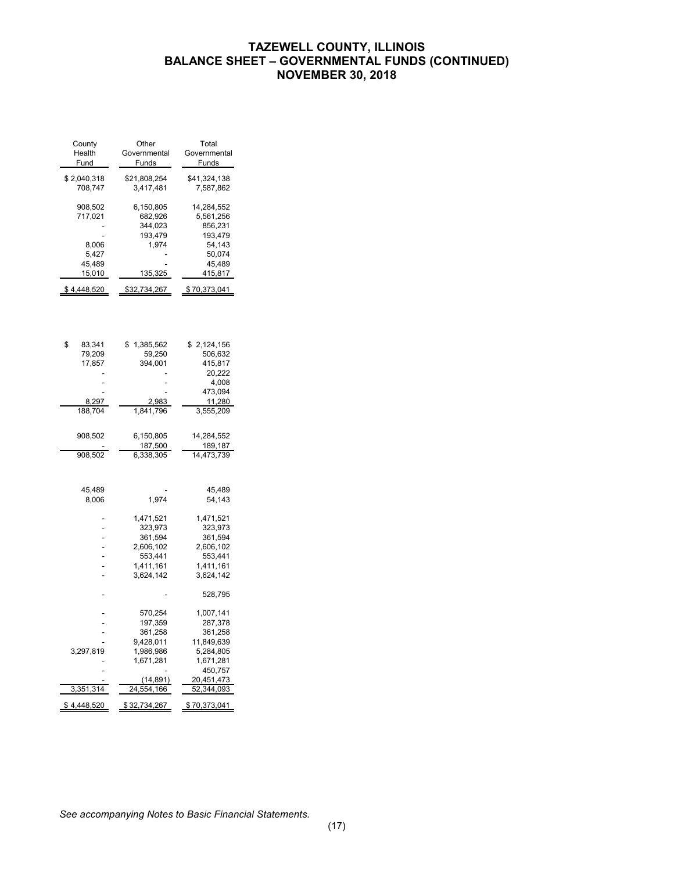## **TAZEWELL COUNTY, ILLINOIS BALANCE SHEET – GOVERNMENTAL FUNDS (CONTINUED) NOVEMBER 30, 2018**

| County<br>Health<br>Fund                                        | Other<br>Governmental<br>Funds                                                    | Total<br>Governmental<br>Funds                                                         |
|-----------------------------------------------------------------|-----------------------------------------------------------------------------------|----------------------------------------------------------------------------------------|
| \$2,040,318<br>708,747                                          | \$21,808,254<br>3,417,481                                                         | \$41,324,138<br>7,587,862                                                              |
| 908,502<br>717,021<br>8,006<br>5,427<br>45,489<br><u>15,010</u> | 6,150,805<br>682,926<br>344,023<br>193,479<br>1,974<br><u>135,325</u>             | 14,284,552<br>5,561,256<br>856,231<br>193,479<br>54,143<br>50,074<br>45,489<br>415,817 |
| \$4,448,520                                                     | \$32,734,267                                                                      | \$70,373,041                                                                           |
|                                                                 |                                                                                   |                                                                                        |
| \$<br>83,341<br>79,209<br>17,857                                | 1,385,562<br>\$<br>59,250<br>394,001                                              | 2,124,156<br>\$<br>506,632<br>415,817<br>20,222<br>4,008<br>473,094                    |
| 8,297<br>188,704                                                | 2,983<br>1,841,796                                                                | 11,280<br>3,555,209                                                                    |
| 908,502<br>908,502                                              | 6,150,805<br><u>187,500</u><br>6,338,305                                          | 14,284,552<br>189,187<br>14,473,739                                                    |
| 45,489<br>8,006                                                 | 1,974                                                                             | 45,489<br>54,143                                                                       |
|                                                                 | 1,471,521<br>323,973<br>361,594<br>2,606,102<br>553,441<br>1,411,161<br>3,624,142 | 1,471,521<br>323,973<br>361,594<br>2,606,102<br>553,441<br>1,411,161<br>3,624,142      |
|                                                                 |                                                                                   | 528,795                                                                                |
| 3,297,819                                                       | 570,254<br>197,359<br>361,258<br>9,428,011<br>1,986,986<br>1,671,281              | 1,007,141<br>287,378<br>361,258<br>11,849,639<br>5,284,805<br>1,671,281<br>450,757     |
| 3,351,314                                                       | (14,891)<br>24,554,166                                                            | 20,451,473<br>52,344,093                                                               |
| \$ 4,448,520                                                    | \$32,734,267                                                                      | \$70,373,041                                                                           |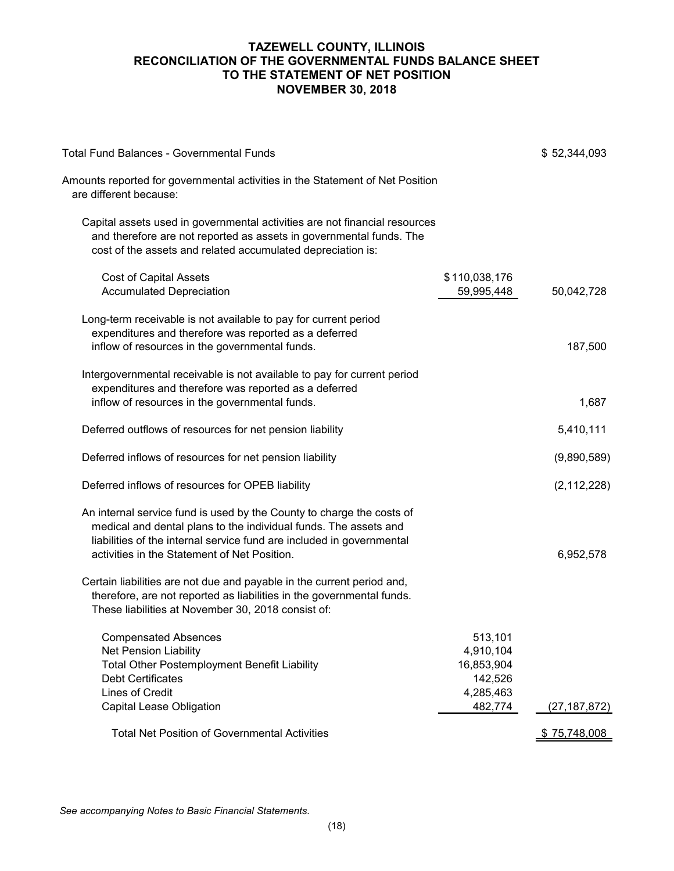## **TAZEWELL COUNTY, ILLINOIS RECONCILIATION OF THE GOVERNMENTAL FUNDS BALANCE SHEET TO THE STATEMENT OF NET POSITION NOVEMBER 30, 2018**

| <b>Total Fund Balances - Governmental Funds</b>                                                                                                                                                                                                                    |                                                                       | \$52,344,093   |
|--------------------------------------------------------------------------------------------------------------------------------------------------------------------------------------------------------------------------------------------------------------------|-----------------------------------------------------------------------|----------------|
| Amounts reported for governmental activities in the Statement of Net Position<br>are different because:                                                                                                                                                            |                                                                       |                |
| Capital assets used in governmental activities are not financial resources<br>and therefore are not reported as assets in governmental funds. The<br>cost of the assets and related accumulated depreciation is:                                                   |                                                                       |                |
| <b>Cost of Capital Assets</b><br><b>Accumulated Depreciation</b>                                                                                                                                                                                                   | \$110,038,176<br>59,995,448                                           | 50,042,728     |
| Long-term receivable is not available to pay for current period<br>expenditures and therefore was reported as a deferred<br>inflow of resources in the governmental funds.                                                                                         |                                                                       | 187,500        |
| Intergovernmental receivable is not available to pay for current period<br>expenditures and therefore was reported as a deferred<br>inflow of resources in the governmental funds.                                                                                 |                                                                       | 1,687          |
| Deferred outflows of resources for net pension liability                                                                                                                                                                                                           |                                                                       | 5,410,111      |
| Deferred inflows of resources for net pension liability                                                                                                                                                                                                            |                                                                       | (9,890,589)    |
| Deferred inflows of resources for OPEB liability                                                                                                                                                                                                                   |                                                                       | (2, 112, 228)  |
| An internal service fund is used by the County to charge the costs of<br>medical and dental plans to the individual funds. The assets and<br>liabilities of the internal service fund are included in governmental<br>activities in the Statement of Net Position. |                                                                       | 6,952,578      |
| Certain liabilities are not due and payable in the current period and,<br>therefore, are not reported as liabilities in the governmental funds.<br>These liabilities at November 30, 2018 consist of:                                                              |                                                                       |                |
| <b>Compensated Absences</b><br><b>Net Pension Liability</b><br><b>Total Other Postemployment Benefit Liability</b><br><b>Debt Certificates</b><br>Lines of Credit<br><b>Capital Lease Obligation</b>                                                               | 513,101<br>4,910,104<br>16,853,904<br>142,526<br>4,285,463<br>482,774 | (27, 187, 872) |
| <b>Total Net Position of Governmental Activities</b>                                                                                                                                                                                                               |                                                                       | \$75,748,008   |
|                                                                                                                                                                                                                                                                    |                                                                       |                |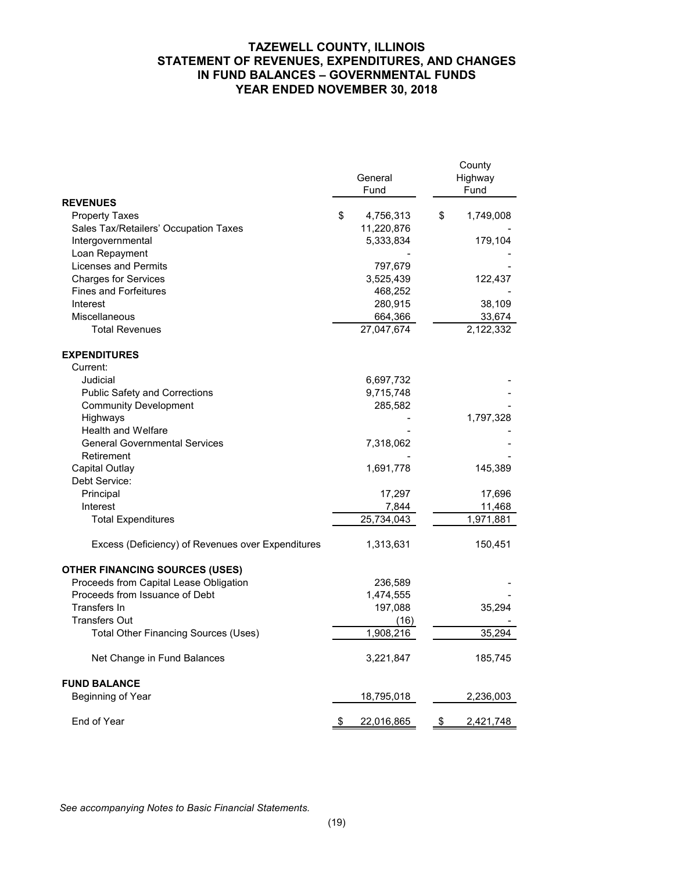## **TAZEWELL COUNTY, ILLINOIS STATEMENT OF REVENUES, EXPENDITURES, AND CHANGES IN FUND BALANCES – GOVERNMENTAL FUNDS YEAR ENDED NOVEMBER 30, 2018**

|                                                   | General<br>Fund  | County<br>Highway<br>Fund |
|---------------------------------------------------|------------------|---------------------------|
| <b>REVENUES</b>                                   |                  |                           |
| <b>Property Taxes</b>                             | \$<br>4,756,313  | \$<br>1,749,008           |
| Sales Tax/Retailers' Occupation Taxes             | 11,220,876       |                           |
| Intergovernmental                                 | 5,333,834        | 179,104                   |
| Loan Repayment                                    |                  |                           |
| Licenses and Permits                              | 797,679          |                           |
| <b>Charges for Services</b>                       | 3,525,439        | 122,437                   |
| <b>Fines and Forfeitures</b>                      | 468,252          |                           |
| Interest                                          | 280,915          | 38,109                    |
| Miscellaneous                                     | 664,366          | 33,674                    |
| <b>Total Revenues</b>                             | 27,047,674       | 2,122,332                 |
| <b>EXPENDITURES</b>                               |                  |                           |
| Current:                                          |                  |                           |
| Judicial                                          | 6,697,732        |                           |
| <b>Public Safety and Corrections</b>              | 9,715,748        |                           |
| <b>Community Development</b>                      | 285,582          |                           |
| Highways                                          |                  | 1,797,328                 |
| <b>Health and Welfare</b>                         |                  |                           |
| <b>General Governmental Services</b>              | 7,318,062        |                           |
| Retirement                                        |                  |                           |
| Capital Outlay                                    | 1,691,778        | 145,389                   |
| Debt Service:                                     |                  |                           |
| Principal                                         | 17,297           | 17,696                    |
| Interest                                          | 7,844            | 11,468                    |
| <b>Total Expenditures</b>                         | 25,734,043       | 1,971,881                 |
| Excess (Deficiency) of Revenues over Expenditures | 1,313,631        | 150,451                   |
| <b>OTHER FINANCING SOURCES (USES)</b>             |                  |                           |
| Proceeds from Capital Lease Obligation            | 236,589          |                           |
| Proceeds from Issuance of Debt                    | 1,474,555        |                           |
| Transfers In                                      | 197,088          | 35,294                    |
| <b>Transfers Out</b>                              | (16)             |                           |
| <b>Total Other Financing Sources (Uses)</b>       | 1,908,216        | 35,294                    |
| Net Change in Fund Balances                       | 3,221,847        | 185,745                   |
| <b>FUND BALANCE</b>                               |                  |                           |
| Beginning of Year                                 | 18,795,018       | 2,236,003                 |
| End of Year                                       | \$<br>22,016,865 | \$<br>2,421,748           |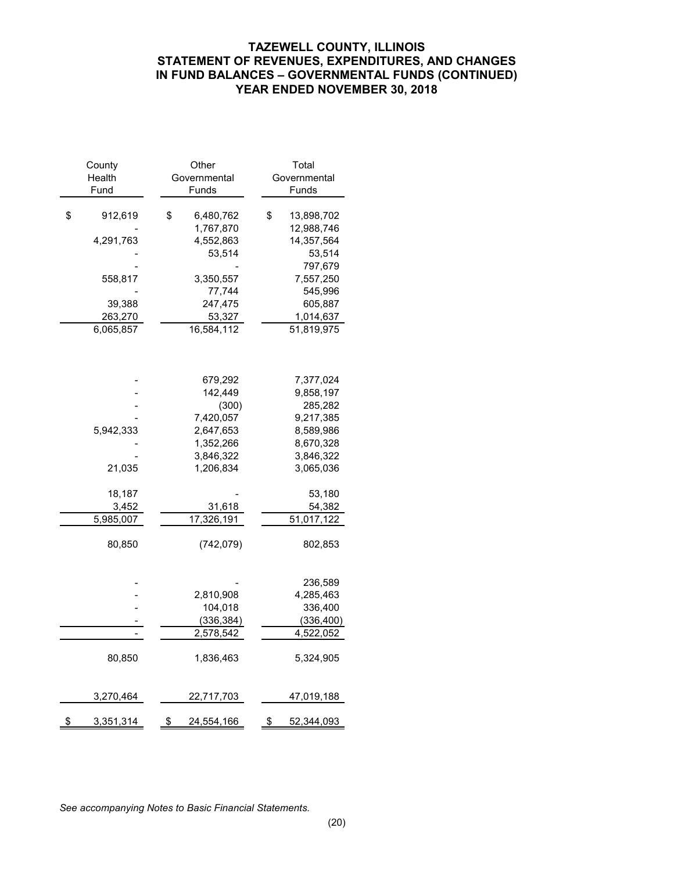## **TAZEWELL COUNTY, ILLINOIS STATEMENT OF REVENUES, EXPENDITURES, AND CHANGES IN FUND BALANCES – GOVERNMENTAL FUNDS (CONTINUED) YEAR ENDED NOVEMBER 30, 2018**

| County<br>Health | Other<br>Total<br>Governmental<br>Governmental |                                |
|------------------|------------------------------------------------|--------------------------------|
| Fund             | Funds                                          | Funds                          |
| \$<br>912,619    | \$<br>6,480,762<br>1,767,870                   | \$<br>13,898,702<br>12,988,746 |
| 4,291,763        | 4,552,863<br>53,514                            | 14,357,564<br>53,514           |
|                  |                                                | 797,679                        |
| 558,817          | 3,350,557                                      | 7,557,250                      |
|                  | 77,744                                         | 545,996                        |
| 39,388           | 247,475                                        | 605,887                        |
| 263,270          | 53,327                                         | 1,014,637                      |
| 6,065,857        | 16,584,112                                     | 51,819,975                     |
|                  |                                                |                                |
|                  | 679,292                                        | 7,377,024                      |
|                  | 142,449<br>(300)                               | 9,858,197<br>285,282           |
|                  | 7,420,057                                      | 9,217,385                      |
| 5,942,333        | 2,647,653                                      | 8,589,986                      |
|                  | 1,352,266                                      | 8,670,328                      |
|                  | 3,846,322                                      | 3,846,322                      |
| 21,035           | 1,206,834                                      | 3,065,036                      |
| 18,187           |                                                | 53,180                         |
| 3,452            | 31,618<br>17,326,191                           | 54,382<br>51,017,122           |
| 5,985,007        |                                                |                                |
| 80,850           | (742,079)                                      | 802,853                        |
|                  |                                                | 236,589                        |
|                  | 2,810,908                                      | 4,285,463                      |
|                  | 104,018                                        | 336,400                        |
|                  | (336, 384)                                     | (336, 400)                     |
|                  | 2,578,542                                      | 4,522,052                      |
| 80,850           | 1,836,463                                      | 5,324,905                      |
| 3,270,464        | 22,717,703                                     | 47,019,188                     |
| \$<br>3,351,314  | 24,554,166<br>\$                               | \$<br>52,344,093               |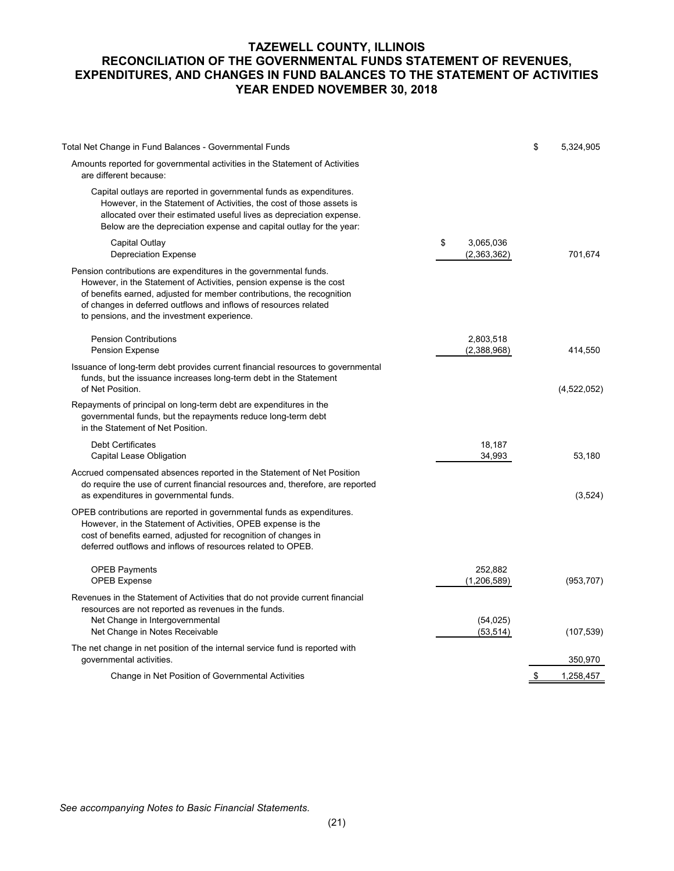## **TAZEWELL COUNTY, ILLINOIS RECONCILIATION OF THE GOVERNMENTAL FUNDS STATEMENT OF REVENUES, EXPENDITURES, AND CHANGES IN FUND BALANCES TO THE STATEMENT OF ACTIVITIES YEAR ENDED NOVEMBER 30, 2018**

| Total Net Change in Fund Balances - Governmental Funds                                                                                                                                                                                                                                                                                 |                                | \$<br>5,324,905 |
|----------------------------------------------------------------------------------------------------------------------------------------------------------------------------------------------------------------------------------------------------------------------------------------------------------------------------------------|--------------------------------|-----------------|
| Amounts reported for governmental activities in the Statement of Activities<br>are different because:                                                                                                                                                                                                                                  |                                |                 |
| Capital outlays are reported in governmental funds as expenditures.<br>However, in the Statement of Activities, the cost of those assets is<br>allocated over their estimated useful lives as depreciation expense.<br>Below are the depreciation expense and capital outlay for the year:                                             |                                |                 |
| Capital Outlay<br><b>Depreciation Expense</b>                                                                                                                                                                                                                                                                                          | \$<br>3,065,036<br>(2,363,362) | 701,674         |
| Pension contributions are expenditures in the governmental funds.<br>However, in the Statement of Activities, pension expense is the cost<br>of benefits earned, adjusted for member contributions, the recognition<br>of changes in deferred outflows and inflows of resources related<br>to pensions, and the investment experience. |                                |                 |
| <b>Pension Contributions</b><br><b>Pension Expense</b>                                                                                                                                                                                                                                                                                 | 2,803,518<br>(2,388,968)       | 414,550         |
| Issuance of long-term debt provides current financial resources to governmental<br>funds, but the issuance increases long-term debt in the Statement<br>of Net Position.                                                                                                                                                               |                                | (4,522,052)     |
| Repayments of principal on long-term debt are expenditures in the<br>governmental funds, but the repayments reduce long-term debt<br>in the Statement of Net Position.                                                                                                                                                                 |                                |                 |
| <b>Debt Certificates</b><br>Capital Lease Obligation                                                                                                                                                                                                                                                                                   | 18,187<br>34,993               | 53,180          |
| Accrued compensated absences reported in the Statement of Net Position<br>do require the use of current financial resources and, therefore, are reported<br>as expenditures in governmental funds.                                                                                                                                     |                                | (3,524)         |
| OPEB contributions are reported in governmental funds as expenditures.<br>However, in the Statement of Activities, OPEB expense is the<br>cost of benefits earned, adjusted for recognition of changes in<br>deferred outflows and inflows of resources related to OPEB.                                                               |                                |                 |
| <b>OPEB Payments</b><br><b>OPEB Expense</b>                                                                                                                                                                                                                                                                                            | 252,882<br>(1,206,589)         | (953, 707)      |
| Revenues in the Statement of Activities that do not provide current financial<br>resources are not reported as revenues in the funds.                                                                                                                                                                                                  |                                |                 |
| Net Change in Intergovernmental<br>Net Change in Notes Receivable                                                                                                                                                                                                                                                                      | (54, 025)<br>(53, 514)         | (107, 539)      |
| The net change in net position of the internal service fund is reported with<br>governmental activities.                                                                                                                                                                                                                               |                                | 350,970         |
| Change in Net Position of Governmental Activities                                                                                                                                                                                                                                                                                      |                                | \$<br>1,258,457 |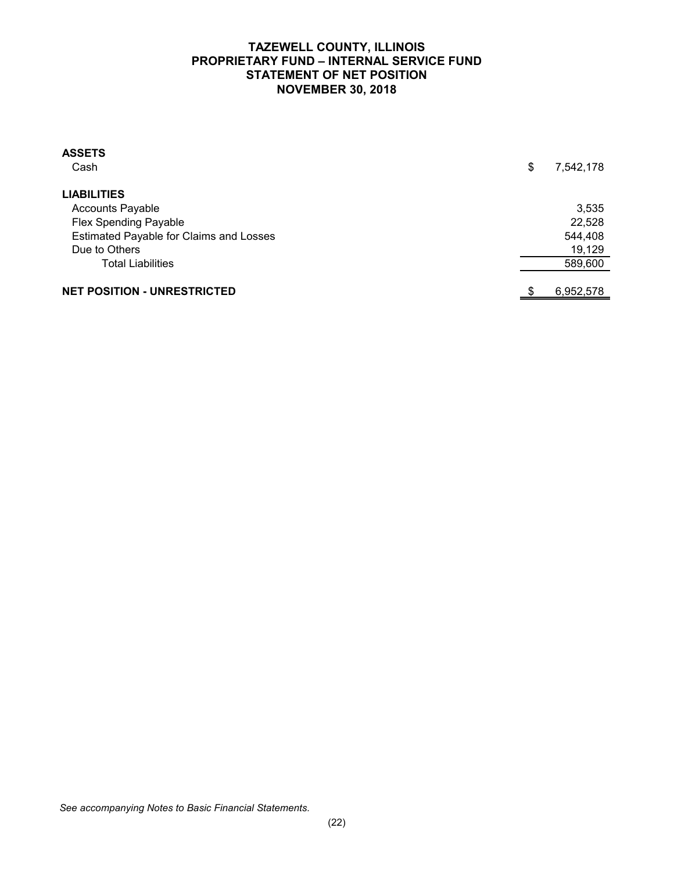## **TAZEWELL COUNTY, ILLINOIS PROPRIETARY FUND – INTERNAL SERVICE FUND STATEMENT OF NET POSITION NOVEMBER 30, 2018**

| <b>ASSETS</b><br>Cash                   | \$<br>7,542,178 |
|-----------------------------------------|-----------------|
| <b>LIABILITIES</b>                      |                 |
| <b>Accounts Payable</b>                 | 3,535           |
| <b>Flex Spending Payable</b>            | 22,528          |
| Estimated Payable for Claims and Losses | 544,408         |
| Due to Others                           | 19,129          |
| <b>Total Liabilities</b>                | 589,600         |
| <b>NET POSITION - UNRESTRICTED</b>      | 6,952,578       |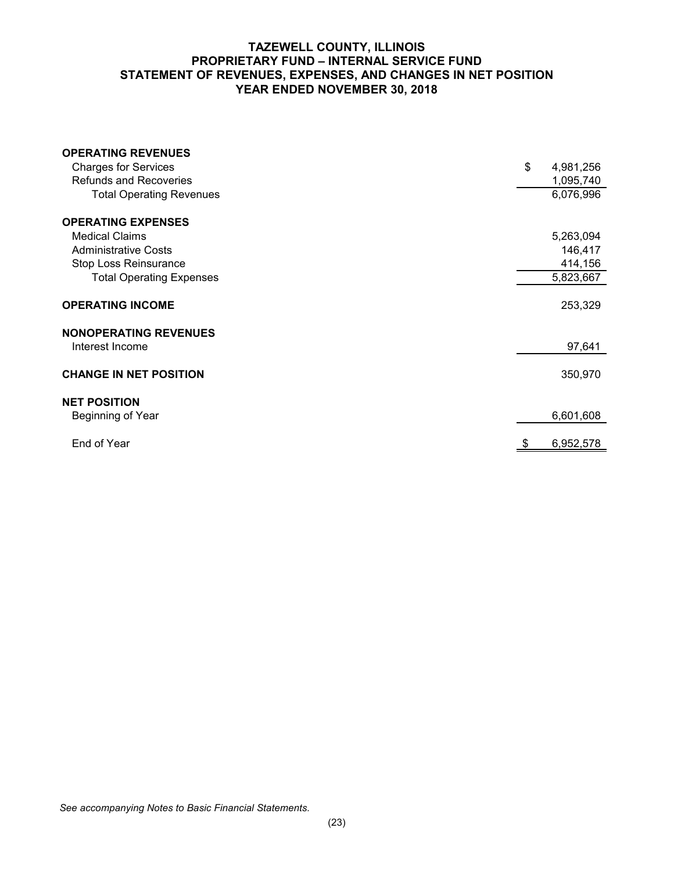## **TAZEWELL COUNTY, ILLINOIS PROPRIETARY FUND – INTERNAL SERVICE FUND STATEMENT OF REVENUES, EXPENSES, AND CHANGES IN NET POSITION YEAR ENDED NOVEMBER 30, 2018**

| <b>OPERATING REVENUES</b>       |                 |
|---------------------------------|-----------------|
| <b>Charges for Services</b>     | \$<br>4,981,256 |
| <b>Refunds and Recoveries</b>   | 1,095,740       |
| <b>Total Operating Revenues</b> | 6,076,996       |
| <b>OPERATING EXPENSES</b>       |                 |
| <b>Medical Claims</b>           | 5,263,094       |
| <b>Administrative Costs</b>     | 146,417         |
| Stop Loss Reinsurance           | 414,156         |
| <b>Total Operating Expenses</b> | 5,823,667       |
|                                 |                 |
| <b>OPERATING INCOME</b>         | 253,329         |
| <b>NONOPERATING REVENUES</b>    |                 |
| Interest Income                 | 97,641          |
| <b>CHANGE IN NET POSITION</b>   | 350,970         |
| <b>NET POSITION</b>             |                 |
| Beginning of Year               | 6,601,608       |
| End of Year                     | 6,952,578       |
|                                 |                 |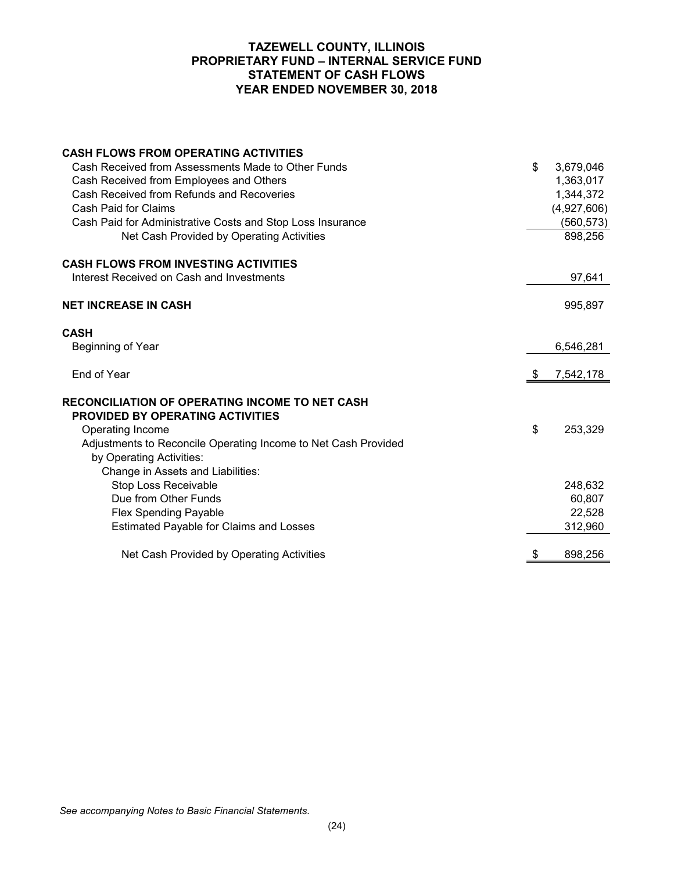## **TAZEWELL COUNTY, ILLINOIS PROPRIETARY FUND – INTERNAL SERVICE FUND STATEMENT OF CASH FLOWS YEAR ENDED NOVEMBER 30, 2018**

| <b>CASH FLOWS FROM OPERATING ACTIVITIES</b>                                                      |                 |
|--------------------------------------------------------------------------------------------------|-----------------|
| Cash Received from Assessments Made to Other Funds                                               | \$<br>3,679,046 |
| Cash Received from Employees and Others                                                          | 1,363,017       |
| Cash Received from Refunds and Recoveries                                                        | 1,344,372       |
| Cash Paid for Claims                                                                             | (4,927,606)     |
| Cash Paid for Administrative Costs and Stop Loss Insurance                                       | (560, 573)      |
| Net Cash Provided by Operating Activities                                                        | 898,256         |
| <b>CASH FLOWS FROM INVESTING ACTIVITIES</b>                                                      |                 |
| Interest Received on Cash and Investments                                                        | 97,641          |
| <b>NET INCREASE IN CASH</b>                                                                      | 995,897         |
| <b>CASH</b>                                                                                      |                 |
| Beginning of Year                                                                                | 6,546,281       |
| End of Year                                                                                      | 7,542,178       |
| <b>RECONCILIATION OF OPERATING INCOME TO NET CASH</b><br><b>PROVIDED BY OPERATING ACTIVITIES</b> |                 |
| Operating Income                                                                                 | \$<br>253,329   |
| Adjustments to Reconcile Operating Income to Net Cash Provided                                   |                 |
| by Operating Activities:                                                                         |                 |
| Change in Assets and Liabilities:                                                                |                 |
| Stop Loss Receivable                                                                             | 248,632         |
| Due from Other Funds                                                                             | 60,807          |
| <b>Flex Spending Payable</b>                                                                     | 22,528          |
| Estimated Payable for Claims and Losses                                                          | 312,960         |
| Net Cash Provided by Operating Activities                                                        | \$<br>898,256   |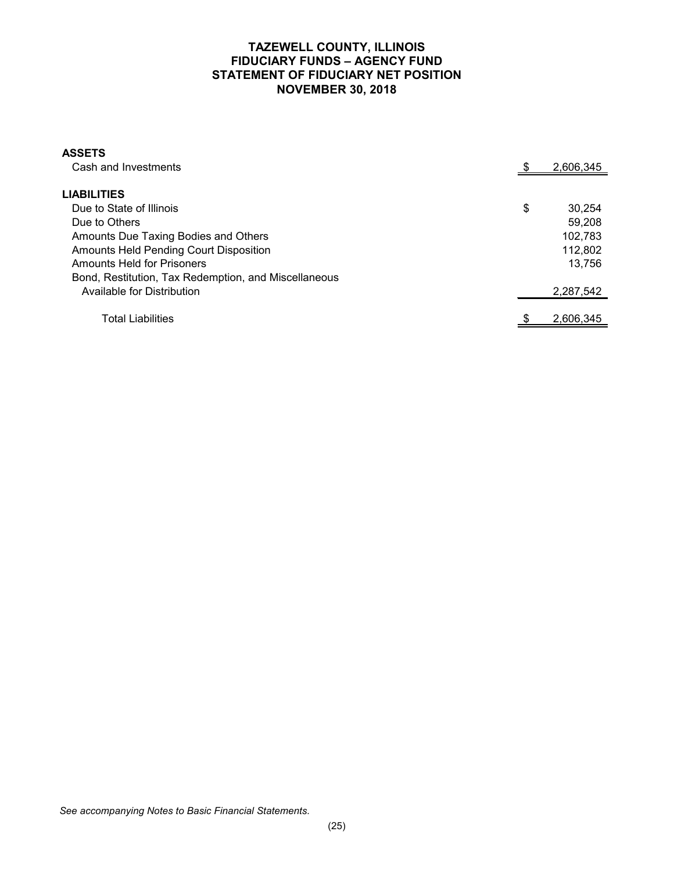## **TAZEWELL COUNTY, ILLINOIS FIDUCIARY FUNDS – AGENCY FUND STATEMENT OF FIDUCIARY NET POSITION NOVEMBER 30, 2018**

| <b>ASSETS</b>                                        |              |
|------------------------------------------------------|--------------|
| Cash and Investments                                 | 2,606,345    |
|                                                      |              |
| <b>LIABILITIES</b>                                   |              |
| Due to State of Illinois                             | \$<br>30.254 |
| Due to Others                                        | 59.208       |
| Amounts Due Taxing Bodies and Others                 | 102.783      |
| Amounts Held Pending Court Disposition               | 112,802      |
| <b>Amounts Held for Prisoners</b>                    | 13.756       |
| Bond, Restitution, Tax Redemption, and Miscellaneous |              |
| Available for Distribution                           | 2,287,542    |
|                                                      |              |
| Total Liabilities                                    | 2.606.345    |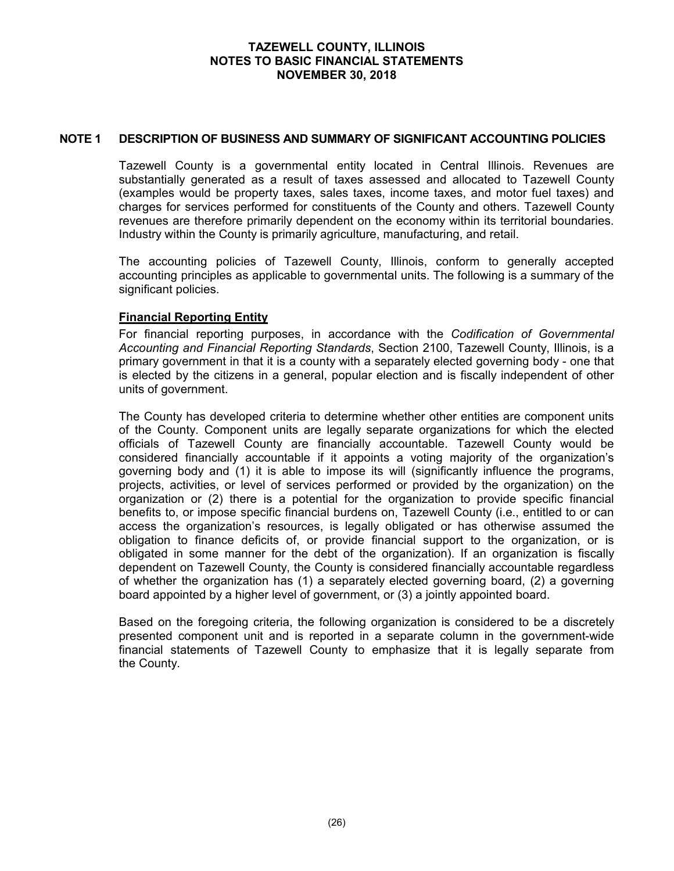#### **NOTE 1 DESCRIPTION OF BUSINESS AND SUMMARY OF SIGNIFICANT ACCOUNTING POLICIES**

Tazewell County is a governmental entity located in Central Illinois. Revenues are substantially generated as a result of taxes assessed and allocated to Tazewell County (examples would be property taxes, sales taxes, income taxes, and motor fuel taxes) and charges for services performed for constituents of the County and others. Tazewell County revenues are therefore primarily dependent on the economy within its territorial boundaries. Industry within the County is primarily agriculture, manufacturing, and retail.

The accounting policies of Tazewell County, Illinois, conform to generally accepted accounting principles as applicable to governmental units. The following is a summary of the significant policies.

## **Financial Reporting Entity**

For financial reporting purposes, in accordance with the *Codification of Governmental Accounting and Financial Reporting Standards*, Section 2100, Tazewell County, Illinois, is a primary government in that it is a county with a separately elected governing body - one that is elected by the citizens in a general, popular election and is fiscally independent of other units of government.

The County has developed criteria to determine whether other entities are component units of the County. Component units are legally separate organizations for which the elected officials of Tazewell County are financially accountable. Tazewell County would be considered financially accountable if it appoints a voting majority of the organization's governing body and (1) it is able to impose its will (significantly influence the programs, projects, activities, or level of services performed or provided by the organization) on the organization or (2) there is a potential for the organization to provide specific financial benefits to, or impose specific financial burdens on, Tazewell County (i.e., entitled to or can access the organization's resources, is legally obligated or has otherwise assumed the obligation to finance deficits of, or provide financial support to the organization, or is obligated in some manner for the debt of the organization). If an organization is fiscally dependent on Tazewell County, the County is considered financially accountable regardless of whether the organization has (1) a separately elected governing board, (2) a governing board appointed by a higher level of government, or (3) a jointly appointed board.

Based on the foregoing criteria, the following organization is considered to be a discretely presented component unit and is reported in a separate column in the government-wide financial statements of Tazewell County to emphasize that it is legally separate from the County.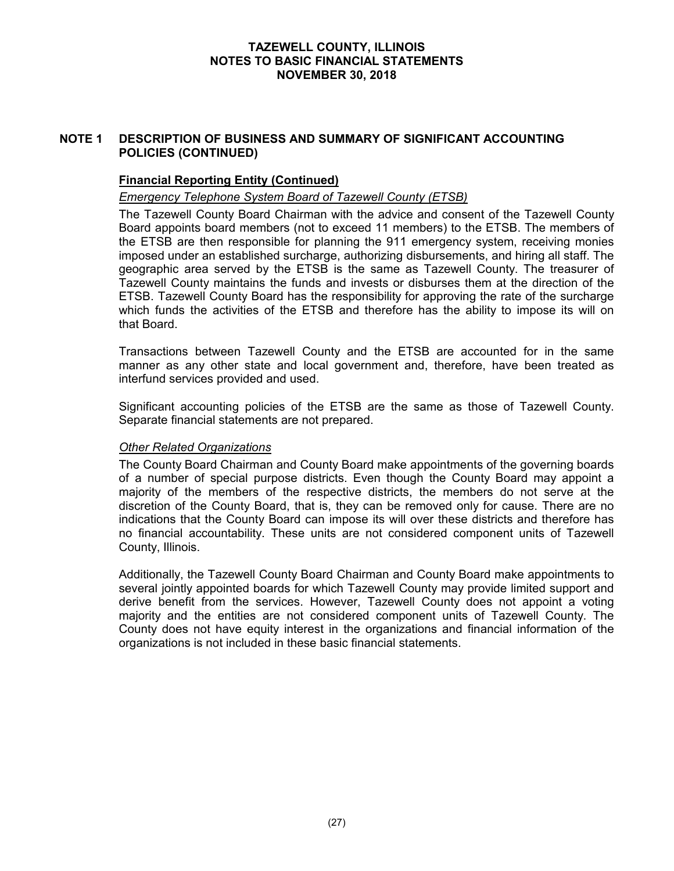## **NOTE 1 DESCRIPTION OF BUSINESS AND SUMMARY OF SIGNIFICANT ACCOUNTING POLICIES (CONTINUED)**

## **Financial Reporting Entity (Continued)**

## *Emergency Telephone System Board of Tazewell County (ETSB)*

The Tazewell County Board Chairman with the advice and consent of the Tazewell County Board appoints board members (not to exceed 11 members) to the ETSB. The members of the ETSB are then responsible for planning the 911 emergency system, receiving monies imposed under an established surcharge, authorizing disbursements, and hiring all staff. The geographic area served by the ETSB is the same as Tazewell County. The treasurer of Tazewell County maintains the funds and invests or disburses them at the direction of the ETSB. Tazewell County Board has the responsibility for approving the rate of the surcharge which funds the activities of the ETSB and therefore has the ability to impose its will on that Board.

Transactions between Tazewell County and the ETSB are accounted for in the same manner as any other state and local government and, therefore, have been treated as interfund services provided and used.

Significant accounting policies of the ETSB are the same as those of Tazewell County. Separate financial statements are not prepared.

#### *Other Related Organizations*

The County Board Chairman and County Board make appointments of the governing boards of a number of special purpose districts. Even though the County Board may appoint a majority of the members of the respective districts, the members do not serve at the discretion of the County Board, that is, they can be removed only for cause. There are no indications that the County Board can impose its will over these districts and therefore has no financial accountability. These units are not considered component units of Tazewell County, Illinois.

Additionally, the Tazewell County Board Chairman and County Board make appointments to several jointly appointed boards for which Tazewell County may provide limited support and derive benefit from the services. However, Tazewell County does not appoint a voting majority and the entities are not considered component units of Tazewell County. The County does not have equity interest in the organizations and financial information of the organizations is not included in these basic financial statements.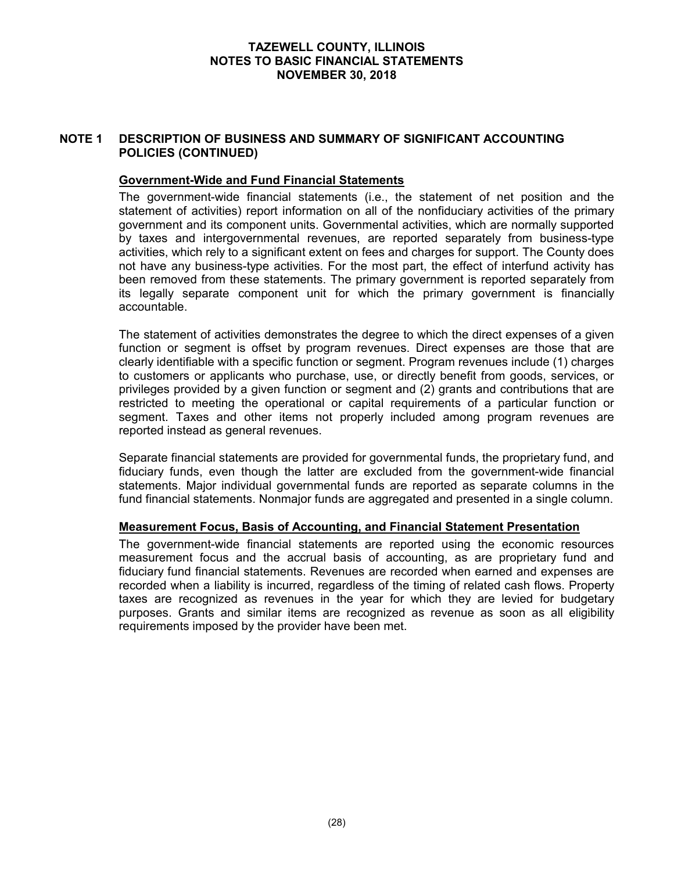## **NOTE 1 DESCRIPTION OF BUSINESS AND SUMMARY OF SIGNIFICANT ACCOUNTING POLICIES (CONTINUED)**

## **Government-Wide and Fund Financial Statements**

The government-wide financial statements (i.e., the statement of net position and the statement of activities) report information on all of the nonfiduciary activities of the primary government and its component units. Governmental activities, which are normally supported by taxes and intergovernmental revenues, are reported separately from business-type activities, which rely to a significant extent on fees and charges for support. The County does not have any business-type activities. For the most part, the effect of interfund activity has been removed from these statements. The primary government is reported separately from its legally separate component unit for which the primary government is financially accountable.

The statement of activities demonstrates the degree to which the direct expenses of a given function or segment is offset by program revenues. Direct expenses are those that are clearly identifiable with a specific function or segment. Program revenues include (1) charges to customers or applicants who purchase, use, or directly benefit from goods, services, or privileges provided by a given function or segment and (2) grants and contributions that are restricted to meeting the operational or capital requirements of a particular function or segment. Taxes and other items not properly included among program revenues are reported instead as general revenues.

Separate financial statements are provided for governmental funds, the proprietary fund, and fiduciary funds, even though the latter are excluded from the government-wide financial statements. Major individual governmental funds are reported as separate columns in the fund financial statements. Nonmajor funds are aggregated and presented in a single column.

## **Measurement Focus, Basis of Accounting, and Financial Statement Presentation**

The government-wide financial statements are reported using the economic resources measurement focus and the accrual basis of accounting, as are proprietary fund and fiduciary fund financial statements. Revenues are recorded when earned and expenses are recorded when a liability is incurred, regardless of the timing of related cash flows. Property taxes are recognized as revenues in the year for which they are levied for budgetary purposes. Grants and similar items are recognized as revenue as soon as all eligibility requirements imposed by the provider have been met.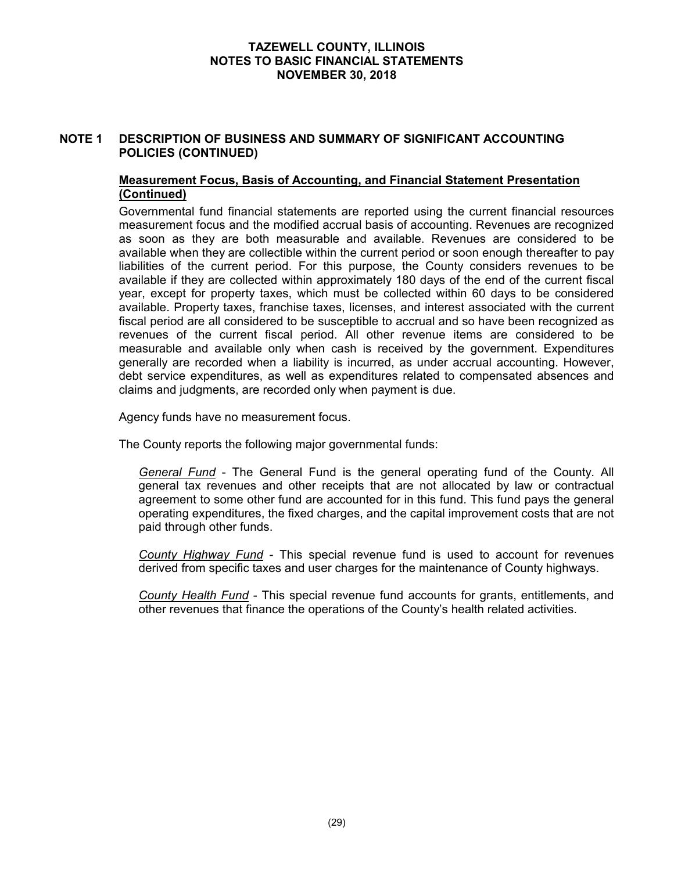## **NOTE 1 DESCRIPTION OF BUSINESS AND SUMMARY OF SIGNIFICANT ACCOUNTING POLICIES (CONTINUED)**

## **Measurement Focus, Basis of Accounting, and Financial Statement Presentation (Continued)**

Governmental fund financial statements are reported using the current financial resources measurement focus and the modified accrual basis of accounting. Revenues are recognized as soon as they are both measurable and available. Revenues are considered to be available when they are collectible within the current period or soon enough thereafter to pay liabilities of the current period. For this purpose, the County considers revenues to be available if they are collected within approximately 180 days of the end of the current fiscal year, except for property taxes, which must be collected within 60 days to be considered available. Property taxes, franchise taxes, licenses, and interest associated with the current fiscal period are all considered to be susceptible to accrual and so have been recognized as revenues of the current fiscal period. All other revenue items are considered to be measurable and available only when cash is received by the government. Expenditures generally are recorded when a liability is incurred, as under accrual accounting. However, debt service expenditures, as well as expenditures related to compensated absences and claims and judgments, are recorded only when payment is due.

Agency funds have no measurement focus.

The County reports the following major governmental funds:

*General Fund* - The General Fund is the general operating fund of the County. All general tax revenues and other receipts that are not allocated by law or contractual agreement to some other fund are accounted for in this fund. This fund pays the general operating expenditures, the fixed charges, and the capital improvement costs that are not paid through other funds.

*County Highway Fund* - This special revenue fund is used to account for revenues derived from specific taxes and user charges for the maintenance of County highways.

*County Health Fund* - This special revenue fund accounts for grants, entitlements, and other revenues that finance the operations of the County's health related activities.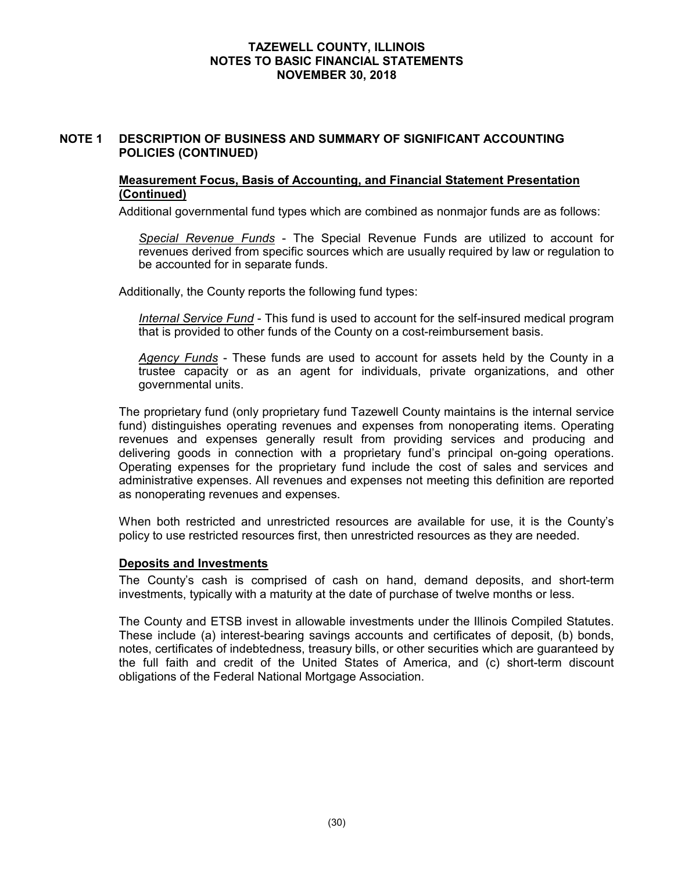## **NOTE 1 DESCRIPTION OF BUSINESS AND SUMMARY OF SIGNIFICANT ACCOUNTING POLICIES (CONTINUED)**

## **Measurement Focus, Basis of Accounting, and Financial Statement Presentation (Continued)**

Additional governmental fund types which are combined as nonmajor funds are as follows:

*Special Revenue Funds* - The Special Revenue Funds are utilized to account for revenues derived from specific sources which are usually required by law or regulation to be accounted for in separate funds.

Additionally, the County reports the following fund types:

*Internal Service Fund* - This fund is used to account for the self-insured medical program that is provided to other funds of the County on a cost-reimbursement basis.

*Agency Funds* - These funds are used to account for assets held by the County in a trustee capacity or as an agent for individuals, private organizations, and other governmental units.

The proprietary fund (only proprietary fund Tazewell County maintains is the internal service fund) distinguishes operating revenues and expenses from nonoperating items. Operating revenues and expenses generally result from providing services and producing and delivering goods in connection with a proprietary fund's principal on-going operations. Operating expenses for the proprietary fund include the cost of sales and services and administrative expenses. All revenues and expenses not meeting this definition are reported as nonoperating revenues and expenses.

When both restricted and unrestricted resources are available for use, it is the County's policy to use restricted resources first, then unrestricted resources as they are needed.

#### **Deposits and Investments**

The County's cash is comprised of cash on hand, demand deposits, and short-term investments, typically with a maturity at the date of purchase of twelve months or less.

The County and ETSB invest in allowable investments under the Illinois Compiled Statutes. These include (a) interest-bearing savings accounts and certificates of deposit, (b) bonds, notes, certificates of indebtedness, treasury bills, or other securities which are guaranteed by the full faith and credit of the United States of America, and (c) short-term discount obligations of the Federal National Mortgage Association.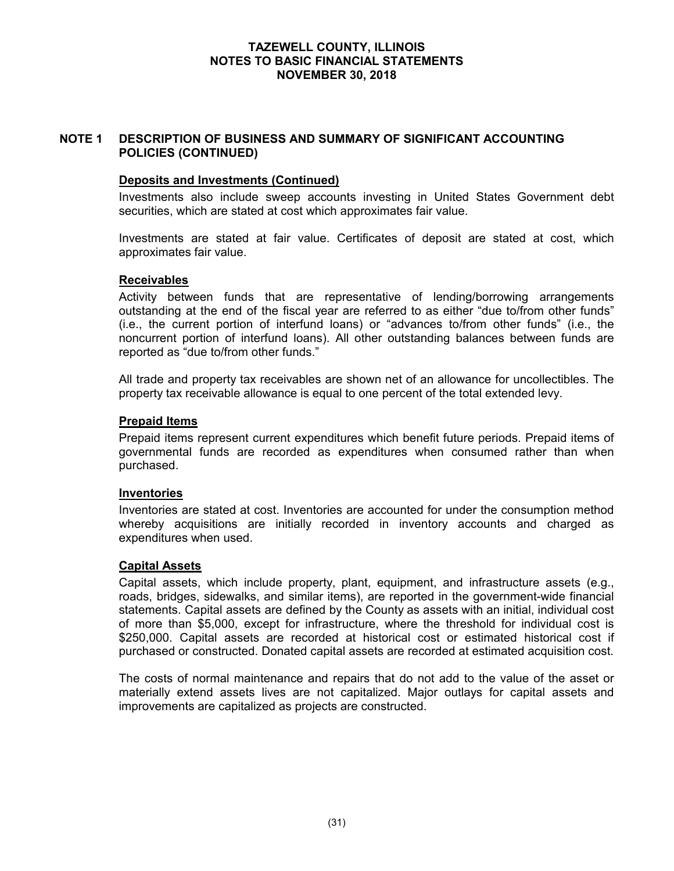## **NOTE 1 DESCRIPTION OF BUSINESS AND SUMMARY OF SIGNIFICANT ACCOUNTING POLICIES (CONTINUED)**

## **Deposits and Investments (Continued)**

Investments also include sweep accounts investing in United States Government debt securities, which are stated at cost which approximates fair value.

Investments are stated at fair value. Certificates of deposit are stated at cost, which approximates fair value.

#### **Receivables**

Activity between funds that are representative of lending/borrowing arrangements outstanding at the end of the fiscal year are referred to as either "due to/from other funds" (i.e., the current portion of interfund loans) or "advances to/from other funds" (i.e., the noncurrent portion of interfund loans). All other outstanding balances between funds are reported as "due to/from other funds."

All trade and property tax receivables are shown net of an allowance for uncollectibles. The property tax receivable allowance is equal to one percent of the total extended levy.

#### **Prepaid Items**

Prepaid items represent current expenditures which benefit future periods. Prepaid items of governmental funds are recorded as expenditures when consumed rather than when purchased.

#### **Inventories**

Inventories are stated at cost. Inventories are accounted for under the consumption method whereby acquisitions are initially recorded in inventory accounts and charged as expenditures when used.

#### **Capital Assets**

Capital assets, which include property, plant, equipment, and infrastructure assets (e.g., roads, bridges, sidewalks, and similar items), are reported in the government-wide financial statements. Capital assets are defined by the County as assets with an initial, individual cost of more than \$5,000, except for infrastructure, where the threshold for individual cost is \$250,000. Capital assets are recorded at historical cost or estimated historical cost if purchased or constructed. Donated capital assets are recorded at estimated acquisition cost.

The costs of normal maintenance and repairs that do not add to the value of the asset or materially extend assets lives are not capitalized. Major outlays for capital assets and improvements are capitalized as projects are constructed.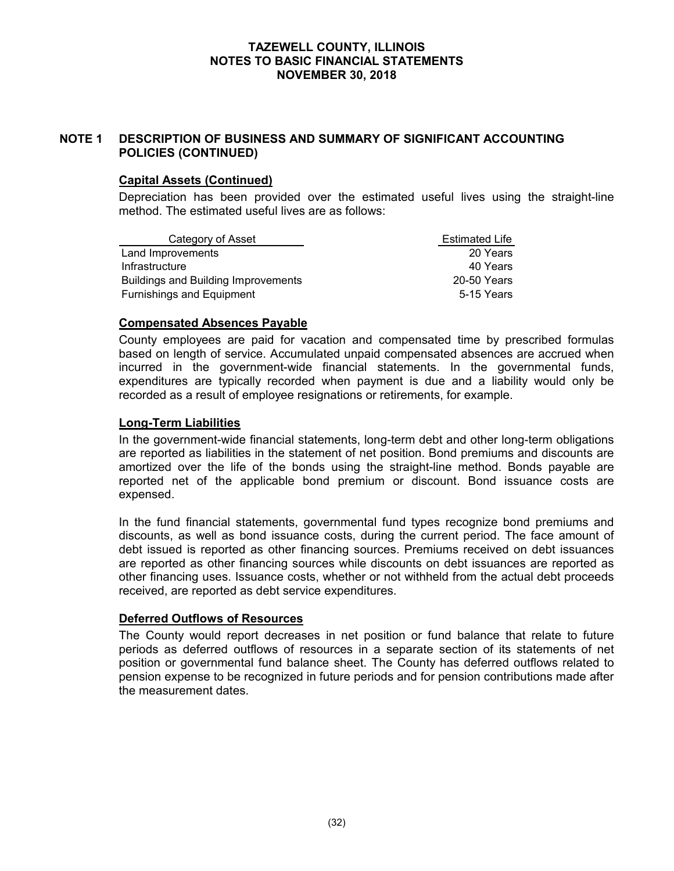## **NOTE 1 DESCRIPTION OF BUSINESS AND SUMMARY OF SIGNIFICANT ACCOUNTING POLICIES (CONTINUED)**

## **Capital Assets (Continued)**

Depreciation has been provided over the estimated useful lives using the straight-line method. The estimated useful lives are as follows:

| Category of Asset                          | <b>Estimated Life</b> |
|--------------------------------------------|-----------------------|
| Land Improvements                          | 20 Years              |
| Infrastructure                             | 40 Years              |
| <b>Buildings and Building Improvements</b> | 20-50 Years           |
| <b>Furnishings and Equipment</b>           | 5-15 Years            |

## **Compensated Absences Payable**

County employees are paid for vacation and compensated time by prescribed formulas based on length of service. Accumulated unpaid compensated absences are accrued when incurred in the government-wide financial statements. In the governmental funds, expenditures are typically recorded when payment is due and a liability would only be recorded as a result of employee resignations or retirements, for example.

## **Long-Term Liabilities**

In the government-wide financial statements, long-term debt and other long-term obligations are reported as liabilities in the statement of net position. Bond premiums and discounts are amortized over the life of the bonds using the straight-line method. Bonds payable are reported net of the applicable bond premium or discount. Bond issuance costs are expensed.

In the fund financial statements, governmental fund types recognize bond premiums and discounts, as well as bond issuance costs, during the current period. The face amount of debt issued is reported as other financing sources. Premiums received on debt issuances are reported as other financing sources while discounts on debt issuances are reported as other financing uses. Issuance costs, whether or not withheld from the actual debt proceeds received, are reported as debt service expenditures.

#### **Deferred Outflows of Resources**

The County would report decreases in net position or fund balance that relate to future periods as deferred outflows of resources in a separate section of its statements of net position or governmental fund balance sheet. The County has deferred outflows related to pension expense to be recognized in future periods and for pension contributions made after the measurement dates.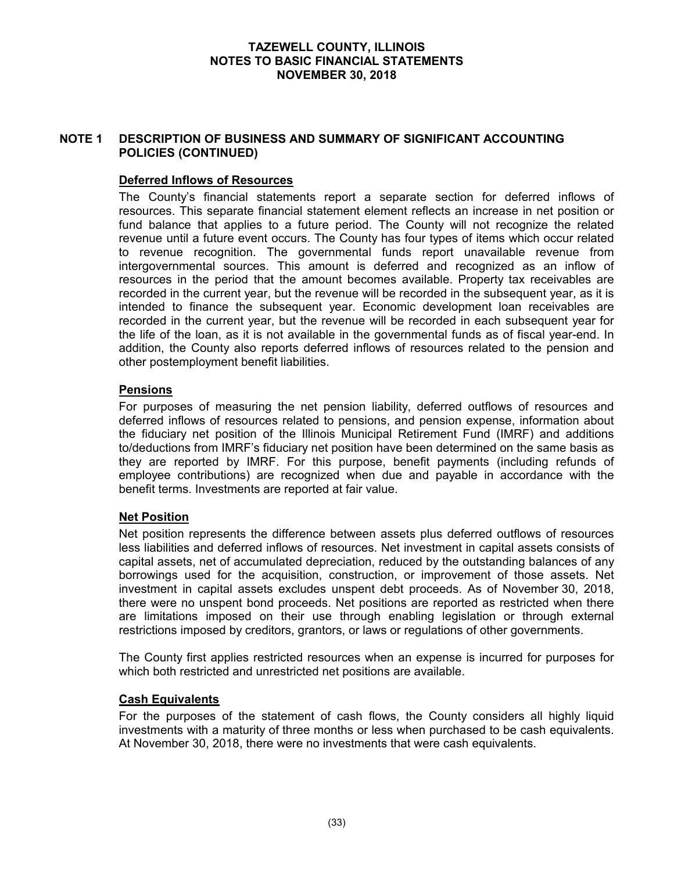### **NOTE 1 DESCRIPTION OF BUSINESS AND SUMMARY OF SIGNIFICANT ACCOUNTING POLICIES (CONTINUED)**

### **Deferred Inflows of Resources**

The County's financial statements report a separate section for deferred inflows of resources. This separate financial statement element reflects an increase in net position or fund balance that applies to a future period. The County will not recognize the related revenue until a future event occurs. The County has four types of items which occur related to revenue recognition. The governmental funds report unavailable revenue from intergovernmental sources. This amount is deferred and recognized as an inflow of resources in the period that the amount becomes available. Property tax receivables are recorded in the current year, but the revenue will be recorded in the subsequent year, as it is intended to finance the subsequent year. Economic development loan receivables are recorded in the current year, but the revenue will be recorded in each subsequent year for the life of the loan, as it is not available in the governmental funds as of fiscal year-end. In addition, the County also reports deferred inflows of resources related to the pension and other postemployment benefit liabilities.

### **Pensions**

For purposes of measuring the net pension liability, deferred outflows of resources and deferred inflows of resources related to pensions, and pension expense, information about the fiduciary net position of the Illinois Municipal Retirement Fund (IMRF) and additions to/deductions from IMRF's fiduciary net position have been determined on the same basis as they are reported by IMRF. For this purpose, benefit payments (including refunds of employee contributions) are recognized when due and payable in accordance with the benefit terms. Investments are reported at fair value.

# **Net Position**

Net position represents the difference between assets plus deferred outflows of resources less liabilities and deferred inflows of resources. Net investment in capital assets consists of capital assets, net of accumulated depreciation, reduced by the outstanding balances of any borrowings used for the acquisition, construction, or improvement of those assets. Net investment in capital assets excludes unspent debt proceeds. As of November 30, 2018, there were no unspent bond proceeds. Net positions are reported as restricted when there are limitations imposed on their use through enabling legislation or through external restrictions imposed by creditors, grantors, or laws or regulations of other governments.

The County first applies restricted resources when an expense is incurred for purposes for which both restricted and unrestricted net positions are available.

#### **Cash Equivalents**

For the purposes of the statement of cash flows, the County considers all highly liquid investments with a maturity of three months or less when purchased to be cash equivalents. At November 30, 2018, there were no investments that were cash equivalents.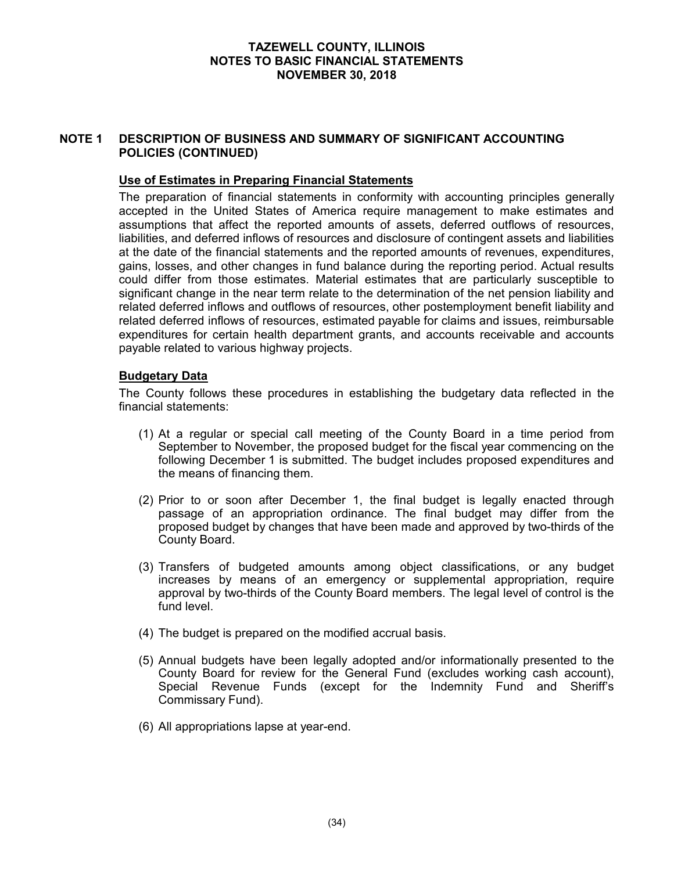### **NOTE 1 DESCRIPTION OF BUSINESS AND SUMMARY OF SIGNIFICANT ACCOUNTING POLICIES (CONTINUED)**

### **Use of Estimates in Preparing Financial Statements**

The preparation of financial statements in conformity with accounting principles generally accepted in the United States of America require management to make estimates and assumptions that affect the reported amounts of assets, deferred outflows of resources, liabilities, and deferred inflows of resources and disclosure of contingent assets and liabilities at the date of the financial statements and the reported amounts of revenues, expenditures, gains, losses, and other changes in fund balance during the reporting period. Actual results could differ from those estimates. Material estimates that are particularly susceptible to significant change in the near term relate to the determination of the net pension liability and related deferred inflows and outflows of resources, other postemployment benefit liability and related deferred inflows of resources, estimated payable for claims and issues, reimbursable expenditures for certain health department grants, and accounts receivable and accounts payable related to various highway projects.

### **Budgetary Data**

The County follows these procedures in establishing the budgetary data reflected in the financial statements:

- (1) At a regular or special call meeting of the County Board in a time period from September to November, the proposed budget for the fiscal year commencing on the following December 1 is submitted. The budget includes proposed expenditures and the means of financing them.
- (2) Prior to or soon after December 1, the final budget is legally enacted through passage of an appropriation ordinance. The final budget may differ from the proposed budget by changes that have been made and approved by two-thirds of the County Board.
- (3) Transfers of budgeted amounts among object classifications, or any budget increases by means of an emergency or supplemental appropriation, require approval by two-thirds of the County Board members. The legal level of control is the fund level.
- (4) The budget is prepared on the modified accrual basis.
- (5) Annual budgets have been legally adopted and/or informationally presented to the County Board for review for the General Fund (excludes working cash account), Special Revenue Funds (except for the Indemnity Fund and Sheriff's Commissary Fund).
- (6) All appropriations lapse at year-end.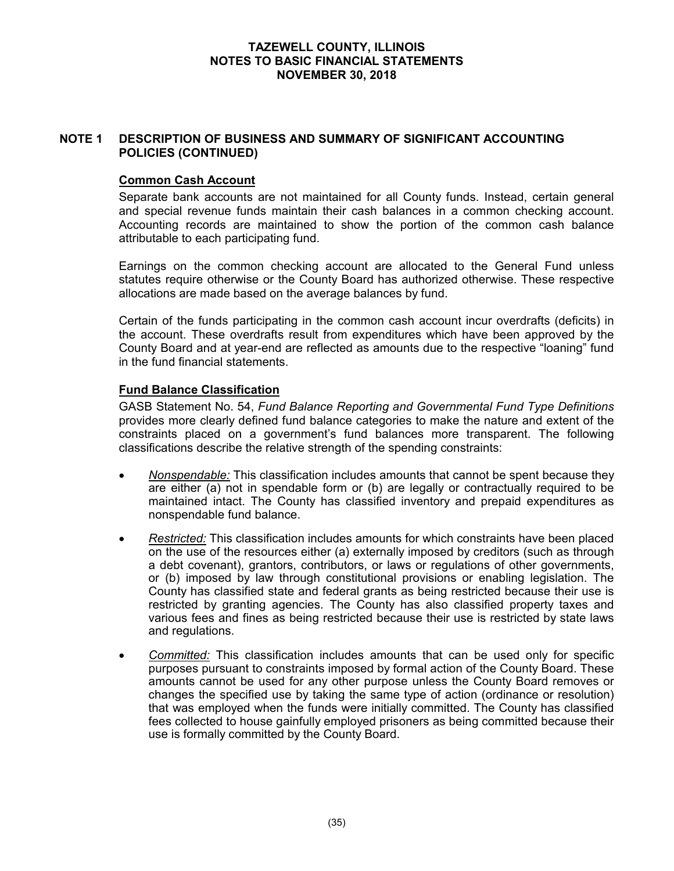### **NOTE 1 DESCRIPTION OF BUSINESS AND SUMMARY OF SIGNIFICANT ACCOUNTING POLICIES (CONTINUED)**

### **Common Cash Account**

Separate bank accounts are not maintained for all County funds. Instead, certain general and special revenue funds maintain their cash balances in a common checking account. Accounting records are maintained to show the portion of the common cash balance attributable to each participating fund.

Earnings on the common checking account are allocated to the General Fund unless statutes require otherwise or the County Board has authorized otherwise. These respective allocations are made based on the average balances by fund.

Certain of the funds participating in the common cash account incur overdrafts (deficits) in the account. These overdrafts result from expenditures which have been approved by the County Board and at year-end are reflected as amounts due to the respective "loaning" fund in the fund financial statements.

### **Fund Balance Classification**

GASB Statement No. 54, *Fund Balance Reporting and Governmental Fund Type Definitions*  provides more clearly defined fund balance categories to make the nature and extent of the constraints placed on a government's fund balances more transparent. The following classifications describe the relative strength of the spending constraints:

- *Nonspendable:* This classification includes amounts that cannot be spent because they are either (a) not in spendable form or (b) are legally or contractually required to be maintained intact. The County has classified inventory and prepaid expenditures as nonspendable fund balance.
- *Restricted:* This classification includes amounts for which constraints have been placed on the use of the resources either (a) externally imposed by creditors (such as through a debt covenant), grantors, contributors, or laws or regulations of other governments, or (b) imposed by law through constitutional provisions or enabling legislation. The County has classified state and federal grants as being restricted because their use is restricted by granting agencies. The County has also classified property taxes and various fees and fines as being restricted because their use is restricted by state laws and regulations.
- *Committed:* This classification includes amounts that can be used only for specific purposes pursuant to constraints imposed by formal action of the County Board. These amounts cannot be used for any other purpose unless the County Board removes or changes the specified use by taking the same type of action (ordinance or resolution) that was employed when the funds were initially committed. The County has classified fees collected to house gainfully employed prisoners as being committed because their use is formally committed by the County Board.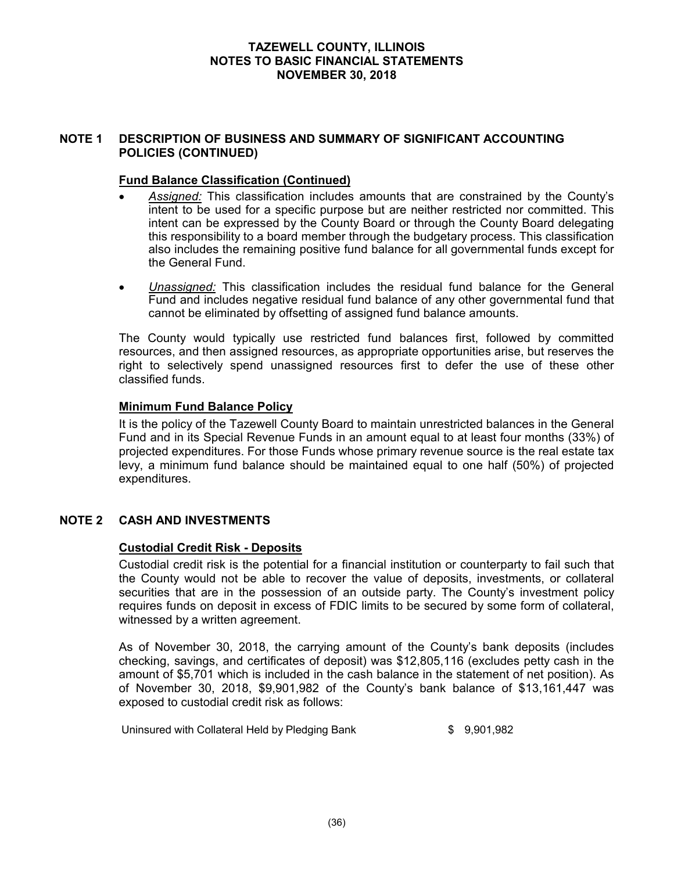### **NOTE 1 DESCRIPTION OF BUSINESS AND SUMMARY OF SIGNIFICANT ACCOUNTING POLICIES (CONTINUED)**

### **Fund Balance Classification (Continued)**

- *Assigned:* This classification includes amounts that are constrained by the County's intent to be used for a specific purpose but are neither restricted nor committed. This intent can be expressed by the County Board or through the County Board delegating this responsibility to a board member through the budgetary process. This classification also includes the remaining positive fund balance for all governmental funds except for the General Fund.
- *Unassigned:* This classification includes the residual fund balance for the General Fund and includes negative residual fund balance of any other governmental fund that cannot be eliminated by offsetting of assigned fund balance amounts.

The County would typically use restricted fund balances first, followed by committed resources, and then assigned resources, as appropriate opportunities arise, but reserves the right to selectively spend unassigned resources first to defer the use of these other classified funds.

### **Minimum Fund Balance Policy**

It is the policy of the Tazewell County Board to maintain unrestricted balances in the General Fund and in its Special Revenue Funds in an amount equal to at least four months (33%) of projected expenditures. For those Funds whose primary revenue source is the real estate tax levy, a minimum fund balance should be maintained equal to one half (50%) of projected expenditures.

# **NOTE 2 CASH AND INVESTMENTS**

#### **Custodial Credit Risk - Deposits**

Custodial credit risk is the potential for a financial institution or counterparty to fail such that the County would not be able to recover the value of deposits, investments, or collateral securities that are in the possession of an outside party. The County's investment policy requires funds on deposit in excess of FDIC limits to be secured by some form of collateral, witnessed by a written agreement.

As of November 30, 2018, the carrying amount of the County's bank deposits (includes checking, savings, and certificates of deposit) was \$12,805,116 (excludes petty cash in the amount of \$5,701 which is included in the cash balance in the statement of net position). As of November 30, 2018, \$9,901,982 of the County's bank balance of \$13,161,447 was exposed to custodial credit risk as follows:

Uninsured with Collateral Held by Pledging Bank  $$9,901,982$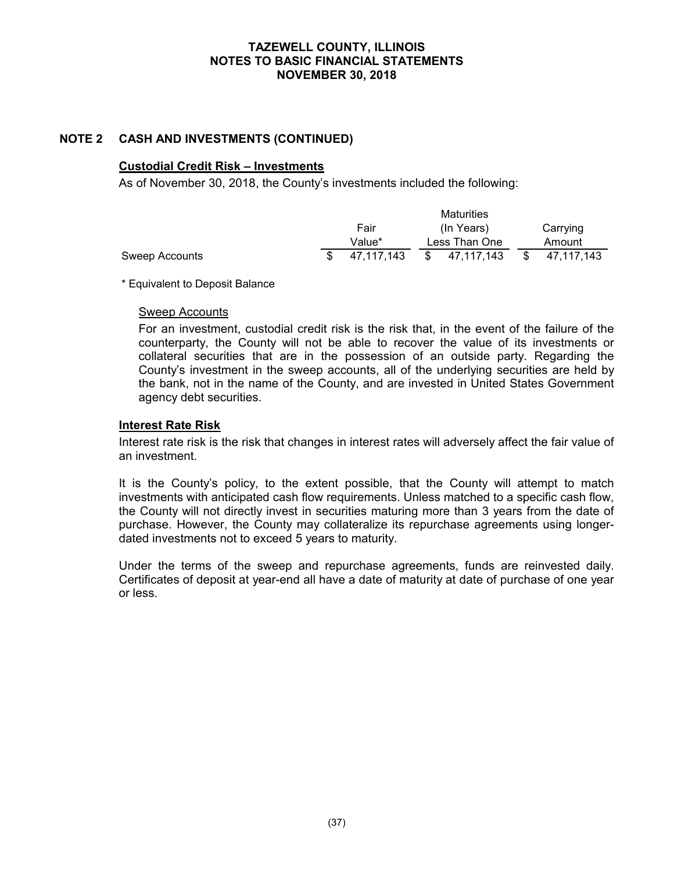### **NOTE 2 CASH AND INVESTMENTS (CONTINUED)**

#### **Custodial Credit Risk – Investments**

As of November 30, 2018, the County's investments included the following:

|                |            |    | Maturities    |          |            |  |
|----------------|------------|----|---------------|----------|------------|--|
|                | Fair       |    | (In Years)    | Carrying |            |  |
|                | Value*     |    | Less Than One | Amount   |            |  |
| Sweep Accounts | 47.117.143 | S. | 47.117.143    |          | 47.117.143 |  |

\* Equivalent to Deposit Balance

#### Sweep Accounts

For an investment, custodial credit risk is the risk that, in the event of the failure of the counterparty, the County will not be able to recover the value of its investments or collateral securities that are in the possession of an outside party. Regarding the County's investment in the sweep accounts, all of the underlying securities are held by the bank, not in the name of the County, and are invested in United States Government agency debt securities.

### **Interest Rate Risk**

Interest rate risk is the risk that changes in interest rates will adversely affect the fair value of an investment.

It is the County's policy, to the extent possible, that the County will attempt to match investments with anticipated cash flow requirements. Unless matched to a specific cash flow, the County will not directly invest in securities maturing more than 3 years from the date of purchase. However, the County may collateralize its repurchase agreements using longerdated investments not to exceed 5 years to maturity.

Under the terms of the sweep and repurchase agreements, funds are reinvested daily. Certificates of deposit at year-end all have a date of maturity at date of purchase of one year or less.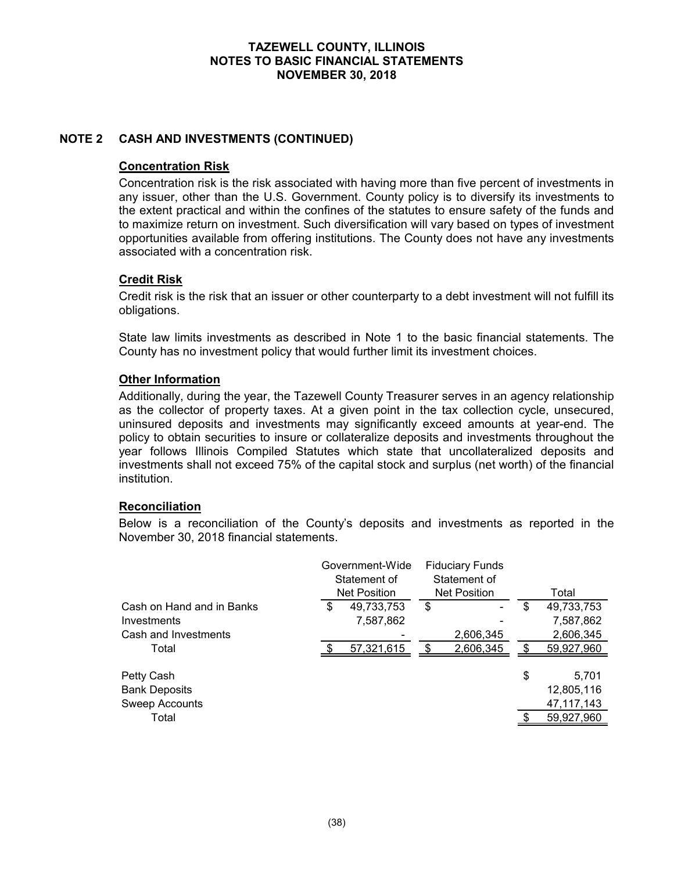### **NOTE 2 CASH AND INVESTMENTS (CONTINUED)**

#### **Concentration Risk**

Concentration risk is the risk associated with having more than five percent of investments in any issuer, other than the U.S. Government. County policy is to diversify its investments to the extent practical and within the confines of the statutes to ensure safety of the funds and to maximize return on investment. Such diversification will vary based on types of investment opportunities available from offering institutions. The County does not have any investments associated with a concentration risk.

### **Credit Risk**

Credit risk is the risk that an issuer or other counterparty to a debt investment will not fulfill its obligations.

State law limits investments as described in Note 1 to the basic financial statements. The County has no investment policy that would further limit its investment choices.

### **Other Information**

Additionally, during the year, the Tazewell County Treasurer serves in an agency relationship as the collector of property taxes. At a given point in the tax collection cycle, unsecured, uninsured deposits and investments may significantly exceed amounts at year-end. The policy to obtain securities to insure or collateralize deposits and investments throughout the year follows Illinois Compiled Statutes which state that uncollateralized deposits and investments shall not exceed 75% of the capital stock and surplus (net worth) of the financial institution.

#### **Reconciliation**

Below is a reconciliation of the County's deposits and investments as reported in the November 30, 2018 financial statements.

|                           | Government-Wide<br>Statement of<br><b>Net Position</b> |            | <b>Fiduciary Funds</b><br>Statement of<br>Net Position |           | Total            |
|---------------------------|--------------------------------------------------------|------------|--------------------------------------------------------|-----------|------------------|
| Cash on Hand and in Banks | \$                                                     | 49,733,753 | \$                                                     |           | \$<br>49,733,753 |
| Investments               |                                                        | 7,587,862  |                                                        |           | 7,587,862        |
| Cash and Investments      |                                                        |            |                                                        | 2,606,345 | 2,606,345        |
| Total                     |                                                        | 57,321,615 |                                                        | 2,606,345 | 59,927,960       |
| Petty Cash                |                                                        |            |                                                        |           | \$<br>5,701      |
| <b>Bank Deposits</b>      |                                                        |            |                                                        |           | 12,805,116       |
| <b>Sweep Accounts</b>     |                                                        |            |                                                        |           | 47, 117, 143     |
| Total                     |                                                        |            |                                                        |           | 59,927,960       |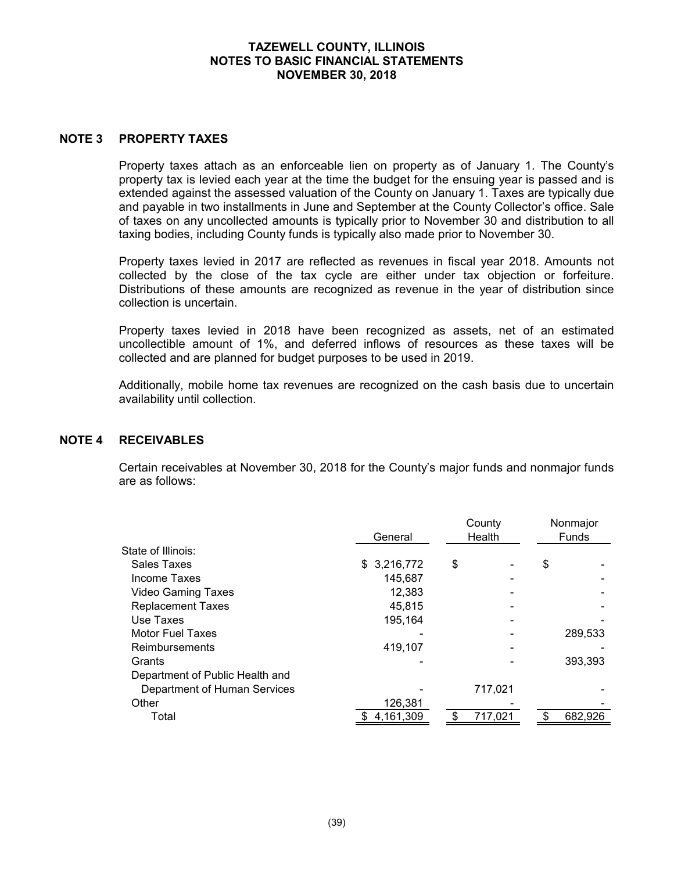#### **NOTE 3 PROPERTY TAXES**

Property taxes attach as an enforceable lien on property as of January 1. The County's property tax is levied each year at the time the budget for the ensuing year is passed and is extended against the assessed valuation of the County on January 1. Taxes are typically due and payable in two installments in June and September at the County Collector's office. Sale of taxes on any uncollected amounts is typically prior to November 30 and distribution to all taxing bodies, including County funds is typically also made prior to November 30.

Property taxes levied in 2017 are reflected as revenues in fiscal year 2018. Amounts not collected by the close of the tax cycle are either under tax objection or forfeiture. Distributions of these amounts are recognized as revenue in the year of distribution since collection is uncertain.

Property taxes levied in 2018 have been recognized as assets, net of an estimated uncollectible amount of 1%, and deferred inflows of resources as these taxes will be collected and are planned for budget purposes to be used in 2019.

Additionally, mobile home tax revenues are recognized on the cash basis due to uncertain availability until collection.

#### **NOTE 4 RECEIVABLES**

Certain receivables at November 30, 2018 for the County's major funds and nonmajor funds are as follows:

|                                 | General      | Health | County  | Nonmajor<br><b>Funds</b> |  |  |
|---------------------------------|--------------|--------|---------|--------------------------|--|--|
| State of Illinois:              |              |        |         |                          |  |  |
| Sales Taxes                     | \$ 3,216,772 | \$     |         | \$                       |  |  |
| Income Taxes                    | 145,687      |        |         |                          |  |  |
| <b>Video Gaming Taxes</b>       | 12,383       |        |         |                          |  |  |
| <b>Replacement Taxes</b>        | 45.815       |        |         |                          |  |  |
| Use Taxes                       | 195,164      |        |         |                          |  |  |
| Motor Fuel Taxes                |              |        |         | 289,533                  |  |  |
| Reimbursements                  | 419,107      |        |         |                          |  |  |
| Grants                          |              |        |         | 393.393                  |  |  |
| Department of Public Health and |              |        |         |                          |  |  |
| Department of Human Services    |              |        | 717,021 |                          |  |  |
| Other                           | 126,381      |        |         |                          |  |  |
| Total                           | 4,161,309    |        | 717,021 | 682,926                  |  |  |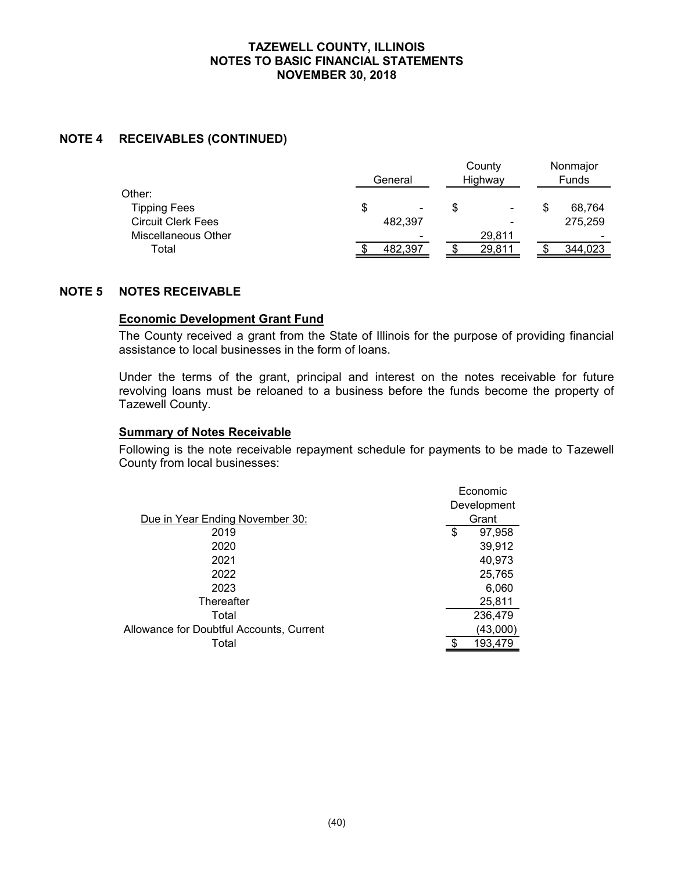### **NOTE 4 RECEIVABLES (CONTINUED)**

|                           | General                        | County<br>Highway        | Nonmajor<br><b>Funds</b> |
|---------------------------|--------------------------------|--------------------------|--------------------------|
| Other:                    |                                |                          |                          |
| <b>Tipping Fees</b>       | \$<br>$\overline{\phantom{0}}$ | $\overline{\phantom{a}}$ | 68.764                   |
| <b>Circuit Clerk Fees</b> | 482.397                        | -                        | 275.259                  |
| Miscellaneous Other       |                                | 29.811                   | $\overline{\phantom{0}}$ |
| Total                     | 482.397                        | 29,811                   | 344,023                  |

#### **NOTE 5 NOTES RECEIVABLE**

#### **Economic Development Grant Fund**

The County received a grant from the State of Illinois for the purpose of providing financial assistance to local businesses in the form of loans.

Under the terms of the grant, principal and interest on the notes receivable for future revolving loans must be reloaned to a business before the funds become the property of Tazewell County.

#### **Summary of Notes Receivable**

Following is the note receivable repayment schedule for payments to be made to Tazewell County from local businesses:

|                                          | Economic     |
|------------------------------------------|--------------|
|                                          | Development  |
| Due in Year Ending November 30:          | Grant        |
| 2019                                     | 97,958<br>\$ |
| 2020                                     | 39,912       |
| 2021                                     | 40,973       |
| 2022                                     | 25,765       |
| 2023                                     | 6,060        |
| Thereafter                               | 25,811       |
| Total                                    | 236,479      |
| Allowance for Doubtful Accounts, Current | (43,000)     |
| Total                                    | 193,479      |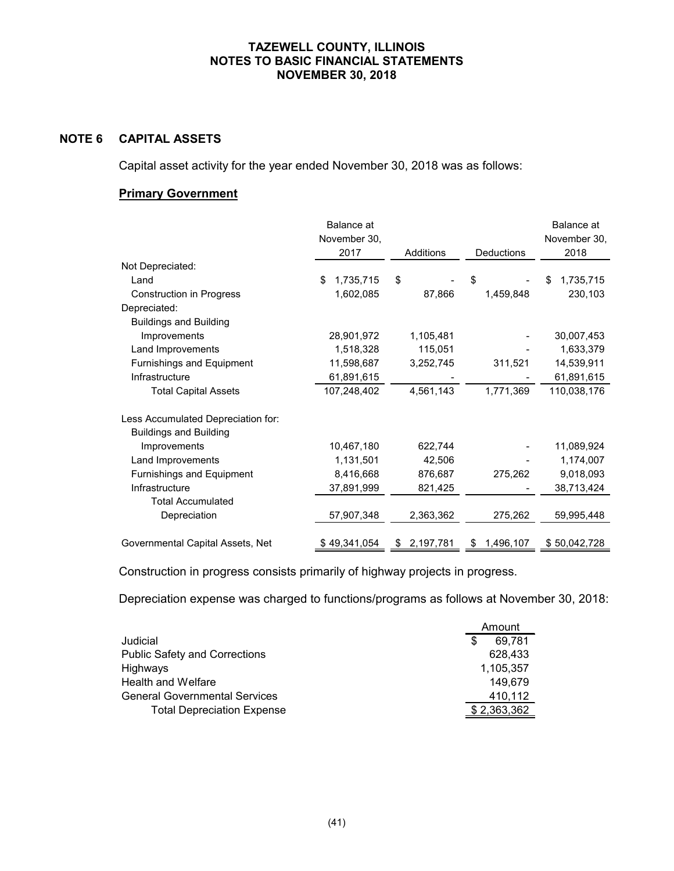# **NOTE 6 CAPITAL ASSETS**

Capital asset activity for the year ended November 30, 2018 was as follows:

# **Primary Government**

|                                    | Balance at      |           |            | Balance at      |
|------------------------------------|-----------------|-----------|------------|-----------------|
|                                    | November 30,    |           |            | November 30,    |
|                                    | 2017            | Additions | Deductions | 2018            |
| Not Depreciated:                   |                 |           |            |                 |
| Land                               | \$<br>1,735,715 | \$        | \$         | 1,735,715<br>\$ |
| <b>Construction in Progress</b>    | 1,602,085       | 87,866    | 1,459,848  | 230,103         |
| Depreciated:                       |                 |           |            |                 |
| <b>Buildings and Building</b>      |                 |           |            |                 |
| Improvements                       | 28,901,972      | 1,105,481 |            | 30,007,453      |
| Land Improvements                  | 1,518,328       | 115,051   |            | 1,633,379       |
| Furnishings and Equipment          | 11,598,687      | 3,252,745 | 311,521    | 14,539,911      |
| Infrastructure                     | 61,891,615      |           |            | 61,891,615      |
| <b>Total Capital Assets</b>        | 107,248,402     | 4,561,143 | 1,771,369  | 110,038,176     |
| Less Accumulated Depreciation for: |                 |           |            |                 |
| <b>Buildings and Building</b>      |                 |           |            |                 |
| Improvements                       | 10,467,180      | 622,744   |            | 11,089,924      |
| Land Improvements                  | 1,131,501       | 42,506    |            | 1,174,007       |
| Furnishings and Equipment          | 8,416,668       | 876,687   | 275,262    | 9,018,093       |
| Infrastructure                     | 37,891,999      | 821,425   |            | 38,713,424      |
| <b>Total Accumulated</b>           |                 |           |            |                 |
| Depreciation                       | 57,907,348      | 2,363,362 | 275,262    | 59,995,448      |
|                                    |                 |           |            |                 |
| Governmental Capital Assets, Net   | \$49,341,054    | 2,197,781 | 1,496,107  | \$50,042,728    |

Construction in progress consists primarily of highway projects in progress.

Depreciation expense was charged to functions/programs as follows at November 30, 2018:

|                                      | Amount |              |
|--------------------------------------|--------|--------------|
| Judicial                             | S      | 69.781       |
| <b>Public Safety and Corrections</b> |        | 628.433      |
| Highways                             |        | 1,105,357    |
| <b>Health and Welfare</b>            |        | 149.679      |
| <b>General Governmental Services</b> |        | 410,112      |
| <b>Total Depreciation Expense</b>    |        | \$ 2,363,362 |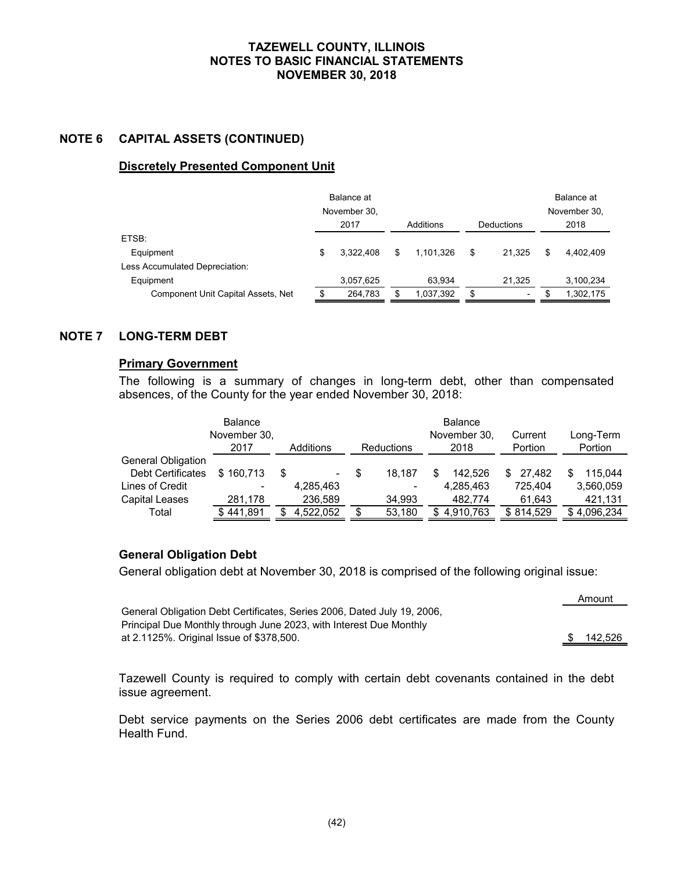### **NOTE 6 CAPITAL ASSETS (CONTINUED)**

### **Discretely Presented Component Unit**

|                                    | Balance at<br>November 30,<br>2017<br>Additions |           |    | Deductions | Balance at<br>November 30,<br>2018 |   |           |
|------------------------------------|-------------------------------------------------|-----------|----|------------|------------------------------------|---|-----------|
| ETSB:                              |                                                 |           |    |            |                                    |   |           |
| Equipment                          | S                                               | 3.322.408 | \$ | 1.101.326  | \$<br>21.325                       | S | 4.402.409 |
| Less Accumulated Depreciation:     |                                                 |           |    |            |                                    |   |           |
| Equipment                          |                                                 | 3,057,625 |    | 63.934     | 21.325                             |   | 3,100,234 |
| Component Unit Capital Assets, Net |                                                 | 264,783   | \$ | 1,037,392  | \$<br>$\overline{\phantom{0}}$     |   | 1,302,175 |

# **NOTE 7 LONG-TERM DEBT**

#### **Primary Government**

The following is a summary of changes in long-term debt, other than compensated absences, of the County for the year ended November 30, 2018:

|                    | <b>Balance</b><br>November 30, |           |            | <b>Balance</b><br>November 30, | Current   | Long-Term    |
|--------------------|--------------------------------|-----------|------------|--------------------------------|-----------|--------------|
|                    | 2017                           | Additions | Reductions | 2018                           | Portion   | Portion      |
| General Obligation |                                |           |            |                                |           |              |
| Debt Certificates  | \$160.713                      | \$<br>-   | 18.187     | 142.526                        | 27.482    | 115.044<br>S |
| Lines of Credit    |                                | 4,285,463 | ۰          | 4,285,463                      | 725.404   | 3,560,059    |
| Capital Leases     | 281.178                        | 236,589   | 34,993     | 482.774                        | 61,643    | 421,131      |
| Total              | \$441,891                      | 4.522.052 | 53,180     | 4,910,763                      | \$814,529 | \$4,096,234  |

# **General Obligation Debt**

General obligation debt at November 30, 2018 is comprised of the following original issue:

|                                                                         |               | AIIIUUIIL |
|-------------------------------------------------------------------------|---------------|-----------|
| General Obligation Debt Certificates, Series 2006, Dated July 19, 2006, |               |           |
| Principal Due Monthly through June 2023, with Interest Due Monthly      |               |           |
| at 2.1125%. Original Issue of \$378,500.                                | $\mathcal{S}$ | 142,526   |

Amount

Tazewell County is required to comply with certain debt covenants contained in the debt issue agreement.

Debt service payments on the Series 2006 debt certificates are made from the County Health Fund.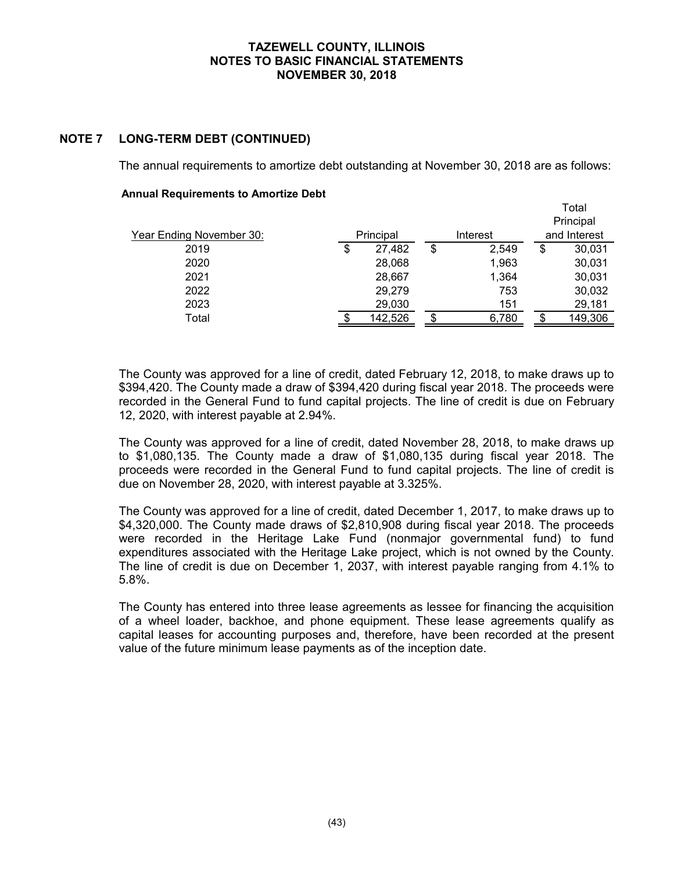# **NOTE 7 LONG-TERM DEBT (CONTINUED)**

The annual requirements to amortize debt outstanding at November 30, 2018 are as follows:

#### **Annual Requirements to Amortize Debt**

|                          |              |             | Total<br>Principal |
|--------------------------|--------------|-------------|--------------------|
| Year Ending November 30: | Principal    | Interest    | and Interest       |
| 2019                     | \$<br>27,482 | \$<br>2,549 | \$<br>30,031       |
| 2020                     | 28,068       | 1,963       | 30,031             |
| 2021                     | 28,667       | 1,364       | 30,031             |
| 2022                     | 29,279       | 753         | 30,032             |
| 2023                     | 29,030       | 151         | 29,181             |
| Total                    | 142,526      | 6,780       | 149,306            |

The County was approved for a line of credit, dated February 12, 2018, to make draws up to \$394,420. The County made a draw of \$394,420 during fiscal year 2018. The proceeds were recorded in the General Fund to fund capital projects. The line of credit is due on February 12, 2020, with interest payable at 2.94%.

The County was approved for a line of credit, dated November 28, 2018, to make draws up to \$1,080,135. The County made a draw of \$1,080,135 during fiscal year 2018. The proceeds were recorded in the General Fund to fund capital projects. The line of credit is due on November 28, 2020, with interest payable at 3.325%.

The County was approved for a line of credit, dated December 1, 2017, to make draws up to \$4,320,000. The County made draws of \$2,810,908 during fiscal year 2018. The proceeds were recorded in the Heritage Lake Fund (nonmajor governmental fund) to fund expenditures associated with the Heritage Lake project, which is not owned by the County. The line of credit is due on December 1, 2037, with interest payable ranging from 4.1% to 5.8%.

The County has entered into three lease agreements as lessee for financing the acquisition of a wheel loader, backhoe, and phone equipment. These lease agreements qualify as capital leases for accounting purposes and, therefore, have been recorded at the present value of the future minimum lease payments as of the inception date.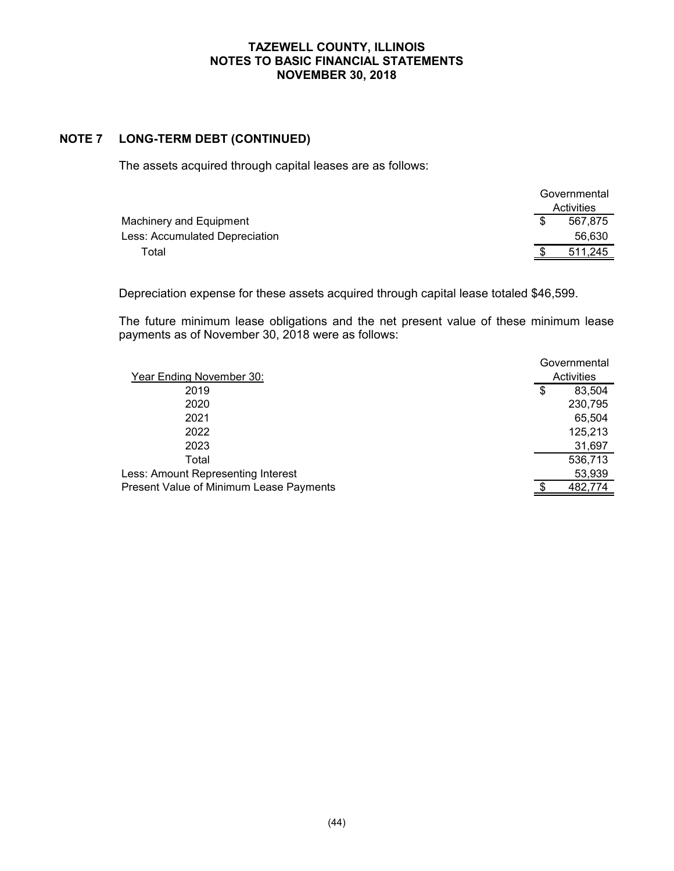# **NOTE 7 LONG-TERM DEBT (CONTINUED)**

The assets acquired through capital leases are as follows:

|                                |     | Governmental |
|--------------------------------|-----|--------------|
|                                |     | Activities   |
| Machinery and Equipment        | \$. | 567.875      |
| Less: Accumulated Depreciation |     | 56.630       |
| Total                          |     | 511,245      |

Depreciation expense for these assets acquired through capital lease totaled \$46,599.

The future minimum lease obligations and the net present value of these minimum lease payments as of November 30, 2018 were as follows:

| Year Ending November 30:                | Governmental<br>Activities |
|-----------------------------------------|----------------------------|
| 2019                                    | \$<br>83,504               |
| 2020                                    | 230,795                    |
| 2021                                    | 65,504                     |
| 2022                                    | 125,213                    |
| 2023                                    | 31,697                     |
| Total                                   | 536,713                    |
| Less: Amount Representing Interest      | 53,939                     |
| Present Value of Minimum Lease Payments | 482,774                    |
|                                         |                            |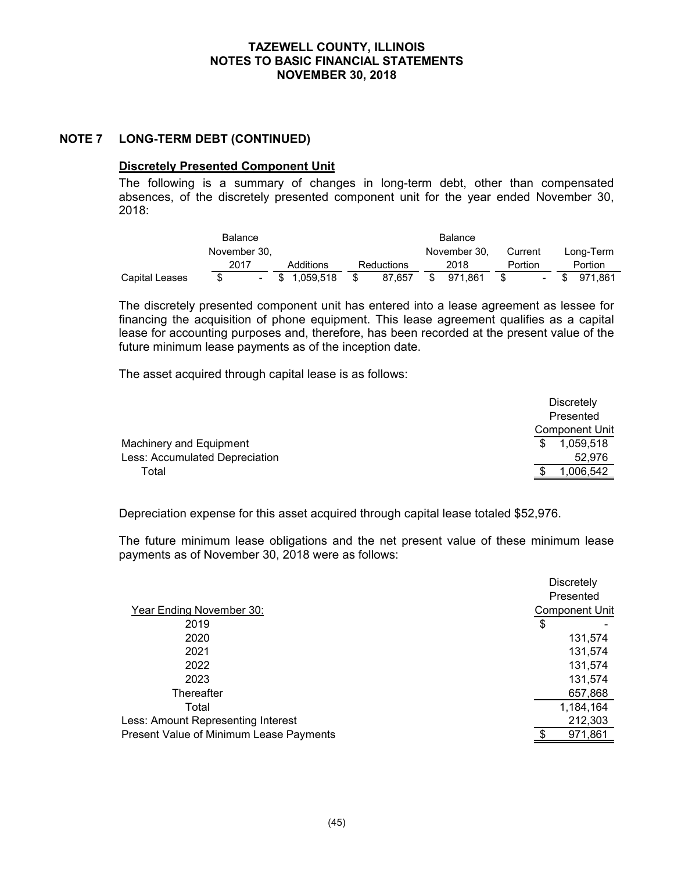#### **NOTE 7 LONG-TERM DEBT (CONTINUED)**

#### **Discretely Presented Component Unit**

The following is a summary of changes in long-term debt, other than compensated absences, of the discretely presented component unit for the year ended November 30, 2018:

| <b>Balance</b> |              |  |     | Balance   |            |     |              |         |                          |  |           |
|----------------|--------------|--|-----|-----------|------------|-----|--------------|---------|--------------------------|--|-----------|
|                | November 30. |  |     |           |            |     | November 30. | Current |                          |  | Long-Term |
|                | 2017         |  |     | Additions | Reductions |     | 2018         | Portion |                          |  | Portion   |
| Capital Leases |              |  | -SS | 1.059.518 | 87.657     | -SS | 971.861      |         | $\overline{\phantom{a}}$ |  | 971.861   |

The discretely presented component unit has entered into a lease agreement as lessee for financing the acquisition of phone equipment. This lease agreement qualifies as a capital lease for accounting purposes and, therefore, has been recorded at the present value of the future minimum lease payments as of the inception date.

The asset acquired through capital lease is as follows:

|                                | <b>Discretely</b>     |
|--------------------------------|-----------------------|
|                                | Presented             |
|                                | <b>Component Unit</b> |
| Machinery and Equipment        | 1,059,518             |
| Less: Accumulated Depreciation | 52.976                |
| Total                          | 1.006.542             |

Depreciation expense for this asset acquired through capital lease totaled \$52,976.

The future minimum lease obligations and the net present value of these minimum lease payments as of November 30, 2018 were as follows:

|                                                | <b>Discretely</b><br>Presented |
|------------------------------------------------|--------------------------------|
| Year Ending November 30:                       | <b>Component Unit</b>          |
| 2019                                           | \$                             |
| 2020                                           | 131,574                        |
| 2021                                           | 131,574                        |
| 2022                                           | 131,574                        |
| 2023                                           | 131,574                        |
| Thereafter                                     | 657,868                        |
| Total                                          | 1,184,164                      |
| Less: Amount Representing Interest             | 212,303                        |
| <b>Present Value of Minimum Lease Payments</b> | 971,861                        |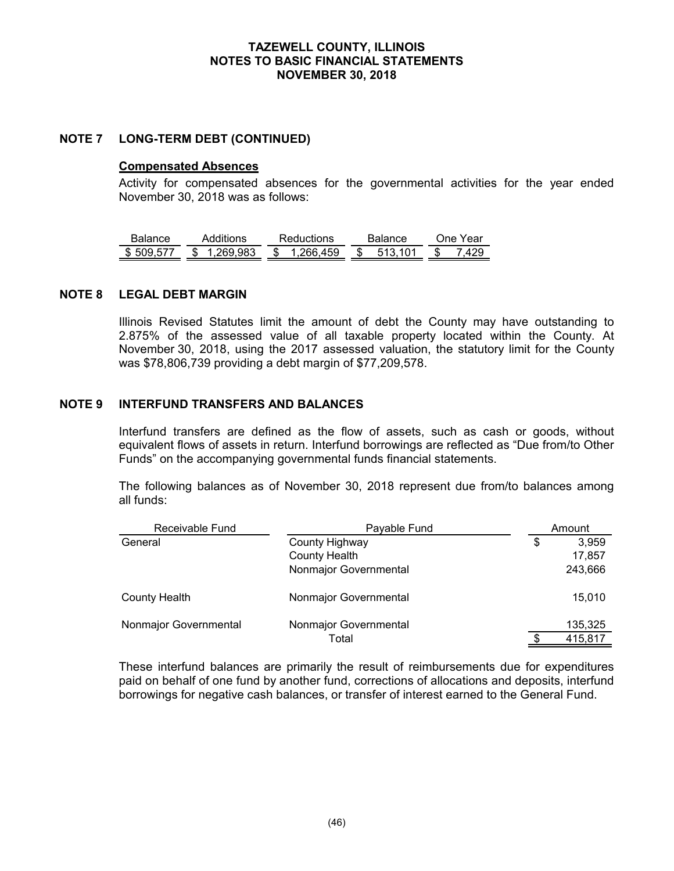### **NOTE 7 LONG-TERM DEBT (CONTINUED)**

#### **Compensated Absences**

Activity for compensated absences for the governmental activities for the year ended November 30, 2018 was as follows:

| Balance | Additions  | <b>Reductions</b> | Balance | ∕ear<br>۱n۵ |
|---------|------------|-------------------|---------|-------------|
| 50Q     | 983<br>םמנ | 266 450<br>æ      | S       | S           |

#### **NOTE 8 LEGAL DEBT MARGIN**

Illinois Revised Statutes limit the amount of debt the County may have outstanding to 2.875% of the assessed value of all taxable property located within the County. At November 30, 2018, using the 2017 assessed valuation, the statutory limit for the County was \$78,806,739 providing a debt margin of \$77,209,578.

# **NOTE 9 INTERFUND TRANSFERS AND BALANCES**

Interfund transfers are defined as the flow of assets, such as cash or goods, without equivalent flows of assets in return. Interfund borrowings are reflected as "Due from/to Other Funds" on the accompanying governmental funds financial statements.

The following balances as of November 30, 2018 represent due from/to balances among all funds:

| Receivable Fund       | Payable Fund          |    | Amount  |
|-----------------------|-----------------------|----|---------|
| General               | County Highway        | \$ | 3,959   |
|                       | <b>County Health</b>  |    | 17,857  |
|                       | Nonmajor Governmental |    | 243,666 |
| <b>County Health</b>  | Nonmajor Governmental |    | 15,010  |
| Nonmajor Governmental | Nonmajor Governmental |    | 135,325 |
|                       | Total                 |    | 415,817 |

These interfund balances are primarily the result of reimbursements due for expenditures paid on behalf of one fund by another fund, corrections of allocations and deposits, interfund borrowings for negative cash balances, or transfer of interest earned to the General Fund.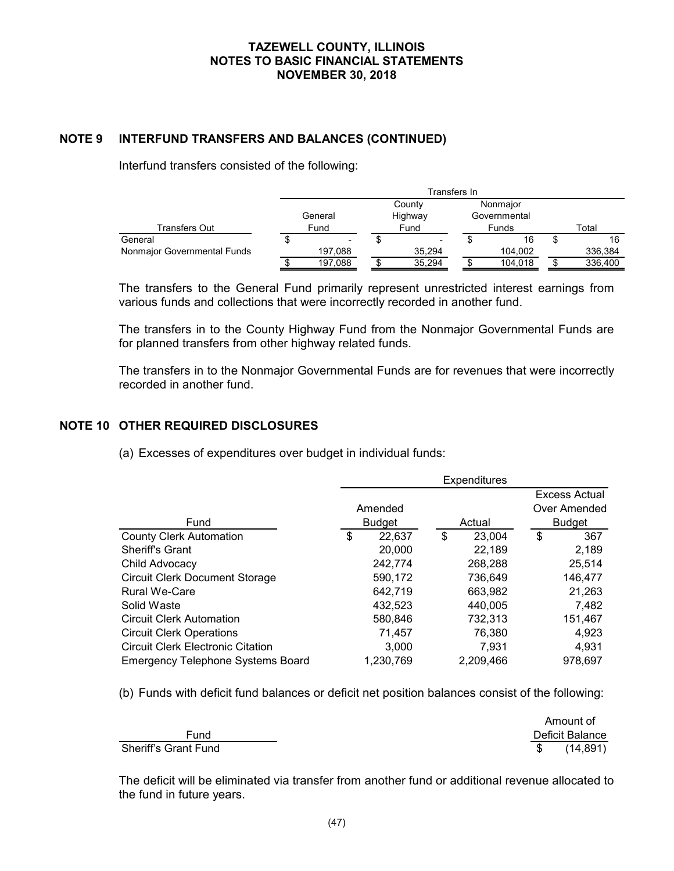# **NOTE 9 INTERFUND TRANSFERS AND BALANCES (CONTINUED)**

Interfund transfers consisted of the following:

|                             | Transfers In |  |                          |  |              |  |         |
|-----------------------------|--------------|--|--------------------------|--|--------------|--|---------|
|                             |              |  | County                   |  | Nonmajor     |  |         |
|                             | General      |  | Highway                  |  | Governmental |  |         |
| Transfers Out               | Fund         |  | Fund                     |  | Funds        |  | Total   |
| General                     | -            |  | $\overline{\phantom{a}}$ |  | 16           |  | 16      |
| Nonmajor Governmental Funds | 197,088      |  | 35.294                   |  | 104.002      |  | 336,384 |
|                             | 197,088      |  | 35,294                   |  | 104,018      |  | 336,400 |

The transfers to the General Fund primarily represent unrestricted interest earnings from various funds and collections that were incorrectly recorded in another fund.

The transfers in to the County Highway Fund from the Nonmajor Governmental Funds are for planned transfers from other highway related funds.

The transfers in to the Nonmajor Governmental Funds are for revenues that were incorrectly recorded in another fund.

# **NOTE 10 OTHER REQUIRED DISCLOSURES**

(a) Excesses of expenditures over budget in individual funds:

|                                          | <b>Expenditures</b> |               |    |           |    |               |  |
|------------------------------------------|---------------------|---------------|----|-----------|----|---------------|--|
|                                          |                     |               |    |           |    | Excess Actual |  |
|                                          |                     | Amended       |    |           |    | Over Amended  |  |
| Fund                                     |                     | <b>Budget</b> |    | Actual    |    | <b>Budget</b> |  |
| <b>County Clerk Automation</b>           | \$                  | 22,637        | \$ | 23,004    | \$ | 367           |  |
| <b>Sheriff's Grant</b>                   |                     | 20,000        |    | 22,189    |    | 2,189         |  |
| Child Advocacy                           |                     | 242,774       |    | 268.288   |    | 25,514        |  |
| <b>Circuit Clerk Document Storage</b>    |                     | 590,172       |    | 736,649   |    | 146,477       |  |
| <b>Rural We-Care</b>                     |                     | 642,719       |    | 663,982   |    | 21.263        |  |
| Solid Waste                              |                     | 432,523       |    | 440.005   |    | 7,482         |  |
| <b>Circuit Clerk Automation</b>          |                     | 580,846       |    | 732,313   |    | 151,467       |  |
| <b>Circuit Clerk Operations</b>          |                     | 71,457        |    | 76,380    |    | 4,923         |  |
| <b>Circuit Clerk Electronic Citation</b> |                     | 3.000         |    | 7.931     |    | 4,931         |  |
| <b>Emergency Telephone Systems Board</b> |                     | 1,230,769     |    | 2,209,466 |    | 978,697       |  |

(b) Funds with deficit fund balances or deficit net position balances consist of the following:

|                      | Amount of       |
|----------------------|-----------------|
| Fund                 | Deficit Balance |
| Sheriff's Grant Fund | (14, 891)       |

The deficit will be eliminated via transfer from another fund or additional revenue allocated to the fund in future years.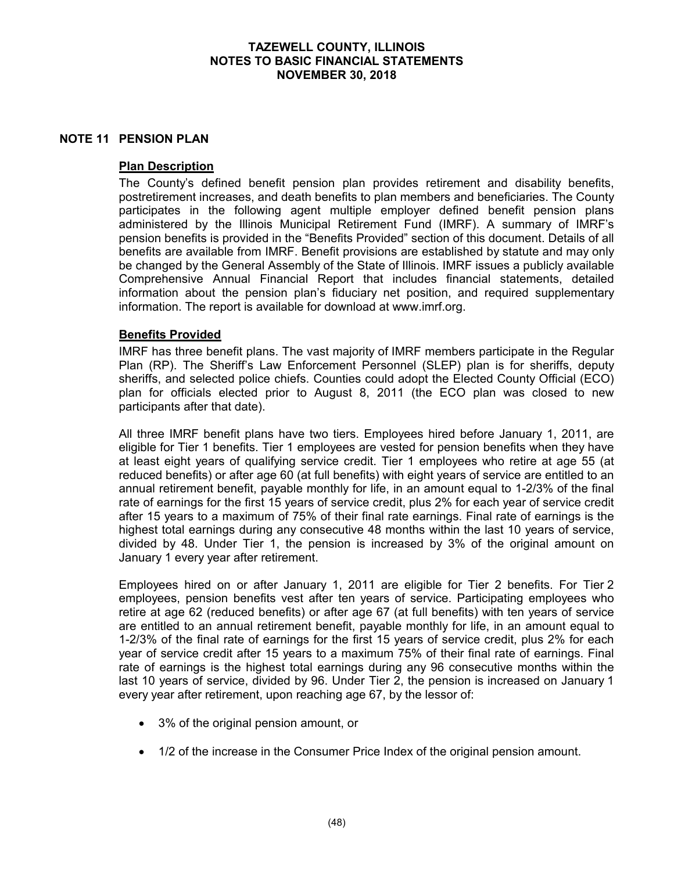#### **NOTE 11 PENSION PLAN**

### **Plan Description**

The County's defined benefit pension plan provides retirement and disability benefits, postretirement increases, and death benefits to plan members and beneficiaries. The County participates in the following agent multiple employer defined benefit pension plans administered by the Illinois Municipal Retirement Fund (IMRF). A summary of IMRF's pension benefits is provided in the "Benefits Provided" section of this document. Details of all benefits are available from IMRF. Benefit provisions are established by statute and may only be changed by the General Assembly of the State of Illinois. IMRF issues a publicly available Comprehensive Annual Financial Report that includes financial statements, detailed information about the pension plan's fiduciary net position, and required supplementary information. The report is available for download at www.imrf.org.

# **Benefits Provided**

IMRF has three benefit plans. The vast majority of IMRF members participate in the Regular Plan (RP). The Sheriff's Law Enforcement Personnel (SLEP) plan is for sheriffs, deputy sheriffs, and selected police chiefs. Counties could adopt the Elected County Official (ECO) plan for officials elected prior to August 8, 2011 (the ECO plan was closed to new participants after that date).

All three IMRF benefit plans have two tiers. Employees hired before January 1, 2011, are eligible for Tier 1 benefits. Tier 1 employees are vested for pension benefits when they have at least eight years of qualifying service credit. Tier 1 employees who retire at age 55 (at reduced benefits) or after age 60 (at full benefits) with eight years of service are entitled to an annual retirement benefit, payable monthly for life, in an amount equal to 1-2/3% of the final rate of earnings for the first 15 years of service credit, plus 2% for each year of service credit after 15 years to a maximum of 75% of their final rate earnings. Final rate of earnings is the highest total earnings during any consecutive 48 months within the last 10 years of service, divided by 48. Under Tier 1, the pension is increased by 3% of the original amount on January 1 every year after retirement.

Employees hired on or after January 1, 2011 are eligible for Tier 2 benefits. For Tier 2 employees, pension benefits vest after ten years of service. Participating employees who retire at age 62 (reduced benefits) or after age 67 (at full benefits) with ten years of service are entitled to an annual retirement benefit, payable monthly for life, in an amount equal to 1-2/3% of the final rate of earnings for the first 15 years of service credit, plus 2% for each year of service credit after 15 years to a maximum 75% of their final rate of earnings. Final rate of earnings is the highest total earnings during any 96 consecutive months within the last 10 years of service, divided by 96. Under Tier 2, the pension is increased on January 1 every year after retirement, upon reaching age 67, by the lessor of:

- 3% of the original pension amount, or
- 1/2 of the increase in the Consumer Price Index of the original pension amount.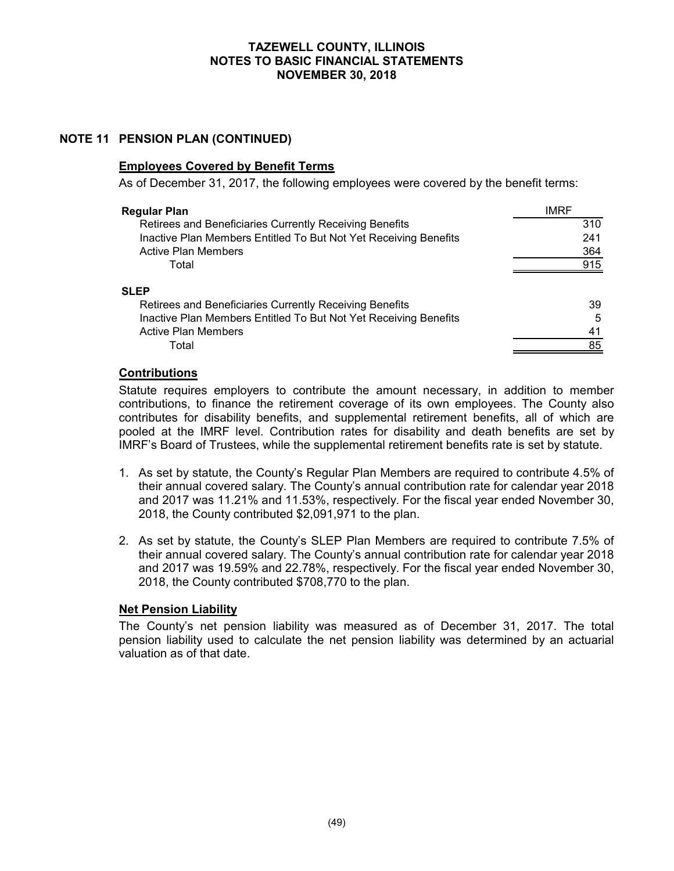# **NOTE 11 PENSION PLAN (CONTINUED)**

#### **Employees Covered by Benefit Terms**

As of December 31, 2017, the following employees were covered by the benefit terms:

| <b>Regular Plan</b>                                              | IMRF |
|------------------------------------------------------------------|------|
| Retirees and Beneficiaries Currently Receiving Benefits          | 310  |
| Inactive Plan Members Entitled To But Not Yet Receiving Benefits | 241  |
| <b>Active Plan Members</b>                                       | 364  |
| Total                                                            | 915  |
| <b>SLEP</b>                                                      |      |
| Retirees and Beneficiaries Currently Receiving Benefits          | 39   |
| Inactive Plan Members Entitled To But Not Yet Receiving Benefits | 5    |
| <b>Active Plan Members</b>                                       | 41   |
| Total                                                            | 85   |

#### **Contributions**

Statute requires employers to contribute the amount necessary, in addition to member contributions, to finance the retirement coverage of its own employees. The County also contributes for disability benefits, and supplemental retirement benefits, all of which are pooled at the IMRF level. Contribution rates for disability and death benefits are set by IMRF's Board of Trustees, while the supplemental retirement benefits rate is set by statute.

- 1. As set by statute, the County's Regular Plan Members are required to contribute 4.5% of their annual covered salary. The County's annual contribution rate for calendar year 2018 and 2017 was 11.21% and 11.53%, respectively. For the fiscal year ended November 30, 2018, the County contributed \$2,091,971 to the plan.
- 2. As set by statute, the County's SLEP Plan Members are required to contribute 7.5% of their annual covered salary. The County's annual contribution rate for calendar year 2018 and 2017 was 19.59% and 22.78%, respectively. For the fiscal year ended November 30, 2018, the County contributed \$708,770 to the plan.

#### **Net Pension Liability**

The County's net pension liability was measured as of December 31, 2017. The total pension liability used to calculate the net pension liability was determined by an actuarial valuation as of that date.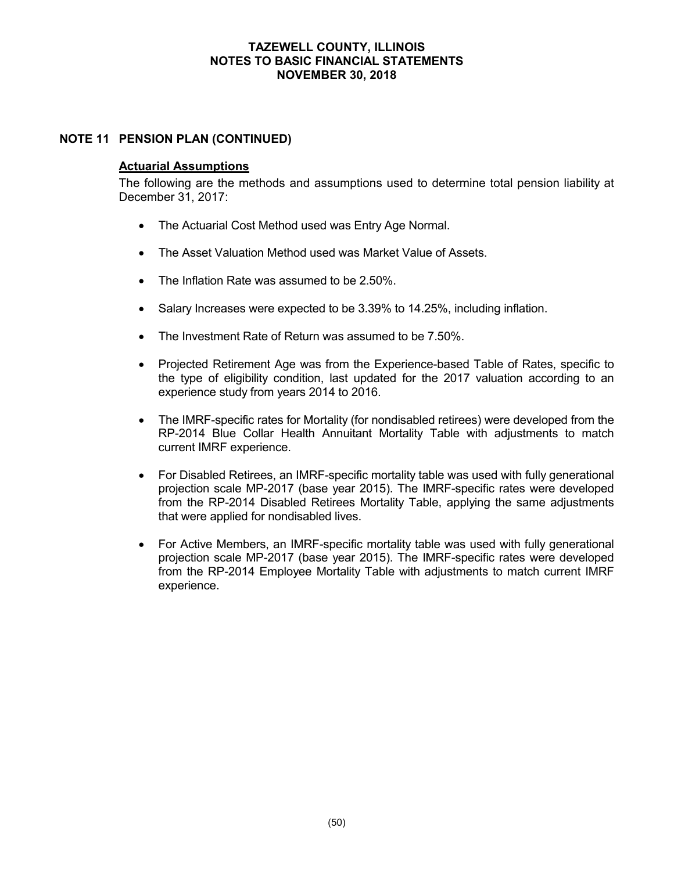# **NOTE 11 PENSION PLAN (CONTINUED)**

#### **Actuarial Assumptions**

The following are the methods and assumptions used to determine total pension liability at December 31, 2017:

- The Actuarial Cost Method used was Entry Age Normal.
- The Asset Valuation Method used was Market Value of Assets.
- The Inflation Rate was assumed to be 2.50%.
- Salary Increases were expected to be 3.39% to 14.25%, including inflation.
- The Investment Rate of Return was assumed to be 7.50%.
- Projected Retirement Age was from the Experience-based Table of Rates, specific to the type of eligibility condition, last updated for the 2017 valuation according to an experience study from years 2014 to 2016.
- The IMRF-specific rates for Mortality (for nondisabled retirees) were developed from the RP-2014 Blue Collar Health Annuitant Mortality Table with adjustments to match current IMRF experience.
- For Disabled Retirees, an IMRF-specific mortality table was used with fully generational projection scale MP-2017 (base year 2015). The IMRF-specific rates were developed from the RP-2014 Disabled Retirees Mortality Table, applying the same adjustments that were applied for nondisabled lives.
- For Active Members, an IMRF-specific mortality table was used with fully generational projection scale MP-2017 (base year 2015). The IMRF-specific rates were developed from the RP-2014 Employee Mortality Table with adjustments to match current IMRF experience.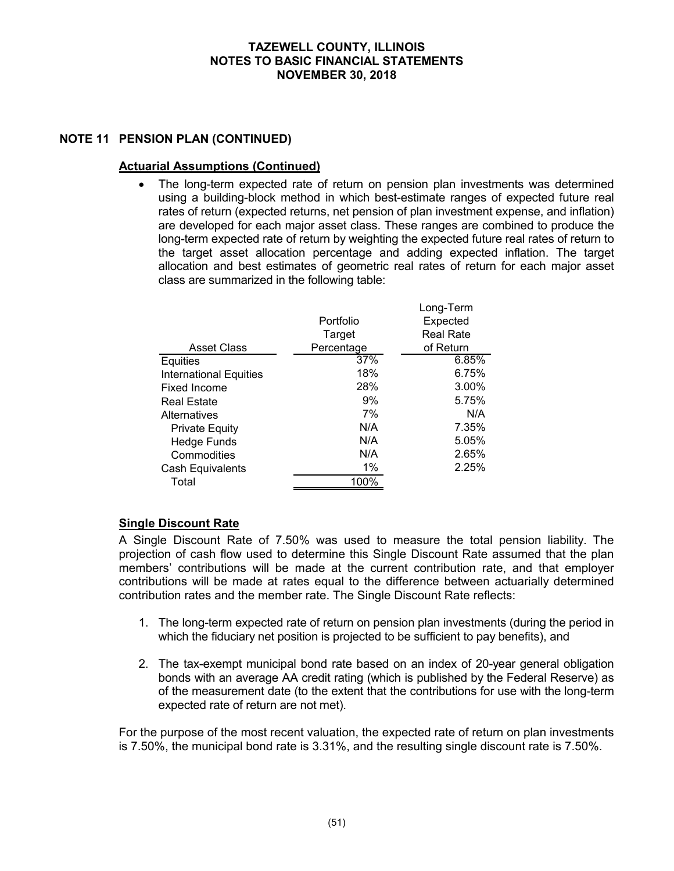# **NOTE 11 PENSION PLAN (CONTINUED)**

### **Actuarial Assumptions (Continued)**

 The long-term expected rate of return on pension plan investments was determined using a building-block method in which best-estimate ranges of expected future real rates of return (expected returns, net pension of plan investment expense, and inflation) are developed for each major asset class. These ranges are combined to produce the long-term expected rate of return by weighting the expected future real rates of return to the target asset allocation percentage and adding expected inflation. The target allocation and best estimates of geometric real rates of return for each major asset class are summarized in the following table:

|                               |            | Long-Term        |  |  |  |
|-------------------------------|------------|------------------|--|--|--|
|                               | Portfolio  | Expected         |  |  |  |
|                               | Target     | <b>Real Rate</b> |  |  |  |
| <b>Asset Class</b>            | Percentage | of Return        |  |  |  |
| Equities                      | 37%        | 6.85%            |  |  |  |
| <b>International Equities</b> | 18%        | 6.75%            |  |  |  |
| Fixed Income                  | 28%        | 3.00%            |  |  |  |
| <b>Real Estate</b>            | 9%         | 5.75%            |  |  |  |
| Alternatives                  | 7%         | N/A              |  |  |  |
| <b>Private Equity</b>         | N/A        | 7.35%            |  |  |  |
| <b>Hedge Funds</b>            | N/A        | 5.05%            |  |  |  |
| Commodities                   | N/A        | 2.65%            |  |  |  |
| Cash Equivalents              | $1\%$      | 2.25%            |  |  |  |
| Total                         | 100%       |                  |  |  |  |
|                               |            |                  |  |  |  |

# **Single Discount Rate**

A Single Discount Rate of 7.50% was used to measure the total pension liability. The projection of cash flow used to determine this Single Discount Rate assumed that the plan members' contributions will be made at the current contribution rate, and that employer contributions will be made at rates equal to the difference between actuarially determined contribution rates and the member rate. The Single Discount Rate reflects:

- 1. The long-term expected rate of return on pension plan investments (during the period in which the fiduciary net position is projected to be sufficient to pay benefits), and
- 2. The tax-exempt municipal bond rate based on an index of 20-year general obligation bonds with an average AA credit rating (which is published by the Federal Reserve) as of the measurement date (to the extent that the contributions for use with the long-term expected rate of return are not met).

For the purpose of the most recent valuation, the expected rate of return on plan investments is 7.50%, the municipal bond rate is 3.31%, and the resulting single discount rate is 7.50%.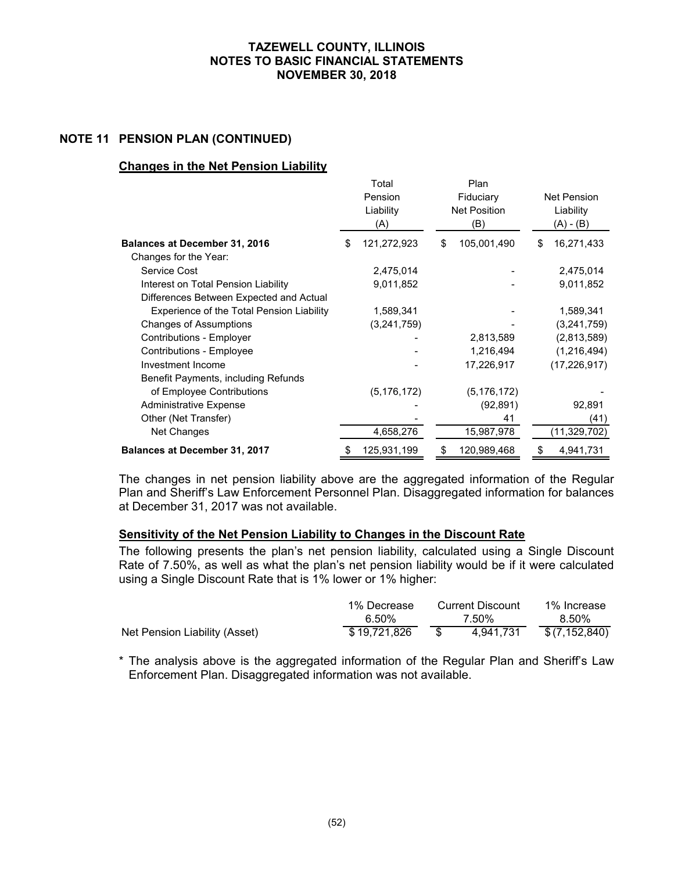### **NOTE 11 PENSION PLAN (CONTINUED)**

#### **Changes in the Net Pension Liability**

|                                           | Total<br>Pension<br>Liability<br>(A) | Plan<br>Fiduciary<br><b>Net Position</b><br>(B) | Net Pension<br>Liability<br>$(A) - (B)$ |
|-------------------------------------------|--------------------------------------|-------------------------------------------------|-----------------------------------------|
| <b>Balances at December 31, 2016</b>      | \$<br>121,272,923                    | \$<br>105,001,490                               | \$<br>16,271,433                        |
| Changes for the Year:                     |                                      |                                                 |                                         |
| Service Cost                              | 2,475,014                            |                                                 | 2,475,014                               |
| Interest on Total Pension Liability       | 9,011,852                            |                                                 | 9,011,852                               |
| Differences Between Expected and Actual   |                                      |                                                 |                                         |
| Experience of the Total Pension Liability | 1,589,341                            |                                                 | 1,589,341                               |
| <b>Changes of Assumptions</b>             | (3,241,759)                          |                                                 | (3,241,759)                             |
| Contributions - Employer                  |                                      | 2,813,589                                       | (2,813,589)                             |
| Contributions - Employee                  |                                      | 1,216,494                                       | (1,216,494)                             |
| Investment Income                         |                                      | 17,226,917                                      | (17, 226, 917)                          |
| Benefit Payments, including Refunds       |                                      |                                                 |                                         |
| of Employee Contributions                 | (5, 176, 172)                        | (5, 176, 172)                                   |                                         |
| <b>Administrative Expense</b>             |                                      | (92, 891)                                       | 92,891                                  |
| Other (Net Transfer)                      |                                      | 41                                              | (41)                                    |
| Net Changes                               | 4,658,276                            | 15,987,978                                      | (11,329,702)                            |
| <b>Balances at December 31, 2017</b>      | 125,931,199                          | 120,989,468                                     | \$<br>4,941,731                         |

The changes in net pension liability above are the aggregated information of the Regular Plan and Sheriff's Law Enforcement Personnel Plan. Disaggregated information for balances at December 31, 2017 was not available.

#### **Sensitivity of the Net Pension Liability to Changes in the Discount Rate**

The following presents the plan's net pension liability, calculated using a Single Discount Rate of 7.50%, as well as what the plan's net pension liability would be if it were calculated using a Single Discount Rate that is 1% lower or 1% higher:

|                               | 1% Decrease  | <b>Current Discount</b> | 1% Increase    |
|-------------------------------|--------------|-------------------------|----------------|
|                               | 6.50%        | 7.50%                   | 8.50%          |
| Net Pension Liability (Asset) | \$19.721.826 | 4.941.731               | \$ (7,152,840) |

\* The analysis above is the aggregated information of the Regular Plan and Sheriff's Law Enforcement Plan. Disaggregated information was not available.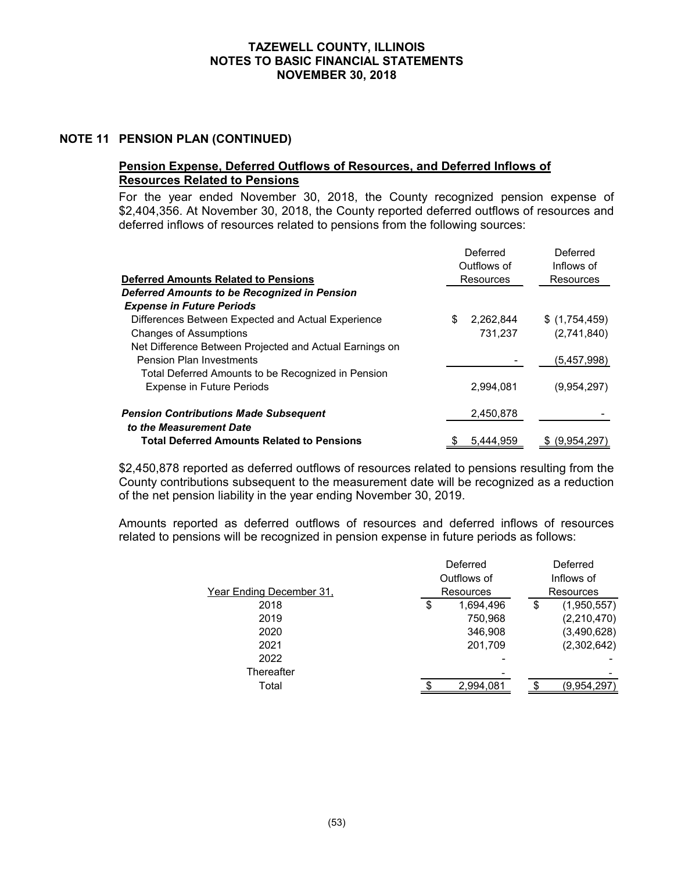#### **NOTE 11 PENSION PLAN (CONTINUED)**

# **Pension Expense, Deferred Outflows of Resources, and Deferred Inflows of Resources Related to Pensions**

For the year ended November 30, 2018, the County recognized pension expense of \$2,404,356. At November 30, 2018, the County reported deferred outflows of resources and deferred inflows of resources related to pensions from the following sources:

|                                                         |   | Deferred<br>Outflows of | Deferred<br>Inflows of |
|---------------------------------------------------------|---|-------------------------|------------------------|
| <b>Deferred Amounts Related to Pensions</b>             |   | Resources               | Resources              |
| Deferred Amounts to be Recognized in Pension            |   |                         |                        |
| <b>Expense in Future Periods</b>                        |   |                         |                        |
| Differences Between Expected and Actual Experience      | S | 2,262,844               | \$(1,754,459)          |
| <b>Changes of Assumptions</b>                           |   | 731,237                 | (2,741,840)            |
| Net Difference Between Projected and Actual Earnings on |   |                         |                        |
| <b>Pension Plan Investments</b>                         |   |                         | (5,457,998)            |
| Total Deferred Amounts to be Recognized in Pension      |   |                         |                        |
| <b>Expense in Future Periods</b>                        |   | 2,994,081               | (9.954.297)            |
| <b>Pension Contributions Made Subsequent</b>            |   | 2,450,878               |                        |
| to the Measurement Date                                 |   |                         |                        |
| <b>Total Deferred Amounts Related to Pensions</b>       |   | 5.444.959               | \$ (9,954,297)         |

\$2,450,878 reported as deferred outflows of resources related to pensions resulting from the County contributions subsequent to the measurement date will be recognized as a reduction of the net pension liability in the year ending November 30, 2019.

Amounts reported as deferred outflows of resources and deferred inflows of resources related to pensions will be recognized in pension expense in future periods as follows:

|                          | Deferred        |    | Deferred    |
|--------------------------|-----------------|----|-------------|
|                          | Outflows of     |    | Inflows of  |
| Year Ending December 31, | Resources       |    | Resources   |
| 2018                     | \$<br>1,694,496 | \$ | (1,950,557) |
| 2019                     | 750,968         |    | (2,210,470) |
| 2020                     | 346,908         |    | (3,490,628) |
| 2021                     | 201,709         |    | (2,302,642) |
| 2022                     |                 |    |             |
| Thereafter               |                 |    |             |
| Total                    | 2,994,081       | c  | (9,954,297) |
|                          |                 |    |             |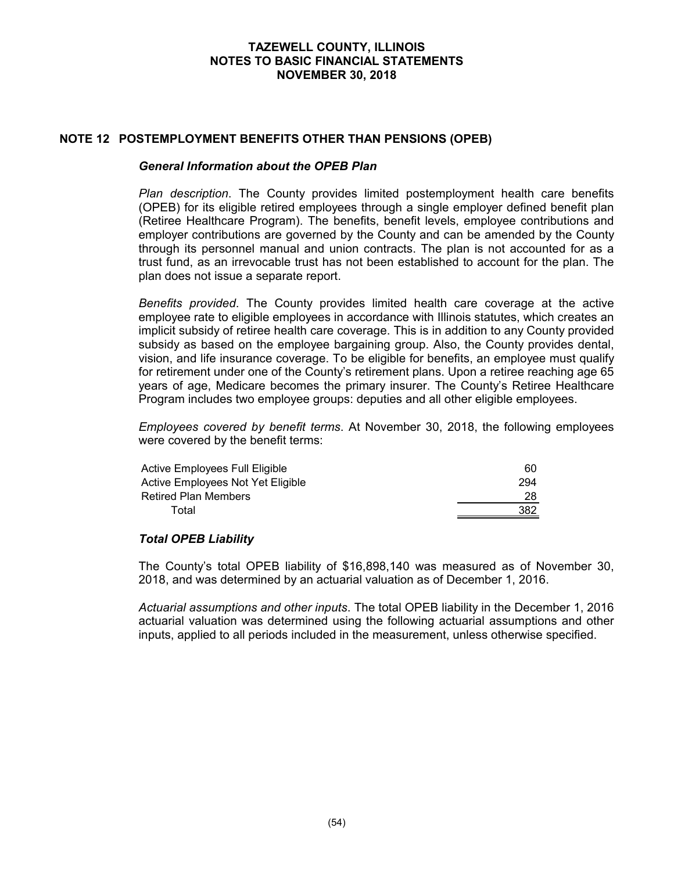### **NOTE 12 POSTEMPLOYMENT BENEFITS OTHER THAN PENSIONS (OPEB)**

#### *General Information about the OPEB Plan*

*Plan description*. The County provides limited postemployment health care benefits (OPEB) for its eligible retired employees through a single employer defined benefit plan (Retiree Healthcare Program). The benefits, benefit levels, employee contributions and employer contributions are governed by the County and can be amended by the County through its personnel manual and union contracts. The plan is not accounted for as a trust fund, as an irrevocable trust has not been established to account for the plan. The plan does not issue a separate report.

*Benefits provided*. The County provides limited health care coverage at the active employee rate to eligible employees in accordance with Illinois statutes, which creates an implicit subsidy of retiree health care coverage. This is in addition to any County provided subsidy as based on the employee bargaining group. Also, the County provides dental, vision, and life insurance coverage. To be eligible for benefits, an employee must qualify for retirement under one of the County's retirement plans. Upon a retiree reaching age 65 years of age, Medicare becomes the primary insurer. The County's Retiree Healthcare Program includes two employee groups: deputies and all other eligible employees.

*Employees covered by benefit terms*. At November 30, 2018, the following employees were covered by the benefit terms:

| Active Employees Full Eligible    | 60  |
|-----------------------------------|-----|
| Active Employees Not Yet Eligible | 294 |
| <b>Retired Plan Members</b>       | 28  |
| Total                             | 382 |
|                                   |     |

#### *Total OPEB Liability*

The County's total OPEB liability of \$16,898,140 was measured as of November 30, 2018, and was determined by an actuarial valuation as of December 1, 2016.

*Actuarial assumptions and other inputs*. The total OPEB liability in the December 1, 2016 actuarial valuation was determined using the following actuarial assumptions and other inputs, applied to all periods included in the measurement, unless otherwise specified.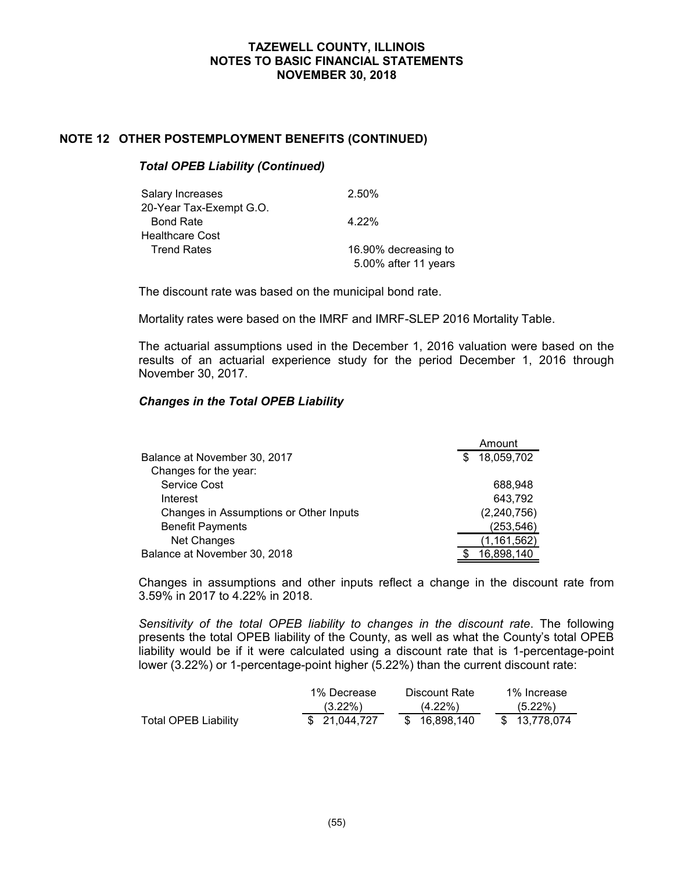### **NOTE 12 OTHER POSTEMPLOYMENT BENEFITS (CONTINUED)**

#### *Total OPEB Liability (Continued)*

| Salary Increases        | 2.50%                |
|-------------------------|----------------------|
| 20-Year Tax-Exempt G.O. |                      |
| <b>Bond Rate</b>        | 4.22%                |
| Healthcare Cost         |                      |
| <b>Trend Rates</b>      | 16.90% decreasing to |
|                         | 5.00% after 11 years |

The discount rate was based on the municipal bond rate.

Mortality rates were based on the IMRF and IMRF-SLEP 2016 Mortality Table.

The actuarial assumptions used in the December 1, 2016 valuation were based on the results of an actuarial experience study for the period December 1, 2016 through November 30, 2017.

### *Changes in the Total OPEB Liability*

|                                        | Amount           |
|----------------------------------------|------------------|
| Balance at November 30, 2017           | \$<br>18,059,702 |
| Changes for the year:                  |                  |
| <b>Service Cost</b>                    | 688.948          |
| Interest                               | 643,792          |
| Changes in Assumptions or Other Inputs | (2, 240, 756)    |
| <b>Benefit Payments</b>                | (253,546)        |
| Net Changes                            | (1,161,562)      |
| Balance at November 30, 2018           | 16,898,140       |

Changes in assumptions and other inputs reflect a change in the discount rate from 3.59% in 2017 to 4.22% in 2018.

*Sensitivity of the total OPEB liability to changes in the discount rate*. The following presents the total OPEB liability of the County, as well as what the County's total OPEB liability would be if it were calculated using a discount rate that is 1-percentage-point lower (3.22%) or 1-percentage-point higher (5.22%) than the current discount rate:

|                      | 1% Decrease   | Discount Rate | 1% Increase  |
|----------------------|---------------|---------------|--------------|
|                      | $(3.22\%)$    | $(4.22\%)$    | $(5.22\%)$   |
| Total OPEB Liability | \$ 21.044.727 | \$16.898.140  | \$13.778.074 |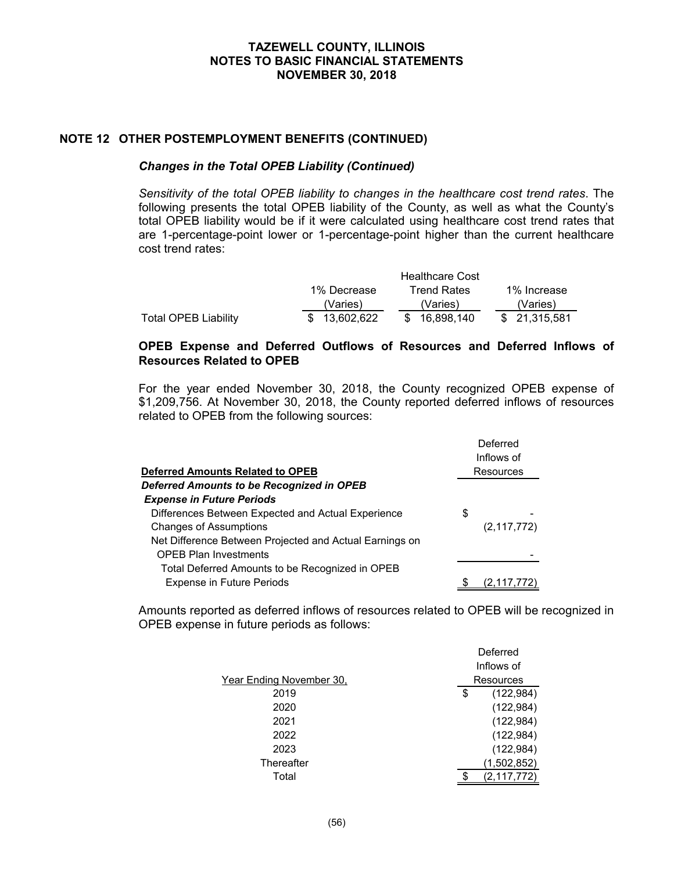# **NOTE 12 OTHER POSTEMPLOYMENT BENEFITS (CONTINUED)**

#### *Changes in the Total OPEB Liability (Continued)*

*Sensitivity of the total OPEB liability to changes in the healthcare cost trend rates*. The following presents the total OPEB liability of the County, as well as what the County's total OPEB liability would be if it were calculated using healthcare cost trend rates that are 1-percentage-point lower or 1-percentage-point higher than the current healthcare cost trend rates:

|                             |               | <b>Healthcare Cost</b> |               |
|-----------------------------|---------------|------------------------|---------------|
|                             | 1% Decrease   | <b>Trend Rates</b>     | 1% Increase   |
|                             | (Varies)      | (Varies)               | (Varies)      |
| <b>Total OPEB Liability</b> | \$ 13.602.622 | \$ 16.898.140          | \$ 21.315.581 |

#### **OPEB Expense and Deferred Outflows of Resources and Deferred Inflows of Resources Related to OPEB**

For the year ended November 30, 2018, the County recognized OPEB expense of \$1,209,756. At November 30, 2018, the County reported deferred inflows of resources related to OPEB from the following sources:

|                                                         | Deferred      |
|---------------------------------------------------------|---------------|
|                                                         | Inflows of    |
| <b>Deferred Amounts Related to OPEB</b>                 | Resources     |
| Deferred Amounts to be Recognized in OPEB               |               |
| <b>Expense in Future Periods</b>                        |               |
| Differences Between Expected and Actual Experience      | \$            |
| <b>Changes of Assumptions</b>                           | (2, 117, 772) |
| Net Difference Between Projected and Actual Earnings on |               |
| <b>OPEB Plan Investments</b>                            |               |
| Total Deferred Amounts to be Recognized in OPEB         |               |
| <b>Expense in Future Periods</b>                        | (2, 117, 772) |

Amounts reported as deferred inflows of resources related to OPEB will be recognized in OPEB expense in future periods as follows:

|                          | Deferred         |
|--------------------------|------------------|
|                          | Inflows of       |
| Year Ending November 30, | Resources        |
| 2019                     | (122, 984)<br>\$ |
| 2020                     | (122, 984)       |
| 2021                     | (122, 984)       |
| 2022                     | (122, 984)       |
| 2023                     | (122, 984)       |
| Thereafter               | (1,502,852)      |
| Total                    | (2,117,772)      |
|                          |                  |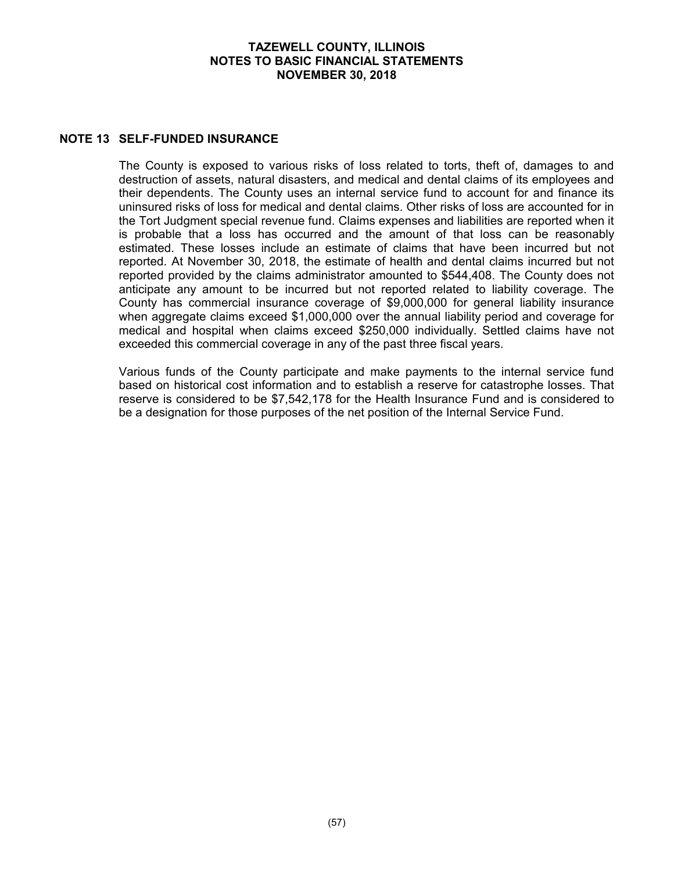### **NOTE 13 SELF-FUNDED INSURANCE**

The County is exposed to various risks of loss related to torts, theft of, damages to and destruction of assets, natural disasters, and medical and dental claims of its employees and their dependents. The County uses an internal service fund to account for and finance its uninsured risks of loss for medical and dental claims. Other risks of loss are accounted for in the Tort Judgment special revenue fund. Claims expenses and liabilities are reported when it is probable that a loss has occurred and the amount of that loss can be reasonably estimated. These losses include an estimate of claims that have been incurred but not reported. At November 30, 2018, the estimate of health and dental claims incurred but not reported provided by the claims administrator amounted to \$544,408. The County does not anticipate any amount to be incurred but not reported related to liability coverage. The County has commercial insurance coverage of \$9,000,000 for general liability insurance when aggregate claims exceed \$1,000,000 over the annual liability period and coverage for medical and hospital when claims exceed \$250,000 individually. Settled claims have not exceeded this commercial coverage in any of the past three fiscal years.

Various funds of the County participate and make payments to the internal service fund based on historical cost information and to establish a reserve for catastrophe losses. That reserve is considered to be \$7,542,178 for the Health Insurance Fund and is considered to be a designation for those purposes of the net position of the Internal Service Fund.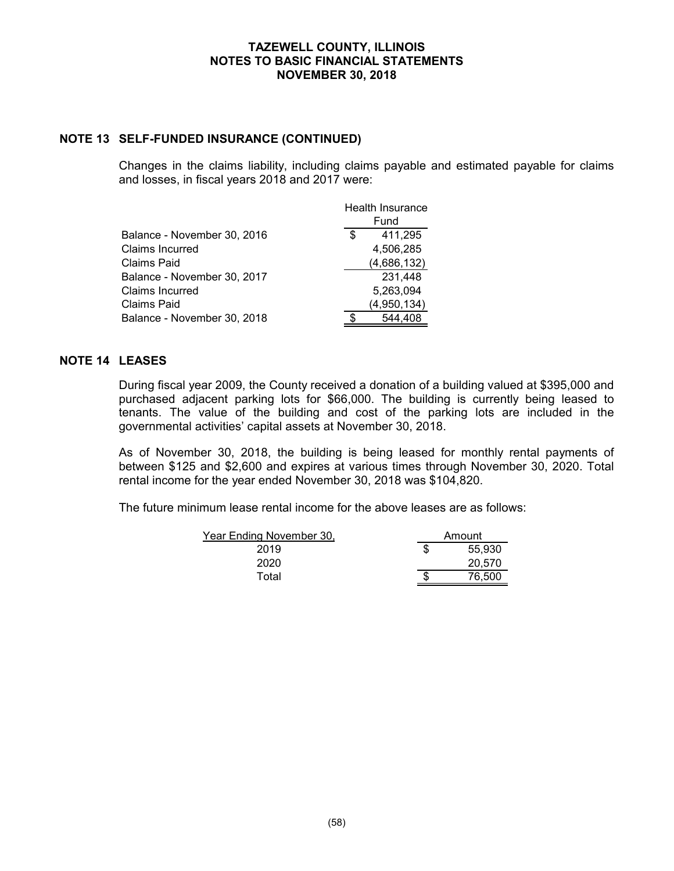### **NOTE 13 SELF-FUNDED INSURANCE (CONTINUED)**

Changes in the claims liability, including claims payable and estimated payable for claims and losses, in fiscal years 2018 and 2017 were:

|                             |               | Health Insurance |  |
|-----------------------------|---------------|------------------|--|
|                             | Fund          |                  |  |
| Balance - November 30, 2016 | 411,295<br>\$ |                  |  |
| Claims Incurred             | 4,506,285     |                  |  |
| Claims Paid                 | (4,686,132)   |                  |  |
| Balance - November 30, 2017 | 231,448       |                  |  |
| Claims Incurred             | 5,263,094     |                  |  |
| Claims Paid                 | (4,950,134)   |                  |  |
| Balance - November 30, 2018 | 544.408       |                  |  |

# **NOTE 14 LEASES**

During fiscal year 2009, the County received a donation of a building valued at \$395,000 and purchased adjacent parking lots for \$66,000. The building is currently being leased to tenants. The value of the building and cost of the parking lots are included in the governmental activities' capital assets at November 30, 2018.

As of November 30, 2018, the building is being leased for monthly rental payments of between \$125 and \$2,600 and expires at various times through November 30, 2020. Total rental income for the year ended November 30, 2018 was \$104,820.

The future minimum lease rental income for the above leases are as follows:

| Year Ending November 30, | Amount |  |
|--------------------------|--------|--|
| 2019                     | 55,930 |  |
| 2020                     | 20,570 |  |
| Total                    | 76.500 |  |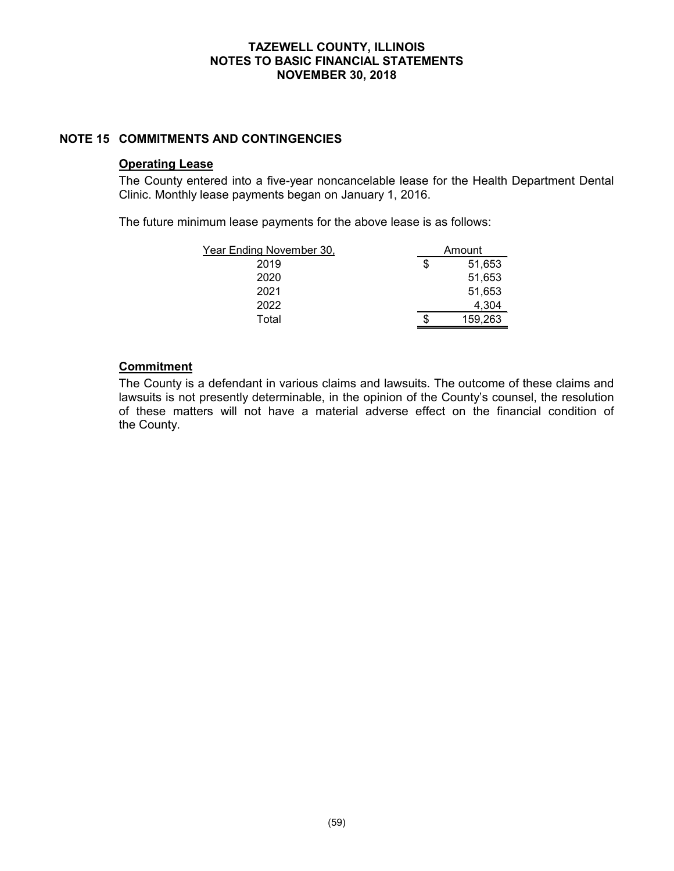### **NOTE 15 COMMITMENTS AND CONTINGENCIES**

#### **Operating Lease**

The County entered into a five-year noncancelable lease for the Health Department Dental Clinic. Monthly lease payments began on January 1, 2016.

The future minimum lease payments for the above lease is as follows:

| Year Ending November 30, | Amount |         |  |  |  |  |
|--------------------------|--------|---------|--|--|--|--|
| 2019                     | S      | 51,653  |  |  |  |  |
| 2020                     |        | 51,653  |  |  |  |  |
| 2021                     |        | 51,653  |  |  |  |  |
| 2022                     |        | 4.304   |  |  |  |  |
| Total                    | S      | 159,263 |  |  |  |  |

#### **Commitment**

The County is a defendant in various claims and lawsuits. The outcome of these claims and lawsuits is not presently determinable, in the opinion of the County's counsel, the resolution of these matters will not have a material adverse effect on the financial condition of the County.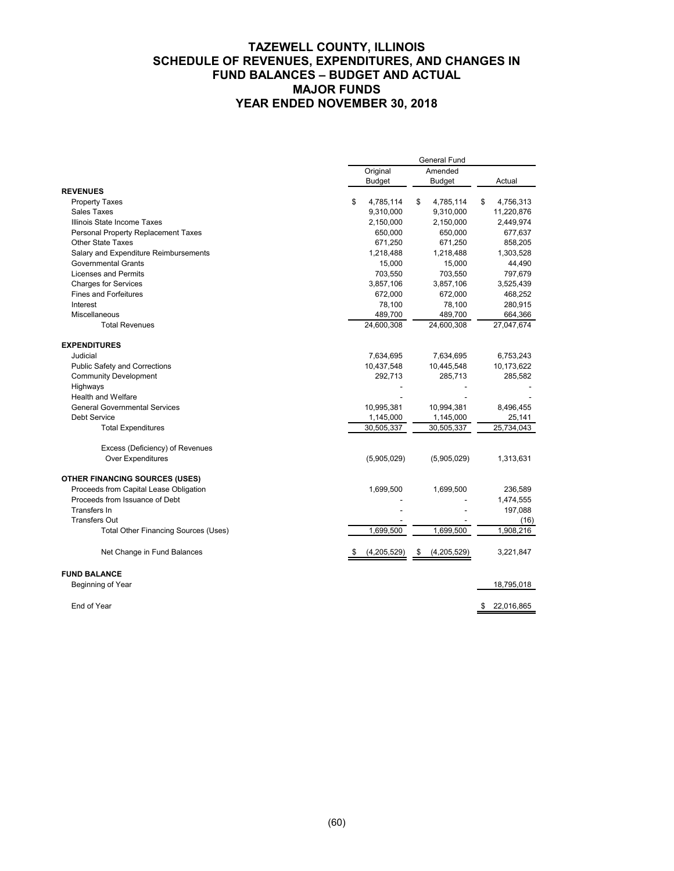# **TAZEWELL COUNTY, ILLINOIS SCHEDULE OF REVENUES, EXPENDITURES, AND CHANGES IN FUND BALANCES – BUDGET AND ACTUAL MAJOR FUNDS YEAR ENDED NOVEMBER 30, 2018**

|                                             | General Fund |               |                     |        |    |            |
|---------------------------------------------|--------------|---------------|---------------------|--------|----|------------|
|                                             |              | Original      |                     |        |    |            |
|                                             |              | <b>Budget</b> | <b>Budget</b>       |        |    | Actual     |
| <b>REVENUES</b>                             |              |               |                     |        |    |            |
| <b>Property Taxes</b>                       | \$           | 4,785,114     | \$<br>4,785,114     |        | \$ | 4,756,313  |
| <b>Sales Taxes</b>                          |              | 9,310,000     | 9,310,000           |        |    | 11,220,876 |
| Illinois State Income Taxes                 |              | 2,150,000     | 2,150,000           |        |    | 2,449,974  |
| Personal Property Replacement Taxes         |              | 650,000       | 650,000             |        |    | 677,637    |
| Other State Taxes                           |              | 671,250       | 671,250             |        |    | 858,205    |
| Salary and Expenditure Reimbursements       |              | 1,218,488     | 1,218,488           |        |    | 1,303,528  |
| <b>Governmental Grants</b>                  |              | 15,000        |                     | 15,000 |    | 44,490     |
| Licenses and Permits                        |              | 703,550       | 703,550             |        |    | 797,679    |
| <b>Charges for Services</b>                 |              | 3,857,106     | 3,857,106           |        |    | 3,525,439  |
| <b>Fines and Forfeitures</b>                |              | 672,000       | 672.000             |        |    | 468,252    |
| Interest                                    |              | 78,100        |                     | 78,100 |    | 280,915    |
| Miscellaneous                               |              | 489,700       | 489,700             |        |    | 664,366    |
| <b>Total Revenues</b>                       |              | 24,600,308    | 24,600,308          |        |    | 27,047,674 |
| <b>EXPENDITURES</b>                         |              |               |                     |        |    |            |
| Judicial                                    |              | 7,634,695     | 7,634,695           |        |    | 6,753,243  |
| Public Safety and Corrections               |              | 10,437,548    | 10,445,548          |        |    | 10,173,622 |
| <b>Community Development</b>                |              | 292,713       | 285,713             |        |    | 285,582    |
| Highways                                    |              |               |                     |        |    |            |
| Health and Welfare                          |              |               |                     |        |    |            |
| <b>General Governmental Services</b>        |              | 10,995,381    | 10,994,381          |        |    | 8,496,455  |
| Debt Service                                |              | 1,145,000     | 1,145,000           |        |    | 25,141     |
| <b>Total Expenditures</b>                   |              | 30,505,337    | 30,505,337          |        |    | 25,734,043 |
| Excess (Deficiency) of Revenues             |              |               |                     |        |    |            |
| Over Expenditures                           |              | (5,905,029)   | (5,905,029)         |        |    | 1,313,631  |
| <b>OTHER FINANCING SOURCES (USES)</b>       |              |               |                     |        |    |            |
| Proceeds from Capital Lease Obligation      |              | 1,699,500     | 1,699,500           |        |    | 236,589    |
| Proceeds from Issuance of Debt              |              |               |                     |        |    | 1,474,555  |
| Transfers In                                |              |               |                     |        |    | 197,088    |
| <b>Transfers Out</b>                        |              |               |                     |        |    | (16)       |
| <b>Total Other Financing Sources (Uses)</b> |              | 1,699,500     | 1,699,500           |        |    | 1,908,216  |
| Net Change in Fund Balances                 |              | (4,205,529)   | (4,205,529)<br>- \$ |        |    | 3,221,847  |
| <b>FUND BALANCE</b>                         |              |               |                     |        |    |            |
| Beginning of Year                           |              |               |                     |        |    | 18,795,018 |

End of Year \$ 22,016,865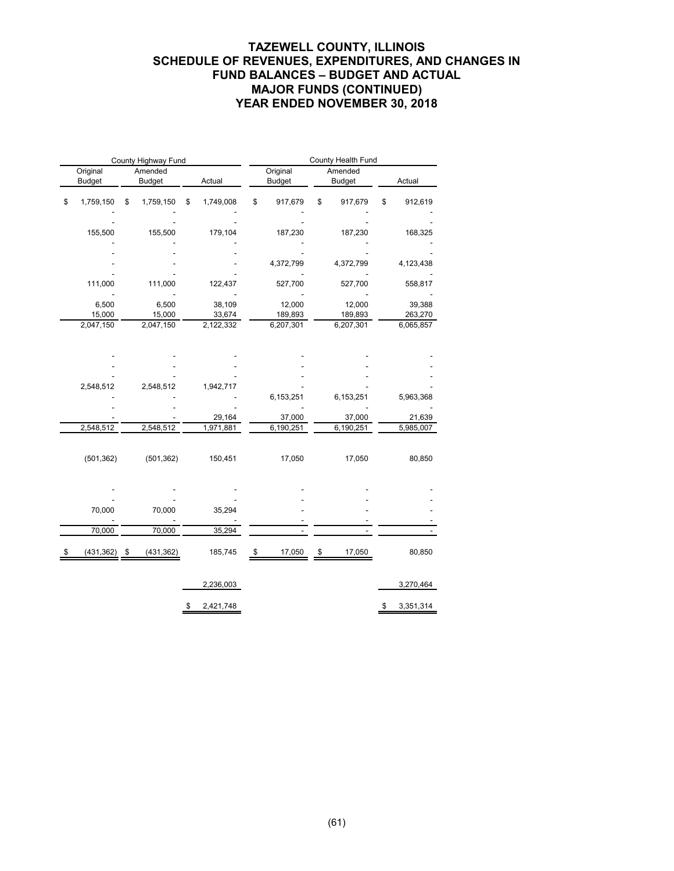# **TAZEWELL COUNTY, ILLINOIS SCHEDULE OF REVENUES, EXPENDITURES, AND CHANGES IN FUND BALANCES – BUDGET AND ACTUAL MAJOR FUNDS (CONTINUED) YEAR ENDED NOVEMBER 30, 2018**

| County Highway Fund       |    |                          |    |                     | County Health Fund |                           |    |                          |    |                     |
|---------------------------|----|--------------------------|----|---------------------|--------------------|---------------------------|----|--------------------------|----|---------------------|
| Original<br><b>Budget</b> |    | Amended<br><b>Budget</b> |    | Actual              |                    | Original<br><b>Budget</b> |    | Amended<br><b>Budget</b> |    | Actual              |
| \$<br>1,759,150           | \$ | 1,759,150                | \$ | 1,749,008           | \$                 | 917,679                   | \$ | 917,679                  | \$ | 912,619             |
|                           |    |                          |    |                     |                    |                           |    |                          |    |                     |
| 155,500                   |    | 155,500                  |    | 179,104             |                    | 187,230                   |    | 187,230                  |    | 168,325             |
|                           |    |                          |    |                     |                    |                           |    |                          |    |                     |
|                           |    |                          |    |                     |                    | 4,372,799                 |    | 4,372,799                |    | 4,123,438           |
| 111,000                   |    | 111,000                  |    | 122,437             |                    | 527,700                   |    | 527,700                  |    | 558,817             |
| 6,500                     |    | 6,500                    |    | 38,109              |                    | 12,000                    |    | 12,000                   |    |                     |
| 15,000                    |    | 15,000                   |    | 33,674              |                    | 189,893                   |    | 189,893                  |    | 39,388<br>263,270   |
| 2,047,150                 |    | 2,047,150                |    | 2,122,332           |                    | 6,207,301                 |    | 6,207,301                |    | 6,065,857           |
|                           |    |                          |    |                     |                    |                           |    |                          |    |                     |
|                           |    |                          |    |                     |                    |                           |    |                          |    |                     |
|                           |    |                          |    |                     |                    |                           |    |                          |    |                     |
|                           |    |                          |    |                     |                    |                           |    |                          |    |                     |
| 2,548,512                 |    | 2,548,512                |    | 1,942,717           |                    |                           |    |                          |    |                     |
|                           |    |                          |    |                     |                    | 6,153,251                 |    | 6,153,251                |    | 5,963,368           |
|                           |    |                          |    |                     |                    |                           |    |                          |    |                     |
| 2,548,512                 |    | 2,548,512                |    | 29,164<br>1,971,881 |                    | 37,000<br>6,190,251       |    | 37,000<br>6,190,251      |    | 21,639<br>5,985,007 |
|                           |    |                          |    |                     |                    |                           |    |                          |    |                     |
| (501, 362)                |    | (501, 362)               |    | 150,451             |                    | 17,050                    |    | 17,050                   |    | 80,850              |
|                           |    |                          |    |                     |                    |                           |    |                          |    |                     |
|                           |    |                          |    |                     |                    |                           |    |                          |    |                     |
| 70,000                    |    | 70,000                   |    | 35,294              |                    |                           |    |                          |    |                     |
|                           |    |                          |    |                     |                    |                           |    |                          |    |                     |
| 70,000                    |    | 70,000                   |    | 35,294              |                    |                           |    |                          |    |                     |
| (431, 362)                | \$ | (431, 362)               |    | 185,745             | \$                 | 17,050                    | \$ | 17,050                   |    | 80,850              |
|                           |    |                          |    | 2,236,003           |                    |                           |    |                          |    | 3,270,464           |
|                           |    |                          |    |                     |                    |                           |    |                          |    |                     |
|                           |    |                          | \$ | 2,421,748           |                    |                           |    |                          | \$ | 3,351,314           |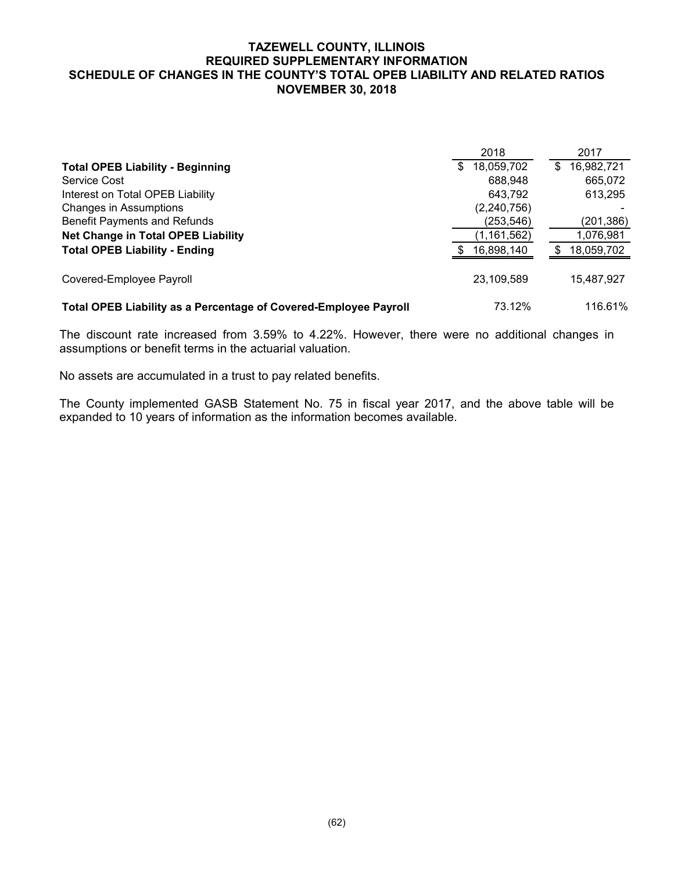### **TAZEWELL COUNTY, ILLINOIS REQUIRED SUPPLEMENTARY INFORMATION SCHEDULE OF CHANGES IN THE COUNTY'S TOTAL OPEB LIABILITY AND RELATED RATIOS NOVEMBER 30, 2018**

|                                                                  | 2018             | 2017             |
|------------------------------------------------------------------|------------------|------------------|
| <b>Total OPEB Liability - Beginning</b>                          | 18,059,702<br>\$ | 16,982,721<br>\$ |
| Service Cost                                                     | 688.948          | 665,072          |
| Interest on Total OPEB Liability                                 | 643.792          | 613,295          |
| Changes in Assumptions                                           | (2, 240, 756)    |                  |
| Benefit Payments and Refunds                                     | (253, 546)       | (201,386)        |
| <b>Net Change in Total OPEB Liability</b>                        | (1,161,562)      | 1,076,981        |
| <b>Total OPEB Liability - Ending</b>                             | 16,898,140       | 18,059,702       |
| Covered-Employee Payroll                                         | 23,109,589       | 15,487,927       |
| Total OPEB Liability as a Percentage of Covered-Employee Payroll | 73.12%           | 116.61%          |

The discount rate increased from 3.59% to 4.22%. However, there were no additional changes in assumptions or benefit terms in the actuarial valuation.

No assets are accumulated in a trust to pay related benefits.

The County implemented GASB Statement No. 75 in fiscal year 2017, and the above table will be expanded to 10 years of information as the information becomes available.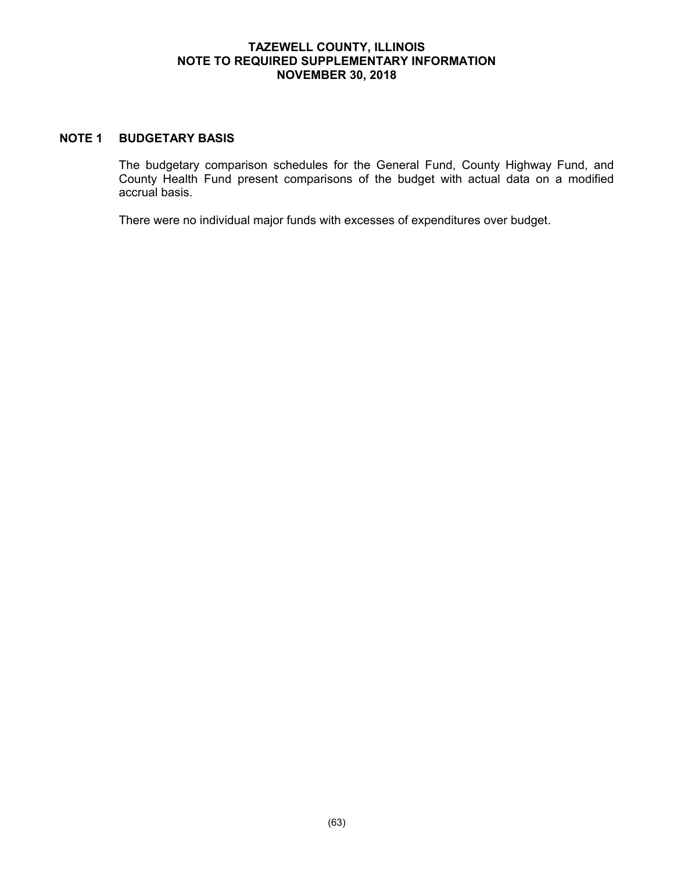### **TAZEWELL COUNTY, ILLINOIS NOTE TO REQUIRED SUPPLEMENTARY INFORMATION NOVEMBER 30, 2018**

### **NOTE 1 BUDGETARY BASIS**

The budgetary comparison schedules for the General Fund, County Highway Fund, and County Health Fund present comparisons of the budget with actual data on a modified accrual basis.

There were no individual major funds with excesses of expenditures over budget.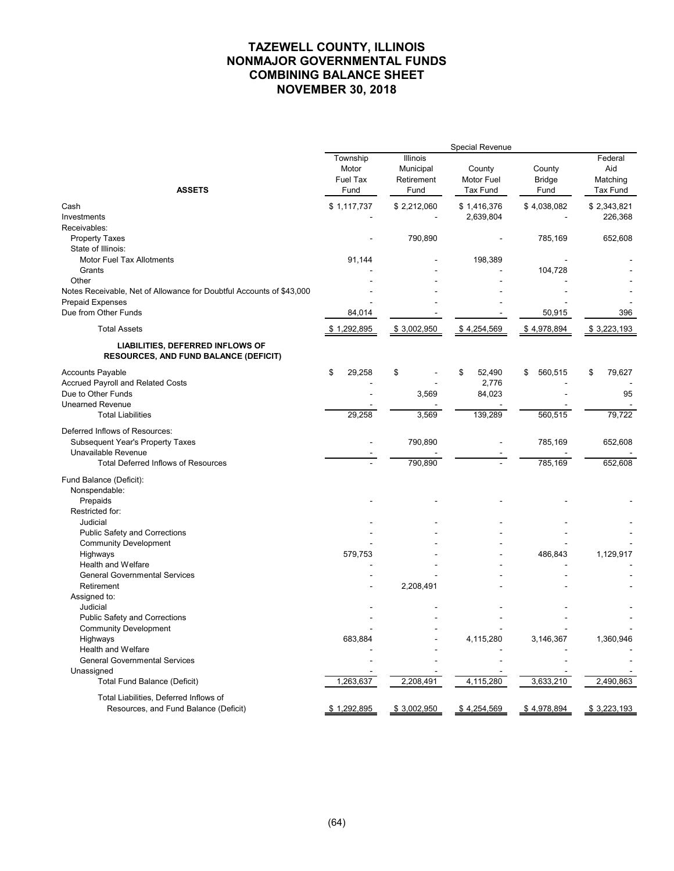|                                                                                                                         |                                              |                                             | Special Revenue                  |                                 |                                               |
|-------------------------------------------------------------------------------------------------------------------------|----------------------------------------------|---------------------------------------------|----------------------------------|---------------------------------|-----------------------------------------------|
| <b>ASSETS</b>                                                                                                           | Township<br>Motor<br><b>Fuel Tax</b><br>Fund | Illinois<br>Municipal<br>Retirement<br>Fund | County<br>Motor Fuel<br>Tax Fund | County<br><b>Bridge</b><br>Fund | Federal<br>Aid<br>Matching<br><b>Tax Fund</b> |
| Cash<br>Investments<br>Receivables:                                                                                     | \$1,117,737                                  | \$2,212,060                                 | \$1,416,376<br>2,639,804         | \$4,038,082                     | \$2,343,821<br>226,368                        |
| <b>Property Taxes</b><br>State of Illinois:                                                                             |                                              | 790,890                                     |                                  | 785,169                         | 652,608                                       |
| Motor Fuel Tax Allotments<br>Grants<br>Other                                                                            | 91,144                                       |                                             | 198,389                          | 104,728                         |                                               |
| Notes Receivable, Net of Allowance for Doubtful Accounts of \$43,000<br><b>Prepaid Expenses</b><br>Due from Other Funds | 84,014                                       |                                             |                                  | 50,915                          | 396                                           |
| <b>Total Assets</b>                                                                                                     | \$1,292,895                                  | \$3,002,950                                 | \$4,254,569                      | \$4,978,894                     | \$3,223,193                                   |
| LIABILITIES, DEFERRED INFLOWS OF<br><b>RESOURCES, AND FUND BALANCE (DEFICIT)</b>                                        |                                              |                                             |                                  |                                 |                                               |
| <b>Accounts Payable</b><br><b>Accrued Payroll and Related Costs</b><br>Due to Other Funds                               | 29,258<br>\$                                 | \$<br>3,569                                 | 52,490<br>\$<br>2,776<br>84,023  | 560,515<br>\$                   | \$<br>79,627<br>95                            |
| <b>Unearned Revenue</b><br><b>Total Liabilities</b>                                                                     | 29,258                                       | 3,569                                       | 139,289                          | 560,515                         | 79,722                                        |
| Deferred Inflows of Resources:<br>Subsequent Year's Property Taxes<br>Unavailable Revenue                               |                                              | 790,890                                     | L,                               | 785,169                         | 652,608                                       |
| <b>Total Deferred Inflows of Resources</b>                                                                              |                                              | 790,890                                     |                                  | 785,169                         | 652,608                                       |
| Fund Balance (Deficit):<br>Nonspendable:<br>Prepaids                                                                    |                                              |                                             |                                  |                                 |                                               |
| Restricted for:<br>Judicial                                                                                             |                                              |                                             |                                  |                                 |                                               |
| Public Safety and Corrections<br><b>Community Development</b>                                                           |                                              |                                             |                                  |                                 |                                               |
| Highways<br>Health and Welfare<br><b>General Governmental Services</b>                                                  | 579,753                                      |                                             |                                  | 486,843                         | 1,129,917                                     |
| Retirement<br>Assigned to:                                                                                              |                                              | 2,208,491                                   |                                  |                                 |                                               |
| Judicial<br><b>Public Safety and Corrections</b>                                                                        |                                              |                                             |                                  |                                 |                                               |
| <b>Community Development</b><br>Highways<br>Health and Welfare                                                          | 683,884                                      |                                             | 4,115,280                        | 3,146,367                       | 1,360,946                                     |
| <b>General Governmental Services</b><br>Unassigned                                                                      |                                              |                                             |                                  |                                 |                                               |
| <b>Total Fund Balance (Deficit)</b>                                                                                     | 1,263,637                                    | 2,208,491                                   | 4,115,280                        | 3,633,210                       | 2,490,863                                     |
| Total Liabilities, Deferred Inflows of<br>Resources, and Fund Balance (Deficit)                                         | \$1,292,895                                  | \$3,002,950                                 | \$4,254,569                      | \$4,978,894                     | \$3,223,193                                   |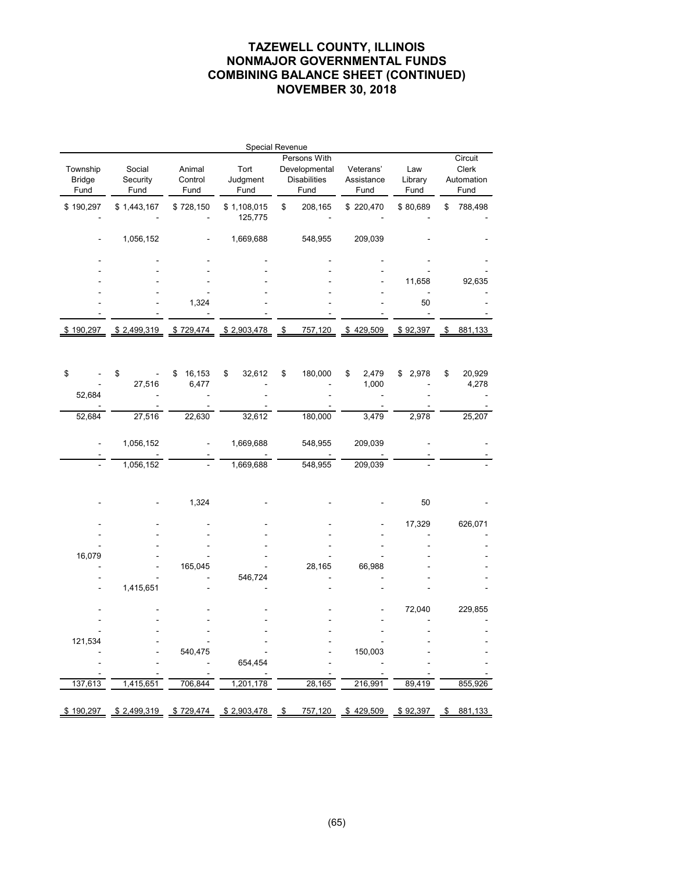|                                   |                            |                           | Special Revenue          |                                                              |                                 |                        |                                        |
|-----------------------------------|----------------------------|---------------------------|--------------------------|--------------------------------------------------------------|---------------------------------|------------------------|----------------------------------------|
| Township<br><b>Bridge</b><br>Fund | Social<br>Security<br>Fund | Animal<br>Control<br>Fund | Tort<br>Judgment<br>Fund | Persons With<br>Developmental<br><b>Disabilities</b><br>Fund | Veterans'<br>Assistance<br>Fund | Law<br>Library<br>Fund | Circuit<br>Clerk<br>Automation<br>Fund |
| \$190,297                         | \$1,443,167                | \$728,150                 | \$1,108,015              | \$<br>208,165                                                | \$220,470                       | \$80,689               | \$<br>788,498                          |
|                                   |                            |                           | 125,775                  |                                                              |                                 |                        |                                        |
|                                   | 1,056,152                  |                           | 1,669,688                | 548,955                                                      | 209,039                         |                        |                                        |
|                                   |                            |                           |                          |                                                              |                                 |                        |                                        |
|                                   |                            |                           |                          |                                                              |                                 |                        |                                        |
|                                   |                            |                           |                          |                                                              |                                 | 11,658                 | 92,635                                 |
|                                   |                            | 1,324                     |                          |                                                              |                                 | 50                     |                                        |
|                                   |                            |                           |                          |                                                              |                                 |                        |                                        |
| \$190,297                         | \$2,499,319                | \$729,474                 | \$2,903,478              | \$<br>757,120                                                | \$429,509                       | \$92,397               | \$<br>881,133                          |
|                                   |                            |                           |                          |                                                              |                                 |                        |                                        |
|                                   |                            |                           |                          |                                                              |                                 |                        |                                        |
|                                   |                            |                           |                          |                                                              |                                 |                        |                                        |
| \$                                | \$<br>27,516               | 16,153<br>\$<br>6,477     | 32,612<br>\$             | \$<br>180,000                                                | \$<br>2,479<br>1,000            | \$<br>2,978            | \$<br>20,929<br>4,278                  |
| 52,684                            |                            |                           |                          |                                                              |                                 |                        |                                        |
|                                   |                            |                           |                          |                                                              |                                 |                        |                                        |
| 52,684                            | 27,516                     | 22,630                    | 32,612                   | 180,000                                                      | 3,479                           | 2,978                  | 25,207                                 |
|                                   |                            |                           |                          |                                                              |                                 |                        |                                        |
|                                   | 1,056,152                  |                           | 1,669,688                | 548,955                                                      | 209,039                         |                        |                                        |
|                                   |                            |                           |                          |                                                              |                                 |                        |                                        |
|                                   | 1,056,152                  |                           | 1,669,688                | 548,955                                                      | 209,039                         |                        |                                        |
|                                   |                            |                           |                          |                                                              |                                 |                        |                                        |
|                                   |                            | 1,324                     |                          |                                                              |                                 | 50                     |                                        |
|                                   |                            |                           |                          |                                                              |                                 |                        |                                        |
|                                   |                            |                           |                          |                                                              |                                 | 17,329                 | 626,071                                |
|                                   |                            |                           |                          |                                                              |                                 |                        |                                        |
| 16,079                            |                            |                           |                          |                                                              |                                 |                        |                                        |
|                                   |                            | 165,045                   |                          | 28,165                                                       | 66,988                          |                        |                                        |
|                                   |                            |                           | 546,724                  |                                                              |                                 |                        |                                        |
|                                   | 1,415,651                  |                           |                          |                                                              |                                 |                        |                                        |
|                                   |                            |                           |                          |                                                              |                                 |                        |                                        |
|                                   |                            |                           |                          |                                                              |                                 | 72,040                 | 229,855                                |
|                                   |                            |                           |                          |                                                              |                                 |                        |                                        |
| 121,534                           |                            |                           |                          |                                                              |                                 |                        |                                        |
|                                   |                            | 540,475                   |                          |                                                              | 150,003                         |                        |                                        |
|                                   |                            |                           | 654,454                  |                                                              |                                 |                        |                                        |
| 137,613                           | 1,415,651                  | 706,844                   | 1,201,178                | 28,165                                                       | 216,991                         | 89,419                 | 855,926                                |
|                                   |                            |                           |                          |                                                              |                                 |                        |                                        |
| \$190,297                         | \$2,499,319                | \$729,474                 | \$2,903,478              | \$<br>757,120                                                | \$429,509                       | \$92,397               | \$<br>881,133                          |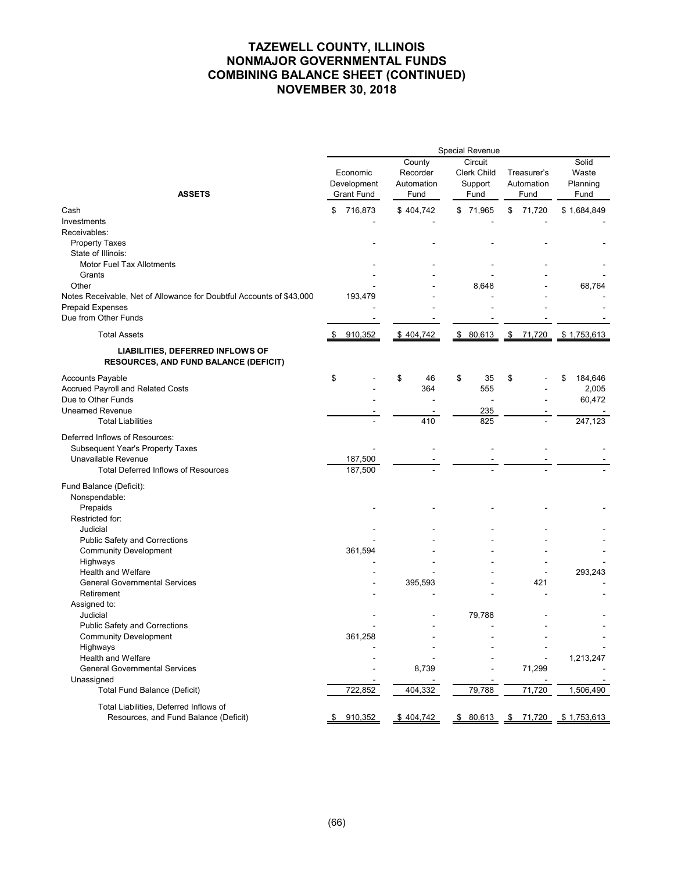|                                                                                  | Special Revenue |                                              |    |                                          |    |                                                  |    |                                   |    |                                    |
|----------------------------------------------------------------------------------|-----------------|----------------------------------------------|----|------------------------------------------|----|--------------------------------------------------|----|-----------------------------------|----|------------------------------------|
| <b>ASSETS</b>                                                                    |                 | Economic<br>Development<br><b>Grant Fund</b> |    | County<br>Recorder<br>Automation<br>Fund |    | Circuit<br><b>Clerk Child</b><br>Support<br>Fund |    | Treasurer's<br>Automation<br>Fund |    | Solid<br>Waste<br>Planning<br>Fund |
| Cash                                                                             | \$              | 716,873                                      |    | \$404,742                                |    | \$71,965                                         | \$ | 71,720                            |    | \$1,684,849                        |
| Investments                                                                      |                 |                                              |    |                                          |    |                                                  |    |                                   |    |                                    |
| Receivables:                                                                     |                 |                                              |    |                                          |    |                                                  |    |                                   |    |                                    |
| <b>Property Taxes</b>                                                            |                 |                                              |    |                                          |    |                                                  |    |                                   |    |                                    |
| State of Illinois:                                                               |                 |                                              |    |                                          |    |                                                  |    |                                   |    |                                    |
| <b>Motor Fuel Tax Allotments</b>                                                 |                 |                                              |    |                                          |    |                                                  |    |                                   |    |                                    |
| Grants                                                                           |                 |                                              |    |                                          |    |                                                  |    |                                   |    |                                    |
| Other                                                                            |                 |                                              |    |                                          |    | 8,648                                            |    |                                   |    | 68,764                             |
| Notes Receivable, Net of Allowance for Doubtful Accounts of \$43,000             |                 | 193,479                                      |    |                                          |    |                                                  |    |                                   |    |                                    |
| <b>Prepaid Expenses</b>                                                          |                 |                                              |    |                                          |    |                                                  |    |                                   |    |                                    |
| Due from Other Funds                                                             |                 |                                              |    |                                          |    |                                                  |    |                                   |    |                                    |
| <b>Total Assets</b>                                                              | \$              | 910,352                                      |    | \$404,742                                | \$ | 80,613                                           | \$ | 71,720                            |    | \$1,753,613                        |
| LIABILITIES, DEFERRED INFLOWS OF<br><b>RESOURCES, AND FUND BALANCE (DEFICIT)</b> |                 |                                              |    |                                          |    |                                                  |    |                                   |    |                                    |
| <b>Accounts Payable</b>                                                          | \$              |                                              | \$ | 46                                       | \$ | 35                                               | \$ |                                   | \$ | 184,646                            |
| Accrued Payroll and Related Costs                                                |                 |                                              |    | 364                                      |    | 555                                              |    |                                   |    | 2,005                              |
| Due to Other Funds                                                               |                 |                                              |    |                                          |    | ÷,                                               |    |                                   |    | 60,472                             |
| <b>Unearned Revenue</b>                                                          |                 |                                              |    |                                          |    | 235                                              |    |                                   |    |                                    |
| <b>Total Liabilities</b>                                                         |                 |                                              |    | 410                                      |    | 825                                              |    |                                   |    | 247,123                            |
| Deferred Inflows of Resources:                                                   |                 |                                              |    |                                          |    |                                                  |    |                                   |    |                                    |
| Subsequent Year's Property Taxes                                                 |                 |                                              |    |                                          |    |                                                  |    |                                   |    |                                    |
| Unavailable Revenue                                                              |                 | 187,500                                      |    |                                          |    |                                                  |    |                                   |    |                                    |
| <b>Total Deferred Inflows of Resources</b>                                       |                 | 187,500                                      |    |                                          |    |                                                  |    |                                   |    |                                    |
| Fund Balance (Deficit):                                                          |                 |                                              |    |                                          |    |                                                  |    |                                   |    |                                    |
| Nonspendable:                                                                    |                 |                                              |    |                                          |    |                                                  |    |                                   |    |                                    |
| Prepaids                                                                         |                 |                                              |    |                                          |    |                                                  |    |                                   |    |                                    |
| Restricted for:                                                                  |                 |                                              |    |                                          |    |                                                  |    |                                   |    |                                    |
| Judicial                                                                         |                 |                                              |    |                                          |    |                                                  |    |                                   |    |                                    |
| Public Safety and Corrections                                                    |                 |                                              |    |                                          |    |                                                  |    |                                   |    |                                    |
| <b>Community Development</b>                                                     |                 | 361,594                                      |    |                                          |    |                                                  |    |                                   |    |                                    |
| Highways                                                                         |                 |                                              |    |                                          |    |                                                  |    |                                   |    |                                    |
| Health and Welfare<br><b>General Governmental Services</b>                       |                 |                                              |    | 395,593                                  |    |                                                  |    | 421                               |    | 293,243                            |
| Retirement                                                                       |                 |                                              |    |                                          |    |                                                  |    |                                   |    |                                    |
| Assigned to:                                                                     |                 |                                              |    |                                          |    |                                                  |    |                                   |    |                                    |
| Judicial                                                                         |                 |                                              |    |                                          |    | 79,788                                           |    |                                   |    |                                    |
| Public Safety and Corrections                                                    |                 |                                              |    |                                          |    |                                                  |    |                                   |    |                                    |
| Community Development                                                            |                 | 361,258                                      |    |                                          |    |                                                  |    |                                   |    |                                    |
| Highways                                                                         |                 |                                              |    |                                          |    |                                                  |    |                                   |    |                                    |
| Health and Welfare                                                               |                 |                                              |    |                                          |    |                                                  |    |                                   |    | 1,213,247                          |
| <b>General Governmental Services</b>                                             |                 |                                              |    | 8,739                                    |    |                                                  |    | 71,299                            |    |                                    |
| Unassigned                                                                       |                 |                                              |    |                                          |    |                                                  |    |                                   |    |                                    |
| <b>Total Fund Balance (Deficit)</b>                                              |                 | 722,852                                      |    | 404,332                                  |    | 79,788                                           |    | 71,720                            |    | 1,506,490                          |
| Total Liabilities, Deferred Inflows of                                           |                 |                                              |    |                                          |    |                                                  |    |                                   |    |                                    |
| Resources, and Fund Balance (Deficit)                                            | \$              | 910,352                                      |    | \$404,742                                |    |                                                  |    | \$ 80,613 \$ 71,720 \$ 1,753,613  |    |                                    |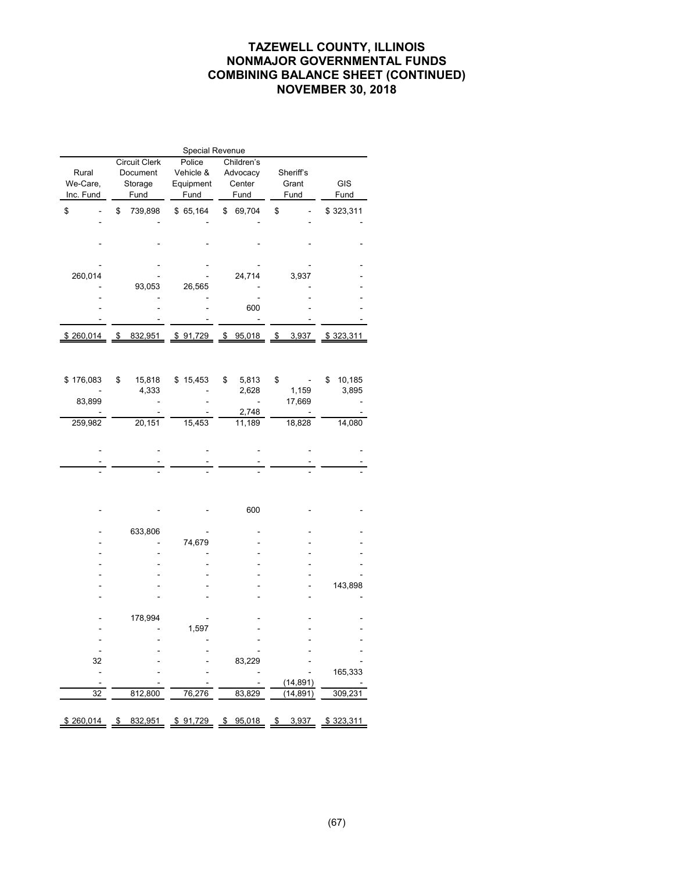| Special Revenue |    |                      |           |    |                          |           |           |              |  |  |
|-----------------|----|----------------------|-----------|----|--------------------------|-----------|-----------|--------------|--|--|
|                 |    | <b>Circuit Clerk</b> | Police    |    | Children's               |           |           |              |  |  |
| Rural           |    | Document             | Vehicle & |    | Advocacy                 | Sheriff's |           |              |  |  |
| We-Care,        |    | Storage              | Equipment |    | Center                   |           | Grant     | GIS          |  |  |
| Inc. Fund       |    | Fund                 | Fund      |    | Fund                     |           | Fund      | Fund         |  |  |
|                 |    |                      |           |    |                          |           |           |              |  |  |
| \$              | \$ | 739,898              | \$65,164  |    | \$ 69,704                | \$        |           | \$323,311    |  |  |
|                 |    |                      |           |    |                          |           |           |              |  |  |
|                 |    |                      |           |    |                          |           |           |              |  |  |
|                 |    |                      |           |    |                          |           |           |              |  |  |
|                 |    |                      |           |    |                          |           |           |              |  |  |
|                 |    |                      |           |    |                          |           |           |              |  |  |
| 260,014         |    |                      |           |    | 24,714                   |           | 3,937     |              |  |  |
|                 |    | 93,053               | 26,565    |    |                          |           |           |              |  |  |
|                 |    |                      |           |    |                          |           |           |              |  |  |
|                 |    |                      |           |    | 600                      |           |           |              |  |  |
|                 |    |                      |           |    |                          |           |           |              |  |  |
| \$260,014       | \$ | 832,951              | \$91,729  | \$ | 95,018                   | \$        | 3,937     | \$323,311    |  |  |
|                 |    |                      |           |    |                          |           |           |              |  |  |
|                 |    |                      |           |    |                          |           |           |              |  |  |
|                 |    |                      |           |    |                          |           |           |              |  |  |
| \$176,083       | \$ | 15,818               | \$15,453  | \$ | 5,813                    | \$        |           | 10,185<br>\$ |  |  |
|                 |    | 4,333                |           |    | 2,628                    |           | 1,159     | 3,895        |  |  |
| 83,899          |    |                      |           |    | $\overline{\phantom{a}}$ |           | 17,669    |              |  |  |
|                 |    |                      |           |    | 2,748                    |           |           |              |  |  |
| 259,982         |    | 20,151               | 15,453    |    | 11,189                   |           | 18,828    | 14,080       |  |  |
|                 |    |                      |           |    |                          |           |           |              |  |  |
|                 |    |                      |           |    |                          |           |           |              |  |  |
|                 |    |                      |           |    |                          |           |           |              |  |  |
|                 |    |                      |           |    |                          |           |           |              |  |  |
|                 |    |                      |           |    |                          |           |           |              |  |  |
|                 |    |                      |           |    |                          |           |           |              |  |  |
|                 |    |                      |           |    | 600                      |           |           |              |  |  |
|                 |    |                      |           |    |                          |           |           |              |  |  |
|                 |    | 633,806              |           |    |                          |           |           |              |  |  |
|                 |    |                      | 74,679    |    |                          |           |           |              |  |  |
|                 |    |                      |           |    |                          |           |           |              |  |  |
|                 |    |                      |           |    |                          |           |           |              |  |  |
|                 |    |                      |           |    |                          |           |           |              |  |  |
|                 |    |                      |           |    |                          |           |           | 143,898      |  |  |
|                 |    |                      |           |    |                          |           |           |              |  |  |
|                 |    |                      |           |    |                          |           |           |              |  |  |
|                 |    | 178,994              |           |    |                          |           |           |              |  |  |
|                 |    |                      | 1,597     |    |                          |           |           |              |  |  |
|                 |    |                      |           |    |                          |           |           |              |  |  |
| Ξ               |    |                      |           |    |                          |           |           |              |  |  |
| 32              |    |                      |           |    | 83,229                   |           |           |              |  |  |
| ÷               |    |                      |           |    |                          |           |           | 165,333      |  |  |
|                 |    |                      |           |    |                          |           | (14, 891) |              |  |  |
| 32              |    | 812,800              | 76,276    |    | 83,829                   |           | 14,891)   | 309,231      |  |  |
|                 |    |                      |           |    |                          |           |           |              |  |  |
|                 |    |                      |           |    |                          |           |           |              |  |  |
| \$260,014       | \$ | 832,951              | \$91,729  |    | \$95,018                 |           | \$3,937   | \$323,311    |  |  |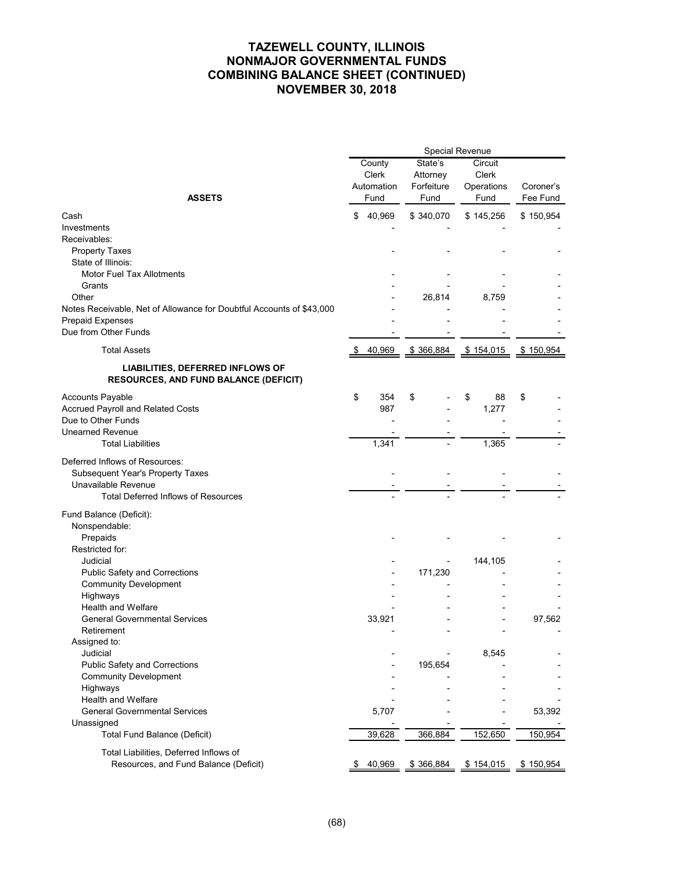|                                                                                         | Special Revenue |                                       |                                           |                                        |                       |  |  |
|-----------------------------------------------------------------------------------------|-----------------|---------------------------------------|-------------------------------------------|----------------------------------------|-----------------------|--|--|
| <b>ASSETS</b>                                                                           |                 | County<br>Clerk<br>Automation<br>Fund | State's<br>Attorney<br>Forfeiture<br>Fund | Circuit<br>Clerk<br>Operations<br>Fund | Coroner's<br>Fee Fund |  |  |
|                                                                                         |                 |                                       |                                           |                                        |                       |  |  |
| Cash                                                                                    | \$              | 40,969                                | \$340,070                                 | \$145,256                              | \$150,954             |  |  |
| Investments                                                                             |                 |                                       |                                           |                                        |                       |  |  |
| Receivables:                                                                            |                 |                                       |                                           |                                        |                       |  |  |
| <b>Property Taxes</b>                                                                   |                 |                                       |                                           |                                        |                       |  |  |
| State of Illinois:                                                                      |                 |                                       |                                           |                                        |                       |  |  |
| <b>Motor Fuel Tax Allotments</b><br>Grants                                              |                 |                                       |                                           |                                        |                       |  |  |
| Other                                                                                   |                 |                                       | 26,814                                    | 8,759                                  |                       |  |  |
| Notes Receivable, Net of Allowance for Doubtful Accounts of \$43,000                    |                 |                                       |                                           |                                        |                       |  |  |
| Prepaid Expenses                                                                        |                 |                                       |                                           |                                        |                       |  |  |
| Due from Other Funds                                                                    |                 |                                       |                                           |                                        |                       |  |  |
|                                                                                         |                 |                                       |                                           |                                        |                       |  |  |
| <b>Total Assets</b>                                                                     |                 | 40,969                                | \$366,884                                 | \$154,015                              | \$150,954             |  |  |
| <b>LIABILITIES, DEFERRED INFLOWS OF</b><br><b>RESOURCES, AND FUND BALANCE (DEFICIT)</b> |                 |                                       |                                           |                                        |                       |  |  |
| <b>Accounts Payable</b>                                                                 | \$              | 354                                   | \$                                        | \$<br>88                               | \$                    |  |  |
| Accrued Payroll and Related Costs                                                       |                 | 987                                   |                                           | 1,277                                  |                       |  |  |
| Due to Other Funds                                                                      |                 |                                       |                                           |                                        |                       |  |  |
| <b>Unearned Revenue</b>                                                                 |                 |                                       |                                           |                                        |                       |  |  |
| <b>Total Liabilities</b>                                                                |                 | 1,341                                 |                                           | 1,365                                  |                       |  |  |
| Deferred Inflows of Resources:                                                          |                 |                                       |                                           |                                        |                       |  |  |
| Subsequent Year's Property Taxes                                                        |                 |                                       |                                           |                                        |                       |  |  |
| Unavailable Revenue                                                                     |                 |                                       |                                           |                                        |                       |  |  |
| <b>Total Deferred Inflows of Resources</b>                                              |                 |                                       |                                           |                                        |                       |  |  |
|                                                                                         |                 |                                       |                                           |                                        |                       |  |  |
| Fund Balance (Deficit):                                                                 |                 |                                       |                                           |                                        |                       |  |  |
| Nonspendable:                                                                           |                 |                                       |                                           |                                        |                       |  |  |
| Prepaids                                                                                |                 |                                       |                                           |                                        |                       |  |  |
| Restricted for:<br>Judicial                                                             |                 |                                       |                                           |                                        |                       |  |  |
|                                                                                         |                 |                                       |                                           | 144,105                                |                       |  |  |
| Public Safety and Corrections<br><b>Community Development</b>                           |                 |                                       | 171,230                                   |                                        |                       |  |  |
| Highways                                                                                |                 |                                       |                                           |                                        |                       |  |  |
| Health and Welfare                                                                      |                 |                                       |                                           |                                        |                       |  |  |
| <b>General Governmental Services</b>                                                    |                 | 33,921                                |                                           |                                        | 97,562                |  |  |
| Retirement                                                                              |                 |                                       |                                           |                                        |                       |  |  |
| Assigned to:                                                                            |                 |                                       |                                           |                                        |                       |  |  |
| Judicial                                                                                |                 |                                       |                                           | 8,545                                  |                       |  |  |
| <b>Public Safety and Corrections</b>                                                    |                 |                                       | 195,654                                   |                                        |                       |  |  |
| <b>Community Development</b>                                                            |                 |                                       |                                           |                                        |                       |  |  |
| Highways                                                                                |                 |                                       |                                           |                                        |                       |  |  |
| <b>Health and Welfare</b>                                                               |                 |                                       |                                           |                                        |                       |  |  |
| <b>General Governmental Services</b>                                                    |                 | 5,707                                 |                                           |                                        | 53,392                |  |  |
| Unassigned                                                                              |                 |                                       |                                           |                                        |                       |  |  |
| <b>Total Fund Balance (Deficit)</b>                                                     |                 | 39,628                                | 366,884                                   | 152,650                                | 150,954               |  |  |
| Total Liabilities, Deferred Inflows of                                                  |                 |                                       |                                           |                                        |                       |  |  |
| Resources, and Fund Balance (Deficit)                                                   | \$              | 40,969                                | \$366,884                                 | \$154,015                              | \$150,954             |  |  |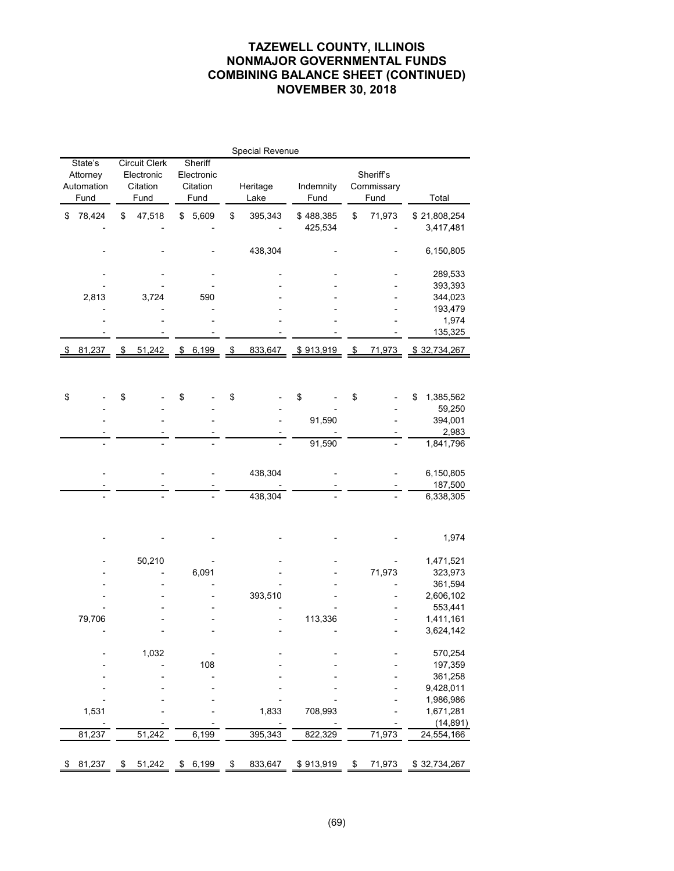# **TAZEWELL COUNTY, ILLINOIS NONMAJOR GOVERNMENTAL FUNDS COMBINING BALANCE SHEET (CONTINUED) NOVEMBER 30, 2018**

|                                           | Special Revenue |                                                        |        |                                           |       |                         |         |                      |                         |                                 |        |    |                           |
|-------------------------------------------|-----------------|--------------------------------------------------------|--------|-------------------------------------------|-------|-------------------------|---------|----------------------|-------------------------|---------------------------------|--------|----|---------------------------|
| State's<br>Attorney<br>Automation<br>Fund |                 | <b>Circuit Clerk</b><br>Electronic<br>Citation<br>Fund |        | Sheriff<br>Electronic<br>Citation<br>Fund |       | Heritage<br>Lake        |         | Indemnity<br>Fund    |                         | Sheriff's<br>Commissary<br>Fund |        |    | Total                     |
| \$                                        | 78,424          | \$                                                     | 47,518 | \$                                        | 5,609 | \$                      | 395,343 | \$488,385<br>425,534 |                         | \$                              | 71,973 |    | \$21,808,254<br>3,417,481 |
|                                           |                 |                                                        |        |                                           |       |                         | 438,304 |                      |                         |                                 |        |    | 6,150,805                 |
|                                           |                 |                                                        |        |                                           |       |                         |         |                      |                         |                                 |        |    | 289,533                   |
|                                           |                 |                                                        |        |                                           |       |                         |         |                      |                         |                                 |        |    | 393,393                   |
|                                           | 2,813           |                                                        | 3,724  |                                           | 590   |                         |         |                      |                         |                                 |        |    | 344,023                   |
|                                           |                 |                                                        |        |                                           |       |                         |         |                      |                         |                                 |        |    | 193,479                   |
|                                           |                 |                                                        |        |                                           |       |                         |         |                      |                         |                                 |        |    | 1,974<br>135,325          |
| \$                                        | 81,237          | \$                                                     | 51,242 | $\frac{1}{2}$                             | 6,199 | $\sqrt[6]{\frac{1}{2}}$ | 833,647 |                      | $\sqrt{2}$<br>\$913,919 |                                 | 71,973 |    | \$32,734,267              |
|                                           |                 |                                                        |        |                                           |       |                         |         |                      |                         |                                 |        |    |                           |
|                                           |                 |                                                        |        |                                           |       |                         |         |                      |                         |                                 |        |    |                           |
| \$                                        |                 | \$                                                     |        | \$                                        |       | \$                      |         | \$                   |                         | \$                              |        | \$ | 1,385,562<br>59,250       |
|                                           |                 |                                                        |        |                                           |       |                         |         | 91,590               |                         |                                 |        |    | 394,001                   |
|                                           |                 |                                                        |        |                                           |       |                         |         |                      |                         |                                 |        |    | 2,983                     |
|                                           |                 |                                                        |        |                                           |       |                         |         | 91,590               |                         |                                 |        |    | 1,841,796                 |
|                                           |                 |                                                        |        |                                           |       |                         |         |                      |                         |                                 |        |    |                           |
|                                           |                 |                                                        |        |                                           |       |                         | 438,304 |                      |                         |                                 |        |    | 6,150,805                 |
|                                           |                 |                                                        |        |                                           |       |                         |         |                      |                         |                                 |        |    | 187,500                   |
|                                           |                 |                                                        |        |                                           |       | 438,304                 |         |                      |                         |                                 |        |    | 6,338,305                 |
|                                           |                 |                                                        |        |                                           |       |                         |         |                      |                         |                                 |        |    |                           |
|                                           |                 |                                                        |        |                                           |       |                         |         |                      |                         |                                 |        |    |                           |
|                                           |                 |                                                        |        |                                           |       |                         |         |                      |                         |                                 |        |    | 1,974                     |
|                                           |                 |                                                        | 50,210 |                                           |       |                         |         |                      |                         |                                 |        |    | 1,471,521                 |
|                                           |                 |                                                        |        |                                           | 6,091 |                         |         |                      |                         |                                 | 71,973 |    | 323,973                   |
|                                           |                 |                                                        |        |                                           |       |                         |         |                      |                         |                                 |        |    | 361,594                   |
|                                           |                 |                                                        |        |                                           |       |                         | 393,510 |                      |                         |                                 |        |    | 2,606,102                 |
|                                           |                 |                                                        |        |                                           |       |                         |         |                      |                         |                                 |        |    | 553,441                   |
|                                           | 79,706          |                                                        |        |                                           |       |                         |         | 113,336              |                         |                                 |        |    | 1,411,161                 |
|                                           |                 |                                                        |        |                                           |       |                         |         |                      |                         |                                 |        |    | 3,624,142                 |
|                                           |                 |                                                        | 1,032  |                                           |       |                         |         |                      |                         |                                 |        |    | 570,254                   |
|                                           |                 |                                                        |        |                                           | 108   |                         |         |                      |                         |                                 |        |    | 197,359                   |
|                                           |                 |                                                        |        |                                           |       |                         |         |                      |                         |                                 |        |    | 361,258                   |
|                                           |                 |                                                        |        |                                           |       |                         |         |                      |                         |                                 |        |    | 9,428,011                 |
|                                           |                 |                                                        |        |                                           |       |                         |         |                      |                         |                                 |        |    | 1,986,986                 |
|                                           | 1,531           |                                                        |        |                                           |       |                         | 1,833   | 708,993              |                         |                                 |        |    | 1,671,281                 |
|                                           |                 |                                                        |        |                                           |       |                         |         |                      |                         |                                 |        |    | (14, 891)                 |
|                                           | 81,237          |                                                        | 51,242 |                                           | 6,199 |                         | 395,343 | 822,329              |                         |                                 | 71,973 |    | 24,554,166                |
|                                           |                 |                                                        |        |                                           |       |                         |         |                      |                         |                                 |        |    |                           |
| \$                                        | 81,237          | \$                                                     | 51,242 | \$                                        | 6,199 | \$                      | 833,647 | \$913,919            |                         | \$                              | 71,973 |    | \$32,734,267              |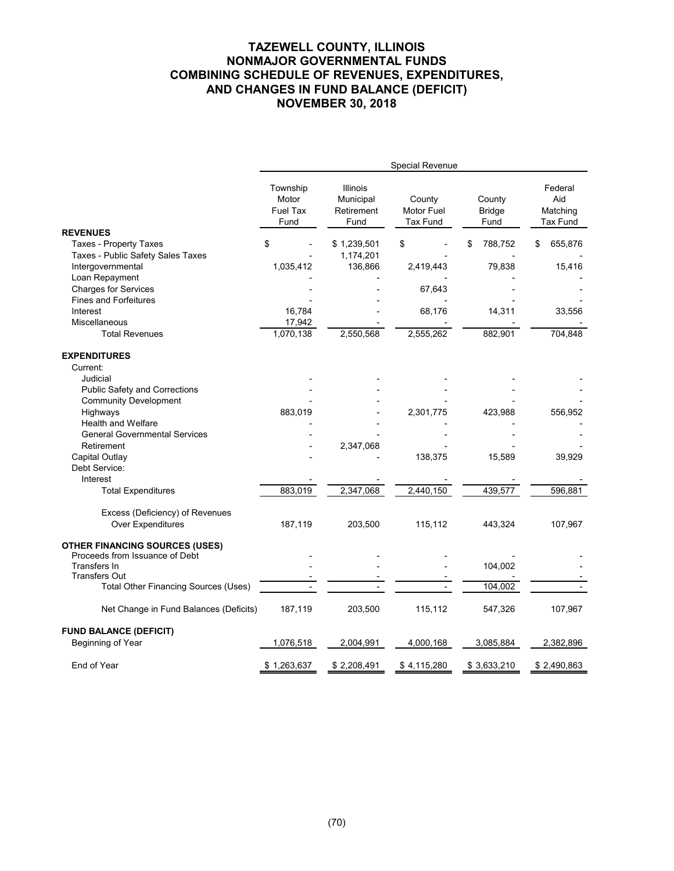# **TAZEWELL COUNTY, ILLINOIS NONMAJOR GOVERNMENTAL FUNDS COMBINING SCHEDULE OF REVENUES, EXPENDITURES, AND CHANGES IN FUND BALANCE (DEFICIT) NOVEMBER 30, 2018**

|                                                                         |                                       |                                             | Special Revenue                         |                                 |                                        |
|-------------------------------------------------------------------------|---------------------------------------|---------------------------------------------|-----------------------------------------|---------------------------------|----------------------------------------|
|                                                                         | Township<br>Motor<br>Fuel Tax<br>Fund | Illinois<br>Municipal<br>Retirement<br>Fund | County<br>Motor Fuel<br><b>Tax Fund</b> | County<br><b>Bridge</b><br>Fund | Federal<br>Aid<br>Matching<br>Tax Fund |
| <b>REVENUES</b>                                                         |                                       |                                             |                                         |                                 |                                        |
| <b>Taxes - Property Taxes</b><br>Taxes - Public Safety Sales Taxes      | \$                                    | \$1,239,501<br>1,174,201                    | \$                                      | 788,752<br>\$                   | \$<br>655,876                          |
| Intergovernmental                                                       | 1,035,412                             | 136,866                                     | 2,419,443                               | 79,838                          | 15,416                                 |
| Loan Repayment                                                          |                                       |                                             |                                         |                                 |                                        |
| <b>Charges for Services</b>                                             |                                       |                                             | 67,643                                  |                                 |                                        |
| <b>Fines and Forfeitures</b>                                            |                                       |                                             |                                         |                                 |                                        |
| Interest                                                                | 16,784                                |                                             | 68,176                                  | 14,311                          | 33,556                                 |
| Miscellaneous                                                           | 17,942                                |                                             |                                         |                                 |                                        |
| <b>Total Revenues</b>                                                   | 1,070,138                             | 2,550,568                                   | 2,555,262                               | 882,901                         | 704,848                                |
| <b>EXPENDITURES</b>                                                     |                                       |                                             |                                         |                                 |                                        |
| Current:                                                                |                                       |                                             |                                         |                                 |                                        |
| Judicial                                                                |                                       |                                             |                                         |                                 |                                        |
| Public Safety and Corrections                                           |                                       |                                             |                                         |                                 |                                        |
| <b>Community Development</b>                                            |                                       |                                             |                                         |                                 |                                        |
| Highways                                                                | 883,019                               |                                             | 2,301,775                               | 423,988                         | 556,952                                |
| Health and Welfare                                                      |                                       |                                             |                                         |                                 |                                        |
| <b>General Governmental Services</b>                                    |                                       |                                             |                                         |                                 |                                        |
| Retirement                                                              |                                       | 2,347,068                                   |                                         |                                 |                                        |
| Capital Outlay                                                          |                                       |                                             | 138,375                                 | 15,589                          | 39,929                                 |
| Debt Service:                                                           |                                       |                                             |                                         |                                 |                                        |
| Interest                                                                |                                       |                                             |                                         |                                 |                                        |
| <b>Total Expenditures</b>                                               | 883,019                               | 2,347,068                                   | 2,440,150                               | 439,577                         | 596,881                                |
| Excess (Deficiency) of Revenues                                         |                                       |                                             |                                         |                                 |                                        |
| Over Expenditures                                                       | 187,119                               | 203,500                                     | 115,112                                 | 443,324                         | 107,967                                |
| <b>OTHER FINANCING SOURCES (USES)</b><br>Proceeds from Issuance of Debt |                                       |                                             |                                         |                                 |                                        |
| Transfers In                                                            |                                       |                                             |                                         | 104,002                         |                                        |
| <b>Transfers Out</b>                                                    |                                       |                                             |                                         |                                 |                                        |
| <b>Total Other Financing Sources (Uses)</b>                             |                                       |                                             |                                         | 104,002                         |                                        |
| Net Change in Fund Balances (Deficits)                                  | 187,119                               | 203,500                                     | 115,112                                 | 547,326                         | 107,967                                |
| <b>FUND BALANCE (DEFICIT)</b>                                           |                                       |                                             |                                         |                                 |                                        |
| Beginning of Year                                                       | 1,076,518                             | 2,004,991                                   | 4,000,168                               | 3,085,884                       | 2,382,896                              |
| End of Year                                                             | \$1,263,637                           | \$2,208,491                                 | \$4,115,280                             | \$3,633,210                     | \$2,490,863                            |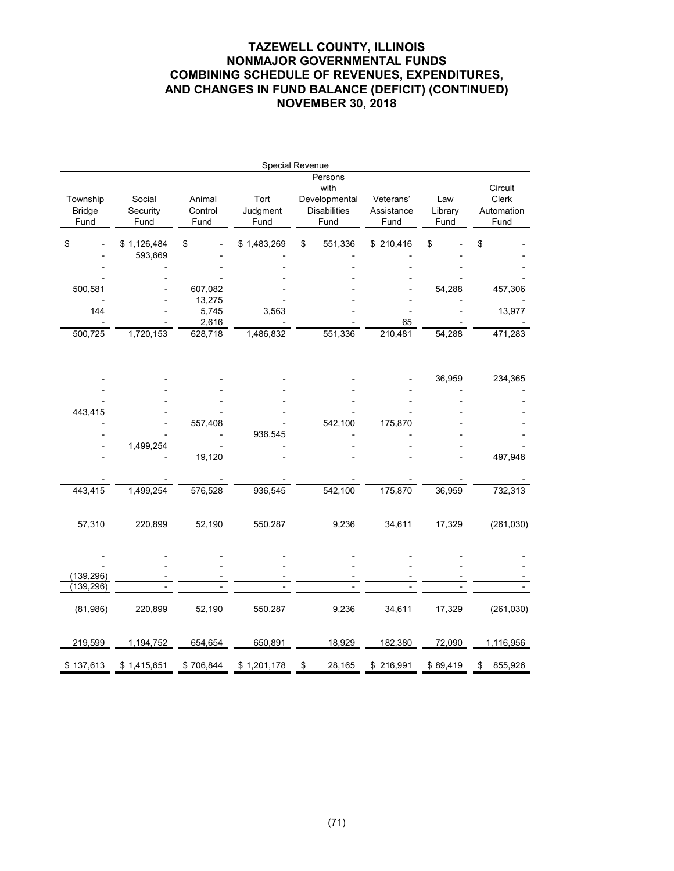# **TAZEWELL COUNTY, ILLINOIS NONMAJOR GOVERNMENTAL FUNDS COMBINING SCHEDULE OF REVENUES, EXPENDITURES, AND CHANGES IN FUND BALANCE (DEFICIT) (CONTINUED) NOVEMBER 30, 2018**

|                                   |                            |                           | Special Revenue          |    |                                                                 |                                 |                        |                                        |
|-----------------------------------|----------------------------|---------------------------|--------------------------|----|-----------------------------------------------------------------|---------------------------------|------------------------|----------------------------------------|
| Township<br><b>Bridge</b><br>Fund | Social<br>Security<br>Fund | Animal<br>Control<br>Fund | Tort<br>Judgment<br>Fund |    | Persons<br>with<br>Developmental<br><b>Disabilities</b><br>Fund | Veterans'<br>Assistance<br>Fund | Law<br>Library<br>Fund | Circuit<br>Clerk<br>Automation<br>Fund |
| \$                                | \$1,126,484                | \$                        | \$1,483,269              | \$ | 551,336                                                         | \$210,416                       | \$                     | \$                                     |
|                                   | 593,669                    |                           |                          |    |                                                                 |                                 |                        |                                        |
| 500,581                           |                            | 607,082<br>13,275         |                          |    |                                                                 |                                 | 54,288                 | 457,306                                |
| 144                               |                            | 5,745                     | 3,563                    |    |                                                                 |                                 |                        | 13,977                                 |
| 500,725                           | 1,720,153                  | 2,616<br>628,718          | 1,486,832                |    | 551,336                                                         | 65<br>210,481                   | 54,288                 | 471,283                                |
|                                   |                            |                           |                          |    |                                                                 |                                 |                        |                                        |
|                                   |                            |                           |                          |    |                                                                 |                                 | 36,959                 | 234,365                                |
|                                   |                            |                           |                          |    |                                                                 |                                 |                        |                                        |
| 443,415                           |                            | 557,408                   |                          |    | 542,100                                                         | 175,870                         |                        |                                        |
|                                   |                            |                           | 936,545                  |    |                                                                 |                                 |                        |                                        |
|                                   | 1,499,254                  |                           |                          |    |                                                                 |                                 |                        |                                        |
|                                   |                            | 19,120                    |                          |    |                                                                 |                                 |                        | 497,948                                |
|                                   |                            |                           |                          |    |                                                                 |                                 |                        |                                        |
| 443,415                           | 1,499,254                  | 576,528                   | 936,545                  |    | 542,100                                                         | 175,870                         | 36,959                 | 732,313                                |
| 57,310                            | 220,899                    | 52,190                    | 550,287                  |    | 9,236                                                           | 34,611                          | 17,329                 | (261,030)                              |
|                                   |                            |                           |                          |    |                                                                 |                                 |                        |                                        |
| (139, 296)                        |                            |                           |                          |    |                                                                 |                                 |                        |                                        |
| (139, 296)                        |                            |                           |                          |    |                                                                 |                                 |                        |                                        |
| (81,986)                          | 220,899                    | 52,190                    | 550,287                  |    | 9,236                                                           | 34,611                          | 17,329                 | (261, 030)                             |
| 219,599                           | 1,194,752                  | 654,654                   | 650,891                  |    | 18,929                                                          | 182,380                         | 72,090                 | 1,116,956                              |
| \$137,613                         | \$1,415,651                | \$706,844                 | \$1,201,178              | \$ | 28,165                                                          | \$216,991                       | \$89,419               | 855,926<br>\$                          |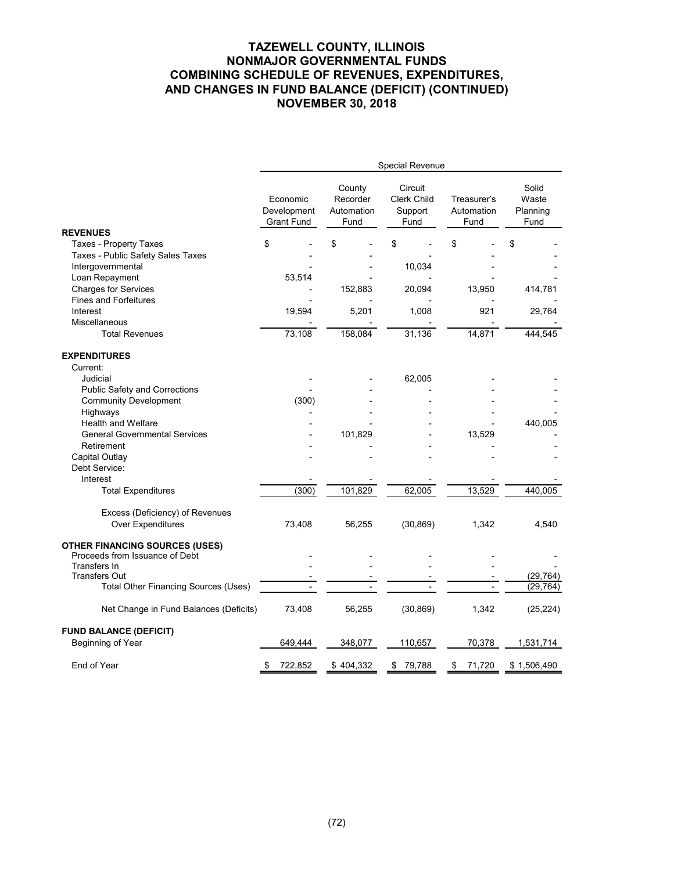# **TAZEWELL COUNTY, ILLINOIS NONMAJOR GOVERNMENTAL FUNDS COMBINING SCHEDULE OF REVENUES, EXPENDITURES, AND CHANGES IN FUND BALANCE (DEFICIT) (CONTINUED) NOVEMBER 30, 2018**

|                                                                                                           | Special Revenue                              |                                          |                                                  |                                   |                                    |  |  |  |  |  |
|-----------------------------------------------------------------------------------------------------------|----------------------------------------------|------------------------------------------|--------------------------------------------------|-----------------------------------|------------------------------------|--|--|--|--|--|
|                                                                                                           | Economic<br>Development<br><b>Grant Fund</b> | County<br>Recorder<br>Automation<br>Fund | Circuit<br><b>Clerk Child</b><br>Support<br>Fund | Treasurer's<br>Automation<br>Fund | Solid<br>Waste<br>Planning<br>Fund |  |  |  |  |  |
| <b>REVENUES</b>                                                                                           |                                              |                                          |                                                  |                                   |                                    |  |  |  |  |  |
| <b>Taxes - Property Taxes</b><br>Taxes - Public Safety Sales Taxes<br>Intergovernmental<br>Loan Repayment | \$<br>53,514                                 | \$                                       | \$<br>10,034                                     | \$                                | \$                                 |  |  |  |  |  |
| <b>Charges for Services</b><br><b>Fines and Forfeitures</b>                                               |                                              | 152,883                                  | 20,094                                           | 13,950                            | 414,781                            |  |  |  |  |  |
| Interest<br>Miscellaneous<br><b>Total Revenues</b>                                                        | 19,594                                       | 5,201                                    | 1,008<br>31,136                                  | 921<br>14,871                     | 29,764                             |  |  |  |  |  |
|                                                                                                           | 73,108                                       | 158,084                                  |                                                  |                                   | 444,545                            |  |  |  |  |  |
| <b>EXPENDITURES</b><br>Current:                                                                           |                                              |                                          |                                                  |                                   |                                    |  |  |  |  |  |
| Judicial                                                                                                  |                                              |                                          | 62,005                                           |                                   |                                    |  |  |  |  |  |
| Public Safety and Corrections                                                                             |                                              |                                          |                                                  |                                   |                                    |  |  |  |  |  |
| <b>Community Development</b>                                                                              | (300)                                        |                                          |                                                  |                                   |                                    |  |  |  |  |  |
| Highways                                                                                                  |                                              |                                          |                                                  |                                   |                                    |  |  |  |  |  |
| <b>Health and Welfare</b>                                                                                 |                                              |                                          |                                                  |                                   | 440,005                            |  |  |  |  |  |
| <b>General Governmental Services</b>                                                                      |                                              | 101,829                                  |                                                  | 13,529                            |                                    |  |  |  |  |  |
| Retirement                                                                                                |                                              |                                          |                                                  |                                   |                                    |  |  |  |  |  |
| Capital Outlay<br>Debt Service:                                                                           |                                              |                                          |                                                  |                                   |                                    |  |  |  |  |  |
| Interest                                                                                                  |                                              |                                          |                                                  |                                   |                                    |  |  |  |  |  |
| <b>Total Expenditures</b>                                                                                 | (300)                                        | 101,829                                  | 62,005                                           | 13,529                            | 440,005                            |  |  |  |  |  |
| Excess (Deficiency) of Revenues<br>Over Expenditures                                                      | 73,408                                       | 56,255                                   | (30, 869)                                        | 1,342                             | 4,540                              |  |  |  |  |  |
| <b>OTHER FINANCING SOURCES (USES)</b><br>Proceeds from Issuance of Debt                                   |                                              |                                          |                                                  |                                   |                                    |  |  |  |  |  |
| Transfers In<br><b>Transfers Out</b>                                                                      |                                              |                                          |                                                  |                                   |                                    |  |  |  |  |  |
| <b>Total Other Financing Sources (Uses)</b>                                                               |                                              |                                          |                                                  |                                   | (29, 764)<br>(29,764)              |  |  |  |  |  |
| Net Change in Fund Balances (Deficits)                                                                    | 73,408                                       | 56,255                                   | (30, 869)                                        | 1,342                             | (25, 224)                          |  |  |  |  |  |
| <b>FUND BALANCE (DEFICIT)</b><br>Beginning of Year                                                        | 649,444                                      | 348,077                                  | 110,657                                          | 70,378                            | 1,531,714                          |  |  |  |  |  |
| End of Year                                                                                               | 722,852<br>S                                 | \$404,332                                | \$<br>79,788                                     | 71,720<br>\$                      | \$1,506,490                        |  |  |  |  |  |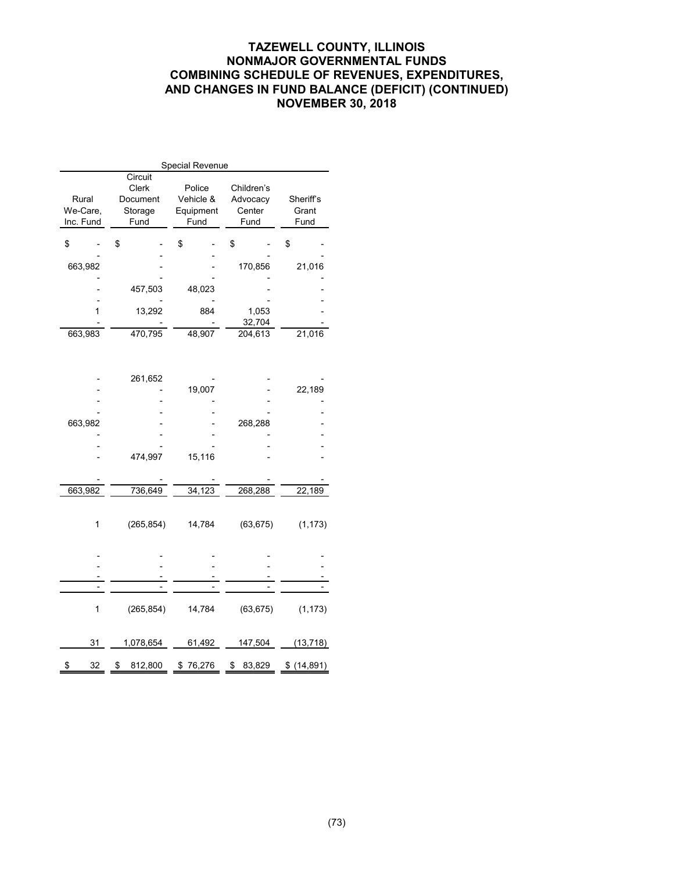# **TAZEWELL COUNTY, ILLINOIS NONMAJOR GOVERNMENTAL FUNDS COMBINING SCHEDULE OF REVENUES, EXPENDITURES, AND CHANGES IN FUND BALANCE (DEFICIT) (CONTINUED) NOVEMBER 30, 2018**

| Special Revenue                |           |                                                 |                                          |                                          |                            |  |  |  |  |  |  |
|--------------------------------|-----------|-------------------------------------------------|------------------------------------------|------------------------------------------|----------------------------|--|--|--|--|--|--|
| Rural<br>We-Care,<br>Inc. Fund |           | Circuit<br>Clerk<br>Document<br>Storage<br>Fund | Police<br>Vehicle &<br>Equipment<br>Fund | Children's<br>Advocacy<br>Center<br>Fund | Sheriff's<br>Grant<br>Fund |  |  |  |  |  |  |
| \$                             |           | \$                                              | \$                                       | \$                                       | \$                         |  |  |  |  |  |  |
| 663,982                        |           |                                                 |                                          | 170,856                                  | 21,016                     |  |  |  |  |  |  |
|                                |           | 457,503                                         | 48,023                                   |                                          |                            |  |  |  |  |  |  |
|                                | 1         | 13,292                                          | 884                                      | 1,053                                    |                            |  |  |  |  |  |  |
|                                |           |                                                 |                                          | 32,704                                   |                            |  |  |  |  |  |  |
| 663,983                        |           | 470,795                                         | 48,907                                   | 204,613                                  | 21,016                     |  |  |  |  |  |  |
|                                |           |                                                 |                                          |                                          |                            |  |  |  |  |  |  |
|                                |           | 261,652                                         |                                          |                                          |                            |  |  |  |  |  |  |
|                                |           |                                                 | 19,007                                   |                                          | 22,189                     |  |  |  |  |  |  |
|                                |           |                                                 |                                          |                                          |                            |  |  |  |  |  |  |
| 663,982                        |           |                                                 |                                          | 268,288                                  |                            |  |  |  |  |  |  |
|                                |           |                                                 |                                          |                                          |                            |  |  |  |  |  |  |
|                                |           |                                                 |                                          |                                          |                            |  |  |  |  |  |  |
|                                |           | 474,997                                         | 15,116                                   |                                          |                            |  |  |  |  |  |  |
|                                |           |                                                 |                                          |                                          |                            |  |  |  |  |  |  |
| 663,982                        |           | 736,649                                         | 34,123                                   | 268,288                                  | 22,189                     |  |  |  |  |  |  |
|                                |           |                                                 |                                          |                                          |                            |  |  |  |  |  |  |
|                                | 1         | (265, 854)                                      | 14,784                                   | (63, 675)                                | (1, 173)                   |  |  |  |  |  |  |
|                                |           |                                                 |                                          |                                          |                            |  |  |  |  |  |  |
|                                |           |                                                 |                                          |                                          |                            |  |  |  |  |  |  |
|                                |           |                                                 |                                          |                                          |                            |  |  |  |  |  |  |
|                                |           |                                                 |                                          |                                          |                            |  |  |  |  |  |  |
|                                |           |                                                 |                                          |                                          |                            |  |  |  |  |  |  |
|                                | 1         | (265, 854)                                      | 14,784                                   | (63, 675)                                | (1, 173)                   |  |  |  |  |  |  |
|                                |           |                                                 |                                          |                                          |                            |  |  |  |  |  |  |
|                                | 31        | 1,078,654                                       | 61,492                                   | 147,504                                  | (13, 718)                  |  |  |  |  |  |  |
| \$                             | <u>32</u> | 812,800<br>\$                                   | \$76,276                                 | 83,829<br>\$                             | \$ (14,891)                |  |  |  |  |  |  |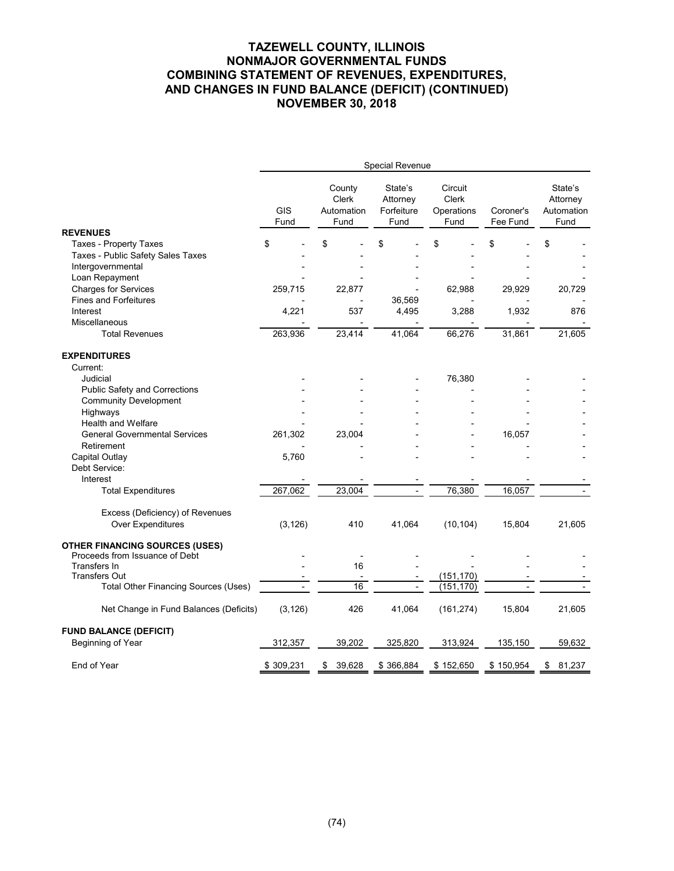# **TAZEWELL COUNTY, ILLINOIS NONMAJOR GOVERNMENTAL FUNDS COMBINING STATEMENT OF REVENUES, EXPENDITURES, AND CHANGES IN FUND BALANCE (DEFICIT) (CONTINUED) NOVEMBER 30, 2018**

|                                             |                    |                                              | Special Revenue                           |                                               |                       |                                           |
|---------------------------------------------|--------------------|----------------------------------------------|-------------------------------------------|-----------------------------------------------|-----------------------|-------------------------------------------|
|                                             | <b>GIS</b><br>Fund | County<br><b>Clerk</b><br>Automation<br>Fund | State's<br>Attorney<br>Forfeiture<br>Fund | Circuit<br><b>Clerk</b><br>Operations<br>Fund | Coroner's<br>Fee Fund | State's<br>Attorney<br>Automation<br>Fund |
| <b>REVENUES</b>                             |                    |                                              |                                           |                                               |                       |                                           |
| <b>Taxes - Property Taxes</b>               | \$                 | \$                                           | \$                                        | \$                                            | \$                    | \$                                        |
| Taxes - Public Safety Sales Taxes           |                    |                                              |                                           |                                               |                       |                                           |
| Intergovernmental<br>Loan Repayment         |                    |                                              |                                           |                                               |                       |                                           |
| <b>Charges for Services</b>                 | 259,715            | 22,877                                       |                                           | 62,988                                        | 29,929                | 20,729                                    |
| <b>Fines and Forfeitures</b>                |                    |                                              | 36,569                                    |                                               |                       |                                           |
| Interest                                    | 4,221              | 537                                          | 4,495                                     | 3,288                                         | 1,932                 | 876                                       |
| Miscellaneous                               |                    |                                              |                                           |                                               |                       |                                           |
| <b>Total Revenues</b>                       | 263,936            | 23,414                                       | 41,064                                    | 66,276                                        | 31,861                | 21,605                                    |
| <b>EXPENDITURES</b>                         |                    |                                              |                                           |                                               |                       |                                           |
| Current:                                    |                    |                                              |                                           |                                               |                       |                                           |
| Judicial                                    |                    |                                              |                                           | 76,380                                        |                       |                                           |
| Public Safety and Corrections               |                    |                                              |                                           |                                               |                       |                                           |
| <b>Community Development</b>                |                    |                                              |                                           |                                               |                       |                                           |
| Highways                                    |                    |                                              |                                           |                                               |                       |                                           |
| Health and Welfare                          |                    |                                              |                                           |                                               |                       |                                           |
| <b>General Governmental Services</b>        | 261,302            | 23,004                                       |                                           |                                               | 16,057                |                                           |
| Retirement                                  |                    |                                              |                                           |                                               |                       |                                           |
| Capital Outlay                              | 5,760              |                                              |                                           |                                               |                       |                                           |
| Debt Service:                               |                    |                                              |                                           |                                               |                       |                                           |
| Interest                                    |                    |                                              |                                           |                                               |                       |                                           |
| <b>Total Expenditures</b>                   | 267,062            | 23,004                                       |                                           | 76,380                                        | 16,057                |                                           |
| Excess (Deficiency) of Revenues             |                    |                                              |                                           |                                               |                       |                                           |
| Over Expenditures                           | (3, 126)           | 410                                          | 41,064                                    | (10, 104)                                     | 15,804                | 21,605                                    |
|                                             |                    |                                              |                                           |                                               |                       |                                           |
| <b>OTHER FINANCING SOURCES (USES)</b>       |                    |                                              |                                           |                                               |                       |                                           |
| Proceeds from Issuance of Debt              |                    |                                              |                                           |                                               |                       |                                           |
| Transfers In                                |                    | 16                                           |                                           |                                               |                       |                                           |
| <b>Transfers Out</b>                        |                    | 16                                           |                                           | (151, 170)                                    |                       |                                           |
| <b>Total Other Financing Sources (Uses)</b> |                    |                                              |                                           | (151, 170)                                    |                       |                                           |
| Net Change in Fund Balances (Deficits)      | (3, 126)           | 426                                          | 41,064                                    | (161, 274)                                    | 15,804                | 21,605                                    |
| <b>FUND BALANCE (DEFICIT)</b>               |                    |                                              |                                           |                                               |                       |                                           |
| Beginning of Year                           | 312,357            | 39,202                                       | 325,820                                   | 313,924                                       | 135,150               | 59,632                                    |
| End of Year                                 | \$309,231          | 39,628<br>\$                                 | \$366,884                                 | \$152,650                                     | \$150,954             | \$<br>81,237                              |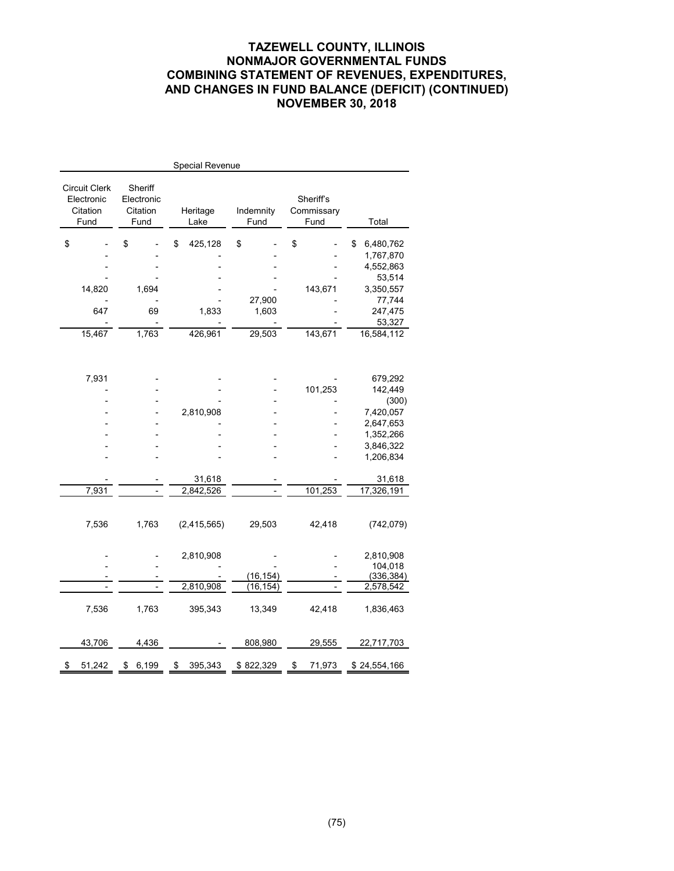# **TAZEWELL COUNTY, ILLINOIS NONMAJOR GOVERNMENTAL FUNDS COMBINING STATEMENT OF REVENUES, EXPENDITURES, AND CHANGES IN FUND BALANCE (DEFICIT) (CONTINUED) NOVEMBER 30, 2018**

|                                                 |                                           | Special Revenue  |                   |                                 |                 |
|-------------------------------------------------|-------------------------------------------|------------------|-------------------|---------------------------------|-----------------|
| Circuit Clerk<br>Electronic<br>Citation<br>Fund | Sheriff<br>Electronic<br>Citation<br>Fund | Heritage<br>Lake | Indemnity<br>Fund | Sheriff's<br>Commissary<br>Fund | Total           |
| \$                                              | \$                                        | 425,128<br>\$    | \$                | \$                              | 6,480,762<br>\$ |
|                                                 |                                           |                  |                   |                                 | 1,767,870       |
|                                                 |                                           |                  |                   |                                 | 4,552,863       |
|                                                 |                                           |                  |                   |                                 | 53,514          |
| 14,820                                          | 1,694                                     |                  |                   | 143,671                         | 3,350,557       |
|                                                 |                                           |                  | 27,900            |                                 | 77,744          |
| 647                                             | 69                                        | 1,833            | 1,603             |                                 | 247,475         |
|                                                 |                                           |                  |                   |                                 | 53,327          |
| 15,467                                          | 1,763                                     | 426,961          | 29,503            | 143,671                         | 16,584,112      |
|                                                 |                                           |                  |                   |                                 |                 |
| 7,931                                           |                                           |                  |                   |                                 | 679,292         |
|                                                 |                                           |                  |                   | 101,253                         | 142,449         |
|                                                 |                                           |                  |                   |                                 | (300)           |
|                                                 |                                           | 2,810,908        |                   |                                 | 7,420,057       |
|                                                 |                                           |                  |                   |                                 | 2,647,653       |
|                                                 |                                           |                  |                   |                                 | 1,352,266       |
|                                                 |                                           |                  |                   |                                 | 3,846,322       |
|                                                 |                                           |                  |                   |                                 | 1,206,834       |
|                                                 |                                           |                  |                   |                                 |                 |
|                                                 |                                           | 31,618           |                   |                                 | 31,618          |
| 7,931                                           |                                           | 2,842,526        |                   | 101,253                         | 17,326,191      |
|                                                 |                                           |                  |                   |                                 |                 |
| 7,536                                           | 1,763                                     | (2, 415, 565)    | 29,503            | 42,418                          | (742, 079)      |
|                                                 |                                           |                  |                   |                                 |                 |
|                                                 |                                           | 2,810,908        |                   |                                 | 2,810,908       |
|                                                 |                                           |                  |                   |                                 | 104,018         |
|                                                 |                                           |                  | (16, 154)         |                                 | (336, 384)      |
|                                                 |                                           | 2,810,908        | (16, 154)         |                                 | 2,578,542       |
|                                                 |                                           |                  |                   |                                 |                 |
| 7,536                                           | 1,763                                     | 395,343          | 13,349            | 42,418                          | 1,836,463       |
| 43,706                                          | 4,436                                     |                  | 808,980           | 29,555                          | 22,717,703      |
|                                                 |                                           |                  |                   |                                 |                 |
| \$<br>51,242                                    | 6,199<br>\$                               | \$<br>395,343    | \$822,329         | \$<br>71,973                    | \$24,554,166    |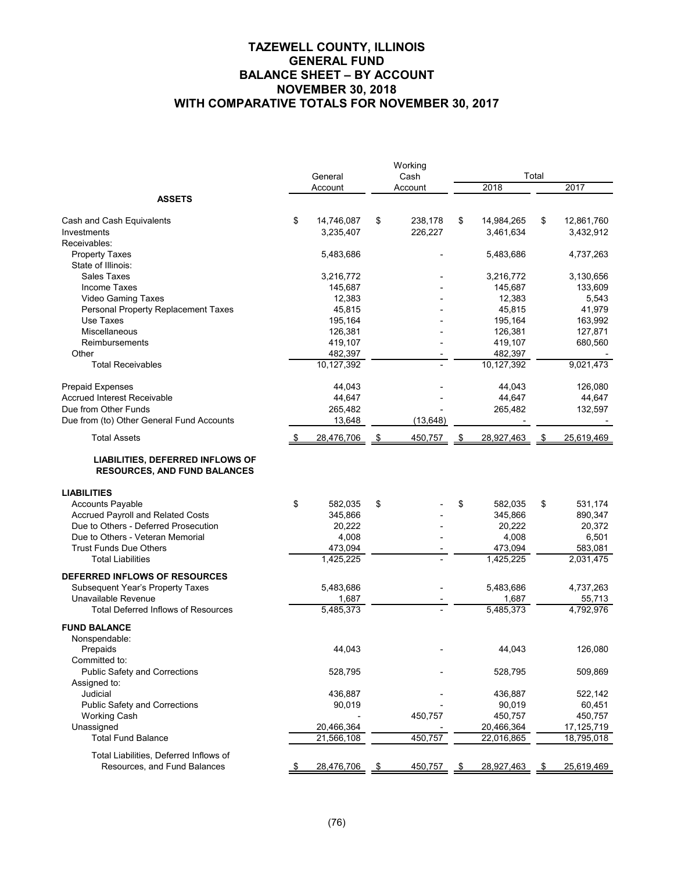# **TAZEWELL COUNTY, ILLINOIS GENERAL FUND BALANCE SHEET – BY ACCOUNT NOVEMBER 30, 2018 WITH COMPARATIVE TOTALS FOR NOVEMBER 30, 2017**

|                                                                         | General |            |    | Working<br>Cash | Total |            |    |            |  |
|-------------------------------------------------------------------------|---------|------------|----|-----------------|-------|------------|----|------------|--|
|                                                                         |         | Account    |    | Account         |       | 2018       |    | 2017       |  |
| <b>ASSETS</b>                                                           |         |            |    |                 |       |            |    |            |  |
|                                                                         |         |            |    |                 |       |            |    |            |  |
| Cash and Cash Equivalents                                               | \$      | 14,746,087 | \$ | 238,178         | \$    | 14,984,265 | \$ | 12,861,760 |  |
| Investments                                                             |         | 3,235,407  |    | 226,227         |       | 3,461,634  |    | 3,432,912  |  |
| Receivables:                                                            |         |            |    |                 |       |            |    |            |  |
| <b>Property Taxes</b>                                                   |         | 5,483,686  |    |                 |       | 5,483,686  |    | 4,737,263  |  |
| State of Illinois:                                                      |         |            |    |                 |       |            |    |            |  |
| Sales Taxes                                                             |         | 3,216,772  |    |                 |       | 3,216,772  |    | 3,130,656  |  |
| <b>Income Taxes</b>                                                     |         | 145,687    |    |                 |       | 145,687    |    | 133,609    |  |
| Video Gaming Taxes                                                      |         | 12,383     |    |                 |       | 12,383     |    | 5,543      |  |
| Personal Property Replacement Taxes                                     |         | 45,815     |    |                 |       | 45,815     |    | 41,979     |  |
| Use Taxes                                                               |         | 195,164    |    |                 |       | 195,164    |    | 163,992    |  |
| Miscellaneous                                                           |         | 126,381    |    |                 |       | 126,381    |    | 127,871    |  |
| Reimbursements                                                          |         | 419,107    |    |                 |       | 419,107    |    | 680,560    |  |
| Other                                                                   |         | 482,397    |    |                 |       | 482,397    |    |            |  |
| <b>Total Receivables</b>                                                |         | 10,127,392 |    |                 |       | 10,127,392 |    | 9,021,473  |  |
| <b>Prepaid Expenses</b>                                                 |         | 44,043     |    |                 |       | 44,043     |    | 126,080    |  |
| Accrued Interest Receivable                                             |         | 44,647     |    |                 |       | 44,647     |    | 44,647     |  |
| Due from Other Funds                                                    |         | 265,482    |    |                 |       | 265,482    |    | 132,597    |  |
| Due from (to) Other General Fund Accounts                               |         | 13,648     |    | (13, 648)       |       |            |    |            |  |
| <b>Total Assets</b>                                                     |         | 28,476,706 | \$ | 450,757         | \$    | 28,927,463 | \$ | 25,619,469 |  |
|                                                                         |         |            |    |                 |       |            |    |            |  |
| LIABILITIES, DEFERRED INFLOWS OF<br><b>RESOURCES, AND FUND BALANCES</b> |         |            |    |                 |       |            |    |            |  |
| <b>LIABILITIES</b>                                                      |         |            |    |                 |       |            |    |            |  |
| <b>Accounts Payable</b>                                                 | \$      | 582,035    | \$ |                 | \$    | 582,035    | \$ | 531,174    |  |
| <b>Accrued Payroll and Related Costs</b>                                |         | 345,866    |    |                 |       | 345,866    |    | 890,347    |  |
| Due to Others - Deferred Prosecution                                    |         | 20,222     |    |                 |       | 20,222     |    | 20,372     |  |
| Due to Others - Veteran Memorial                                        |         | 4,008      |    |                 |       | 4,008      |    | 6,501      |  |
| <b>Trust Funds Due Others</b>                                           |         | 473,094    |    |                 |       | 473,094    |    | 583,081    |  |
| <b>Total Liabilities</b>                                                |         | 1,425,225  |    |                 |       | 1,425,225  |    | 2,031,475  |  |
| DEFERRED INFLOWS OF RESOURCES                                           |         |            |    |                 |       |            |    |            |  |
| Subsequent Year's Property Taxes                                        |         | 5,483,686  |    |                 |       | 5,483,686  |    | 4,737,263  |  |
| Unavailable Revenue                                                     |         | 1,687      |    |                 |       | 1,687      |    | 55,713     |  |
| <b>Total Deferred Inflows of Resources</b>                              |         | 5,485,373  |    |                 |       | 5,485,373  |    | 4,792,976  |  |
| <b>FUND BALANCE</b>                                                     |         |            |    |                 |       |            |    |            |  |
| Nonspendable:                                                           |         |            |    |                 |       |            |    |            |  |
| Prepaids                                                                |         | 44,043     |    |                 |       | 44,043     |    | 126,080    |  |
| Committed to:                                                           |         |            |    |                 |       |            |    |            |  |
| Public Safety and Corrections                                           |         | 528,795    |    |                 |       | 528,795    |    | 509,869    |  |
| Assigned to:                                                            |         |            |    |                 |       |            |    |            |  |
| Judicial                                                                |         | 436,887    |    |                 |       | 436,887    |    | 522,142    |  |
| <b>Public Safety and Corrections</b>                                    |         | 90,019     |    |                 |       | 90,019     |    | 60,451     |  |
| Working Cash                                                            |         |            |    | 450,757         |       | 450,757    |    | 450,757    |  |
| Unassigned                                                              |         | 20,466,364 |    |                 |       | 20,466,364 |    | 17,125,719 |  |
| <b>Total Fund Balance</b>                                               |         | 21,566,108 |    | 450,757         |       | 22,016,865 |    | 18,795,018 |  |
|                                                                         |         |            |    |                 |       |            |    |            |  |
| Total Liabilities, Deferred Inflows of                                  |         |            |    |                 |       |            |    |            |  |
| Resources, and Fund Balances                                            |         | 28,476,706 | \$ | 450,757         | \$    | 28,927,463 | \$ | 25,619,469 |  |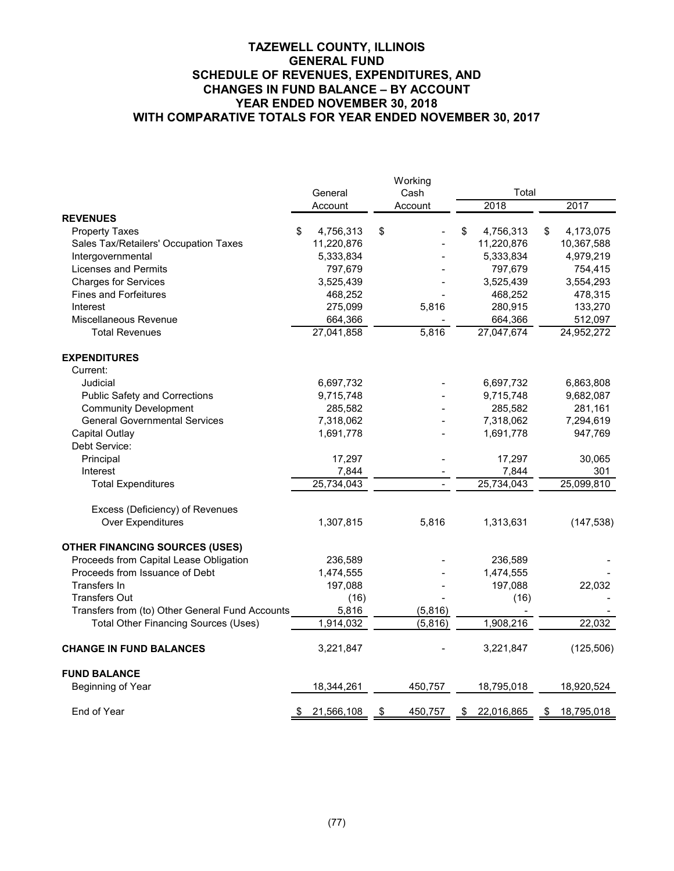|                                                 |                 | Working       |                  |                  |
|-------------------------------------------------|-----------------|---------------|------------------|------------------|
|                                                 | General         | Cash          | Total            |                  |
|                                                 | Account         | Account       | 2018             | 2017             |
| <b>REVENUES</b>                                 |                 |               |                  |                  |
| <b>Property Taxes</b>                           | \$<br>4,756,313 | \$            | \$<br>4,756,313  | \$<br>4,173,075  |
| Sales Tax/Retailers' Occupation Taxes           | 11,220,876      |               | 11,220,876       | 10,367,588       |
| Intergovernmental                               | 5,333,834       |               | 5,333,834        | 4,979,219        |
| Licenses and Permits                            | 797,679         |               | 797,679          | 754,415          |
| <b>Charges for Services</b>                     | 3,525,439       |               | 3,525,439        | 3,554,293        |
| <b>Fines and Forfeitures</b>                    | 468,252         |               | 468,252          | 478,315          |
| Interest                                        | 275,099         | 5,816         | 280,915          | 133,270          |
| Miscellaneous Revenue                           | 664,366         |               | 664,366          | 512,097          |
| <b>Total Revenues</b>                           | 27,041,858      | 5,816         | 27,047,674       | 24,952,272       |
| <b>EXPENDITURES</b>                             |                 |               |                  |                  |
| Current:                                        |                 |               |                  |                  |
| Judicial                                        | 6,697,732       |               | 6,697,732        | 6,863,808        |
| <b>Public Safety and Corrections</b>            | 9,715,748       |               | 9,715,748        | 9,682,087        |
| <b>Community Development</b>                    | 285,582         |               | 285,582          | 281,161          |
| <b>General Governmental Services</b>            | 7,318,062       |               | 7,318,062        | 7,294,619        |
| Capital Outlay                                  | 1,691,778       |               | 1,691,778        | 947,769          |
| Debt Service:                                   |                 |               |                  |                  |
| Principal                                       | 17,297          |               | 17,297           | 30,065           |
| Interest                                        | 7,844           |               | 7,844            | 301              |
| <b>Total Expenditures</b>                       | 25,734,043      |               | 25,734,043       | 25,099,810       |
| Excess (Deficiency) of Revenues                 |                 |               |                  |                  |
| Over Expenditures                               | 1,307,815       | 5,816         | 1,313,631        | (147, 538)       |
| <b>OTHER FINANCING SOURCES (USES)</b>           |                 |               |                  |                  |
| Proceeds from Capital Lease Obligation          | 236,589         |               | 236,589          |                  |
| Proceeds from Issuance of Debt                  | 1,474,555       |               | 1,474,555        |                  |
| Transfers In                                    | 197,088         |               | 197,088          | 22,032           |
| <b>Transfers Out</b>                            | (16)            |               | (16)             |                  |
| Transfers from (to) Other General Fund Accounts | 5,816           | (5,816)       |                  |                  |
| <b>Total Other Financing Sources (Uses)</b>     | 1,914,032       | (5,816)       | 1,908,216        | 22,032           |
| <b>CHANGE IN FUND BALANCES</b>                  | 3,221,847       |               | 3,221,847        | (125, 506)       |
| <b>FUND BALANCE</b>                             |                 |               |                  |                  |
| Beginning of Year                               | 18,344,261      | 450,757       | 18,795,018       | 18,920,524       |
| End of Year                                     | 21,566,108      | 450,757<br>\$ | 22,016,865<br>\$ | 18,795,018<br>\$ |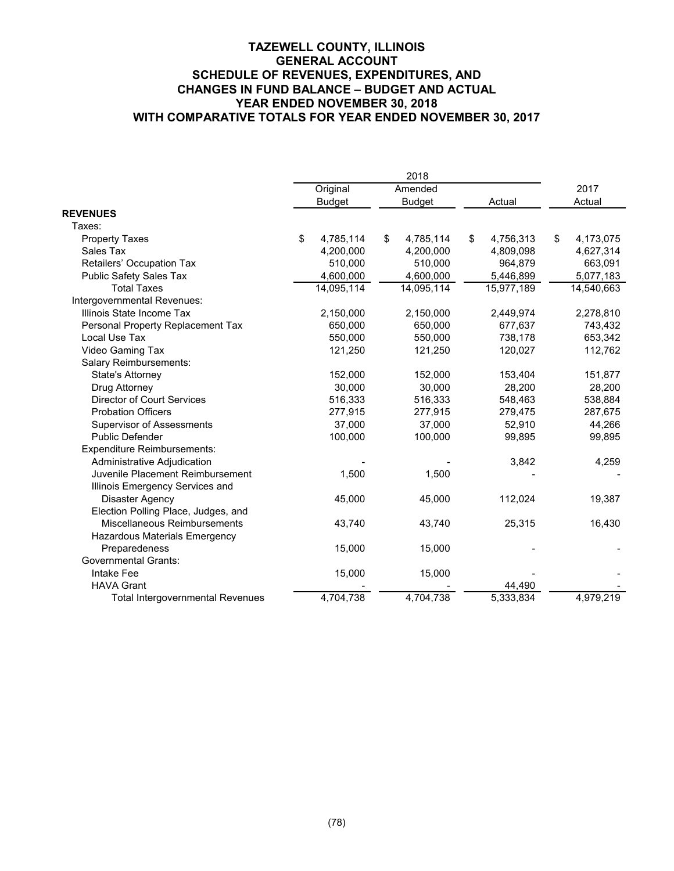|                                         | Original        | Amended         |    |            | 2017            |
|-----------------------------------------|-----------------|-----------------|----|------------|-----------------|
|                                         | <b>Budget</b>   | <b>Budget</b>   |    | Actual     | Actual          |
| <b>REVENUES</b>                         |                 |                 |    |            |                 |
| Taxes:                                  |                 |                 |    |            |                 |
| <b>Property Taxes</b>                   | \$<br>4,785,114 | \$<br>4,785,114 | \$ | 4,756,313  | \$<br>4,173,075 |
| Sales Tax                               | 4,200,000       | 4,200,000       |    | 4,809,098  | 4,627,314       |
| Retailers' Occupation Tax               | 510,000         | 510,000         |    | 964,879    | 663,091         |
| <b>Public Safety Sales Tax</b>          | 4,600,000       | 4,600,000       |    | 5,446,899  | 5,077,183       |
| <b>Total Taxes</b>                      | 14,095,114      | 14,095,114      |    | 15,977,189 | 14,540,663      |
| Intergovernmental Revenues:             |                 |                 |    |            |                 |
| Illinois State Income Tax               | 2,150,000       | 2,150,000       |    | 2,449,974  | 2,278,810       |
| Personal Property Replacement Tax       | 650,000         | 650,000         |    | 677,637    | 743,432         |
| Local Use Tax                           | 550,000         | 550,000         |    | 738,178    | 653,342         |
| Video Gaming Tax                        | 121,250         | 121,250         |    | 120,027    | 112,762         |
| Salary Reimbursements:                  |                 |                 |    |            |                 |
| State's Attorney                        | 152,000         | 152,000         |    | 153,404    | 151,877         |
| Drug Attorney                           | 30,000          | 30,000          |    | 28,200     | 28,200          |
| <b>Director of Court Services</b>       | 516,333         | 516,333         |    | 548,463    | 538,884         |
| <b>Probation Officers</b>               | 277,915         | 277,915         |    | 279,475    | 287,675         |
| Supervisor of Assessments               | 37,000          | 37,000          |    | 52,910     | 44,266          |
| Public Defender                         | 100,000         | 100,000         |    | 99,895     | 99,895          |
| <b>Expenditure Reimbursements:</b>      |                 |                 |    |            |                 |
| Administrative Adjudication             |                 |                 |    | 3,842      | 4,259           |
| Juvenile Placement Reimbursement        | 1,500           | 1,500           |    |            |                 |
| Illinois Emergency Services and         |                 |                 |    |            |                 |
| Disaster Agency                         | 45,000          | 45,000          |    | 112,024    | 19,387          |
| Election Polling Place, Judges, and     |                 |                 |    |            |                 |
| Miscellaneous Reimbursements            | 43,740          | 43,740          |    | 25,315     | 16,430          |
| Hazardous Materials Emergency           |                 |                 |    |            |                 |
| Preparedeness                           | 15,000          | 15,000          |    |            |                 |
| <b>Governmental Grants:</b>             |                 |                 |    |            |                 |
| Intake Fee                              | 15,000          | 15,000          |    |            |                 |
| <b>HAVA Grant</b>                       |                 |                 |    | 44,490     |                 |
| <b>Total Intergovernmental Revenues</b> | 4,704,738       | 4,704,738       |    | 5,333,834  | 4,979,219       |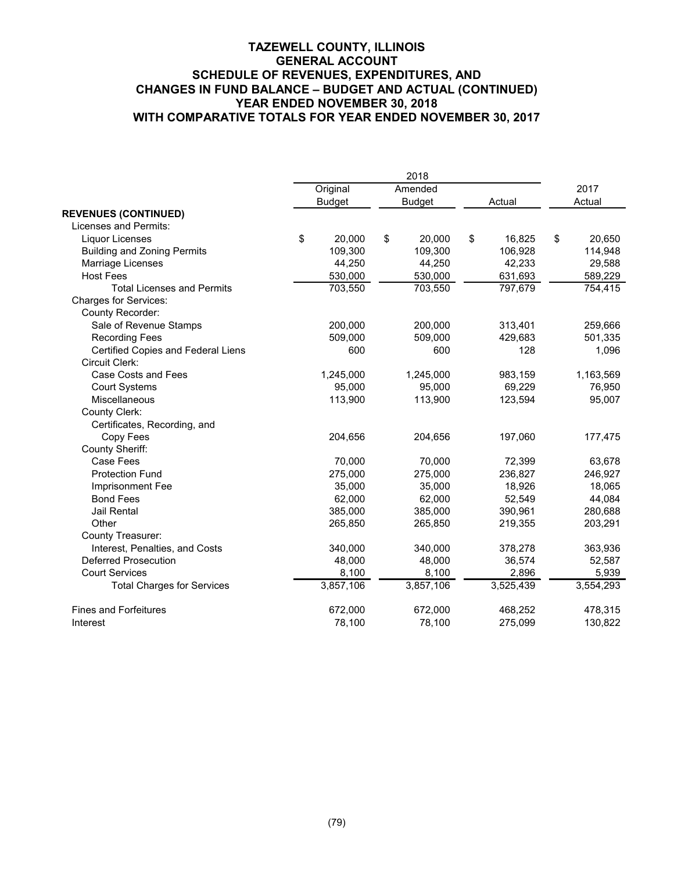|                                    |               |               | 2018      |        |           |              |
|------------------------------------|---------------|---------------|-----------|--------|-----------|--------------|
|                                    | Original      |               | Amended   |        |           | 2017         |
|                                    | <b>Budget</b> | <b>Budget</b> |           | Actual |           | Actual       |
| <b>REVENUES (CONTINUED)</b>        |               |               |           |        |           |              |
| Licenses and Permits:              |               |               |           |        |           |              |
| Liquor Licenses                    | \$<br>20,000  | \$            | 20,000    | \$     | 16,825    | \$<br>20,650 |
| <b>Building and Zoning Permits</b> | 109,300       |               | 109,300   |        | 106,928   | 114,948      |
| Marriage Licenses                  | 44,250        |               | 44,250    |        | 42,233    | 29,588       |
| <b>Host Fees</b>                   | 530,000       |               | 530,000   |        | 631,693   | 589,229      |
| <b>Total Licenses and Permits</b>  | 703,550       |               | 703,550   |        | 797,679   | 754,415      |
| <b>Charges for Services:</b>       |               |               |           |        |           |              |
| County Recorder:                   |               |               |           |        |           |              |
| Sale of Revenue Stamps             | 200,000       |               | 200,000   |        | 313,401   | 259,666      |
| <b>Recording Fees</b>              | 509,000       |               | 509,000   |        | 429,683   | 501,335      |
| Certified Copies and Federal Liens | 600           |               | 600       |        | 128       | 1,096        |
| Circuit Clerk:                     |               |               |           |        |           |              |
| Case Costs and Fees                | 1,245,000     |               | 1,245,000 |        | 983,159   | 1,163,569    |
| <b>Court Systems</b>               | 95,000        |               | 95,000    |        | 69,229    | 76,950       |
| Miscellaneous                      | 113,900       |               | 113,900   |        | 123,594   | 95,007       |
| County Clerk:                      |               |               |           |        |           |              |
| Certificates, Recording, and       |               |               |           |        |           |              |
| Copy Fees                          | 204,656       |               | 204,656   |        | 197,060   | 177,475      |
| County Sheriff:                    |               |               |           |        |           |              |
| Case Fees                          | 70,000        |               | 70,000    |        | 72,399    | 63,678       |
| <b>Protection Fund</b>             | 275,000       |               | 275,000   |        | 236,827   | 246,927      |
| Imprisonment Fee                   | 35,000        |               | 35,000    |        | 18,926    | 18,065       |
| <b>Bond Fees</b>                   | 62,000        |               | 62,000    |        | 52,549    | 44,084       |
| Jail Rental                        | 385,000       |               | 385,000   |        | 390,961   | 280,688      |
| Other                              | 265,850       |               | 265,850   |        | 219,355   | 203,291      |
| County Treasurer:                  |               |               |           |        |           |              |
| Interest, Penalties, and Costs     | 340,000       |               | 340,000   |        | 378,278   | 363,936      |
| Deferred Prosecution               | 48,000        |               | 48,000    |        | 36,574    | 52,587       |
| <b>Court Services</b>              | 8,100         |               | 8,100     |        | 2,896     | 5,939        |
| <b>Total Charges for Services</b>  | 3,857,106     |               | 3,857,106 |        | 3,525,439 | 3,554,293    |
| <b>Fines and Forfeitures</b>       | 672,000       |               | 672,000   |        | 468,252   | 478,315      |
| Interest                           | 78,100        |               | 78,100    |        | 275,099   | 130,822      |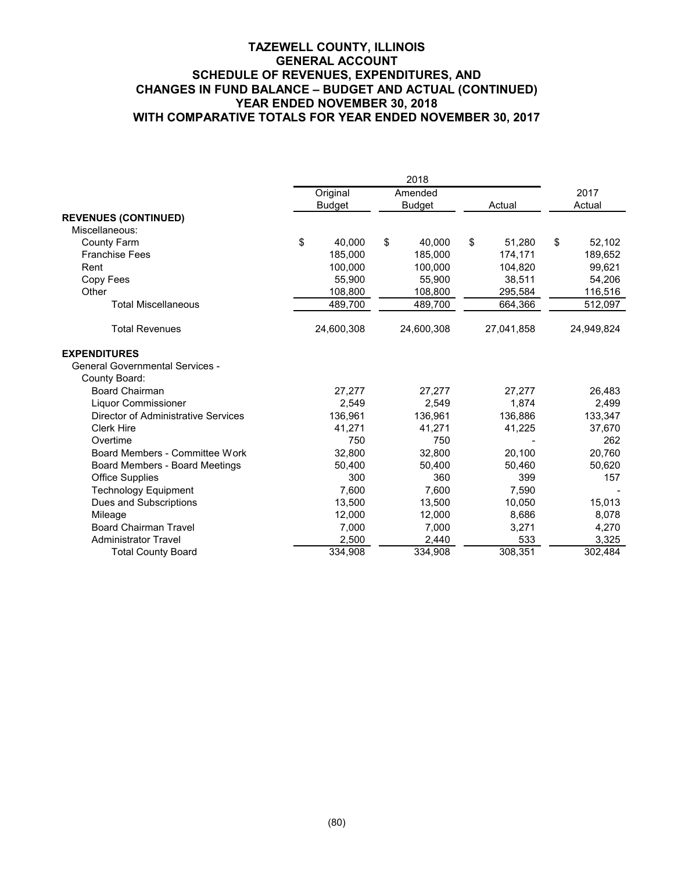|                                        | Original      |    | Amended       |    |            | 2017         |
|----------------------------------------|---------------|----|---------------|----|------------|--------------|
|                                        | <b>Budget</b> |    | <b>Budget</b> |    | Actual     | Actual       |
| <b>REVENUES (CONTINUED)</b>            |               |    |               |    |            |              |
| Miscellaneous:                         |               |    |               |    |            |              |
| <b>County Farm</b>                     | \$<br>40,000  | \$ | 40,000        | \$ | 51,280     | \$<br>52,102 |
| <b>Franchise Fees</b>                  | 185,000       |    | 185,000       |    | 174,171    | 189,652      |
| Rent                                   | 100.000       |    | 100.000       |    | 104.820    | 99,621       |
| Copy Fees                              | 55,900        |    | 55,900        |    | 38,511     | 54,206       |
| Other                                  | 108,800       |    | 108,800       |    | 295,584    | 116,516      |
| <b>Total Miscellaneous</b>             | 489,700       |    | 489,700       |    | 664,366    | 512,097      |
| <b>Total Revenues</b>                  | 24,600,308    |    | 24,600,308    |    | 27,041,858 | 24,949,824   |
| <b>EXPENDITURES</b>                    |               |    |               |    |            |              |
| <b>General Governmental Services -</b> |               |    |               |    |            |              |
| County Board:                          |               |    |               |    |            |              |
| <b>Board Chairman</b>                  | 27,277        |    | 27,277        |    | 27,277     | 26,483       |
| Liquor Commissioner                    | 2,549         |    | 2,549         |    | 1,874      | 2,499        |
| Director of Administrative Services    | 136,961       |    | 136,961       |    | 136,886    | 133,347      |
| <b>Clerk Hire</b>                      | 41,271        |    | 41,271        |    | 41,225     | 37,670       |
| Overtime                               | 750           |    | 750           |    |            | 262          |
| Board Members - Committee Work         | 32,800        |    | 32,800        |    | 20,100     | 20,760       |
| Board Members - Board Meetings         | 50,400        |    | 50,400        |    | 50,460     | 50,620       |
| <b>Office Supplies</b>                 | 300           |    | 360           |    | 399        | 157          |
| <b>Technology Equipment</b>            | 7,600         |    | 7,600         |    | 7,590      |              |
| Dues and Subscriptions                 | 13,500        |    | 13,500        |    | 10,050     | 15,013       |
| Mileage                                | 12,000        |    | 12,000        |    | 8,686      | 8,078        |
| <b>Board Chairman Travel</b>           | 7,000         |    | 7,000         |    | 3,271      | 4,270        |
| <b>Administrator Travel</b>            | 2,500         |    | 2,440         |    | 533        | 3,325        |
| <b>Total County Board</b>              | 334,908       |    | 334,908       |    | 308,351    | 302,484      |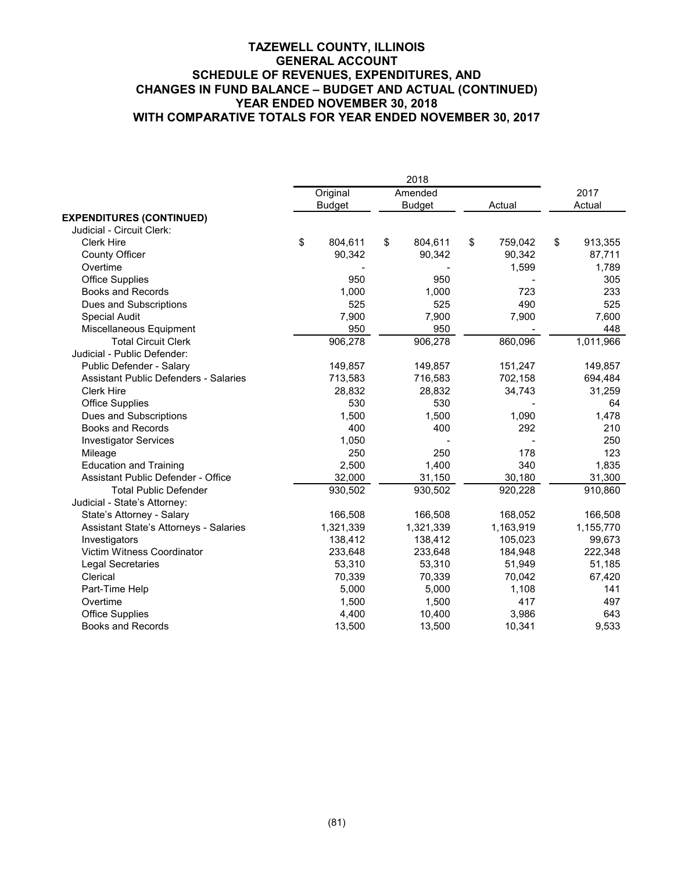|                                              |               | 2018          |               |    |           |
|----------------------------------------------|---------------|---------------|---------------|----|-----------|
|                                              | Original      | Amended       |               |    | 2017      |
|                                              | <b>Budget</b> | <b>Budget</b> | Actual        |    | Actual    |
| <b>EXPENDITURES (CONTINUED)</b>              |               |               |               |    |           |
| Judicial - Circuit Clerk:                    |               |               |               |    |           |
| <b>Clerk Hire</b>                            | \$<br>804,611 | \$<br>804,611 | \$<br>759,042 | \$ | 913,355   |
| <b>County Officer</b>                        | 90,342        | 90,342        | 90,342        |    | 87,711    |
| Overtime                                     |               |               | 1,599         |    | 1,789     |
| <b>Office Supplies</b>                       | 950           | 950           |               |    | 305       |
| <b>Books and Records</b>                     | 1,000         | 1,000         | 723           |    | 233       |
| Dues and Subscriptions                       | 525           | 525           | 490           |    | 525       |
| <b>Special Audit</b>                         | 7,900         | 7,900         | 7,900         |    | 7,600     |
| Miscellaneous Equipment                      | 950           | 950           |               |    | 448       |
| <b>Total Circuit Clerk</b>                   | 906,278       | 906,278       | 860,096       |    | 1,011,966 |
| Judicial - Public Defender:                  |               |               |               |    |           |
| Public Defender - Salary                     | 149,857       | 149,857       | 151,247       |    | 149,857   |
| <b>Assistant Public Defenders - Salaries</b> | 713,583       | 716,583       | 702,158       |    | 694,484   |
| <b>Clerk Hire</b>                            | 28,832        | 28,832        | 34,743        |    | 31,259    |
| <b>Office Supplies</b>                       | 530           | 530           |               |    | 64        |
| Dues and Subscriptions                       | 1,500         | 1,500         | 1,090         |    | 1,478     |
| <b>Books and Records</b>                     | 400           | 400           | 292           |    | 210       |
| <b>Investigator Services</b>                 | 1,050         |               |               |    | 250       |
| Mileage                                      | 250           | 250           | 178           |    | 123       |
| <b>Education and Training</b>                | 2,500         | 1,400         | 340           |    | 1,835     |
| Assistant Public Defender - Office           | 32,000        | 31,150        | 30,180        |    | 31,300    |
| <b>Total Public Defender</b>                 | 930,502       | 930,502       | 920,228       |    | 910,860   |
| Judicial - State's Attorney:                 |               |               |               |    |           |
| State's Attorney - Salary                    | 166,508       | 166,508       | 168,052       |    | 166,508   |
| Assistant State's Attorneys - Salaries       | 1,321,339     | 1,321,339     | 1,163,919     |    | 1,155,770 |
| Investigators                                | 138,412       | 138,412       | 105,023       |    | 99,673    |
| Victim Witness Coordinator                   | 233,648       | 233,648       | 184,948       |    | 222,348   |
| Legal Secretaries                            | 53,310        | 53,310        | 51,949        |    | 51,185    |
| Clerical                                     | 70,339        | 70,339        | 70,042        |    | 67,420    |
| Part-Time Help                               | 5,000         | 5,000         | 1,108         |    | 141       |
| Overtime                                     | 1,500         | 1,500         | 417           |    | 497       |
| <b>Office Supplies</b>                       | 4,400         | 10,400        | 3,986         |    | 643       |
| <b>Books and Records</b>                     | 13,500        | 13,500        | 10,341        |    | 9,533     |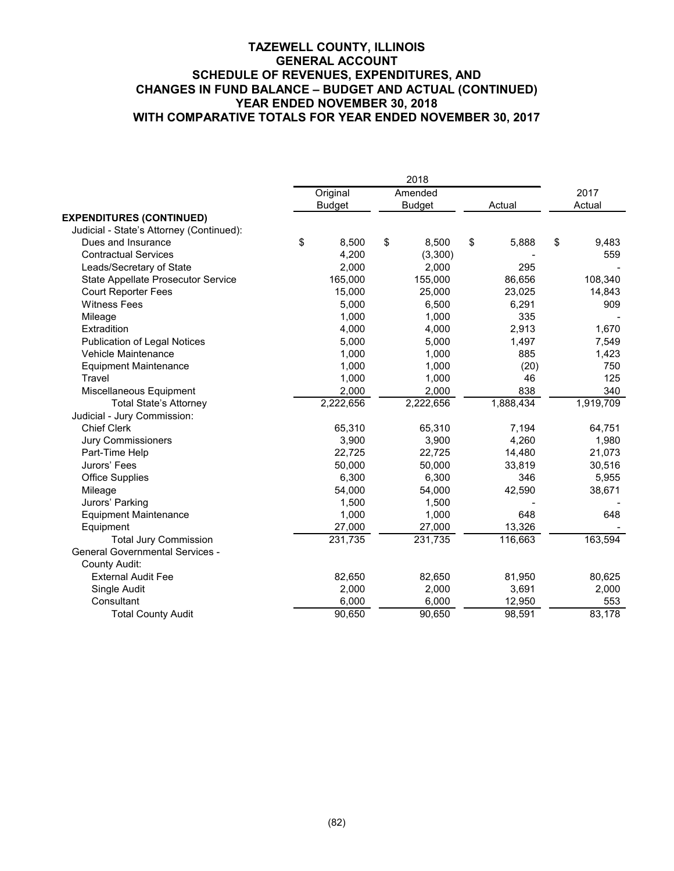|                                          | 2018 |               |    |               |    |           |    |           |
|------------------------------------------|------|---------------|----|---------------|----|-----------|----|-----------|
|                                          |      | Original      |    | Amended       |    |           |    | 2017      |
|                                          |      | <b>Budget</b> |    | <b>Budget</b> |    | Actual    |    | Actual    |
| <b>EXPENDITURES (CONTINUED)</b>          |      |               |    |               |    |           |    |           |
| Judicial - State's Attorney (Continued): |      |               |    |               |    |           |    |           |
| Dues and Insurance                       | \$   | 8,500         | \$ | 8,500         | \$ | 5,888     | \$ | 9,483     |
| <b>Contractual Services</b>              |      | 4,200         |    | (3,300)       |    |           |    | 559       |
| Leads/Secretary of State                 |      | 2,000         |    | 2,000         |    | 295       |    |           |
| State Appellate Prosecutor Service       |      | 165,000       |    | 155,000       |    | 86,656    |    | 108,340   |
| <b>Court Reporter Fees</b>               |      | 15,000        |    | 25,000        |    | 23,025    |    | 14,843    |
| <b>Witness Fees</b>                      |      | 5,000         |    | 6,500         |    | 6,291     |    | 909       |
| Mileage                                  |      | 1,000         |    | 1,000         |    | 335       |    |           |
| Extradition                              |      | 4,000         |    | 4,000         |    | 2,913     |    | 1,670     |
| <b>Publication of Legal Notices</b>      |      | 5,000         |    | 5,000         |    | 1,497     |    | 7,549     |
| Vehicle Maintenance                      |      | 1,000         |    | 1,000         |    | 885       |    | 1,423     |
| <b>Equipment Maintenance</b>             |      | 1,000         |    | 1,000         |    | (20)      |    | 750       |
| Travel                                   |      | 1,000         |    | 1,000         |    | 46        |    | 125       |
| Miscellaneous Equipment                  |      | 2,000         |    | 2,000         |    | 838       |    | 340       |
| <b>Total State's Attorney</b>            |      | 2,222,656     |    | 2,222,656     |    | 1,888,434 |    | 1,919,709 |
| Judicial - Jury Commission:              |      |               |    |               |    |           |    |           |
| <b>Chief Clerk</b>                       |      | 65,310        |    | 65,310        |    | 7,194     |    | 64,751    |
| <b>Jury Commissioners</b>                |      | 3,900         |    | 3,900         |    | 4,260     |    | 1,980     |
| Part-Time Help                           |      | 22,725        |    | 22,725        |    | 14,480    |    | 21,073    |
| Jurors' Fees                             |      | 50,000        |    | 50,000        |    | 33,819    |    | 30,516    |
| <b>Office Supplies</b>                   |      | 6,300         |    | 6,300         |    | 346       |    | 5,955     |
| Mileage                                  |      | 54,000        |    | 54,000        |    | 42,590    |    | 38,671    |
| Jurors' Parking                          |      | 1,500         |    | 1,500         |    |           |    |           |
| <b>Equipment Maintenance</b>             |      | 1,000         |    | 1,000         |    | 648       |    | 648       |
| Equipment                                |      | 27,000        |    | 27,000        |    | 13,326    |    |           |
| <b>Total Jury Commission</b>             |      | 231,735       |    | 231,735       |    | 116,663   |    | 163,594   |
| <b>General Governmental Services -</b>   |      |               |    |               |    |           |    |           |
| County Audit:                            |      |               |    |               |    |           |    |           |
| <b>External Audit Fee</b>                |      | 82,650        |    | 82,650        |    | 81,950    |    | 80,625    |
| Single Audit                             |      | 2,000         |    | 2,000         |    | 3,691     |    | 2,000     |
| Consultant                               |      | 6,000         |    | 6,000         |    | 12,950    |    | 553       |
| <b>Total County Audit</b>                |      | 90,650        |    | 90,650        |    | 98,591    |    | 83,178    |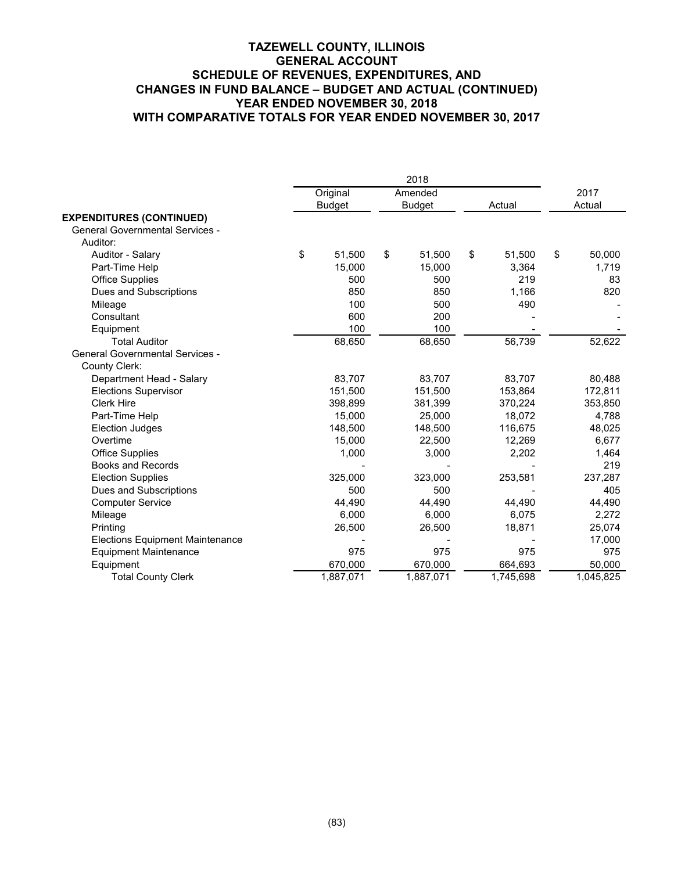|                                        | 2018 |               |    |               |    |           |    |                |
|----------------------------------------|------|---------------|----|---------------|----|-----------|----|----------------|
|                                        |      | Original      |    | Amended       |    | Actual    |    | 2017<br>Actual |
| <b>EXPENDITURES (CONTINUED)</b>        |      | <b>Budget</b> |    | <b>Budget</b> |    |           |    |                |
| <b>General Governmental Services -</b> |      |               |    |               |    |           |    |                |
| Auditor:                               |      |               |    |               |    |           |    |                |
| Auditor - Salary                       | \$   | 51,500        | \$ | 51,500        | \$ | 51,500    | \$ | 50,000         |
| Part-Time Help                         |      | 15,000        |    | 15,000        |    | 3,364     |    | 1,719          |
| <b>Office Supplies</b>                 |      | 500           |    | 500           |    | 219       |    | 83             |
| Dues and Subscriptions                 |      | 850           |    | 850           |    | 1,166     |    | 820            |
| Mileage                                |      | 100           |    | 500           |    | 490       |    |                |
| Consultant                             |      | 600           |    | 200           |    |           |    |                |
| Equipment                              |      | 100           |    | 100           |    |           |    |                |
| <b>Total Auditor</b>                   |      | 68,650        |    | 68,650        |    | 56,739    |    | 52,622         |
| <b>General Governmental Services -</b> |      |               |    |               |    |           |    |                |
| County Clerk:                          |      |               |    |               |    |           |    |                |
| Department Head - Salary               |      | 83,707        |    | 83,707        |    | 83,707    |    | 80,488         |
| <b>Elections Supervisor</b>            |      | 151,500       |    | 151,500       |    | 153,864   |    | 172,811        |
| <b>Clerk Hire</b>                      |      | 398,899       |    | 381,399       |    | 370,224   |    | 353,850        |
| Part-Time Help                         |      | 15,000        |    | 25,000        |    | 18,072    |    | 4,788          |
| <b>Election Judges</b>                 |      | 148.500       |    | 148.500       |    | 116,675   |    | 48,025         |
| Overtime                               |      | 15,000        |    | 22.500        |    | 12,269    |    | 6,677          |
| <b>Office Supplies</b>                 |      | 1,000         |    | 3,000         |    | 2,202     |    | 1,464          |
| <b>Books and Records</b>               |      |               |    |               |    |           |    | 219            |
| <b>Election Supplies</b>               |      | 325,000       |    | 323,000       |    | 253,581   |    | 237,287        |
| Dues and Subscriptions                 |      | 500           |    | 500           |    |           |    | 405            |
| <b>Computer Service</b>                |      | 44,490        |    | 44,490        |    | 44,490    |    | 44,490         |
| Mileage                                |      | 6,000         |    | 6,000         |    | 6,075     |    | 2,272          |
| Printing                               |      | 26,500        |    | 26,500        |    | 18,871    |    | 25,074         |
| <b>Elections Equipment Maintenance</b> |      |               |    |               |    |           |    | 17,000         |
| <b>Equipment Maintenance</b>           |      | 975           |    | 975           |    | 975       |    | 975            |
| Equipment                              |      | 670,000       |    | 670,000       |    | 664,693   |    | 50,000         |
| <b>Total County Clerk</b>              |      | 1,887,071     |    | 1,887,071     |    | 1,745,698 |    | 1,045,825      |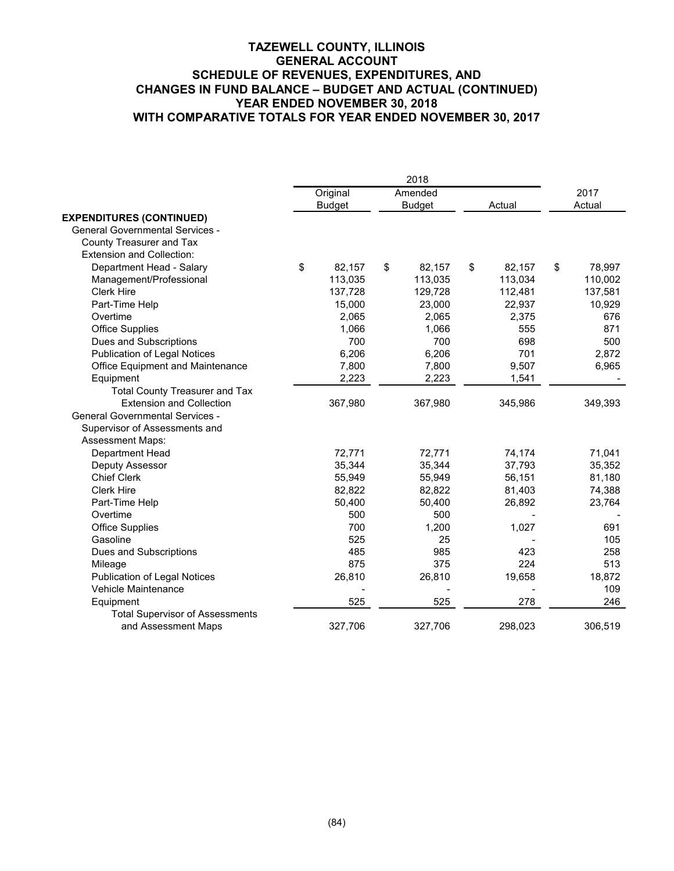|                                        |               | 2018          |              |              |
|----------------------------------------|---------------|---------------|--------------|--------------|
|                                        | Original      | Amended       |              | 2017         |
| <b>EXPENDITURES (CONTINUED)</b>        | <b>Budget</b> | <b>Budget</b> | Actual       | Actual       |
| <b>General Governmental Services -</b> |               |               |              |              |
| County Treasurer and Tax               |               |               |              |              |
| <b>Extension and Collection:</b>       |               |               |              |              |
| \$<br>Department Head - Salary         | 82,157        | \$<br>82,157  | \$<br>82,157 | \$<br>78,997 |
| Management/Professional                | 113,035       | 113,035       | 113,034      | 110,002      |
| Clerk Hire                             | 137,728       | 129,728       | 112,481      | 137,581      |
| Part-Time Help                         | 15,000        | 23,000        | 22,937       | 10,929       |
| Overtime                               | 2,065         | 2,065         | 2,375        | 676          |
| <b>Office Supplies</b>                 | 1,066         | 1,066         | 555          | 871          |
| Dues and Subscriptions                 | 700           | 700           | 698          | 500          |
| <b>Publication of Legal Notices</b>    | 6,206         | 6,206         | 701          | 2,872        |
| Office Equipment and Maintenance       | 7,800         | 7,800         | 9,507        | 6,965        |
| Equipment                              | 2,223         | 2,223         | 1,541        |              |
| <b>Total County Treasurer and Tax</b>  |               |               |              |              |
| <b>Extension and Collection</b>        | 367,980       | 367,980       | 345,986      | 349,393      |
| <b>General Governmental Services -</b> |               |               |              |              |
| Supervisor of Assessments and          |               |               |              |              |
| <b>Assessment Maps:</b>                |               |               |              |              |
| Department Head                        | 72,771        | 72,771        | 74,174       | 71,041       |
| Deputy Assessor                        | 35,344        | 35,344        | 37,793       | 35,352       |
| <b>Chief Clerk</b>                     | 55,949        | 55,949        | 56,151       | 81,180       |
| <b>Clerk Hire</b>                      | 82,822        | 82,822        | 81,403       | 74,388       |
| Part-Time Help                         | 50,400        | 50,400        | 26,892       | 23,764       |
| Overtime                               | 500           | 500           |              |              |
| Office Supplies                        | 700           | 1,200         | 1,027        | 691          |
| Gasoline                               | 525           | 25            |              | 105          |
| Dues and Subscriptions                 | 485           | 985           | 423          | 258          |
| Mileage                                | 875           | 375           | 224          | 513          |
| <b>Publication of Legal Notices</b>    | 26,810        | 26,810        | 19,658       | 18,872       |
| Vehicle Maintenance                    |               |               |              | 109          |
| Equipment                              | 525           | 525           | 278          | 246          |
| <b>Total Supervisor of Assessments</b> |               |               |              |              |
| and Assessment Maps                    | 327,706       | 327,706       | 298,023      | 306,519      |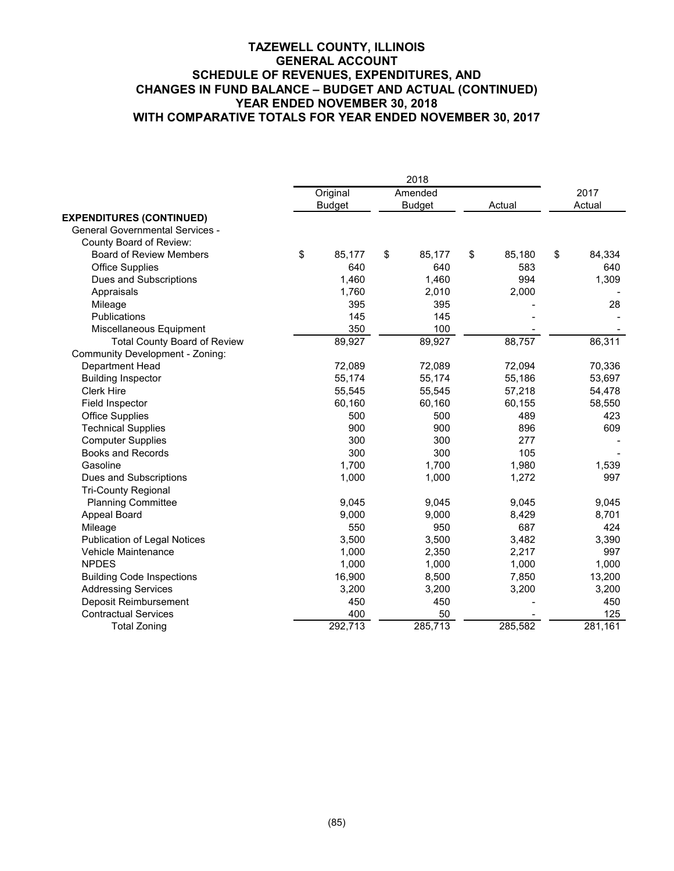|                                        | 2018          |    |               |    |         |    |         |  |  |
|----------------------------------------|---------------|----|---------------|----|---------|----|---------|--|--|
|                                        | Original      |    | Amended       |    |         |    | 2017    |  |  |
|                                        | <b>Budget</b> |    | <b>Budget</b> |    | Actual  |    | Actual  |  |  |
| <b>EXPENDITURES (CONTINUED)</b>        |               |    |               |    |         |    |         |  |  |
| <b>General Governmental Services -</b> |               |    |               |    |         |    |         |  |  |
| County Board of Review:                |               |    |               |    |         |    |         |  |  |
| <b>Board of Review Members</b>         | \$<br>85,177  | \$ | 85,177        | \$ | 85,180  | \$ | 84,334  |  |  |
| <b>Office Supplies</b>                 | 640           |    | 640           |    | 583     |    | 640     |  |  |
| Dues and Subscriptions                 | 1,460         |    | 1,460         |    | 994     |    | 1,309   |  |  |
| Appraisals                             | 1,760         |    | 2,010         |    | 2,000   |    |         |  |  |
| Mileage                                | 395           |    | 395           |    |         |    | 28      |  |  |
| Publications                           | 145           |    | 145           |    |         |    |         |  |  |
| Miscellaneous Equipment                | 350           |    | 100           |    |         |    |         |  |  |
| <b>Total County Board of Review</b>    | 89,927        |    | 89,927        |    | 88,757  |    | 86,311  |  |  |
| Community Development - Zoning:        |               |    |               |    |         |    |         |  |  |
| Department Head                        | 72,089        |    | 72,089        |    | 72,094  |    | 70,336  |  |  |
| <b>Building Inspector</b>              | 55,174        |    | 55,174        |    | 55,186  |    | 53,697  |  |  |
| <b>Clerk Hire</b>                      | 55,545        |    | 55,545        |    | 57,218  |    | 54,478  |  |  |
| Field Inspector                        | 60,160        |    | 60,160        |    | 60,155  |    | 58,550  |  |  |
| <b>Office Supplies</b>                 | 500           |    | 500           |    | 489     |    | 423     |  |  |
| <b>Technical Supplies</b>              | 900           |    | 900           |    | 896     |    | 609     |  |  |
| <b>Computer Supplies</b>               | 300           |    | 300           |    | 277     |    |         |  |  |
| <b>Books and Records</b>               | 300           |    | 300           |    | 105     |    |         |  |  |
| Gasoline                               | 1,700         |    | 1,700         |    | 1,980   |    | 1,539   |  |  |
| Dues and Subscriptions                 | 1,000         |    | 1,000         |    | 1,272   |    | 997     |  |  |
| <b>Tri-County Regional</b>             |               |    |               |    |         |    |         |  |  |
| <b>Planning Committee</b>              | 9,045         |    | 9,045         |    | 9,045   |    | 9,045   |  |  |
| Appeal Board                           | 9,000         |    | 9,000         |    | 8,429   |    | 8,701   |  |  |
| Mileage                                | 550           |    | 950           |    | 687     |    | 424     |  |  |
| <b>Publication of Legal Notices</b>    | 3,500         |    | 3,500         |    | 3,482   |    | 3,390   |  |  |
| Vehicle Maintenance                    | 1,000         |    | 2,350         |    | 2,217   |    | 997     |  |  |
| <b>NPDES</b>                           | 1,000         |    | 1,000         |    | 1,000   |    | 1,000   |  |  |
| <b>Building Code Inspections</b>       | 16,900        |    | 8,500         |    | 7,850   |    | 13,200  |  |  |
| <b>Addressing Services</b>             | 3,200         |    | 3,200         |    | 3,200   |    | 3,200   |  |  |
| Deposit Reimbursement                  | 450           |    | 450           |    |         |    | 450     |  |  |
| <b>Contractual Services</b>            | 400           |    | 50            |    |         |    | 125     |  |  |
| <b>Total Zoning</b>                    | 292,713       |    | 285,713       |    | 285,582 |    | 281,161 |  |  |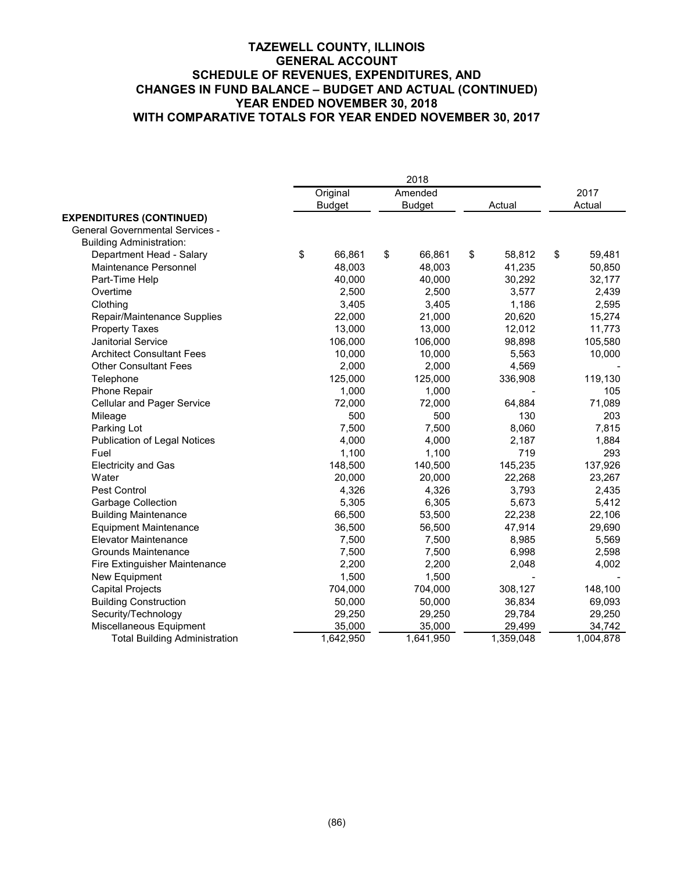|                                        | 2018 |               |    |               |    |           |    |           |
|----------------------------------------|------|---------------|----|---------------|----|-----------|----|-----------|
|                                        |      | Original      |    | Amended       |    |           |    | 2017      |
|                                        |      | <b>Budget</b> |    | <b>Budget</b> |    | Actual    |    | Actual    |
| <b>EXPENDITURES (CONTINUED)</b>        |      |               |    |               |    |           |    |           |
| <b>General Governmental Services -</b> |      |               |    |               |    |           |    |           |
| <b>Building Administration:</b>        |      |               |    |               |    |           |    |           |
| Department Head - Salary               | \$   | 66,861        | \$ | 66,861        | \$ | 58,812    | \$ | 59,481    |
| Maintenance Personnel                  |      | 48,003        |    | 48,003        |    | 41,235    |    | 50,850    |
| Part-Time Help                         |      | 40,000        |    | 40,000        |    | 30,292    |    | 32,177    |
| Overtime                               |      | 2,500         |    | 2,500         |    | 3,577     |    | 2,439     |
| Clothing                               |      | 3,405         |    | 3,405         |    | 1,186     |    | 2,595     |
| Repair/Maintenance Supplies            |      | 22,000        |    | 21,000        |    | 20,620    |    | 15,274    |
| <b>Property Taxes</b>                  |      | 13,000        |    | 13,000        |    | 12,012    |    | 11,773    |
| <b>Janitorial Service</b>              |      | 106,000       |    | 106,000       |    | 98,898    |    | 105,580   |
| <b>Architect Consultant Fees</b>       |      | 10,000        |    | 10,000        |    | 5,563     |    | 10,000    |
| <b>Other Consultant Fees</b>           |      | 2,000         |    | 2,000         |    | 4,569     |    |           |
| Telephone                              |      | 125,000       |    | 125,000       |    | 336,908   |    | 119,130   |
| Phone Repair                           |      | 1,000         |    | 1,000         |    |           |    | 105       |
| <b>Cellular and Pager Service</b>      |      | 72,000        |    | 72,000        |    | 64,884    |    | 71,089    |
| Mileage                                |      | 500           |    | 500           |    | 130       |    | 203       |
| Parking Lot                            |      | 7,500         |    | 7,500         |    | 8,060     |    | 7,815     |
| <b>Publication of Legal Notices</b>    |      | 4,000         |    | 4,000         |    | 2,187     |    | 1,884     |
| Fuel                                   |      | 1,100         |    | 1,100         |    | 719       |    | 293       |
| <b>Electricity and Gas</b>             |      | 148,500       |    | 140,500       |    | 145,235   |    | 137,926   |
| Water                                  |      | 20,000        |    | 20,000        |    | 22,268    |    | 23,267    |
| Pest Control                           |      | 4,326         |    | 4,326         |    | 3,793     |    | 2,435     |
| Garbage Collection                     |      | 5,305         |    | 6,305         |    | 5,673     |    | 5,412     |
| <b>Building Maintenance</b>            |      | 66,500        |    | 53,500        |    | 22,238    |    | 22,106    |
| <b>Equipment Maintenance</b>           |      | 36,500        |    | 56,500        |    | 47,914    |    | 29,690    |
| <b>Elevator Maintenance</b>            |      | 7,500         |    | 7,500         |    | 8,985     |    | 5,569     |
| <b>Grounds Maintenance</b>             |      | 7,500         |    | 7,500         |    | 6,998     |    | 2,598     |
| Fire Extinguisher Maintenance          |      | 2,200         |    | 2,200         |    | 2,048     |    | 4,002     |
| New Equipment                          |      | 1,500         |    | 1,500         |    |           |    |           |
| <b>Capital Projects</b>                |      | 704,000       |    | 704,000       |    | 308,127   |    | 148,100   |
| <b>Building Construction</b>           |      | 50,000        |    | 50,000        |    | 36,834    |    | 69,093    |
| Security/Technology                    |      | 29,250        |    | 29,250        |    | 29,784    |    | 29,250    |
| Miscellaneous Equipment                |      | 35,000        |    | 35,000        |    | 29,499    |    | 34,742    |
| <b>Total Building Administration</b>   |      | 1,642,950     |    | 1,641,950     |    | 1,359,048 |    | 1,004,878 |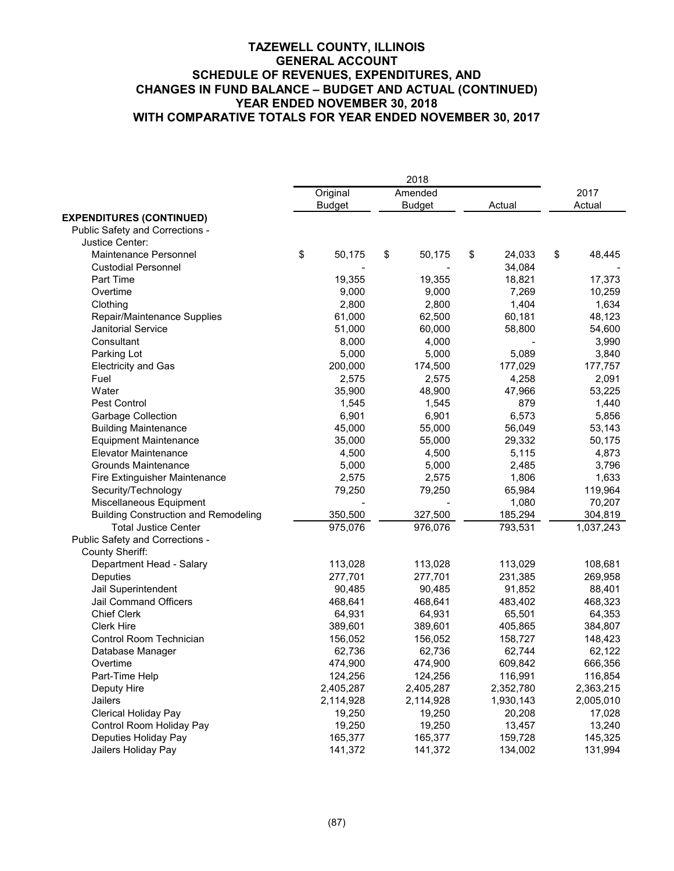|                                             |               | 2018          |    |           |      |           |
|---------------------------------------------|---------------|---------------|----|-----------|------|-----------|
|                                             | Original      | Amended       |    |           | 2017 |           |
|                                             | <b>Budget</b> | <b>Budget</b> |    | Actual    |      | Actual    |
| <b>EXPENDITURES (CONTINUED)</b>             |               |               |    |           |      |           |
| Public Safety and Corrections -             |               |               |    |           |      |           |
| Justice Center:                             |               |               |    |           |      |           |
| <b>Maintenance Personnel</b>                | \$<br>50,175  | \$<br>50,175  | \$ | 24,033    | \$   | 48,445    |
| <b>Custodial Personnel</b>                  |               |               |    | 34,084    |      |           |
| Part Time                                   | 19,355        | 19,355        |    | 18,821    |      | 17,373    |
| Overtime                                    | 9,000         | 9,000         |    | 7,269     |      | 10,259    |
| Clothing                                    | 2,800         | 2,800         |    | 1,404     |      | 1,634     |
| Repair/Maintenance Supplies                 | 61,000        | 62,500        |    | 60,181    |      | 48,123    |
| <b>Janitorial Service</b>                   | 51,000        | 60,000        |    | 58,800    |      | 54,600    |
| Consultant                                  | 8,000         | 4,000         |    |           |      | 3,990     |
| Parking Lot                                 | 5,000         | 5,000         |    | 5,089     |      | 3,840     |
| <b>Electricity and Gas</b>                  | 200,000       | 174,500       |    | 177,029   |      | 177,757   |
| Fuel                                        | 2,575         | 2,575         |    | 4,258     |      | 2,091     |
| Water                                       | 35,900        | 48,900        |    | 47,966    |      | 53,225    |
| Pest Control                                | 1,545         | 1,545         |    | 879       |      | 1,440     |
| Garbage Collection                          | 6,901         | 6,901         |    | 6,573     |      | 5,856     |
| <b>Building Maintenance</b>                 | 45,000        | 55,000        |    | 56,049    |      | 53,143    |
| <b>Equipment Maintenance</b>                | 35,000        | 55,000        |    | 29,332    |      | 50,175    |
| <b>Elevator Maintenance</b>                 | 4,500         | 4,500         |    | 5,115     |      | 4,873     |
| Grounds Maintenance                         | 5,000         | 5,000         |    | 2,485     |      | 3,796     |
| Fire Extinguisher Maintenance               | 2,575         | 2,575         |    | 1,806     |      | 1,633     |
| Security/Technology                         | 79,250        | 79,250        |    | 65,984    |      | 119,964   |
| Miscellaneous Equipment                     |               |               |    | 1,080     |      | 70,207    |
| <b>Building Construction and Remodeling</b> | 350,500       | 327,500       |    | 185,294   |      | 304,819   |
| <b>Total Justice Center</b>                 | 975,076       | 976,076       |    | 793,531   |      | 1,037,243 |
| Public Safety and Corrections -             |               |               |    |           |      |           |
| <b>County Sheriff:</b>                      |               |               |    |           |      |           |
| Department Head - Salary                    | 113,028       | 113,028       |    | 113,029   |      | 108,681   |
| Deputies                                    | 277,701       | 277,701       |    | 231,385   |      | 269,958   |
| Jail Superintendent                         | 90,485        | 90,485        |    | 91,852    |      | 88,401    |
| Jail Command Officers                       | 468,641       | 468,641       |    | 483,402   |      | 468,323   |
| <b>Chief Clerk</b>                          | 64,931        | 64,931        |    | 65,501    |      | 64,353    |
| <b>Clerk Hire</b>                           | 389,601       | 389,601       |    | 405,865   |      | 384,807   |
| Control Room Technician                     | 156,052       | 156,052       |    | 158,727   |      | 148,423   |
| Database Manager                            | 62,736        | 62,736        |    | 62,744    |      | 62,122    |
| Overtime                                    | 474,900       | 474,900       |    | 609,842   |      | 666,356   |
| Part-Time Help                              | 124,256       | 124,256       |    | 116,991   |      | 116,854   |
| Deputy Hire                                 | 2,405,287     | 2,405,287     |    | 2,352,780 |      | 2,363,215 |
| Jailers                                     | 2,114,928     | 2,114,928     |    | 1,930,143 |      | 2,005,010 |
| Clerical Holiday Pay                        | 19,250        | 19,250        |    | 20,208    |      | 17,028    |
| Control Room Holiday Pay                    | 19,250        | 19,250        |    | 13,457    |      | 13,240    |
| Deputies Holiday Pay                        | 165,377       | 165,377       |    | 159,728   |      | 145,325   |
| Jailers Holiday Pay                         | 141,372       | 141,372       |    | 134,002   |      | 131,994   |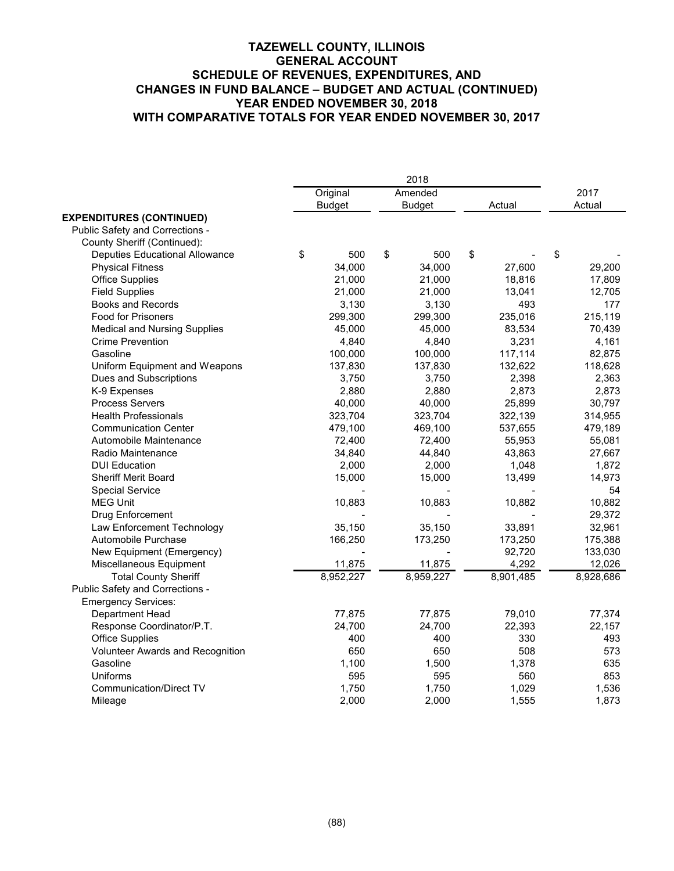|                                       | 2018          |    |               |    |           |    |           |
|---------------------------------------|---------------|----|---------------|----|-----------|----|-----------|
|                                       | Original      |    | Amended       |    |           |    | 2017      |
|                                       | <b>Budget</b> |    | <b>Budget</b> |    | Actual    |    | Actual    |
| <b>EXPENDITURES (CONTINUED)</b>       |               |    |               |    |           |    |           |
| Public Safety and Corrections -       |               |    |               |    |           |    |           |
| County Sheriff (Continued):           |               |    |               |    |           |    |           |
| <b>Deputies Educational Allowance</b> | \$<br>500     | \$ | 500           | \$ |           | \$ |           |
| <b>Physical Fitness</b>               | 34,000        |    | 34,000        |    | 27,600    |    | 29,200    |
| <b>Office Supplies</b>                | 21,000        |    | 21,000        |    | 18,816    |    | 17,809    |
| <b>Field Supplies</b>                 | 21,000        |    | 21,000        |    | 13,041    |    | 12,705    |
| <b>Books and Records</b>              | 3,130         |    | 3,130         |    | 493       |    | 177       |
| <b>Food for Prisoners</b>             | 299,300       |    | 299,300       |    | 235,016   |    | 215,119   |
| <b>Medical and Nursing Supplies</b>   | 45,000        |    | 45,000        |    | 83,534    |    | 70,439    |
| <b>Crime Prevention</b>               | 4,840         |    | 4,840         |    | 3,231     |    | 4,161     |
| Gasoline                              | 100,000       |    | 100,000       |    | 117,114   |    | 82,875    |
| Uniform Equipment and Weapons         | 137,830       |    | 137,830       |    | 132,622   |    | 118,628   |
| Dues and Subscriptions                | 3,750         |    | 3,750         |    | 2,398     |    | 2,363     |
| K-9 Expenses                          | 2,880         |    | 2,880         |    | 2,873     |    | 2,873     |
| <b>Process Servers</b>                | 40,000        |    | 40,000        |    | 25,899    |    | 30,797    |
| <b>Health Professionals</b>           | 323,704       |    | 323,704       |    | 322,139   |    | 314,955   |
| <b>Communication Center</b>           | 479,100       |    | 469,100       |    | 537,655   |    | 479,189   |
| Automobile Maintenance                | 72,400        |    | 72,400        |    | 55,953    |    | 55,081    |
| Radio Maintenance                     | 34,840        |    | 44,840        |    | 43,863    |    | 27,667    |
| <b>DUI Education</b>                  | 2,000         |    | 2,000         |    | 1,048     |    | 1,872     |
| Sheriff Merit Board                   | 15,000        |    | 15,000        |    | 13,499    |    | 14,973    |
| <b>Special Service</b>                |               |    |               |    |           |    | 54        |
| <b>MEG Unit</b>                       | 10,883        |    | 10,883        |    | 10,882    |    | 10,882    |
| Drug Enforcement                      |               |    |               |    |           |    | 29,372    |
| Law Enforcement Technology            | 35,150        |    | 35,150        |    | 33,891    |    | 32,961    |
| Automobile Purchase                   | 166,250       |    | 173,250       |    | 173,250   |    | 175,388   |
| New Equipment (Emergency)             |               |    |               |    | 92,720    |    | 133,030   |
| Miscellaneous Equipment               | 11,875        |    | 11,875        |    | 4,292     |    | 12,026    |
| <b>Total County Sheriff</b>           | 8,952,227     |    | 8,959,227     |    | 8,901,485 |    | 8,928,686 |
| Public Safety and Corrections -       |               |    |               |    |           |    |           |
| <b>Emergency Services:</b>            |               |    |               |    |           |    |           |
| Department Head                       | 77,875        |    | 77,875        |    | 79,010    |    | 77,374    |
| Response Coordinator/P.T.             | 24,700        |    | 24,700        |    | 22,393    |    | 22,157    |
| <b>Office Supplies</b>                | 400           |    | 400           |    | 330       |    | 493       |
| Volunteer Awards and Recognition      | 650           |    | 650           |    | 508       |    | 573       |
| Gasoline                              | 1,100         |    | 1,500         |    | 1,378     |    | 635       |
| <b>Uniforms</b>                       | 595           |    | 595           |    | 560       |    | 853       |
| <b>Communication/Direct TV</b>        | 1,750         |    | 1,750         |    | 1,029     |    | 1,536     |
| Mileage                               | 2,000         |    | 2,000         |    | 1,555     |    | 1,873     |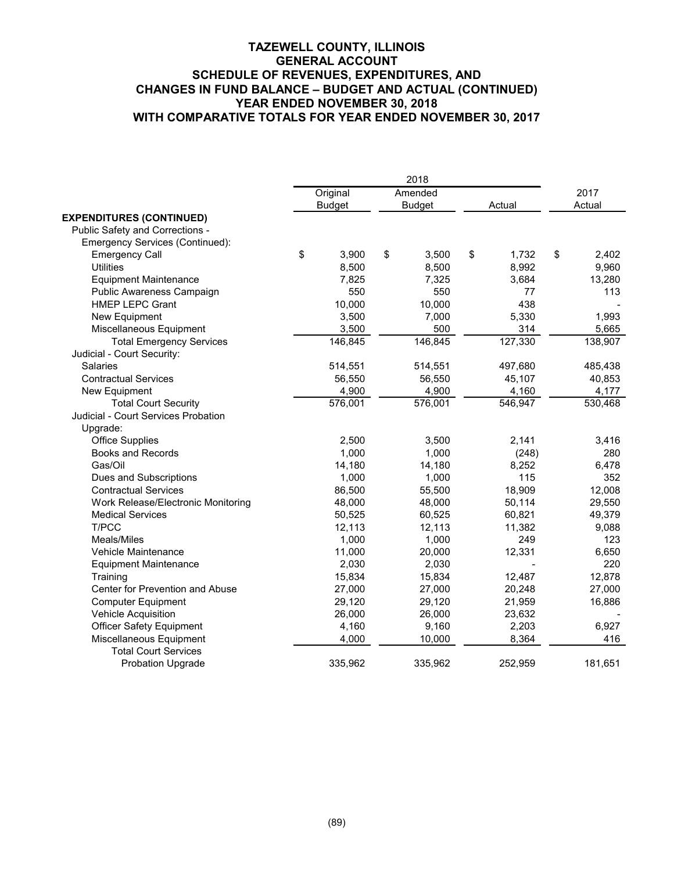|                                     | 2018 |               |    |               |    |         |    |         |
|-------------------------------------|------|---------------|----|---------------|----|---------|----|---------|
|                                     |      | Original      |    | Amended       |    |         |    | 2017    |
|                                     |      | <b>Budget</b> |    | <b>Budget</b> |    | Actual  |    | Actual  |
| <b>EXPENDITURES (CONTINUED)</b>     |      |               |    |               |    |         |    |         |
| Public Safety and Corrections -     |      |               |    |               |    |         |    |         |
| Emergency Services (Continued):     |      |               |    |               |    |         |    |         |
| <b>Emergency Call</b>               | \$   | 3,900         | \$ | 3,500         | \$ | 1,732   | \$ | 2,402   |
| <b>Utilities</b>                    |      | 8,500         |    | 8,500         |    | 8,992   |    | 9,960   |
| <b>Equipment Maintenance</b>        |      | 7,825         |    | 7,325         |    | 3,684   |    | 13,280  |
| Public Awareness Campaign           |      | 550           |    | 550           |    | 77      |    | 113     |
| <b>HMEP LEPC Grant</b>              |      | 10,000        |    | 10,000        |    | 438     |    |         |
| New Equipment                       |      | 3,500         |    | 7,000         |    | 5,330   |    | 1,993   |
| Miscellaneous Equipment             |      | 3,500         |    | 500           |    | 314     |    | 5,665   |
| <b>Total Emergency Services</b>     |      | 146,845       |    | 146,845       |    | 127,330 |    | 138,907 |
| Judicial - Court Security:          |      |               |    |               |    |         |    |         |
| <b>Salaries</b>                     |      | 514,551       |    | 514,551       |    | 497,680 |    | 485,438 |
| <b>Contractual Services</b>         |      | 56,550        |    | 56,550        |    | 45,107  |    | 40,853  |
| New Equipment                       |      | 4,900         |    | 4,900         |    | 4,160   |    | 4,177   |
| <b>Total Court Security</b>         |      | 576,001       |    | 576,001       |    | 546,947 |    | 530,468 |
| Judicial - Court Services Probation |      |               |    |               |    |         |    |         |
| Upgrade:                            |      |               |    |               |    |         |    |         |
| <b>Office Supplies</b>              |      | 2,500         |    | 3,500         |    | 2,141   |    | 3,416   |
| <b>Books and Records</b>            |      | 1,000         |    | 1,000         |    | (248)   |    | 280     |
| Gas/Oil                             |      | 14,180        |    | 14,180        |    | 8,252   |    | 6,478   |
| Dues and Subscriptions              |      | 1,000         |    | 1,000         |    | 115     |    | 352     |
| <b>Contractual Services</b>         |      | 86,500        |    | 55,500        |    | 18,909  |    | 12,008  |
| Work Release/Electronic Monitoring  |      | 48,000        |    | 48,000        |    | 50,114  |    | 29,550  |
| <b>Medical Services</b>             |      | 50,525        |    | 60,525        |    | 60,821  |    | 49,379  |
| T/PCC                               |      | 12,113        |    | 12,113        |    | 11,382  |    | 9,088   |
| Meals/Miles                         |      | 1,000         |    | 1,000         |    | 249     |    | 123     |
| Vehicle Maintenance                 |      | 11,000        |    | 20,000        |    | 12,331  |    | 6,650   |
| <b>Equipment Maintenance</b>        |      | 2,030         |    | 2,030         |    |         |    | 220     |
| Training                            |      | 15,834        |    | 15,834        |    | 12,487  |    | 12,878  |
| Center for Prevention and Abuse     |      | 27,000        |    | 27,000        |    | 20,248  |    | 27,000  |
| <b>Computer Equipment</b>           |      | 29,120        |    | 29,120        |    | 21,959  |    | 16,886  |
| Vehicle Acquisition                 |      | 26,000        |    | 26,000        |    | 23,632  |    |         |
| <b>Officer Safety Equipment</b>     |      | 4,160         |    | 9,160         |    | 2,203   |    | 6,927   |
| Miscellaneous Equipment             |      | 4,000         |    | 10,000        |    | 8,364   |    | 416     |
| <b>Total Court Services</b>         |      |               |    |               |    |         |    |         |
| <b>Probation Upgrade</b>            |      | 335,962       |    | 335,962       |    | 252,959 |    | 181,651 |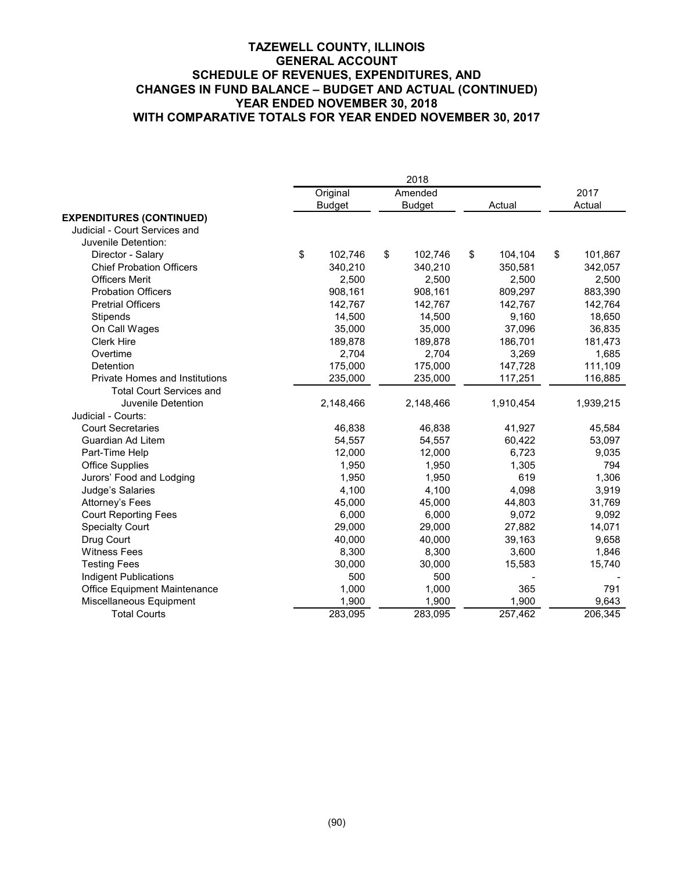|                                       | Original      | Amended       |    |           | 2017          |
|---------------------------------------|---------------|---------------|----|-----------|---------------|
|                                       | <b>Budget</b> | <b>Budget</b> |    | Actual    | Actual        |
| <b>EXPENDITURES (CONTINUED)</b>       |               |               |    |           |               |
| Judicial - Court Services and         |               |               |    |           |               |
| Juvenile Detention:                   |               |               |    |           |               |
| Director - Salary                     | \$<br>102,746 | \$<br>102,746 | \$ | 104,104   | \$<br>101,867 |
| <b>Chief Probation Officers</b>       | 340,210       | 340,210       |    | 350,581   | 342,057       |
| <b>Officers Merit</b>                 | 2,500         | 2,500         |    | 2,500     | 2,500         |
| <b>Probation Officers</b>             | 908,161       | 908,161       |    | 809,297   | 883,390       |
| <b>Pretrial Officers</b>              | 142,767       | 142,767       |    | 142,767   | 142,764       |
| Stipends                              | 14,500        | 14,500        |    | 9,160     | 18,650        |
| On Call Wages                         | 35,000        | 35,000        |    | 37,096    | 36,835        |
| <b>Clerk Hire</b>                     | 189,878       | 189,878       |    | 186,701   | 181,473       |
| Overtime                              | 2,704         | 2.704         |    | 3,269     | 1,685         |
| Detention                             | 175,000       | 175,000       |    | 147,728   | 111,109       |
| <b>Private Homes and Institutions</b> | 235,000       | 235,000       |    | 117,251   | 116,885       |
| <b>Total Court Services and</b>       |               |               |    |           |               |
| Juvenile Detention                    | 2,148,466     | 2,148,466     |    | 1,910,454 | 1,939,215     |
| Judicial - Courts:                    |               |               |    |           |               |
| <b>Court Secretaries</b>              | 46,838        | 46,838        |    | 41,927    | 45,584        |
| Guardian Ad Litem                     | 54,557        | 54,557        |    | 60,422    | 53,097        |
| Part-Time Help                        | 12,000        | 12,000        |    | 6,723     | 9,035         |
| <b>Office Supplies</b>                | 1,950         | 1,950         |    | 1,305     | 794           |
| Jurors' Food and Lodging              | 1,950         | 1,950         |    | 619       | 1,306         |
| Judge's Salaries                      | 4,100         | 4,100         |    | 4,098     | 3,919         |
| Attorney's Fees                       | 45,000        | 45,000        |    | 44,803    | 31,769        |
| <b>Court Reporting Fees</b>           | 6,000         | 6,000         |    | 9,072     | 9,092         |
| <b>Specialty Court</b>                | 29,000        | 29,000        |    | 27,882    | 14,071        |
| Drug Court                            | 40,000        | 40,000        |    | 39,163    | 9,658         |
| <b>Witness Fees</b>                   | 8,300         | 8,300         |    | 3,600     | 1,846         |
| <b>Testing Fees</b>                   | 30,000        | 30,000        |    | 15,583    | 15,740        |
| <b>Indigent Publications</b>          | 500           | 500           |    |           |               |
| Office Equipment Maintenance          | 1,000         | 1,000         |    | 365       | 791           |
| Miscellaneous Equipment               | 1,900         | 1,900         |    | 1,900     | 9,643         |
| <b>Total Courts</b>                   | 283,095       | 283,095       |    | 257,462   | 206,345       |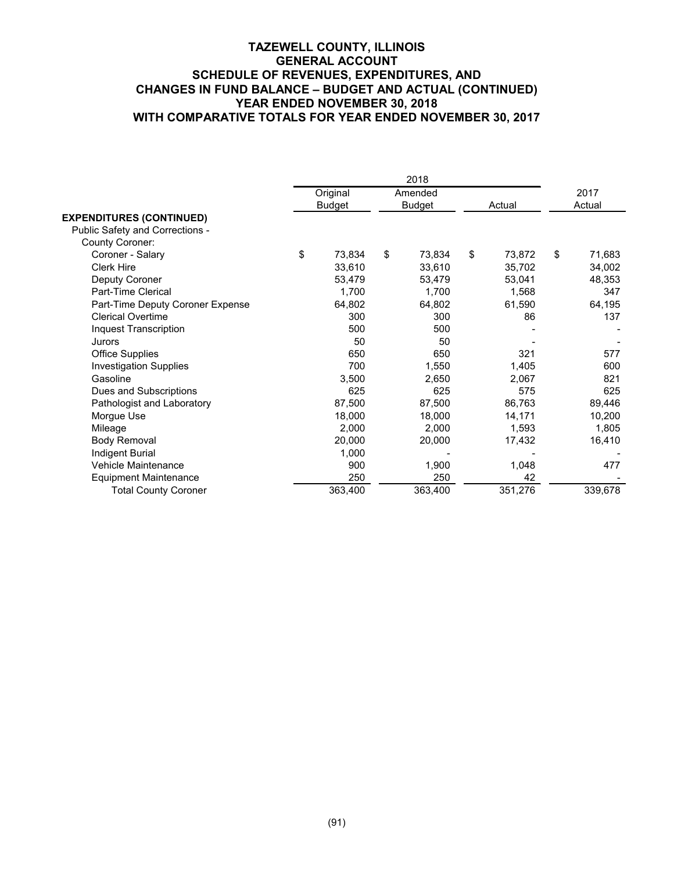|                                  |    | Original      | Amended       |    |         | 2017         |
|----------------------------------|----|---------------|---------------|----|---------|--------------|
|                                  |    | <b>Budget</b> | <b>Budget</b> |    | Actual  | Actual       |
| <b>EXPENDITURES (CONTINUED)</b>  |    |               |               |    |         |              |
| Public Safety and Corrections -  |    |               |               |    |         |              |
| County Coroner:                  |    |               |               |    |         |              |
| Coroner - Salary                 | \$ | 73,834        | \$<br>73.834  | \$ | 73,872  | \$<br>71,683 |
| <b>Clerk Hire</b>                |    | 33,610        | 33,610        |    | 35,702  | 34,002       |
| Deputy Coroner                   |    | 53,479        | 53,479        |    | 53,041  | 48,353       |
| Part-Time Clerical               |    | 1,700         | 1,700         |    | 1,568   | 347          |
| Part-Time Deputy Coroner Expense |    | 64,802        | 64,802        |    | 61,590  | 64,195       |
| <b>Clerical Overtime</b>         |    | 300           | 300           |    | 86      | 137          |
| Inquest Transcription            |    | 500           | 500           |    |         |              |
| Jurors                           |    | 50            | 50            |    |         |              |
| <b>Office Supplies</b>           |    | 650           | 650           |    | 321     | 577          |
| <b>Investigation Supplies</b>    |    | 700           | 1,550         |    | 1,405   | 600          |
| Gasoline                         |    | 3,500         | 2,650         |    | 2,067   | 821          |
| Dues and Subscriptions           |    | 625           | 625           |    | 575     | 625          |
| Pathologist and Laboratory       |    | 87,500        | 87,500        |    | 86,763  | 89,446       |
| Morgue Use                       |    | 18,000        | 18,000        |    | 14,171  | 10,200       |
| Mileage                          |    | 2,000         | 2,000         |    | 1,593   | 1,805        |
| <b>Body Removal</b>              |    | 20,000        | 20,000        |    | 17,432  | 16,410       |
| Indigent Burial                  |    | 1,000         |               |    |         |              |
| Vehicle Maintenance              |    | 900           | 1,900         |    | 1,048   | 477          |
| <b>Equipment Maintenance</b>     |    | 250           | 250           |    | 42      |              |
| <b>Total County Coroner</b>      |    | 363,400       | 363,400       |    | 351,276 | 339,678      |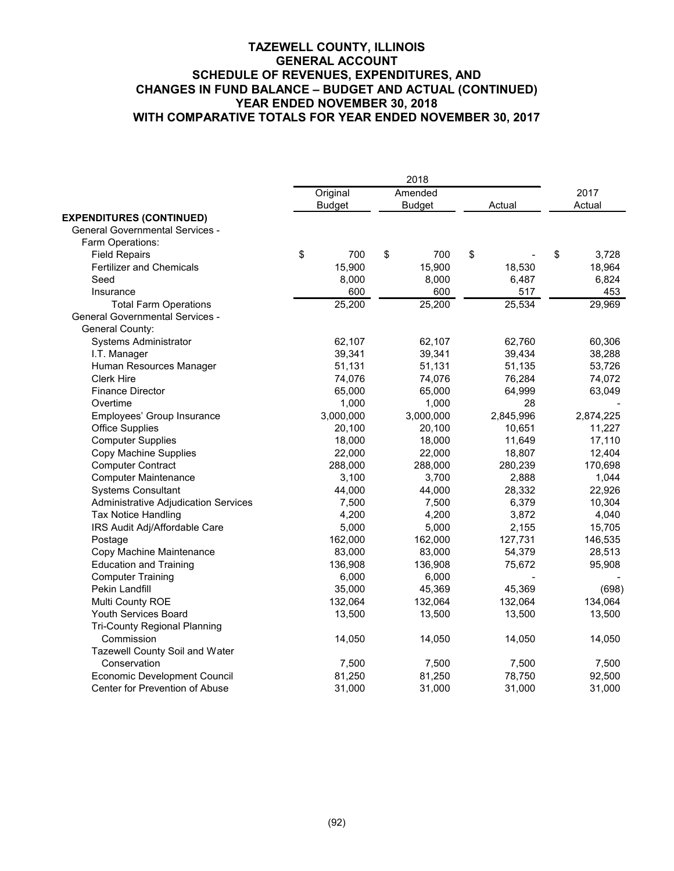|                                        | 2018 |               |    |               |    |           |    |           |
|----------------------------------------|------|---------------|----|---------------|----|-----------|----|-----------|
|                                        |      | Original      |    | Amended       |    |           |    | 2017      |
|                                        |      | <b>Budget</b> |    | <b>Budget</b> |    | Actual    |    | Actual    |
| <b>EXPENDITURES (CONTINUED)</b>        |      |               |    |               |    |           |    |           |
| <b>General Governmental Services -</b> |      |               |    |               |    |           |    |           |
| Farm Operations:                       |      |               |    |               |    |           |    |           |
| <b>Field Repairs</b>                   | \$   | 700           | \$ | 700           | \$ |           | \$ | 3,728     |
| <b>Fertilizer and Chemicals</b>        |      | 15,900        |    | 15,900        |    | 18,530    |    | 18,964    |
| Seed                                   |      | 8,000         |    | 8,000         |    | 6,487     |    | 6,824     |
| Insurance                              |      | 600           |    | 600           |    | 517       |    | 453       |
| <b>Total Farm Operations</b>           |      | 25,200        |    | 25,200        |    | 25,534    |    | 29,969    |
| <b>General Governmental Services -</b> |      |               |    |               |    |           |    |           |
| General County:                        |      |               |    |               |    |           |    |           |
| Systems Administrator                  |      | 62,107        |    | 62,107        |    | 62,760    |    | 60,306    |
| I.T. Manager                           |      | 39,341        |    | 39,341        |    | 39,434    |    | 38,288    |
| Human Resources Manager                |      | 51,131        |    | 51,131        |    | 51,135    |    | 53,726    |
| <b>Clerk Hire</b>                      |      | 74,076        |    | 74,076        |    | 76,284    |    | 74,072    |
| <b>Finance Director</b>                |      | 65,000        |    | 65,000        |    | 64,999    |    | 63,049    |
| Overtime                               |      | 1,000         |    | 1,000         |    | 28        |    |           |
| Employees' Group Insurance             |      | 3,000,000     |    | 3,000,000     |    | 2,845,996 |    | 2,874,225 |
| <b>Office Supplies</b>                 |      | 20,100        |    | 20,100        |    | 10,651    |    | 11,227    |
| <b>Computer Supplies</b>               |      | 18,000        |    | 18,000        |    | 11,649    |    | 17,110    |
| Copy Machine Supplies                  |      | 22,000        |    | 22,000        |    | 18,807    |    | 12,404    |
| <b>Computer Contract</b>               |      | 288,000       |    | 288,000       |    | 280,239   |    | 170,698   |
| <b>Computer Maintenance</b>            |      | 3,100         |    | 3,700         |    | 2,888     |    | 1,044     |
| <b>Systems Consultant</b>              |      | 44,000        |    | 44,000        |    | 28,332    |    | 22,926    |
| Administrative Adjudication Services   |      | 7,500         |    | 7,500         |    | 6,379     |    | 10,304    |
| Tax Notice Handling                    |      | 4,200         |    | 4,200         |    | 3,872     |    | 4,040     |
| IRS Audit Adj/Affordable Care          |      | 5,000         |    | 5,000         |    | 2,155     |    | 15,705    |
| Postage                                |      | 162,000       |    | 162,000       |    | 127,731   |    | 146,535   |
| Copy Machine Maintenance               |      | 83,000        |    | 83,000        |    | 54,379    |    | 28,513    |
| <b>Education and Training</b>          |      | 136,908       |    | 136,908       |    | 75,672    |    | 95,908    |
| <b>Computer Training</b>               |      | 6,000         |    | 6,000         |    |           |    |           |
| Pekin Landfill                         |      | 35,000        |    | 45,369        |    | 45,369    |    | (698)     |
| Multi County ROE                       |      | 132,064       |    | 132,064       |    | 132,064   |    | 134,064   |
| Youth Services Board                   |      | 13,500        |    | 13,500        |    | 13,500    |    | 13,500    |
| <b>Tri-County Regional Planning</b>    |      |               |    |               |    |           |    |           |
| Commission                             |      | 14,050        |    | 14,050        |    | 14,050    |    | 14,050    |
| Tazewell County Soil and Water         |      |               |    |               |    |           |    |           |
| Conservation                           |      | 7,500         |    | 7,500         |    | 7,500     |    | 7,500     |
| Economic Development Council           |      | 81,250        |    | 81,250        |    | 78,750    |    | 92,500    |
| Center for Prevention of Abuse         |      | 31,000        |    | 31,000        |    | 31,000    |    | 31,000    |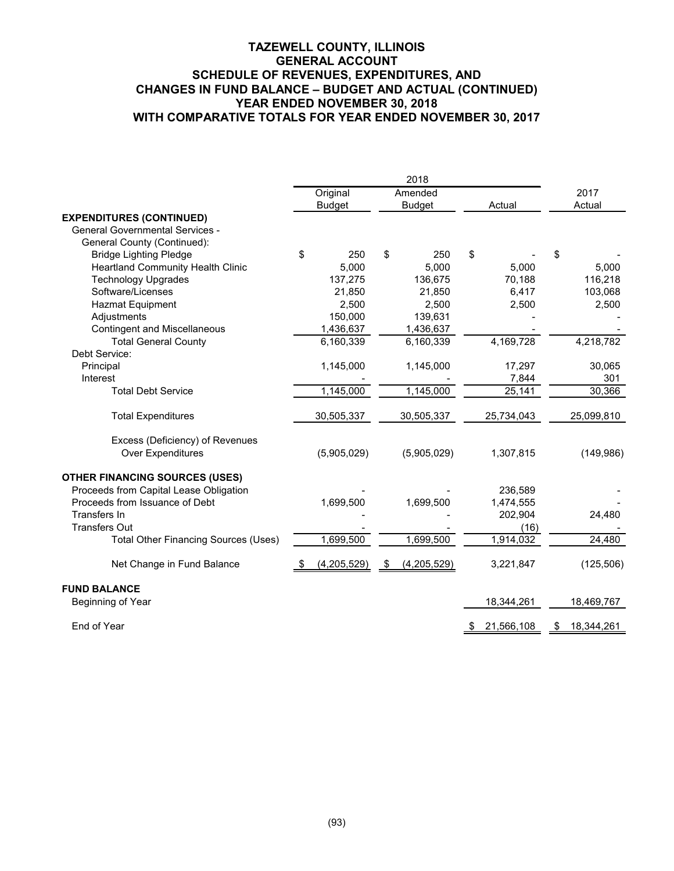|                                             | Original            | Amended             |                    | 2017             |
|---------------------------------------------|---------------------|---------------------|--------------------|------------------|
|                                             | <b>Budget</b>       | <b>Budget</b>       | Actual             | Actual           |
| <b>EXPENDITURES (CONTINUED)</b>             |                     |                     |                    |                  |
| <b>General Governmental Services -</b>      |                     |                     |                    |                  |
| General County (Continued):                 |                     |                     |                    |                  |
| <b>Bridge Lighting Pledge</b>               | \$<br>250           | \$<br>250           | \$                 | \$               |
| <b>Heartland Community Health Clinic</b>    | 5,000               | 5,000               | 5,000              | 5,000            |
| <b>Technology Upgrades</b>                  | 137,275             | 136,675             | 70,188             | 116,218          |
| Software/Licenses                           | 21,850              | 21,850              | 6,417              | 103,068          |
| <b>Hazmat Equipment</b>                     | 2,500               | 2,500               | 2,500              | 2,500            |
| Adjustments                                 | 150,000             | 139,631             |                    |                  |
| <b>Contingent and Miscellaneous</b>         | 1,436,637           | 1,436,637           |                    |                  |
| <b>Total General County</b>                 | 6,160,339           | 6,160,339           | 4,169,728          | 4,218,782        |
| Debt Service:                               |                     |                     |                    |                  |
| Principal                                   | 1,145,000           | 1,145,000           | 17,297             | 30,065           |
| Interest                                    |                     |                     | 7,844              | 301              |
| <b>Total Debt Service</b>                   | 1,145,000           | 1,145,000           | 25,141             | 30,366           |
| <b>Total Expenditures</b>                   | 30,505,337          | 30,505,337          | 25,734,043         | 25,099,810       |
| Excess (Deficiency) of Revenues             |                     |                     |                    |                  |
| <b>Over Expenditures</b>                    | (5,905,029)         | (5,905,029)         | 1,307,815          | (149,986)        |
| <b>OTHER FINANCING SOURCES (USES)</b>       |                     |                     |                    |                  |
| Proceeds from Capital Lease Obligation      |                     |                     | 236,589            |                  |
| Proceeds from Issuance of Debt              | 1,699,500           | 1,699,500           | 1,474,555          |                  |
| Transfers In                                |                     |                     | 202,904            | 24,480           |
| <b>Transfers Out</b>                        |                     |                     | (16)               |                  |
| <b>Total Other Financing Sources (Uses)</b> | 1,699,500           | 1,699,500           | 1,914,032          | 24,480           |
| Net Change in Fund Balance                  | (4,205,529)<br>- \$ | (4,205,529)<br>- \$ | 3,221,847          | (125, 506)       |
| <b>FUND BALANCE</b>                         |                     |                     |                    |                  |
| Beginning of Year                           |                     |                     | 18,344,261         | 18,469,767       |
| End of Year                                 |                     |                     | 21,566,108<br>- \$ | 18,344,261<br>\$ |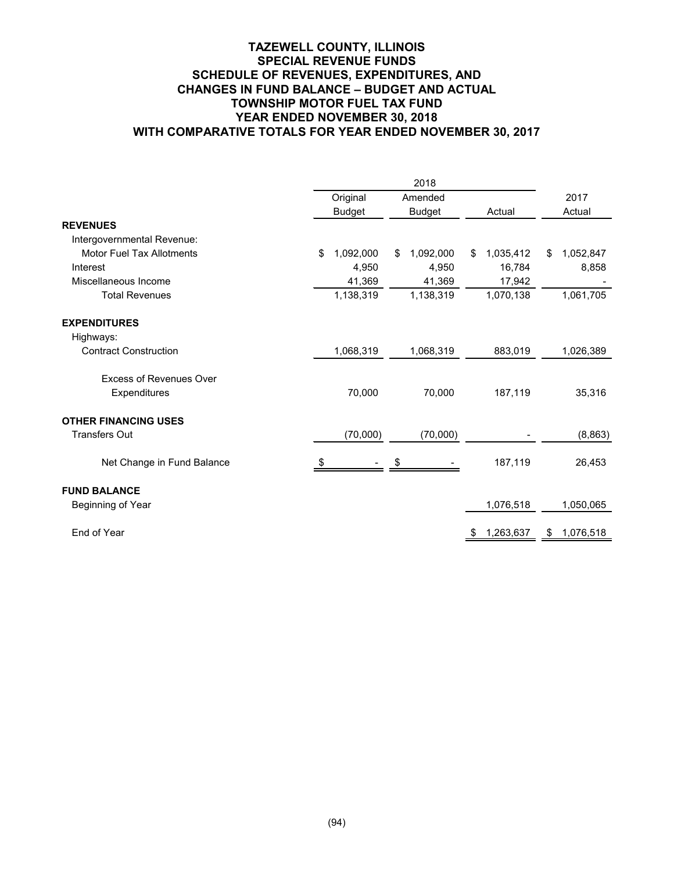#### **TAZEWELL COUNTY, ILLINOIS SPECIAL REVENUE FUNDS SCHEDULE OF REVENUES, EXPENDITURES, AND CHANGES IN FUND BALANCE – BUDGET AND ACTUAL TOWNSHIP MOTOR FUEL TAX FUND YEAR ENDED NOVEMBER 30, 2018 WITH COMPARATIVE TOTALS FOR YEAR ENDED NOVEMBER 30, 2017**

|                                  | 2018 |               |    |               |        |           |        |           |
|----------------------------------|------|---------------|----|---------------|--------|-----------|--------|-----------|
|                                  |      | Original      |    | Amended       |        |           | 2017   |           |
|                                  |      | <b>Budget</b> |    | <b>Budget</b> | Actual |           | Actual |           |
| <b>REVENUES</b>                  |      |               |    |               |        |           |        |           |
| Intergovernmental Revenue:       |      |               |    |               |        |           |        |           |
| <b>Motor Fuel Tax Allotments</b> | \$   | 1,092,000     | \$ | 1,092,000     | \$     | 1,035,412 | \$     | 1,052,847 |
| Interest                         |      | 4,950         |    | 4,950         |        | 16,784    |        | 8,858     |
| Miscellaneous Income             |      | 41,369        |    | 41,369        |        | 17,942    |        |           |
| <b>Total Revenues</b>            |      | 1,138,319     |    | 1,138,319     |        | 1,070,138 |        | 1,061,705 |
| <b>EXPENDITURES</b>              |      |               |    |               |        |           |        |           |
| Highways:                        |      |               |    |               |        |           |        |           |
| <b>Contract Construction</b>     |      | 1,068,319     |    | 1,068,319     |        | 883,019   |        | 1,026,389 |
| <b>Excess of Revenues Over</b>   |      |               |    |               |        |           |        |           |
| Expenditures                     |      | 70,000        |    | 70,000        |        | 187,119   |        | 35,316    |
| <b>OTHER FINANCING USES</b>      |      |               |    |               |        |           |        |           |
| <b>Transfers Out</b>             |      | (70,000)      |    | (70,000)      |        |           |        | (8,863)   |
| Net Change in Fund Balance       |      |               | S  |               |        | 187,119   |        | 26,453    |
| <b>FUND BALANCE</b>              |      |               |    |               |        |           |        |           |
| Beginning of Year                |      |               |    |               |        | 1,076,518 |        | 1,050,065 |
| End of Year                      |      |               |    |               |        | 1,263,637 | \$     | 1,076,518 |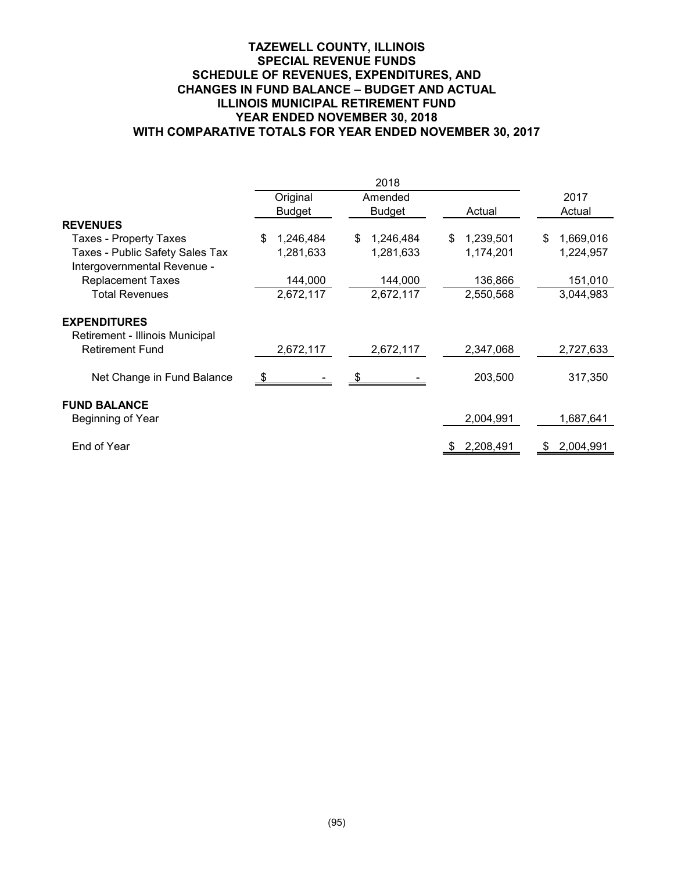#### **TAZEWELL COUNTY, ILLINOIS SPECIAL REVENUE FUNDS SCHEDULE OF REVENUES, EXPENDITURES, AND CHANGES IN FUND BALANCE – BUDGET AND ACTUAL ILLINOIS MUNICIPAL RETIREMENT FUND YEAR ENDED NOVEMBER 30, 2018 WITH COMPARATIVE TOTALS FOR YEAR ENDED NOVEMBER 30, 2017**

|                                                                |                 | 2018           |                 |                 |
|----------------------------------------------------------------|-----------------|----------------|-----------------|-----------------|
|                                                                | Original        | Amended        |                 | 2017            |
|                                                                | <b>Budget</b>   | <b>Budget</b>  | Actual          | Actual          |
| <b>REVENUES</b>                                                |                 |                |                 |                 |
| <b>Taxes - Property Taxes</b>                                  | 1,246,484<br>\$ | 1,246,484<br>S | 1,239,501<br>\$ | 1,669,016<br>\$ |
| Taxes - Public Safety Sales Tax<br>Intergovernmental Revenue - | 1,281,633       | 1,281,633      | 1,174,201       | 1,224,957       |
| <b>Replacement Taxes</b>                                       | 144,000         | 144,000        | 136,866         | 151,010         |
| <b>Total Revenues</b>                                          | 2,672,117       | 2,672,117      | 2,550,568       | 3,044,983       |
| <b>EXPENDITURES</b><br>Retirement - Illinois Municipal         |                 |                |                 |                 |
| <b>Retirement Fund</b>                                         | 2,672,117       | 2,672,117      | 2,347,068       | 2,727,633       |
| Net Change in Fund Balance                                     |                 |                | 203,500         | 317,350         |
| <b>FUND BALANCE</b>                                            |                 |                |                 |                 |
| Beginning of Year                                              |                 |                | 2,004,991       | 1,687,641       |
| End of Year                                                    |                 |                | 2,208,491<br>-S | 2,004,991<br>S  |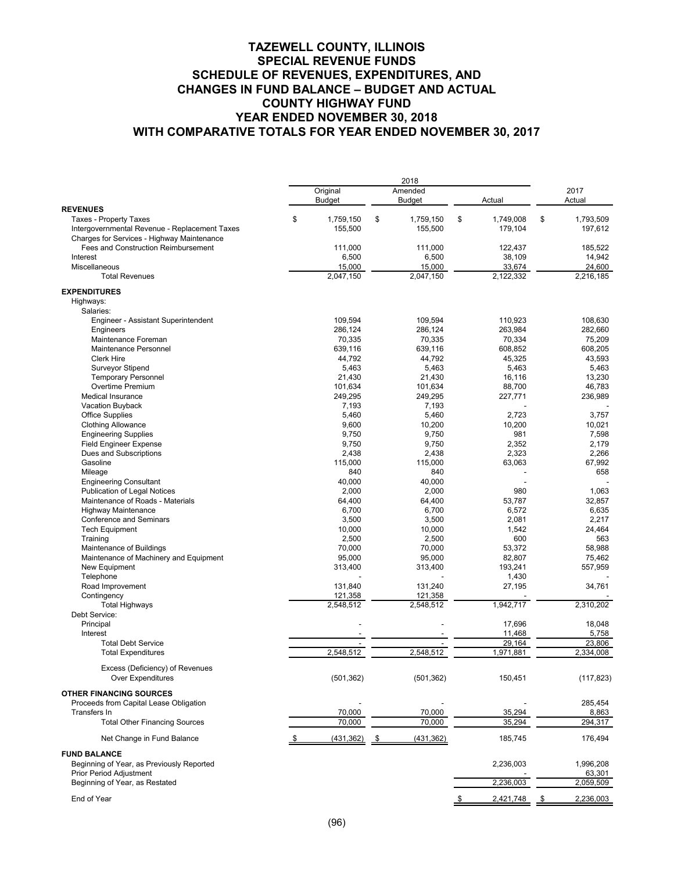|                                                                  | Original         | Amended          |                  | 2017            |
|------------------------------------------------------------------|------------------|------------------|------------------|-----------------|
| <b>REVENUES</b>                                                  | <b>Budget</b>    | <b>Budget</b>    | Actual           | Actual          |
| <b>Taxes - Property Taxes</b>                                    | \$<br>1,759,150  | \$<br>1,759,150  | \$<br>1,749,008  | \$<br>1,793,509 |
| Intergovernmental Revenue - Replacement Taxes                    | 155,500          | 155,500          | 179,104          | 197,612         |
| Charges for Services - Highway Maintenance                       |                  |                  |                  |                 |
| Fees and Construction Reimbursement                              | 111,000          | 111,000          | 122.437          | 185,522         |
| Interest                                                         | 6,500            | 6,500            | 38,109           | 14,942          |
| Miscellaneous                                                    | 15,000           | 15,000           | 33,674           | 24,600          |
| <b>Total Revenues</b>                                            | 2,047,150        | 2,047,150        | 2,122,332        | 2,216,185       |
| <b>EXPENDITURES</b>                                              |                  |                  |                  |                 |
| Highways:                                                        |                  |                  |                  |                 |
| Salaries:                                                        |                  |                  |                  |                 |
| Engineer - Assistant Superintendent                              | 109.594          | 109,594          | 110,923          | 108.630         |
| Engineers                                                        | 286,124          | 286,124          | 263,984          | 282,660         |
| Maintenance Foreman                                              | 70,335           | 70,335           | 70,334           | 75,209          |
| Maintenance Personnel                                            | 639,116          | 639,116          | 608,852          | 608,205         |
| <b>Clerk Hire</b>                                                | 44,792           | 44,792           | 45,325           | 43,593          |
| Surveyor Stipend                                                 | 5,463            | 5,463            | 5,463            | 5,463           |
| <b>Temporary Personnel</b>                                       | 21,430           | 21,430           | 16,116           | 13,230          |
| Overtime Premium                                                 | 101,634          | 101,634          | 88,700           | 46,783          |
| <b>Medical Insurance</b>                                         | 249,295          | 249,295          | 227,771          | 236,989         |
| Vacation Buyback                                                 | 7,193            | 7,193            |                  |                 |
| <b>Office Supplies</b>                                           | 5,460            | 5,460            | 2,723            | 3,757           |
| <b>Clothing Allowance</b>                                        | 9,600            | 10,200           | 10,200           | 10,021          |
| <b>Engineering Supplies</b>                                      | 9,750            | 9,750            | 981              | 7,598           |
| <b>Field Engineer Expense</b>                                    | 9,750            | 9,750            | 2,352            | 2,179           |
| Dues and Subscriptions                                           | 2,438            | 2,438            | 2,323            | 2,266           |
| Gasoline                                                         | 115,000          | 115,000          | 63,063           | 67,992          |
| Mileage                                                          | 840              | 840              |                  | 658             |
| <b>Engineering Consultant</b>                                    | 40,000           | 40,000           |                  |                 |
| <b>Publication of Legal Notices</b>                              | 2,000            | 2,000            | 980              | 1,063           |
| Maintenance of Roads - Materials                                 | 64,400<br>6,700  | 64,400           | 53,787           | 32,857          |
| <b>Highway Maintenance</b><br><b>Conference and Seminars</b>     | 3,500            | 6,700<br>3,500   | 6,572<br>2,081   | 6,635<br>2,217  |
| <b>Tech Equipment</b>                                            | 10,000           | 10,000           | 1,542            | 24,464          |
| Training                                                         | 2,500            | 2,500            | 600              | 563             |
| Maintenance of Buildings                                         | 70,000           | 70,000           | 53,372           | 58,988          |
| Maintenance of Machinery and Equipment                           | 95,000           | 95,000           | 82,807           | 75,462          |
| New Equipment                                                    | 313,400          | 313,400          | 193,241          | 557,959         |
| Telephone                                                        |                  |                  | 1,430            |                 |
| Road Improvement                                                 | 131,840          | 131,240          | 27,195           | 34,761          |
| Contingency                                                      | 121,358          | 121,358          |                  |                 |
| <b>Total Highways</b>                                            | 2,548,512        | 2,548,512        | 1,942,717        | 2,310,202       |
| Debt Service:                                                    |                  |                  |                  |                 |
| Principal                                                        |                  |                  | 17,696           | 18,048          |
| Interest                                                         |                  |                  | 11.468           | 5,758           |
| <b>Total Debt Service</b>                                        |                  |                  | 29,164           | 23,806          |
| <b>Total Expenditures</b>                                        | 2,548,512        | 2,548,512        | 1,971,881        | 2,334,008       |
| Excess (Deficiency) of Revenues                                  |                  |                  |                  |                 |
| <b>Over Expenditures</b>                                         | (501, 362)       | (501, 362)       | 150,451          | (117, 823)      |
|                                                                  |                  |                  |                  |                 |
| <b>OTHER FINANCING SOURCES</b>                                   |                  |                  |                  |                 |
| Proceeds from Capital Lease Obligation                           |                  |                  |                  | 285,454         |
| Transfers In<br><b>Total Other Financing Sources</b>             | 70,000<br>70,000 | 70,000<br>70,000 | 35,294<br>35,294 | 8,863           |
|                                                                  |                  |                  |                  | 294,317         |
| Net Change in Fund Balance                                       | (431, 362)       | (431,362)        | 185,745          | 176,494         |
| <b>FUND BALANCE</b><br>Beginning of Year, as Previously Reported |                  |                  | 2,236,003        | 1,996,208       |
| <b>Prior Period Adjustment</b>                                   |                  |                  |                  | 63,301          |
| Beginning of Year, as Restated                                   |                  |                  | 2,236,003        | 2,059,509       |
|                                                                  |                  |                  |                  |                 |
| End of Year                                                      |                  |                  | 2,421,748        | 2,236,003       |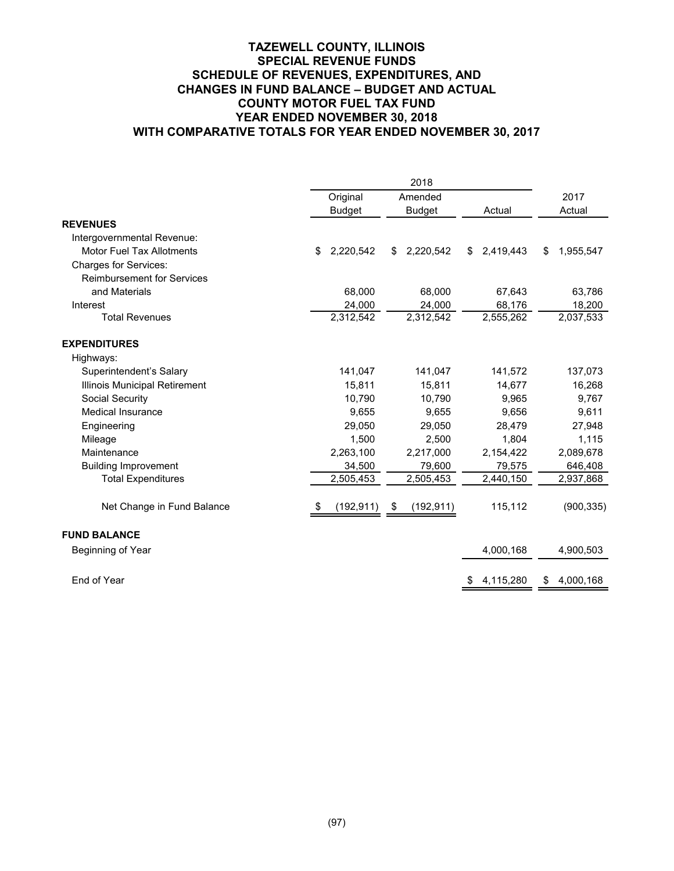#### **TAZEWELL COUNTY, ILLINOIS SPECIAL REVENUE FUNDS SCHEDULE OF REVENUES, EXPENDITURES, AND CHANGES IN FUND BALANCE – BUDGET AND ACTUAL COUNTY MOTOR FUEL TAX FUND YEAR ENDED NOVEMBER 30, 2018 WITH COMPARATIVE TOTALS FOR YEAR ENDED NOVEMBER 30, 2017**

|                                   | Original           | Amended          |                 | 2017            |
|-----------------------------------|--------------------|------------------|-----------------|-----------------|
|                                   | <b>Budget</b>      | <b>Budget</b>    | Actual          | Actual          |
| <b>REVENUES</b>                   |                    |                  |                 |                 |
| Intergovernmental Revenue:        |                    |                  |                 |                 |
| Motor Fuel Tax Allotments         | 2,220,542<br>\$    | 2,220,542<br>\$  | 2,419,443<br>\$ | 1,955,547<br>\$ |
| <b>Charges for Services:</b>      |                    |                  |                 |                 |
| <b>Reimbursement for Services</b> |                    |                  |                 |                 |
| and Materials                     | 68,000             | 68,000           | 67,643          | 63,786          |
| Interest                          | 24,000             | 24,000           | 68,176          | 18,200          |
| <b>Total Revenues</b>             | 2,312,542          | 2,312,542        | 2,555,262       | 2,037,533       |
| <b>EXPENDITURES</b>               |                    |                  |                 |                 |
| Highways:                         |                    |                  |                 |                 |
| Superintendent's Salary           | 141,047            | 141,047          | 141,572         | 137,073         |
| Illinois Municipal Retirement     | 15,811             | 15,811           | 14,677          | 16,268          |
| Social Security                   | 10,790             | 10,790           | 9,965           | 9,767           |
| <b>Medical Insurance</b>          | 9,655              | 9,655            | 9,656           | 9,611           |
| Engineering                       | 29,050             | 29,050           | 28,479          | 27,948          |
| Mileage                           | 1,500              | 2,500            | 1,804           | 1,115           |
| Maintenance                       | 2,263,100          | 2,217,000        | 2,154,422       | 2,089,678       |
| <b>Building Improvement</b>       | 34,500             | 79,600           | 79,575          | 646,408         |
| <b>Total Expenditures</b>         | 2,505,453          | 2,505,453        | 2,440,150       | 2,937,868       |
| Net Change in Fund Balance        | (192, 911)<br>- 56 | (192, 911)<br>\$ | 115,112         | (900, 335)      |
| <b>FUND BALANCE</b>               |                    |                  |                 |                 |
| Beginning of Year                 |                    |                  | 4,000,168       | 4,900,503       |
| End of Year                       |                    |                  | 4,115,280<br>\$ | 4,000,168<br>\$ |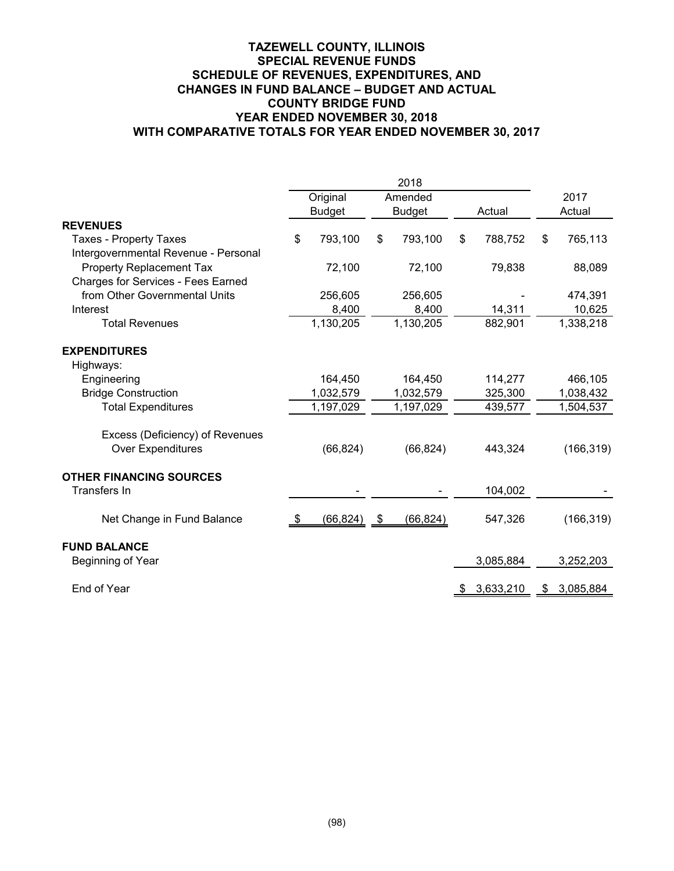|      |           |                                                            |               |                                     |           |        | 2017       |
|------|-----------|------------------------------------------------------------|---------------|-------------------------------------|-----------|--------|------------|
|      |           |                                                            | <b>Budget</b> |                                     | Actual    |        | Actual     |
|      |           |                                                            |               |                                     |           |        |            |
| \$   | 793,100   | \$                                                         | 793,100       | \$                                  | 788,752   | \$     | 765,113    |
|      | 72,100    |                                                            | 72,100        |                                     | 79,838    |        | 88,089     |
|      |           |                                                            |               |                                     |           |        | 474,391    |
|      |           |                                                            |               |                                     |           |        | 10,625     |
|      |           |                                                            | 1,130,205     |                                     | 882,901   |        | 1,338,218  |
|      |           |                                                            |               |                                     |           |        |            |
|      |           |                                                            |               |                                     |           |        |            |
|      | 164,450   |                                                            | 164,450       |                                     | 114,277   |        | 466,105    |
|      | 1,032,579 |                                                            | 1,032,579     |                                     | 325,300   |        | 1,038,432  |
|      | 1,197,029 |                                                            | 1,197,029     |                                     | 439,577   |        | 1,504,537  |
|      | (66, 824) |                                                            | (66, 824)     |                                     | 443,324   |        | (166, 319) |
|      |           |                                                            |               |                                     |           |        |            |
|      |           |                                                            |               |                                     | 104,002   |        |            |
| - \$ | (66,824)  | - \$                                                       | (66, 824)     |                                     | 547,326   |        | (166, 319) |
|      |           |                                                            |               |                                     |           |        |            |
|      |           |                                                            |               |                                     | 3,085,884 |        | 3,252,203  |
|      |           |                                                            |               | Ъ                                   | 3,633,210 | S      | 3,085,884  |
|      |           | Original<br><b>Budget</b><br>256,605<br>8,400<br>1,130,205 |               | 2018<br>Amended<br>256,605<br>8,400 |           | 14,311 |            |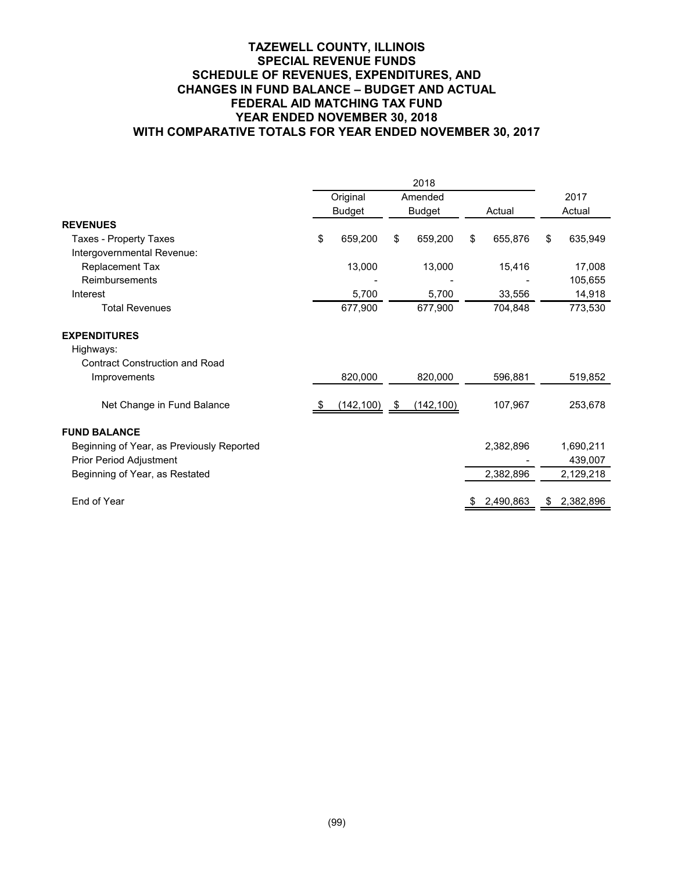#### **TAZEWELL COUNTY, ILLINOIS SPECIAL REVENUE FUNDS SCHEDULE OF REVENUES, EXPENDITURES, AND CHANGES IN FUND BALANCE – BUDGET AND ACTUAL FEDERAL AID MATCHING TAX FUND YEAR ENDED NOVEMBER 30, 2018 WITH COMPARATIVE TOTALS FOR YEAR ENDED NOVEMBER 30, 2017**

|                                           | 2018 |               |               |            |        |           |        |           |  |
|-------------------------------------------|------|---------------|---------------|------------|--------|-----------|--------|-----------|--|
|                                           |      | Original      |               | Amended    |        |           |        | 2017      |  |
|                                           |      | <b>Budget</b> | <b>Budget</b> |            | Actual |           | Actual |           |  |
| <b>REVENUES</b>                           |      |               |               |            |        |           |        |           |  |
| Taxes - Property Taxes                    | \$   | 659,200       | \$            | 659,200    | \$     | 655,876   | \$     | 635,949   |  |
| Intergovernmental Revenue:                |      |               |               |            |        |           |        |           |  |
| Replacement Tax                           |      | 13,000        |               | 13,000     |        | 15,416    |        | 17,008    |  |
| Reimbursements                            |      |               |               |            |        |           |        | 105,655   |  |
| Interest                                  |      | 5,700         |               | 5,700      |        | 33,556    |        | 14,918    |  |
| <b>Total Revenues</b>                     |      | 677,900       |               | 677,900    |        | 704,848   |        | 773,530   |  |
| <b>EXPENDITURES</b>                       |      |               |               |            |        |           |        |           |  |
| Highways:                                 |      |               |               |            |        |           |        |           |  |
| <b>Contract Construction and Road</b>     |      |               |               |            |        |           |        |           |  |
| Improvements                              |      | 820,000       |               | 820,000    |        | 596,881   |        | 519,852   |  |
| Net Change in Fund Balance                |      | (142, 100)    | \$            | (142, 100) |        | 107,967   |        | 253,678   |  |
| <b>FUND BALANCE</b>                       |      |               |               |            |        |           |        |           |  |
| Beginning of Year, as Previously Reported |      |               |               |            |        | 2,382,896 |        | 1,690,211 |  |
| Prior Period Adjustment                   |      |               |               |            |        |           |        | 439,007   |  |
| Beginning of Year, as Restated            |      |               |               |            |        | 2,382,896 |        | 2,129,218 |  |
|                                           |      |               |               |            |        |           |        |           |  |
| End of Year                               |      |               |               |            |        | 2,490,863 | \$     | 2,382,896 |  |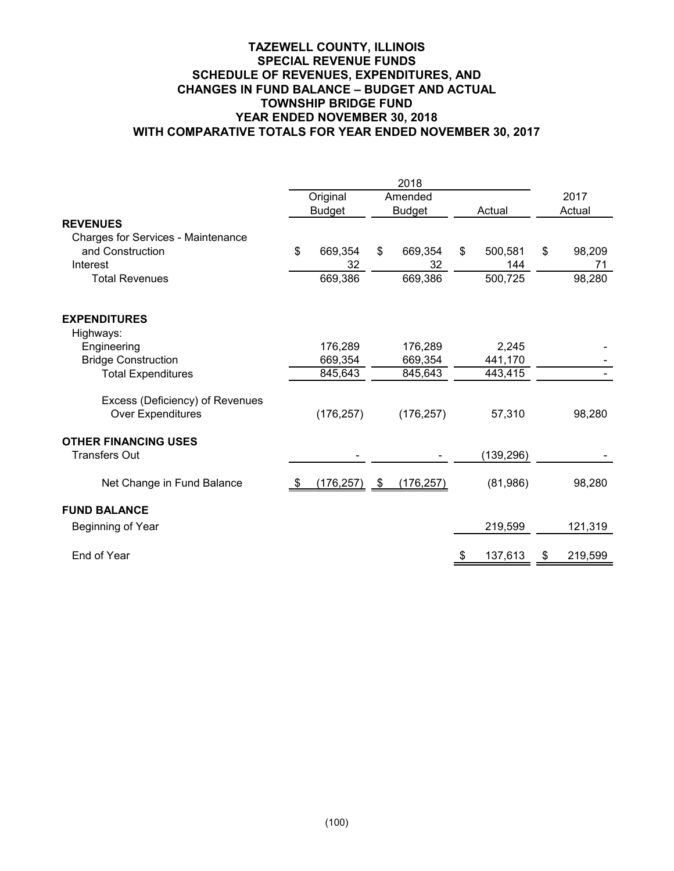#### **TAZEWELL COUNTY, ILLINOIS SPECIAL REVENUE FUNDS SCHEDULE OF REVENUES, EXPENDITURES, AND CHANGES IN FUND BALANCE – BUDGET AND ACTUAL TOWNSHIP BRIDGE FUND YEAR ENDED NOVEMBER 30, 2018 WITH COMPARATIVE TOTALS FOR YEAR ENDED NOVEMBER 30, 2017**

|                                    |      | Original      |      | Amended       |    |            | 2017 |         |
|------------------------------------|------|---------------|------|---------------|----|------------|------|---------|
|                                    |      | <b>Budget</b> |      | <b>Budget</b> |    | Actual     |      | Actual  |
| <b>REVENUES</b>                    |      |               |      |               |    |            |      |         |
| Charges for Services - Maintenance |      |               |      |               |    |            |      |         |
| and Construction                   | \$   | 669,354       | \$   | 669,354       | \$ | 500,581    | \$   | 98,209  |
| Interest                           |      | 32            |      | 32            |    | 144        |      | 71      |
| <b>Total Revenues</b>              |      | 669,386       |      | 669,386       |    | 500,725    |      | 98,280  |
| <b>EXPENDITURES</b>                |      |               |      |               |    |            |      |         |
| Highways:                          |      |               |      |               |    |            |      |         |
| Engineering                        |      | 176,289       |      | 176,289       |    | 2,245      |      |         |
| <b>Bridge Construction</b>         |      | 669,354       |      | 669,354       |    | 441,170    |      |         |
| <b>Total Expenditures</b>          |      | 845,643       |      | 845,643       |    | 443,415    |      |         |
| Excess (Deficiency) of Revenues    |      |               |      |               |    |            |      |         |
| Over Expenditures                  |      | (176, 257)    |      | (176, 257)    |    | 57,310     |      | 98,280  |
| <b>OTHER FINANCING USES</b>        |      |               |      |               |    |            |      |         |
| <b>Transfers Out</b>               |      |               |      |               |    | (139, 296) |      |         |
| Net Change in Fund Balance         | - \$ | (176, 257)    | - \$ | (176, 257)    |    | (81,986)   |      | 98,280  |
| <b>FUND BALANCE</b>                |      |               |      |               |    |            |      |         |
| Beginning of Year                  |      |               |      |               |    | 219,599    |      | 121,319 |
| End of Year                        |      |               |      |               | \$ | 137,613    | S    | 219,599 |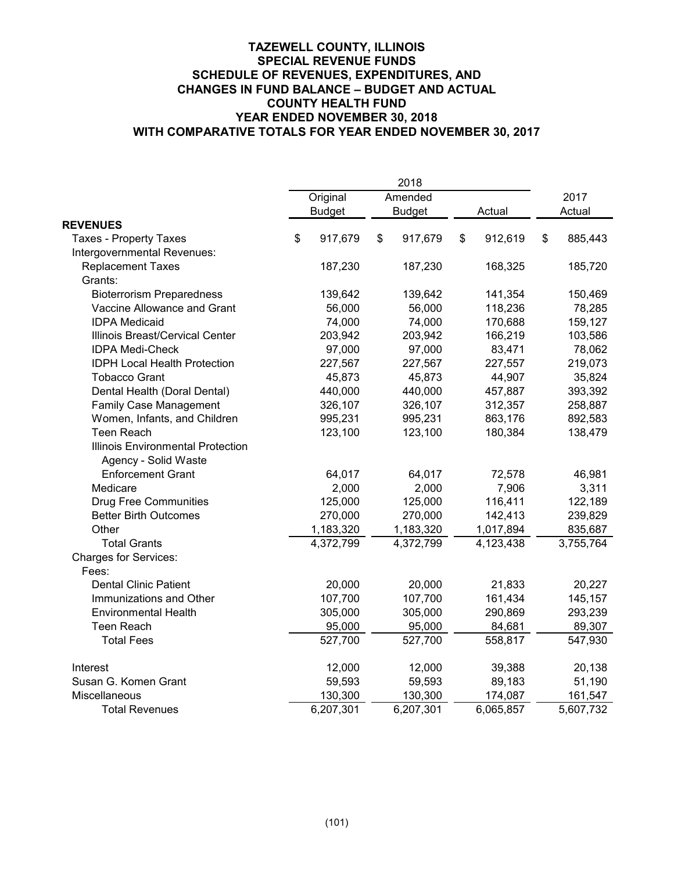|                                     |               | 2018          |    |           |    |           |
|-------------------------------------|---------------|---------------|----|-----------|----|-----------|
|                                     | Original      | Amended       |    |           |    | 2017      |
|                                     | <b>Budget</b> | <b>Budget</b> |    | Actual    |    | Actual    |
| <b>REVENUES</b>                     |               |               |    |           |    |           |
| <b>Taxes - Property Taxes</b>       | \$<br>917,679 | \$<br>917,679 | \$ | 912,619   | \$ | 885,443   |
| Intergovernmental Revenues:         |               |               |    |           |    |           |
| <b>Replacement Taxes</b>            | 187,230       | 187,230       |    | 168,325   |    | 185,720   |
| Grants:                             |               |               |    |           |    |           |
| <b>Bioterrorism Preparedness</b>    | 139,642       | 139,642       |    | 141,354   |    | 150,469   |
| Vaccine Allowance and Grant         | 56,000        | 56,000        |    | 118,236   |    | 78,285    |
| <b>IDPA Medicaid</b>                | 74,000        | 74,000        |    | 170,688   |    | 159,127   |
| Illinois Breast/Cervical Center     | 203,942       | 203,942       |    | 166,219   |    | 103,586   |
| <b>IDPA Medi-Check</b>              | 97,000        | 97,000        |    | 83,471    |    | 78,062    |
| <b>IDPH Local Health Protection</b> | 227,567       | 227,567       |    | 227,557   |    | 219,073   |
| <b>Tobacco Grant</b>                | 45,873        | 45,873        |    | 44,907    |    | 35,824    |
| Dental Health (Doral Dental)        | 440,000       | 440,000       |    | 457,887   |    | 393,392   |
| <b>Family Case Management</b>       | 326,107       | 326,107       |    | 312,357   |    | 258,887   |
| Women, Infants, and Children        | 995,231       | 995,231       |    | 863,176   |    | 892,583   |
| <b>Teen Reach</b>                   | 123,100       | 123,100       |    | 180,384   |    | 138,479   |
| Illinois Environmental Protection   |               |               |    |           |    |           |
| Agency - Solid Waste                |               |               |    |           |    |           |
| <b>Enforcement Grant</b>            | 64,017        | 64,017        |    | 72,578    |    | 46,981    |
| Medicare                            | 2,000         | 2,000         |    | 7,906     |    | 3,311     |
| <b>Drug Free Communities</b>        | 125,000       | 125,000       |    | 116,411   |    | 122,189   |
| <b>Better Birth Outcomes</b>        | 270,000       | 270,000       |    | 142,413   |    | 239,829   |
| Other                               | 1,183,320     | 1,183,320     |    | 1,017,894 |    | 835,687   |
| <b>Total Grants</b>                 | 4,372,799     | 4,372,799     |    | 4,123,438 |    | 3,755,764 |
| <b>Charges for Services:</b>        |               |               |    |           |    |           |
| Fees:                               |               |               |    |           |    |           |
| <b>Dental Clinic Patient</b>        | 20,000        | 20,000        |    | 21,833    |    | 20,227    |
| Immunizations and Other             | 107,700       | 107,700       |    | 161,434   |    | 145,157   |
| <b>Environmental Health</b>         | 305,000       | 305,000       |    | 290,869   |    | 293,239   |
| <b>Teen Reach</b>                   | 95,000        | 95,000        |    | 84,681    |    | 89,307    |
| <b>Total Fees</b>                   | 527,700       | 527,700       |    | 558,817   |    | 547,930   |
| Interest                            | 12,000        | 12,000        |    | 39,388    |    | 20,138    |
| Susan G. Komen Grant                | 59,593        | 59,593        |    | 89,183    |    | 51,190    |
| Miscellaneous                       | 130,300       | 130,300       |    | 174,087   |    | 161,547   |
| <b>Total Revenues</b>               | 6,207,301     | 6,207,301     |    | 6,065,857 |    | 5,607,732 |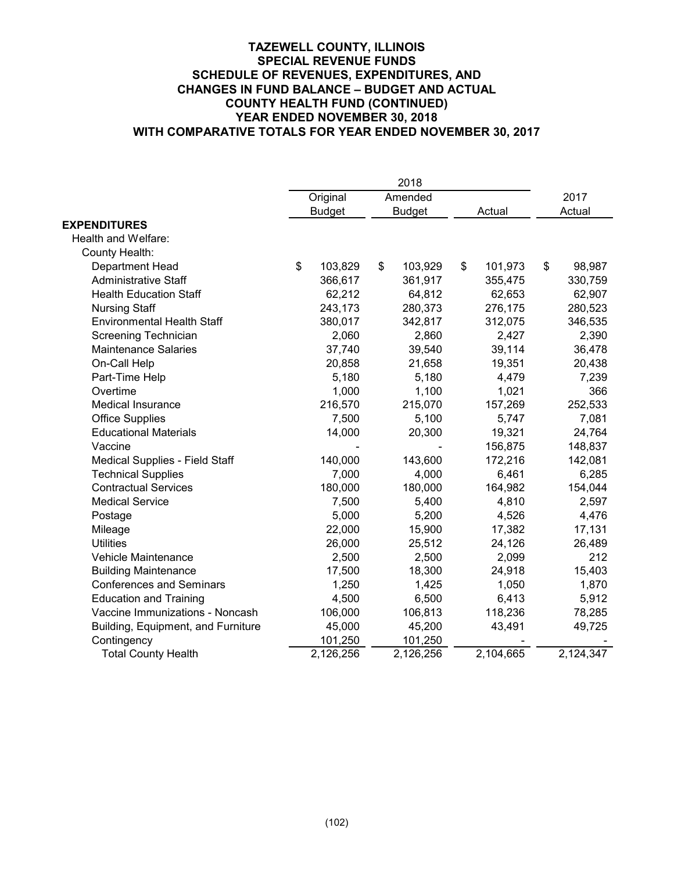|                                    |               | 2018          |        |           |        |           |
|------------------------------------|---------------|---------------|--------|-----------|--------|-----------|
|                                    | Original      | Amended       |        |           |        | 2017      |
|                                    | <b>Budget</b> | <b>Budget</b> | Actual |           | Actual |           |
| <b>EXPENDITURES</b>                |               |               |        |           |        |           |
| Health and Welfare:                |               |               |        |           |        |           |
| County Health:                     |               |               |        |           |        |           |
| Department Head                    | \$<br>103,829 | \$<br>103,929 | \$     | 101,973   | \$     | 98,987    |
| <b>Administrative Staff</b>        | 366,617       | 361,917       |        | 355,475   |        | 330,759   |
| <b>Health Education Staff</b>      | 62,212        | 64,812        |        | 62,653    |        | 62,907    |
| <b>Nursing Staff</b>               | 243,173       | 280,373       |        | 276,175   |        | 280,523   |
| <b>Environmental Health Staff</b>  | 380,017       | 342,817       |        | 312,075   |        | 346,535   |
| Screening Technician               | 2,060         | 2,860         |        | 2,427     |        | 2,390     |
| <b>Maintenance Salaries</b>        | 37,740        | 39,540        |        | 39,114    |        | 36,478    |
| On-Call Help                       | 20,858        | 21,658        |        | 19,351    |        | 20,438    |
| Part-Time Help                     | 5,180         | 5,180         |        | 4,479     |        | 7,239     |
| Overtime                           | 1,000         | 1,100         |        | 1,021     |        | 366       |
| <b>Medical Insurance</b>           | 216,570       | 215,070       |        | 157,269   |        | 252,533   |
| <b>Office Supplies</b>             | 7,500         | 5,100         |        | 5,747     |        | 7,081     |
| <b>Educational Materials</b>       | 14,000        | 20,300        |        | 19,321    |        | 24,764    |
| Vaccine                            |               |               |        | 156,875   |        | 148,837   |
| Medical Supplies - Field Staff     | 140,000       | 143,600       |        | 172,216   |        | 142,081   |
| <b>Technical Supplies</b>          | 7,000         | 4,000         |        | 6,461     |        | 6,285     |
| <b>Contractual Services</b>        | 180,000       | 180,000       |        | 164,982   |        | 154,044   |
| <b>Medical Service</b>             | 7,500         | 5,400         |        | 4,810     |        | 2,597     |
| Postage                            | 5,000         | 5,200         |        | 4,526     |        | 4,476     |
| Mileage                            | 22,000        | 15,900        |        | 17,382    |        | 17,131    |
| <b>Utilities</b>                   | 26,000        | 25,512        |        | 24,126    |        | 26,489    |
| Vehicle Maintenance                | 2,500         | 2,500         |        | 2,099     |        | 212       |
| <b>Building Maintenance</b>        | 17,500        | 18,300        |        | 24,918    |        | 15,403    |
| <b>Conferences and Seminars</b>    | 1,250         | 1,425         |        | 1,050     |        | 1,870     |
| <b>Education and Training</b>      | 4,500         | 6,500         |        | 6,413     |        | 5,912     |
| Vaccine Immunizations - Noncash    | 106,000       | 106,813       |        | 118,236   |        | 78,285    |
| Building, Equipment, and Furniture | 45,000        | 45,200        |        | 43,491    |        | 49,725    |
| Contingency                        | 101,250       | 101,250       |        |           |        |           |
| <b>Total County Health</b>         | 2,126,256     | 2,126,256     |        | 2,104,665 |        | 2,124,347 |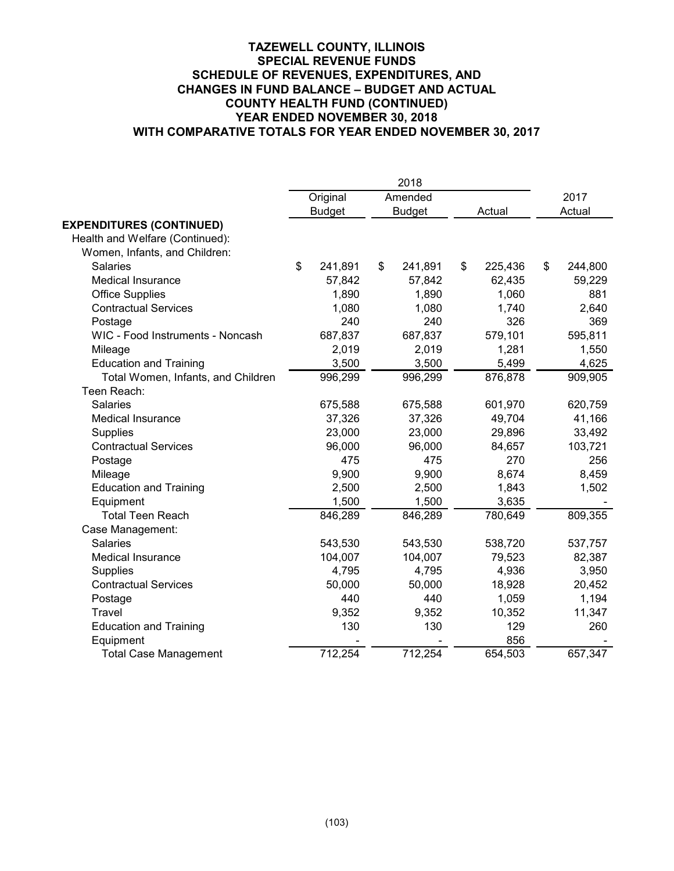|                                    |               | 2018          |               |    |         |  |
|------------------------------------|---------------|---------------|---------------|----|---------|--|
|                                    | Original      | Amended       |               |    | 2017    |  |
|                                    | <b>Budget</b> | <b>Budget</b> | Actual        |    | Actual  |  |
| <b>EXPENDITURES (CONTINUED)</b>    |               |               |               |    |         |  |
| Health and Welfare (Continued):    |               |               |               |    |         |  |
| Women, Infants, and Children:      |               |               |               |    |         |  |
| <b>Salaries</b>                    | \$<br>241,891 | \$<br>241,891 | \$<br>225,436 | \$ | 244,800 |  |
| Medical Insurance                  | 57,842        | 57,842        | 62,435        |    | 59,229  |  |
| <b>Office Supplies</b>             | 1,890         | 1,890         | 1,060         |    | 881     |  |
| <b>Contractual Services</b>        | 1,080         | 1,080         | 1,740         |    | 2,640   |  |
| Postage                            | 240           | 240           | 326           |    | 369     |  |
| WIC - Food Instruments - Noncash   | 687,837       | 687,837       | 579,101       |    | 595,811 |  |
| Mileage                            | 2,019         | 2,019         | 1,281         |    | 1,550   |  |
| <b>Education and Training</b>      | 3,500         | 3,500         | 5,499         |    | 4,625   |  |
| Total Women, Infants, and Children | 996,299       | 996,299       | 876,878       |    | 909,905 |  |
| Teen Reach:                        |               |               |               |    |         |  |
| <b>Salaries</b>                    | 675,588       | 675,588       | 601,970       |    | 620,759 |  |
| <b>Medical Insurance</b>           | 37,326        | 37,326        | 49,704        |    | 41,166  |  |
| Supplies                           | 23,000        | 23,000        | 29,896        |    | 33,492  |  |
| <b>Contractual Services</b>        | 96,000        | 96,000        | 84,657        |    | 103,721 |  |
| Postage                            | 475           | 475           | 270           |    | 256     |  |
| Mileage                            | 9,900         | 9,900         | 8,674         |    | 8,459   |  |
| <b>Education and Training</b>      | 2,500         | 2,500         | 1,843         |    | 1,502   |  |
| Equipment                          | 1,500         | 1,500         | 3,635         |    |         |  |
| <b>Total Teen Reach</b>            | 846,289       | 846,289       | 780,649       |    | 809,355 |  |
| Case Management:                   |               |               |               |    |         |  |
| <b>Salaries</b>                    | 543,530       | 543,530       | 538,720       |    | 537,757 |  |
| <b>Medical Insurance</b>           | 104,007       | 104,007       | 79,523        |    | 82,387  |  |
| <b>Supplies</b>                    | 4,795         | 4,795         | 4,936         |    | 3,950   |  |
| <b>Contractual Services</b>        | 50,000        | 50,000        | 18,928        |    | 20,452  |  |
| Postage                            | 440           | 440           | 1,059         |    | 1,194   |  |
| <b>Travel</b>                      | 9,352         | 9,352         | 10,352        |    | 11,347  |  |
| <b>Education and Training</b>      | 130           | 130           | 129           |    | 260     |  |
| Equipment                          |               |               | 856           |    |         |  |
| <b>Total Case Management</b>       | 712,254       | 712,254       | 654,503       |    | 657,347 |  |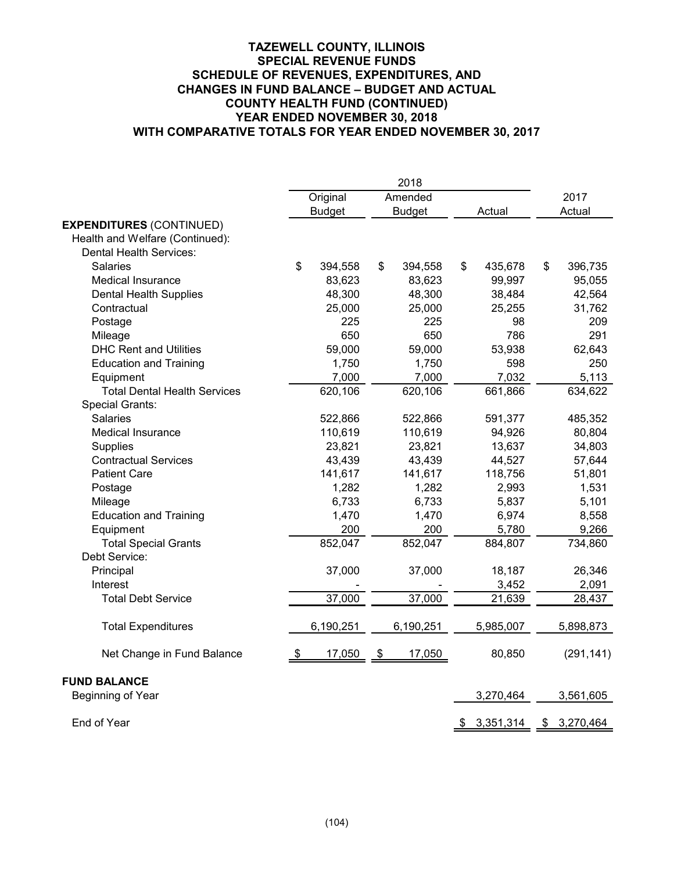|                                     |      | Original      |               | Amended       |                 | 2017            |
|-------------------------------------|------|---------------|---------------|---------------|-----------------|-----------------|
|                                     |      | <b>Budget</b> |               | <b>Budget</b> | Actual          | Actual          |
| <b>EXPENDITURES (CONTINUED)</b>     |      |               |               |               |                 |                 |
| Health and Welfare (Continued):     |      |               |               |               |                 |                 |
| <b>Dental Health Services:</b>      |      |               |               |               |                 |                 |
| Salaries                            | \$   | 394,558       | \$            | 394,558       | \$<br>435,678   | \$<br>396,735   |
| <b>Medical Insurance</b>            |      | 83,623        |               | 83,623        | 99,997          | 95,055          |
| <b>Dental Health Supplies</b>       |      | 48,300        |               | 48,300        | 38,484          | 42,564          |
| Contractual                         |      | 25,000        |               | 25,000        | 25,255          | 31,762          |
| Postage                             |      | 225           |               | 225           | 98              | 209             |
| Mileage                             |      | 650           |               | 650           | 786             | 291             |
| <b>DHC Rent and Utilities</b>       |      | 59,000        |               | 59,000        | 53,938          | 62,643          |
| <b>Education and Training</b>       |      | 1,750         |               | 1,750         | 598             | 250             |
| Equipment                           |      | 7,000         |               | 7,000         | 7,032           | 5,113           |
| <b>Total Dental Health Services</b> |      | 620,106       |               | 620,106       | 661,866         | 634,622         |
| Special Grants:                     |      |               |               |               |                 |                 |
| <b>Salaries</b>                     |      | 522,866       |               | 522,866       | 591,377         | 485,352         |
| Medical Insurance                   |      | 110,619       |               | 110,619       | 94,926          | 80,804          |
| Supplies                            |      | 23,821        |               | 23,821        | 13,637          | 34,803          |
| <b>Contractual Services</b>         |      | 43,439        |               | 43,439        | 44,527          | 57,644          |
| <b>Patient Care</b>                 |      | 141,617       |               | 141,617       | 118,756         | 51,801          |
| Postage                             |      | 1,282         |               | 1,282         | 2,993           | 1,531           |
| Mileage                             |      | 6,733         |               | 6,733         | 5,837           | 5,101           |
| <b>Education and Training</b>       |      | 1,470         |               | 1,470         | 6,974           | 8,558           |
| Equipment                           |      | 200           |               | 200           | 5,780           | 9,266           |
| <b>Total Special Grants</b>         |      | 852,047       |               | 852,047       | 884,807         | 734,860         |
| Debt Service:                       |      |               |               |               |                 |                 |
| Principal                           |      | 37,000        |               | 37,000        | 18,187          | 26,346          |
| Interest                            |      |               |               |               | 3,452           | 2,091           |
| <b>Total Debt Service</b>           |      | 37,000        |               | 37,000        | 21,639          | 28,437          |
| <b>Total Expenditures</b>           |      | 6,190,251     |               | 6,190,251     | 5,985,007       | 5,898,873       |
| Net Change in Fund Balance          | - \$ | 17,050        | $\mathcal{S}$ | 17,050        | 80,850          | (291, 141)      |
| <b>FUND BALANCE</b>                 |      |               |               |               |                 |                 |
| Beginning of Year                   |      |               |               |               | 3,270,464       | 3,561,605       |
| End of Year                         |      |               |               |               | \$<br>3,351,314 | \$<br>3,270,464 |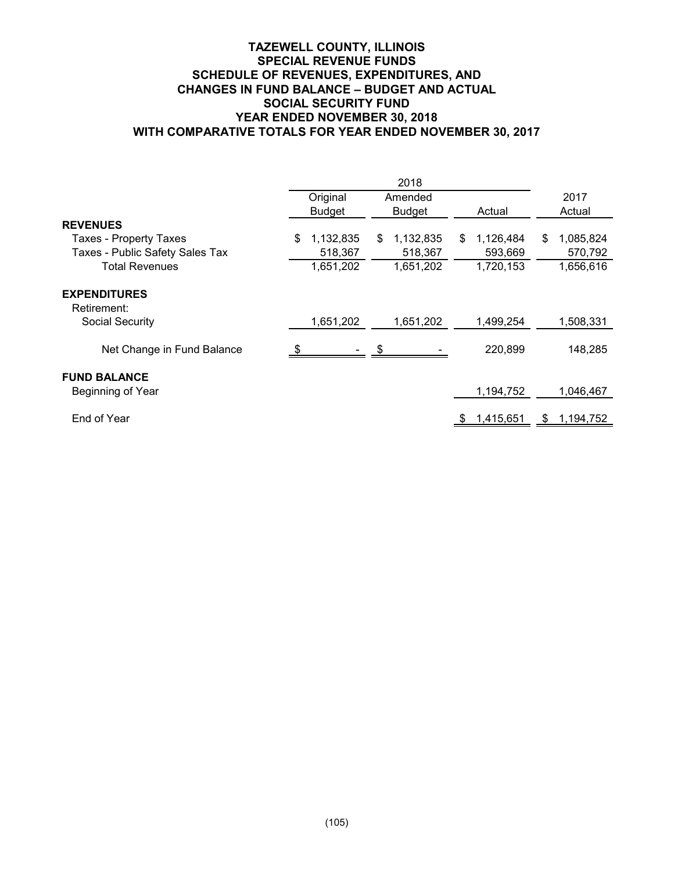## **TAZEWELL COUNTY, ILLINOIS SPECIAL REVENUE FUNDS SCHEDULE OF REVENUES, EXPENDITURES, AND CHANGES IN FUND BALANCE – BUDGET AND ACTUAL SOCIAL SECURITY FUND YEAR ENDED NOVEMBER 30, 2018 WITH COMPARATIVE TOTALS FOR YEAR ENDED NOVEMBER 30, 2017**

|                                          | Original      |                  | Amended   |    |           |    | 2017        |
|------------------------------------------|---------------|------------------|-----------|----|-----------|----|-------------|
|                                          | <b>Budget</b> |                  | Budget    |    | Actual    |    | Actual      |
| <b>REVENUES</b>                          |               |                  |           |    |           |    |             |
| <b>Taxes - Property Taxes</b>            | \$            | 1,132,835<br>\$. | 1,132,835 | \$ | 1,126,484 | \$ | 1,085,824   |
| Taxes - Public Safety Sales Tax          |               | 518,367          | 518,367   |    | 593,669   |    | 570,792     |
| <b>Total Revenues</b>                    |               | 1,651,202        | 1,651,202 |    | 1,720,153 |    | 1,656,616   |
| <b>EXPENDITURES</b><br>Retirement:       |               |                  |           |    |           |    |             |
| <b>Social Security</b>                   |               | 1,651,202        | 1,651,202 |    | 1,499,254 |    | 1,508,331   |
| Net Change in Fund Balance               |               |                  |           |    | 220,899   |    | 148,285     |
| <b>FUND BALANCE</b><br>Beginning of Year |               |                  |           |    | 1,194,752 |    | 1,046,467   |
| End of Year                              |               |                  |           |    | 1,415,651 | £. | 1, 194, 752 |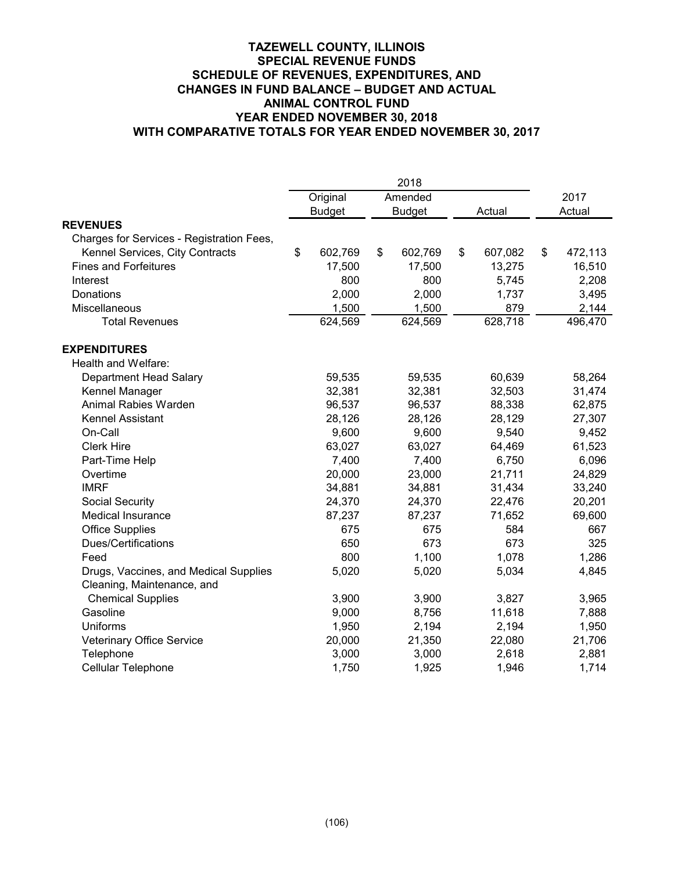## **TAZEWELL COUNTY, ILLINOIS SPECIAL REVENUE FUNDS SCHEDULE OF REVENUES, EXPENDITURES, AND CHANGES IN FUND BALANCE – BUDGET AND ACTUAL ANIMAL CONTROL FUND YEAR ENDED NOVEMBER 30, 2018 WITH COMPARATIVE TOTALS FOR YEAR ENDED NOVEMBER 30, 2017**

|                                           |              |               | 2018          |               |               |
|-------------------------------------------|--------------|---------------|---------------|---------------|---------------|
|                                           |              | Original      | Amended       |               | 2017          |
|                                           |              | <b>Budget</b> | <b>Budget</b> | Actual        | Actual        |
| <b>REVENUES</b>                           |              |               |               |               |               |
| Charges for Services - Registration Fees, |              |               |               |               |               |
| Kennel Services, City Contracts           | $\mathbb{S}$ | 602,769       | \$<br>602,769 | \$<br>607,082 | \$<br>472,113 |
| <b>Fines and Forfeitures</b>              |              | 17,500        | 17,500        | 13,275        | 16,510        |
| Interest                                  |              | 800           | 800           | 5,745         | 2,208         |
| Donations                                 |              | 2,000         | 2,000         | 1,737         | 3,495         |
| Miscellaneous                             |              | 1,500         | 1,500         | 879           | 2,144         |
| <b>Total Revenues</b>                     |              | 624,569       | 624,569       | 628,718       | 496,470       |
| <b>EXPENDITURES</b>                       |              |               |               |               |               |
| Health and Welfare:                       |              |               |               |               |               |
| Department Head Salary                    |              | 59,535        | 59,535        | 60,639        | 58,264        |
| Kennel Manager                            |              | 32,381        | 32,381        | 32,503        | 31,474        |
| Animal Rabies Warden                      |              | 96,537        | 96,537        | 88,338        | 62,875        |
| Kennel Assistant                          |              | 28,126        | 28,126        | 28,129        | 27,307        |
| On-Call                                   |              | 9,600         | 9,600         | 9,540         | 9,452         |
| <b>Clerk Hire</b>                         |              | 63,027        | 63,027        | 64,469        | 61,523        |
| Part-Time Help                            |              | 7,400         | 7,400         | 6,750         | 6,096         |
| Overtime                                  |              | 20,000        | 23,000        | 21,711        | 24,829        |
| <b>IMRF</b>                               |              | 34,881        | 34,881        | 31,434        | 33,240        |
| <b>Social Security</b>                    |              | 24,370        | 24,370        | 22,476        | 20,201        |
| <b>Medical Insurance</b>                  |              | 87,237        | 87,237        | 71,652        | 69,600        |
| <b>Office Supplies</b>                    |              | 675           | 675           | 584           | 667           |
| Dues/Certifications                       |              | 650           | 673           | 673           | 325           |
| Feed                                      |              | 800           | 1,100         | 1,078         | 1,286         |
| Drugs, Vaccines, and Medical Supplies     |              | 5,020         | 5,020         | 5,034         | 4,845         |
| Cleaning, Maintenance, and                |              |               |               |               |               |
| <b>Chemical Supplies</b>                  |              | 3,900         | 3,900         | 3,827         | 3,965         |
| Gasoline                                  |              | 9,000         | 8,756         | 11,618        | 7,888         |
| Uniforms                                  |              | 1,950         | 2,194         | 2,194         | 1,950         |
| Veterinary Office Service                 |              | 20,000        | 21,350        | 22,080        | 21,706        |
| Telephone                                 |              | 3,000         | 3,000         | 2,618         | 2,881         |
| <b>Cellular Telephone</b>                 |              | 1,750         | 1,925         | 1,946         | 1,714         |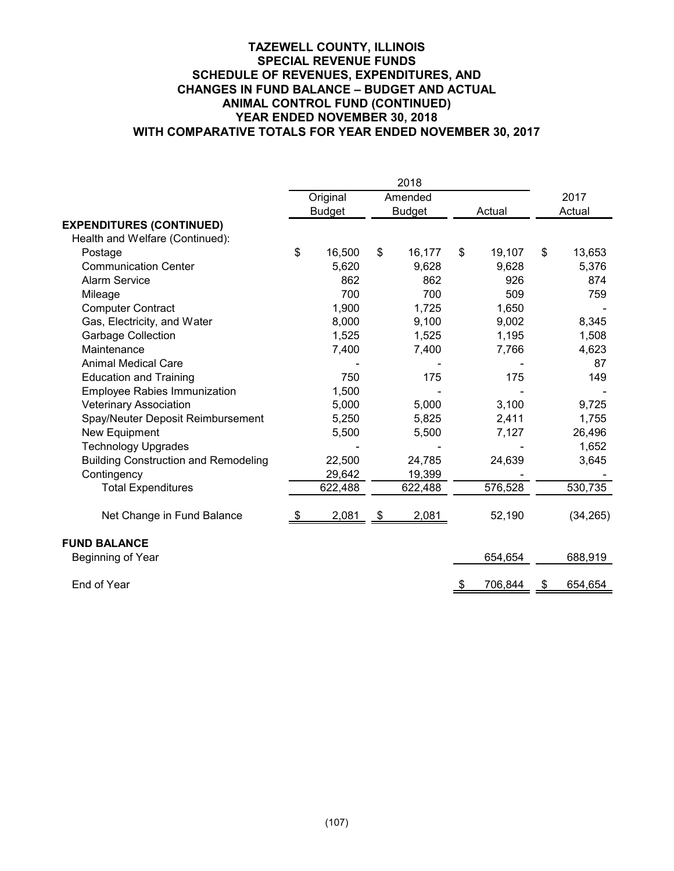## **TAZEWELL COUNTY, ILLINOIS SPECIAL REVENUE FUNDS SCHEDULE OF REVENUES, EXPENDITURES, AND CHANGES IN FUND BALANCE – BUDGET AND ACTUAL ANIMAL CONTROL FUND (CONTINUED) YEAR ENDED NOVEMBER 30, 2018 WITH COMPARATIVE TOTALS FOR YEAR ENDED NOVEMBER 30, 2017**

|                                             |               | Original      |           | Amended       |               | 2017          |
|---------------------------------------------|---------------|---------------|-----------|---------------|---------------|---------------|
|                                             |               | <b>Budget</b> |           | <b>Budget</b> | Actual        | Actual        |
| <b>EXPENDITURES (CONTINUED)</b>             |               |               |           |               |               |               |
| Health and Welfare (Continued):             |               |               |           |               |               |               |
| Postage                                     | \$            | 16,500        | \$        | 16,177        | \$<br>19,107  | \$<br>13,653  |
| <b>Communication Center</b>                 |               | 5,620         |           | 9,628         | 9,628         | 5,376         |
| <b>Alarm Service</b>                        |               | 862           |           | 862           | 926           | 874           |
| Mileage                                     |               | 700           |           | 700           | 509           | 759           |
| <b>Computer Contract</b>                    |               | 1,900         |           | 1,725         | 1,650         |               |
| Gas, Electricity, and Water                 |               | 8,000         |           | 9,100         | 9,002         | 8,345         |
| <b>Garbage Collection</b>                   |               | 1,525         |           | 1,525         | 1,195         | 1,508         |
| Maintenance                                 |               | 7,400         |           | 7,400         | 7,766         | 4,623         |
| <b>Animal Medical Care</b>                  |               |               |           |               |               | 87            |
| <b>Education and Training</b>               |               | 750           |           | 175           | 175           | 149           |
| <b>Employee Rabies Immunization</b>         |               | 1,500         |           |               |               |               |
| <b>Veterinary Association</b>               |               | 5,000         |           | 5,000         | 3,100         | 9,725         |
| Spay/Neuter Deposit Reimbursement           |               | 5,250         |           | 5,825         | 2,411         | 1,755         |
| New Equipment                               |               | 5,500         |           | 5,500         | 7,127         | 26,496        |
| <b>Technology Upgrades</b>                  |               |               |           |               |               | 1,652         |
| <b>Building Construction and Remodeling</b> |               | 22,500        |           | 24,785        | 24,639        | 3,645         |
| Contingency                                 |               | 29,642        |           | 19,399        |               |               |
| <b>Total Expenditures</b>                   |               | 622,488       |           | 622,488       | 576,528       | 530,735       |
| Net Change in Fund Balance                  | $\frac{1}{2}$ | 2,081         | <u>\$</u> | 2,081         | 52,190        | (34, 265)     |
| <b>FUND BALANCE</b>                         |               |               |           |               |               |               |
| Beginning of Year                           |               |               |           |               | 654,654       | 688,919       |
| End of Year                                 |               |               |           |               | \$<br>706,844 | \$<br>654,654 |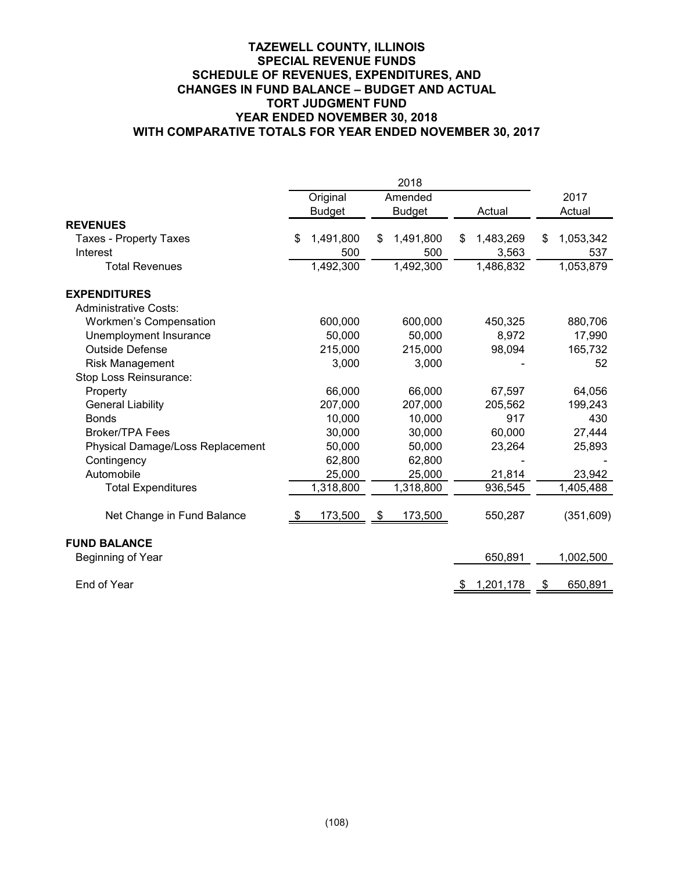## **TAZEWELL COUNTY, ILLINOIS SPECIAL REVENUE FUNDS SCHEDULE OF REVENUES, EXPENDITURES, AND CHANGES IN FUND BALANCE – BUDGET AND ACTUAL TORT JUDGMENT FUND YEAR ENDED NOVEMBER 30, 2018 WITH COMPARATIVE TOTALS FOR YEAR ENDED NOVEMBER 30, 2017**

|                                  |     | Original      | Amended         |     |           | 2017            |
|----------------------------------|-----|---------------|-----------------|-----|-----------|-----------------|
|                                  |     | <b>Budget</b> | <b>Budget</b>   |     | Actual    | Actual          |
| <b>REVENUES</b>                  |     |               |                 |     |           |                 |
| <b>Taxes - Property Taxes</b>    | \$. | 1,491,800     | \$<br>1,491,800 | \$  | 1,483,269 | \$<br>1,053,342 |
| Interest                         |     | 500           | 500             |     | 3,563     | 537             |
| <b>Total Revenues</b>            |     | 1,492,300     | 1,492,300       |     | 1,486,832 | 1,053,879       |
| <b>EXPENDITURES</b>              |     |               |                 |     |           |                 |
| <b>Administrative Costs:</b>     |     |               |                 |     |           |                 |
| Workmen's Compensation           |     | 600,000       | 600,000         |     | 450,325   | 880,706         |
| Unemployment Insurance           |     | 50,000        | 50,000          |     | 8,972     | 17,990          |
| <b>Outside Defense</b>           |     | 215,000       | 215,000         |     | 98,094    | 165,732         |
| Risk Management                  |     | 3,000         | 3,000           |     |           | 52              |
| Stop Loss Reinsurance:           |     |               |                 |     |           |                 |
| Property                         |     | 66,000        | 66,000          |     | 67,597    | 64,056          |
| <b>General Liability</b>         |     | 207,000       | 207,000         |     | 205,562   | 199,243         |
| <b>Bonds</b>                     |     | 10,000        | 10,000          |     | 917       | 430             |
| <b>Broker/TPA Fees</b>           |     | 30,000        | 30,000          |     | 60,000    | 27,444          |
| Physical Damage/Loss Replacement |     | 50,000        | 50,000          |     | 23,264    | 25,893          |
| Contingency                      |     | 62,800        | 62,800          |     |           |                 |
| Automobile                       |     | 25,000        | 25,000          |     | 21,814    | 23,942          |
| <b>Total Expenditures</b>        |     | 1,318,800     | 1,318,800       |     | 936,545   | 1,405,488       |
| Net Change in Fund Balance       |     | 173,500       | 173,500         |     | 550,287   | (351,609)       |
| <b>FUND BALANCE</b>              |     |               |                 |     |           |                 |
| Beginning of Year                |     |               |                 |     | 650,891   | 1,002,500       |
| End of Year                      |     |               |                 | -\$ | 1,201,178 | \$<br>650,891   |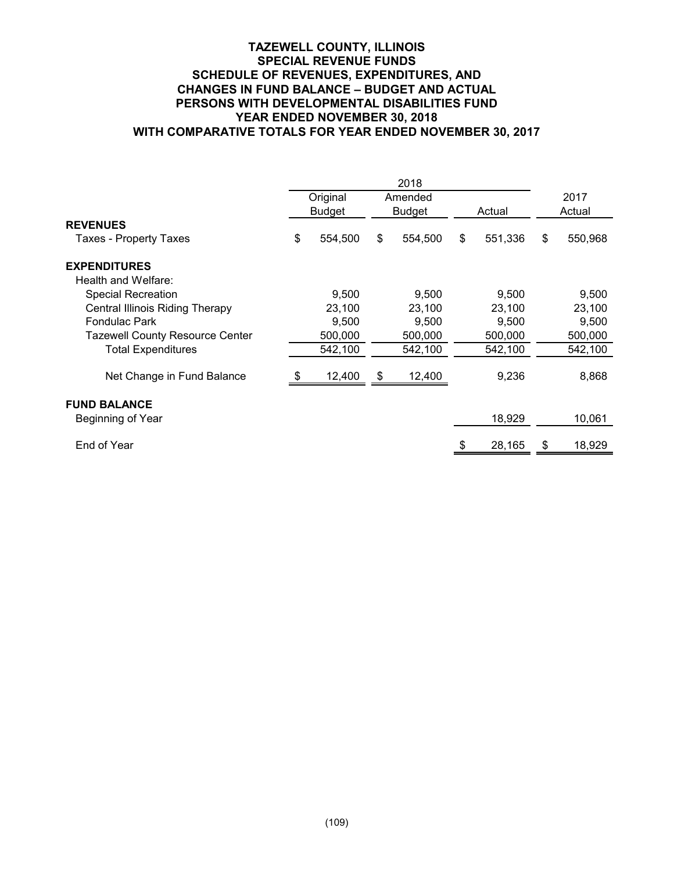## **TAZEWELL COUNTY, ILLINOIS SPECIAL REVENUE FUNDS SCHEDULE OF REVENUES, EXPENDITURES, AND CHANGES IN FUND BALANCE – BUDGET AND ACTUAL PERSONS WITH DEVELOPMENTAL DISABILITIES FUND YEAR ENDED NOVEMBER 30, 2018 WITH COMPARATIVE TOTALS FOR YEAR ENDED NOVEMBER 30, 2017**

|                                        |               | 2018          |               |               |  |
|----------------------------------------|---------------|---------------|---------------|---------------|--|
|                                        | Original      | Amended       |               | 2017          |  |
|                                        | <b>Budget</b> | <b>Budget</b> | Actual        | Actual        |  |
| <b>REVENUES</b>                        |               |               |               |               |  |
| Taxes - Property Taxes                 | \$<br>554,500 | \$<br>554,500 | \$<br>551,336 | \$<br>550,968 |  |
| <b>EXPENDITURES</b>                    |               |               |               |               |  |
| Health and Welfare:                    |               |               |               |               |  |
| <b>Special Recreation</b>              | 9,500         | 9,500         | 9,500         | 9,500         |  |
| <b>Central Illinois Riding Therapy</b> | 23,100        | 23,100        | 23,100        | 23,100        |  |
| <b>Fondulac Park</b>                   | 9,500         | 9,500         | 9,500         | 9,500         |  |
| <b>Tazewell County Resource Center</b> | 500,000       | 500,000       | 500,000       | 500,000       |  |
| <b>Total Expenditures</b>              | 542,100       | 542,100       | 542,100       | 542,100       |  |
| Net Change in Fund Balance             | 12,400        | \$<br>12,400  | 9,236         | 8,868         |  |
| <b>FUND BALANCE</b>                    |               |               |               |               |  |
| Beginning of Year                      |               |               | 18,929        | 10,061        |  |
| End of Year                            |               |               | 28,165        | \$<br>18,929  |  |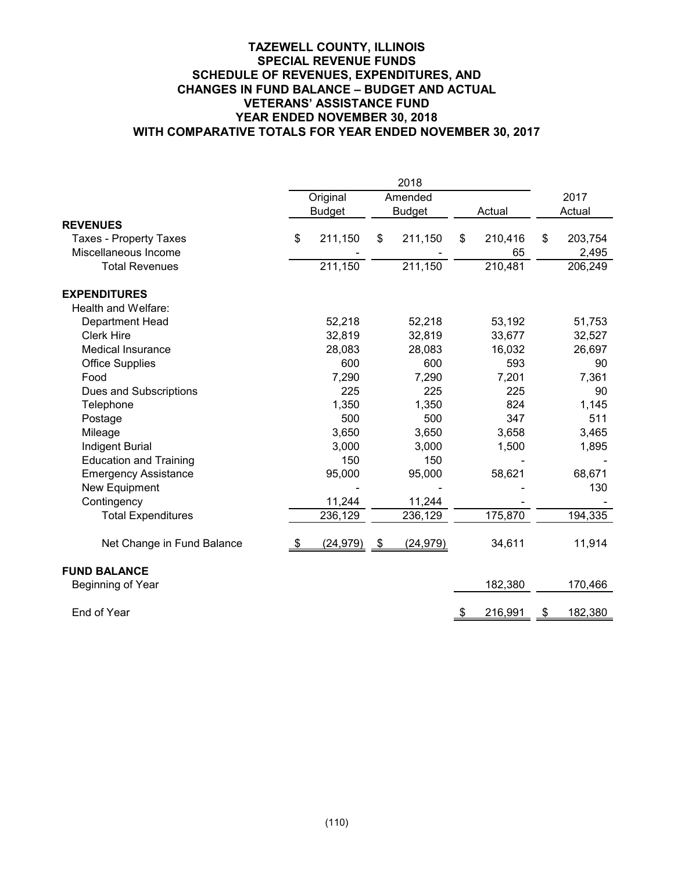## **TAZEWELL COUNTY, ILLINOIS SPECIAL REVENUE FUNDS SCHEDULE OF REVENUES, EXPENDITURES, AND CHANGES IN FUND BALANCE – BUDGET AND ACTUAL VETERANS' ASSISTANCE FUND YEAR ENDED NOVEMBER 30, 2018 WITH COMPARATIVE TOTALS FOR YEAR ENDED NOVEMBER 30, 2017**

|                               |               | Original      | Amended         |    |         | 2017          |
|-------------------------------|---------------|---------------|-----------------|----|---------|---------------|
|                               |               | <b>Budget</b> | <b>Budget</b>   |    | Actual  | Actual        |
| <b>REVENUES</b>               |               |               |                 |    |         |               |
| <b>Taxes - Property Taxes</b> | \$            | 211,150       | \$<br>211,150   | \$ | 210,416 | \$<br>203,754 |
| Miscellaneous Income          |               |               |                 |    | 65      | 2,495         |
| <b>Total Revenues</b>         |               | 211,150       | 211,150         |    | 210,481 | 206,249       |
| <b>EXPENDITURES</b>           |               |               |                 |    |         |               |
| Health and Welfare:           |               |               |                 |    |         |               |
| Department Head               |               | 52,218        | 52,218          |    | 53,192  | 51,753        |
| <b>Clerk Hire</b>             |               | 32,819        | 32,819          |    | 33,677  | 32,527        |
| <b>Medical Insurance</b>      |               | 28,083        | 28,083          |    | 16,032  | 26,697        |
| <b>Office Supplies</b>        |               | 600           | 600             |    | 593     | 90            |
| Food                          |               | 7,290         | 7,290           |    | 7,201   | 7,361         |
| Dues and Subscriptions        |               | 225           | 225             |    | 225     | 90            |
| Telephone                     |               | 1,350         | 1,350           |    | 824     | 1,145         |
| Postage                       |               | 500           | 500             |    | 347     | 511           |
| Mileage                       |               | 3,650         | 3,650           |    | 3,658   | 3,465         |
| <b>Indigent Burial</b>        |               | 3,000         | 3,000           |    | 1,500   | 1,895         |
| <b>Education and Training</b> |               | 150           | 150             |    |         |               |
| <b>Emergency Assistance</b>   |               | 95,000        | 95,000          |    | 58,621  | 68,671        |
| New Equipment                 |               |               |                 |    |         | 130           |
| Contingency                   |               | 11,244        | 11,244          |    |         |               |
| <b>Total Expenditures</b>     |               | 236,129       | 236,129         |    | 175,870 | 194,335       |
| Net Change in Fund Balance    | $\frac{3}{2}$ | (24, 979)     | \$<br>(24, 979) |    | 34,611  | 11,914        |
| <b>FUND BALANCE</b>           |               |               |                 |    |         |               |
| Beginning of Year             |               |               |                 |    | 182,380 | 170,466       |
| End of Year                   |               |               |                 | \$ | 216,991 | \$<br>182,380 |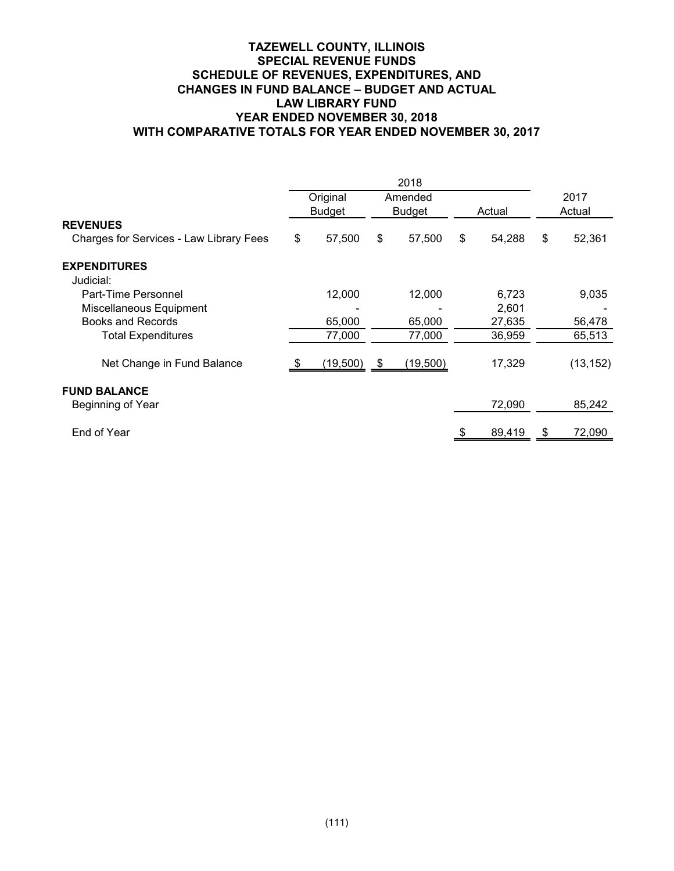## **TAZEWELL COUNTY, ILLINOIS SPECIAL REVENUE FUNDS SCHEDULE OF REVENUES, EXPENDITURES, AND CHANGES IN FUND BALANCE – BUDGET AND ACTUAL LAW LIBRARY FUND YEAR ENDED NOVEMBER 30, 2018 WITH COMPARATIVE TOTALS FOR YEAR ENDED NOVEMBER 30, 2017**

|                                          | Original      |    | Amended       |              |                | 2017      |  |
|------------------------------------------|---------------|----|---------------|--------------|----------------|-----------|--|
|                                          | <b>Budget</b> |    | <b>Budget</b> | Actual       |                | Actual    |  |
| <b>REVENUES</b>                          |               |    |               |              |                |           |  |
| Charges for Services - Law Library Fees  | \$<br>57,500  | \$ | 57,500        | \$<br>54,288 | \$             | 52,361    |  |
| <b>EXPENDITURES</b><br>Judicial:         |               |    |               |              |                |           |  |
| Part-Time Personnel                      | 12,000        |    | 12,000        | 6,723        |                | 9,035     |  |
| Miscellaneous Equipment                  |               |    |               | 2,601        |                |           |  |
| Books and Records                        | 65,000        |    | 65,000        | 27,635       |                | 56,478    |  |
| <b>Total Expenditures</b>                | 77,000        |    | 77,000        | 36,959       |                | 65,513    |  |
| Net Change in Fund Balance               | (19,500)      | 8  | (19,500)      | 17,329       |                | (13, 152) |  |
| <b>FUND BALANCE</b><br>Beginning of Year |               |    |               | 72,090       |                | 85,242    |  |
| End of Year                              |               |    |               | 89,419       | $\mathfrak{F}$ | 72,090    |  |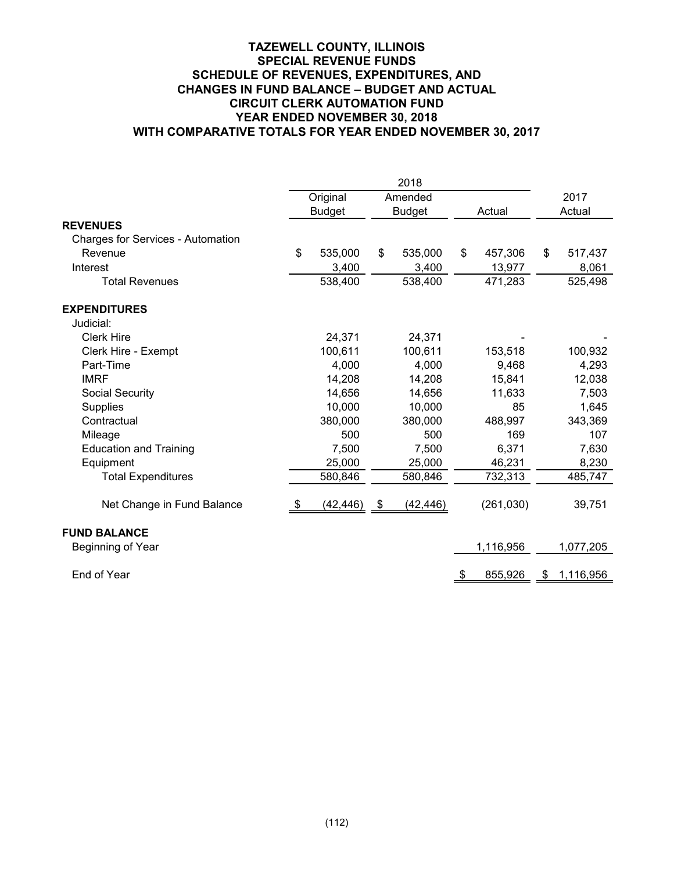## **TAZEWELL COUNTY, ILLINOIS SPECIAL REVENUE FUNDS SCHEDULE OF REVENUES, EXPENDITURES, AND CHANGES IN FUND BALANCE – BUDGET AND ACTUAL CIRCUIT CLERK AUTOMATION FUND YEAR ENDED NOVEMBER 30, 2018 WITH COMPARATIVE TOTALS FOR YEAR ENDED NOVEMBER 30, 2017**

|                                   |    | Original      | Amended         |           |            | 2017            |
|-----------------------------------|----|---------------|-----------------|-----------|------------|-----------------|
|                                   |    | <b>Budget</b> | <b>Budget</b>   |           | Actual     | Actual          |
| <b>REVENUES</b>                   |    |               |                 |           |            |                 |
| Charges for Services - Automation |    |               |                 |           |            |                 |
| Revenue                           | \$ | 535,000       | \$<br>535,000   | \$        | 457,306    | \$<br>517,437   |
| Interest                          |    | 3,400         | 3,400           |           | 13,977     | 8,061           |
| <b>Total Revenues</b>             |    | 538,400       | 538,400         |           | 471,283    | 525,498         |
| <b>EXPENDITURES</b>               |    |               |                 |           |            |                 |
| Judicial:                         |    |               |                 |           |            |                 |
| <b>Clerk Hire</b>                 |    | 24,371        | 24,371          |           |            |                 |
| Clerk Hire - Exempt               |    | 100,611       | 100,611         |           | 153,518    | 100,932         |
| Part-Time                         |    | 4,000         | 4,000           |           | 9,468      | 4,293           |
| <b>IMRF</b>                       |    | 14,208        | 14,208          |           | 15,841     | 12,038          |
| <b>Social Security</b>            |    | 14,656        | 14,656          |           | 11,633     | 7,503           |
| <b>Supplies</b>                   |    | 10,000        | 10,000          |           | 85         | 1,645           |
| Contractual                       |    | 380,000       | 380,000         |           | 488,997    | 343,369         |
| Mileage                           |    | 500           | 500             |           | 169        | 107             |
| <b>Education and Training</b>     |    | 7,500         | 7,500           |           | 6,371      | 7,630           |
| Equipment                         |    | 25,000        | 25,000          |           | 46,231     | 8,230           |
| <b>Total Expenditures</b>         |    | 580,846       | 580,846         |           | 732,313    | 485,747         |
| Net Change in Fund Balance        | Ъ  | (42, 446)     | \$<br>(42, 446) |           | (261, 030) | 39,751          |
| <b>FUND BALANCE</b>               |    |               |                 |           |            |                 |
| Beginning of Year                 |    |               |                 |           | 1,116,956  | 1,077,205       |
| End of Year                       |    |               |                 | <u>\$</u> | 855,926    | \$<br>1,116,956 |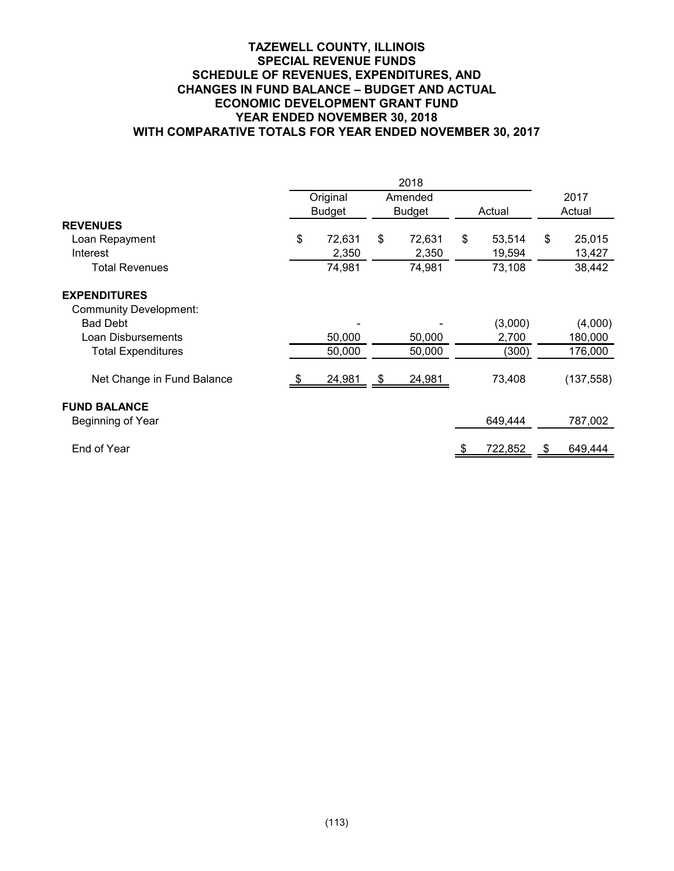## **TAZEWELL COUNTY, ILLINOIS SPECIAL REVENUE FUNDS SCHEDULE OF REVENUES, EXPENDITURES, AND CHANGES IN FUND BALANCE – BUDGET AND ACTUAL ECONOMIC DEVELOPMENT GRANT FUND YEAR ENDED NOVEMBER 30, 2018 WITH COMPARATIVE TOTALS FOR YEAR ENDED NOVEMBER 30, 2017**

|                               | Original      | Amended       |    |         | 2017 |            |
|-------------------------------|---------------|---------------|----|---------|------|------------|
|                               | <b>Budget</b> | <b>Budget</b> |    | Actual  |      | Actual     |
| <b>REVENUES</b>               |               |               |    |         |      |            |
| Loan Repayment                | \$<br>72,631  | \$<br>72,631  | \$ | 53,514  | \$   | 25,015     |
| Interest                      | 2,350         | 2,350         |    | 19,594  |      | 13,427     |
| <b>Total Revenues</b>         | 74,981        | 74,981        |    | 73,108  |      | 38,442     |
| <b>EXPENDITURES</b>           |               |               |    |         |      |            |
| <b>Community Development:</b> |               |               |    |         |      |            |
| <b>Bad Debt</b>               |               |               |    | (3,000) |      | (4,000)    |
| Loan Disbursements            | 50,000        | 50,000        |    | 2,700   |      | 180,000    |
| <b>Total Expenditures</b>     | 50,000        | 50,000        |    | (300)   |      | 176,000    |
| Net Change in Fund Balance    | 24,981        | \$<br>24,981  |    | 73,408  |      | (137, 558) |
| <b>FUND BALANCE</b>           |               |               |    |         |      |            |
| Beginning of Year             |               |               |    | 649,444 |      | 787,002    |
| End of Year                   |               |               |    | 722,852 | æ.   | 649,444    |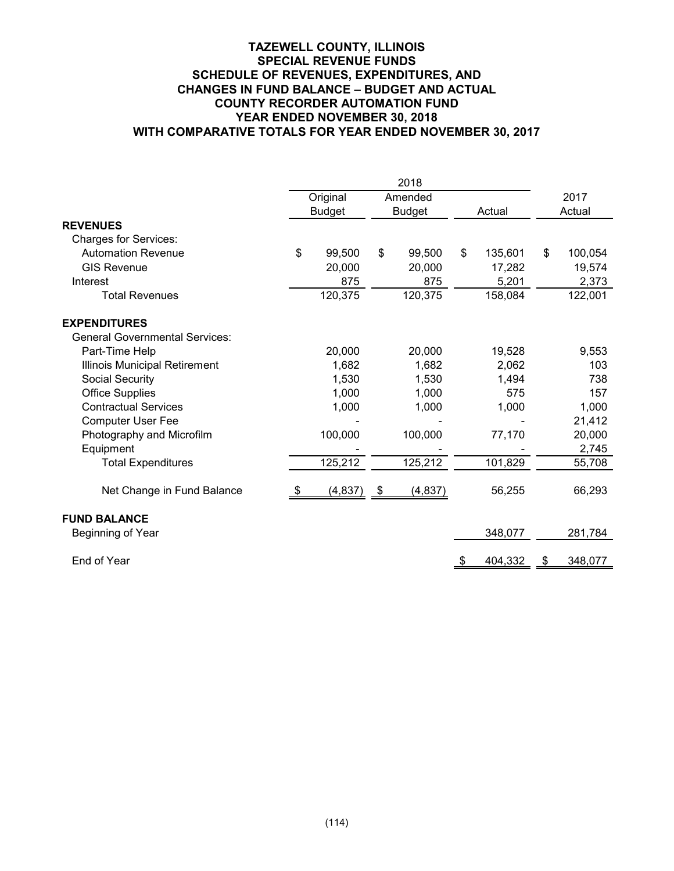## **TAZEWELL COUNTY, ILLINOIS SPECIAL REVENUE FUNDS SCHEDULE OF REVENUES, EXPENDITURES, AND CHANGES IN FUND BALANCE – BUDGET AND ACTUAL COUNTY RECORDER AUTOMATION FUND YEAR ENDED NOVEMBER 30, 2018 WITH COMPARATIVE TOTALS FOR YEAR ENDED NOVEMBER 30, 2017**

|                                       | Original      |      | Amended       |                           |         | 2017          |
|---------------------------------------|---------------|------|---------------|---------------------------|---------|---------------|
|                                       | <b>Budget</b> |      | <b>Budget</b> |                           | Actual  | Actual        |
| <b>REVENUES</b>                       |               |      |               |                           |         |               |
| <b>Charges for Services:</b>          |               |      |               |                           |         |               |
| <b>Automation Revenue</b>             | \$<br>99,500  | \$   | 99,500        | \$                        | 135,601 | \$<br>100,054 |
| <b>GIS Revenue</b>                    | 20,000        |      | 20,000        |                           | 17,282  | 19,574        |
| Interest                              | 875           |      | 875           |                           | 5,201   | 2,373         |
| <b>Total Revenues</b>                 | 120,375       |      | 120,375       |                           | 158,084 | 122,001       |
| <b>EXPENDITURES</b>                   |               |      |               |                           |         |               |
| <b>General Governmental Services:</b> |               |      |               |                           |         |               |
| Part-Time Help                        | 20,000        |      | 20,000        |                           | 19,528  | 9,553         |
| Illinois Municipal Retirement         | 1,682         |      | 1,682         |                           | 2,062   | 103           |
| Social Security                       | 1,530         |      | 1,530         |                           | 1,494   | 738           |
| <b>Office Supplies</b>                | 1,000         |      | 1,000         |                           | 575     | 157           |
| <b>Contractual Services</b>           | 1,000         |      | 1,000         |                           | 1,000   | 1,000         |
| <b>Computer User Fee</b>              |               |      |               |                           |         | 21,412        |
| Photography and Microfilm             | 100,000       |      | 100,000       |                           | 77,170  | 20,000        |
| Equipment                             |               |      |               |                           |         | 2,745         |
| <b>Total Expenditures</b>             | 125,212       |      | 125,212       |                           | 101,829 | 55,708        |
| Net Change in Fund Balance            | \$<br>(4,837) | - \$ | (4, 837)      |                           | 56,255  | 66,293        |
| <b>FUND BALANCE</b>                   |               |      |               |                           |         |               |
| Beginning of Year                     |               |      |               |                           | 348,077 | 281,784       |
| End of Year                           |               |      |               | $\overline{\mathfrak{F}}$ | 404,332 | \$<br>348,077 |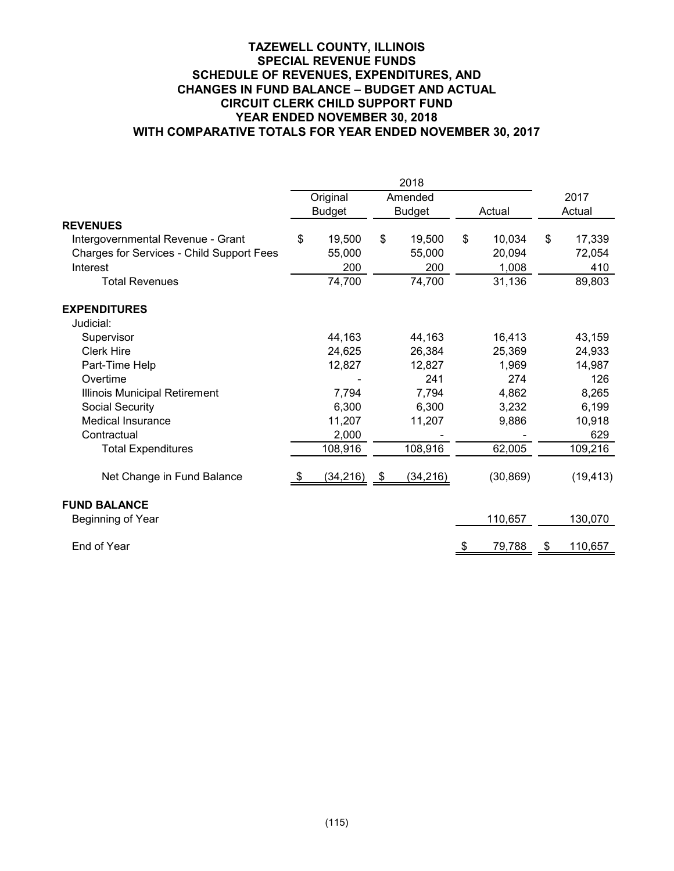## **TAZEWELL COUNTY, ILLINOIS SPECIAL REVENUE FUNDS SCHEDULE OF REVENUES, EXPENDITURES, AND CHANGES IN FUND BALANCE – BUDGET AND ACTUAL CIRCUIT CLERK CHILD SUPPORT FUND YEAR ENDED NOVEMBER 30, 2018 WITH COMPARATIVE TOTALS FOR YEAR ENDED NOVEMBER 30, 2017**

|                                           |      | Original      | Amended         |      |           |    | 2017      |
|-------------------------------------------|------|---------------|-----------------|------|-----------|----|-----------|
|                                           |      | <b>Budget</b> | <b>Budget</b>   |      | Actual    |    | Actual    |
| <b>REVENUES</b>                           |      |               |                 |      |           |    |           |
| Intergovernmental Revenue - Grant         | \$   | 19,500        | \$<br>19,500    | \$   | 10,034    | \$ | 17,339    |
| Charges for Services - Child Support Fees |      | 55,000        | 55,000          |      | 20,094    |    | 72,054    |
| Interest                                  |      | 200           | 200             |      | 1,008     |    | 410       |
| <b>Total Revenues</b>                     |      | 74,700        | 74,700          |      | 31,136    |    | 89,803    |
| <b>EXPENDITURES</b>                       |      |               |                 |      |           |    |           |
| Judicial:                                 |      |               |                 |      |           |    |           |
| Supervisor                                |      | 44,163        | 44,163          |      | 16,413    |    | 43,159    |
| <b>Clerk Hire</b>                         |      | 24,625        | 26,384          |      | 25,369    |    | 24,933    |
| Part-Time Help                            |      | 12,827        | 12,827          |      | 1,969     |    | 14,987    |
| Overtime                                  |      |               | 241             |      | 274       |    | 126       |
| Illinois Municipal Retirement             |      | 7,794         | 7,794           |      | 4,862     |    | 8,265     |
| Social Security                           |      | 6,300         | 6,300           |      | 3,232     |    | 6,199     |
| <b>Medical Insurance</b>                  |      | 11,207        | 11,207          |      | 9,886     |    | 10,918    |
| Contractual                               |      | 2,000         |                 |      |           |    | 629       |
| <b>Total Expenditures</b>                 |      | 108,916       | 108,916         |      | 62,005    |    | 109,216   |
| Net Change in Fund Balance                | - \$ | (34, 216)     | \$<br>(34, 216) |      | (30, 869) |    | (19, 413) |
| <b>FUND BALANCE</b>                       |      |               |                 |      |           |    |           |
| Beginning of Year                         |      |               |                 |      | 110,657   |    | 130,070   |
| End of Year                               |      |               |                 | - \$ | 79,788    | S. | 110,657   |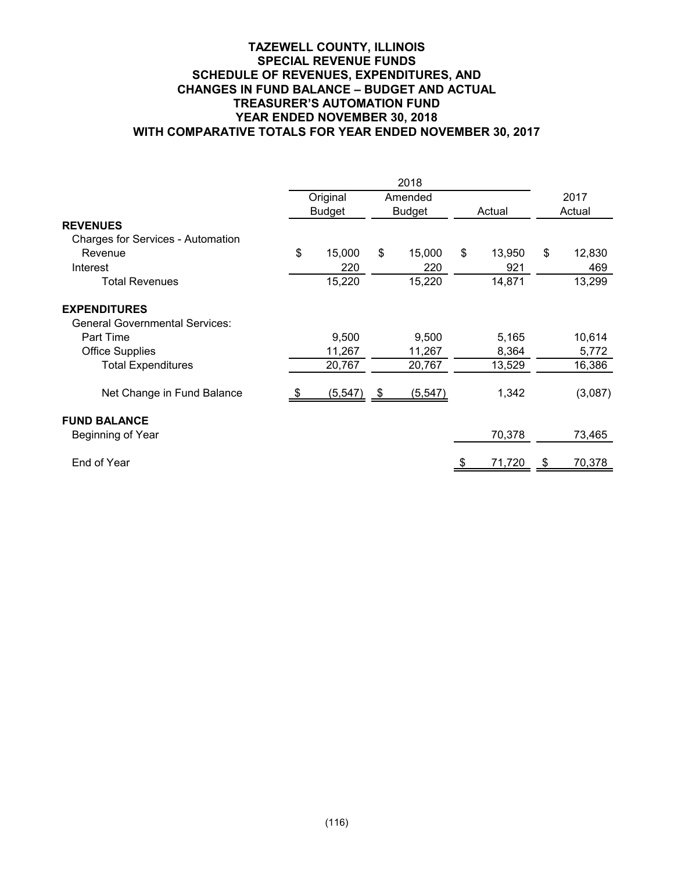## **TAZEWELL COUNTY, ILLINOIS SPECIAL REVENUE FUNDS SCHEDULE OF REVENUES, EXPENDITURES, AND CHANGES IN FUND BALANCE – BUDGET AND ACTUAL TREASURER'S AUTOMATION FUND YEAR ENDED NOVEMBER 30, 2018 WITH COMPARATIVE TOTALS FOR YEAR ENDED NOVEMBER 30, 2017**

|                                          |               | Original        | Amended        |    |        |      | 2017    |
|------------------------------------------|---------------|-----------------|----------------|----|--------|------|---------|
| <b>REVENUES</b>                          | <b>Budget</b> |                 | <b>Budget</b>  |    | Actual |      | Actual  |
| <b>Charges for Services - Automation</b> |               |                 |                |    |        |      |         |
| Revenue                                  | \$            | 15,000          | \$<br>15,000   | \$ | 13,950 | \$   | 12,830  |
| Interest                                 |               | 220             | 220            |    | 921    |      | 469     |
| <b>Total Revenues</b>                    |               | 15,220          | 15,220         |    | 14,871 |      | 13,299  |
| <b>EXPENDITURES</b>                      |               |                 |                |    |        |      |         |
| <b>General Governmental Services:</b>    |               |                 |                |    |        |      |         |
| Part Time                                |               | 9,500           | 9,500          |    | 5,165  |      | 10,614  |
| <b>Office Supplies</b>                   |               | 11,267          | 11,267         |    | 8,364  |      | 5,772   |
| <b>Total Expenditures</b>                |               | 20,767          | 20,767         |    | 13,529 |      | 16,386  |
| Net Change in Fund Balance               |               | <u>(5,547) </u> | \$<br>(5, 547) |    | 1,342  |      | (3,087) |
| <b>FUND BALANCE</b>                      |               |                 |                |    |        |      |         |
| Beginning of Year                        |               |                 |                |    | 70,378 |      | 73,465  |
| End of Year                              |               |                 |                |    | 71,720 | - \$ | 70,378  |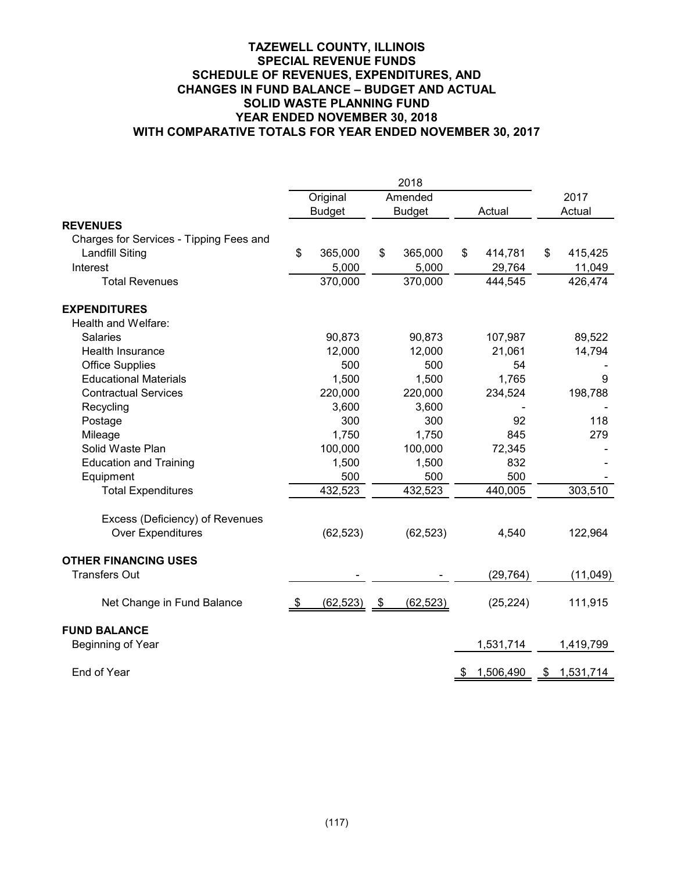## **TAZEWELL COUNTY, ILLINOIS SPECIAL REVENUE FUNDS SCHEDULE OF REVENUES, EXPENDITURES, AND CHANGES IN FUND BALANCE – BUDGET AND ACTUAL SOLID WASTE PLANNING FUND YEAR ENDED NOVEMBER 30, 2018 WITH COMPARATIVE TOTALS FOR YEAR ENDED NOVEMBER 30, 2017**

|                                         | 2018 |               |      |               |    |           |    |           |
|-----------------------------------------|------|---------------|------|---------------|----|-----------|----|-----------|
|                                         |      | Original      |      | Amended       |    |           |    | 2017      |
|                                         |      | <b>Budget</b> |      | <b>Budget</b> |    | Actual    |    | Actual    |
| <b>REVENUES</b>                         |      |               |      |               |    |           |    |           |
| Charges for Services - Tipping Fees and |      |               |      |               |    |           |    |           |
| <b>Landfill Siting</b>                  | \$   | 365,000       | \$   | 365,000       | \$ | 414,781   | \$ | 415,425   |
| Interest                                |      | 5,000         |      | 5,000         |    | 29,764    |    | 11,049    |
| <b>Total Revenues</b>                   |      | 370,000       |      | 370,000       |    | 444,545   |    | 426,474   |
| <b>EXPENDITURES</b>                     |      |               |      |               |    |           |    |           |
| Health and Welfare:                     |      |               |      |               |    |           |    |           |
| <b>Salaries</b>                         |      | 90,873        |      | 90,873        |    | 107,987   |    | 89,522    |
| Health Insurance                        |      | 12,000        |      | 12,000        |    | 21,061    |    | 14,794    |
| <b>Office Supplies</b>                  |      | 500           |      | 500           |    | 54        |    |           |
| <b>Educational Materials</b>            |      | 1,500         |      | 1,500         |    | 1,765     |    | 9         |
| <b>Contractual Services</b>             |      | 220,000       |      | 220,000       |    | 234,524   |    | 198,788   |
| Recycling                               |      | 3,600         |      | 3,600         |    |           |    |           |
| Postage                                 |      | 300           |      | 300           |    | 92        |    | 118       |
| Mileage                                 |      | 1,750         |      | 1,750         |    | 845       |    | 279       |
| Solid Waste Plan                        |      | 100,000       |      | 100,000       |    | 72,345    |    |           |
| <b>Education and Training</b>           |      | 1,500         |      | 1,500         |    | 832       |    |           |
| Equipment                               |      | 500           |      | 500           |    | 500       |    |           |
| <b>Total Expenditures</b>               |      | 432,523       |      | 432,523       |    | 440,005   |    | 303,510   |
| Excess (Deficiency) of Revenues         |      |               |      |               |    |           |    |           |
| <b>Over Expenditures</b>                |      | (62, 523)     |      | (62, 523)     |    | 4,540     |    | 122,964   |
| <b>OTHER FINANCING USES</b>             |      |               |      |               |    |           |    |           |
| <b>Transfers Out</b>                    |      |               |      |               |    | (29, 764) |    | (11, 049) |
| Net Change in Fund Balance              | -\$  | (62, 523)     | - \$ | (62, 523)     |    | (25, 224) |    | 111,915   |
| <b>FUND BALANCE</b>                     |      |               |      |               |    |           |    |           |
| Beginning of Year                       |      |               |      |               |    | 1,531,714 |    | 1,419,799 |
| End of Year                             |      |               |      |               | \$ | 1,506,490 | \$ | 1,531,714 |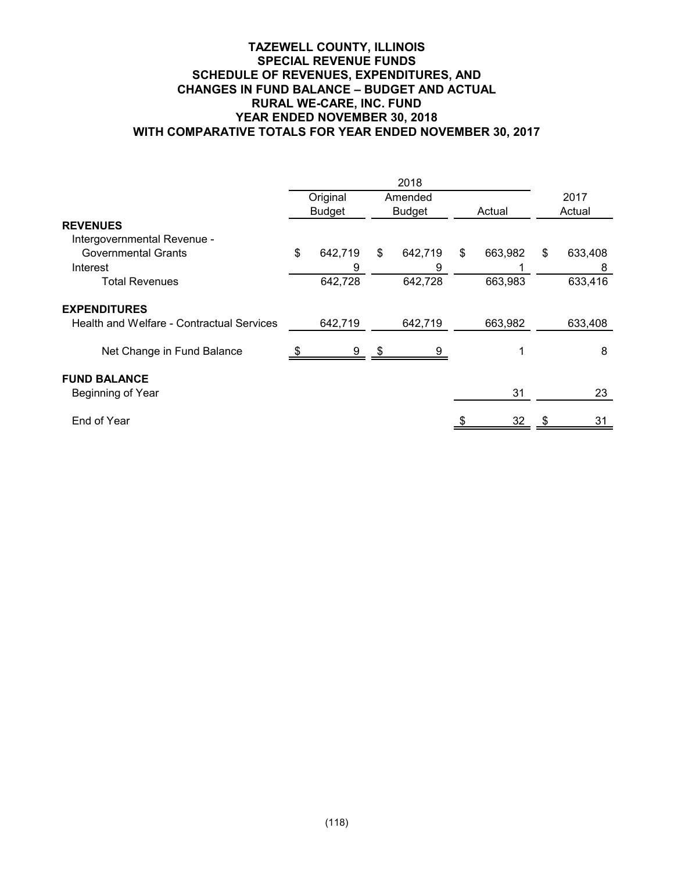## **TAZEWELL COUNTY, ILLINOIS SPECIAL REVENUE FUNDS SCHEDULE OF REVENUES, EXPENDITURES, AND CHANGES IN FUND BALANCE – BUDGET AND ACTUAL RURAL WE-CARE, INC. FUND YEAR ENDED NOVEMBER 30, 2018 WITH COMPARATIVE TOTALS FOR YEAR ENDED NOVEMBER 30, 2017**

|                                                  |               | 2018          |    |         |      |         |  |
|--------------------------------------------------|---------------|---------------|----|---------|------|---------|--|
|                                                  | Original      | Amended       |    |         | 2017 |         |  |
|                                                  | <b>Budget</b> | <b>Budget</b> |    | Actual  |      | Actual  |  |
| <b>REVENUES</b>                                  |               |               |    |         |      |         |  |
| Intergovernmental Revenue -                      |               |               |    |         |      |         |  |
| <b>Governmental Grants</b>                       | \$<br>642,719 | \$<br>642,719 | \$ | 663,982 | \$   | 633,408 |  |
| Interest                                         | 9             | 9             |    |         |      | 8       |  |
| <b>Total Revenues</b>                            | 642,728       | 642,728       |    | 663,983 |      | 633,416 |  |
| <b>EXPENDITURES</b>                              |               |               |    |         |      |         |  |
| <b>Health and Welfare - Contractual Services</b> | 642,719       | 642,719       |    | 663,982 |      | 633,408 |  |
| Net Change in Fund Balance                       | 9             | 9             |    |         |      | 8       |  |
| <b>FUND BALANCE</b>                              |               |               |    |         |      |         |  |
| Beginning of Year                                |               |               |    | 31      |      | 23      |  |
| End of Year                                      |               |               |    | 32      |      | 31      |  |
|                                                  |               |               |    |         |      |         |  |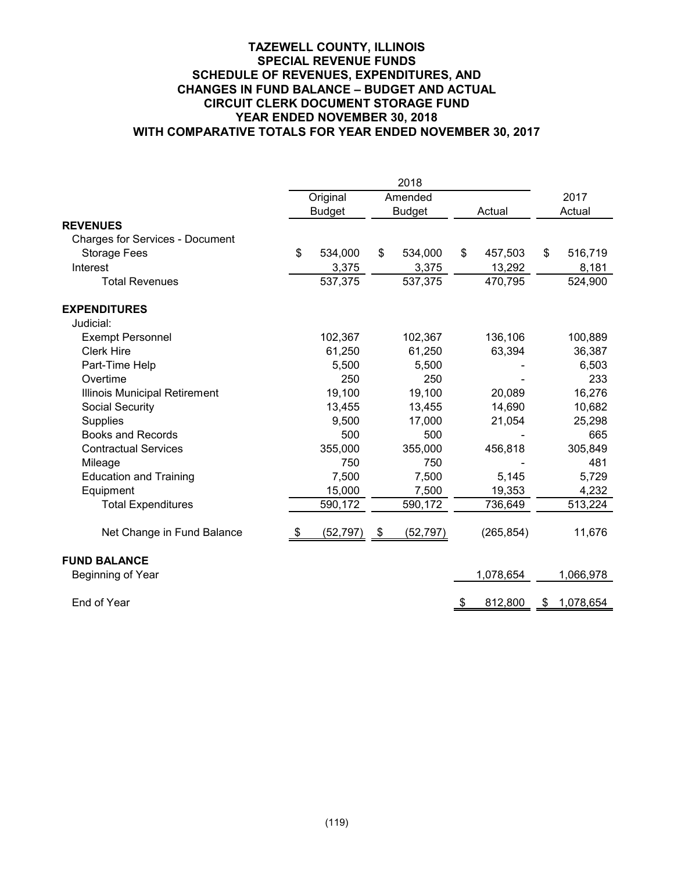## **TAZEWELL COUNTY, ILLINOIS SPECIAL REVENUE FUNDS SCHEDULE OF REVENUES, EXPENDITURES, AND CHANGES IN FUND BALANCE – BUDGET AND ACTUAL CIRCUIT CLERK DOCUMENT STORAGE FUND YEAR ENDED NOVEMBER 30, 2018 WITH COMPARATIVE TOTALS FOR YEAR ENDED NOVEMBER 30, 2017**

|                                        |      | Original      |     | Amended       |    |            |        | 2017      |
|----------------------------------------|------|---------------|-----|---------------|----|------------|--------|-----------|
|                                        |      | <b>Budget</b> |     | <b>Budget</b> |    | Actual     | Actual |           |
| <b>REVENUES</b>                        |      |               |     |               |    |            |        |           |
| <b>Charges for Services - Document</b> |      |               |     |               |    |            |        |           |
| <b>Storage Fees</b>                    | \$   | 534,000       | \$  | 534,000       | \$ | 457,503    | \$     | 516,719   |
| Interest                               |      | 3,375         |     | 3,375         |    | 13,292     |        | 8,181     |
| <b>Total Revenues</b>                  |      | 537,375       |     | 537,375       |    | 470,795    |        | 524,900   |
| <b>EXPENDITURES</b>                    |      |               |     |               |    |            |        |           |
| Judicial:                              |      |               |     |               |    |            |        |           |
| <b>Exempt Personnel</b>                |      | 102,367       |     | 102,367       |    | 136,106    |        | 100,889   |
| <b>Clerk Hire</b>                      |      | 61,250        |     | 61,250        |    | 63,394     |        | 36,387    |
| Part-Time Help                         |      | 5,500         |     | 5,500         |    |            |        | 6,503     |
| Overtime                               |      | 250           |     | 250           |    |            |        | 233       |
| Illinois Municipal Retirement          |      | 19,100        |     | 19,100        |    | 20,089     |        | 16,276    |
| <b>Social Security</b>                 |      | 13,455        |     | 13,455        |    | 14,690     |        | 10,682    |
| Supplies                               |      | 9,500         |     | 17,000        |    | 21,054     |        | 25,298    |
| <b>Books and Records</b>               |      | 500           |     | 500           |    |            |        | 665       |
| <b>Contractual Services</b>            |      | 355,000       |     | 355,000       |    | 456,818    |        | 305,849   |
| Mileage                                |      | 750           |     | 750           |    |            |        | 481       |
| <b>Education and Training</b>          |      | 7,500         |     | 7,500         |    | 5,145      |        | 5,729     |
| Equipment                              |      | 15,000        |     | 7,500         |    | 19,353     |        | 4,232     |
| <b>Total Expenditures</b>              |      | 590,172       |     | 590,172       |    | 736,649    |        | 513,224   |
| Net Change in Fund Balance             | - \$ | (52, 797)     | -\$ | (52, 797)     |    | (265, 854) |        | 11,676    |
| <b>FUND BALANCE</b>                    |      |               |     |               |    |            |        |           |
| Beginning of Year                      |      |               |     |               |    | 1,078,654  |        | 1,066,978 |
| End of Year                            |      |               |     |               | \$ | 812,800    | \$     | 1,078,654 |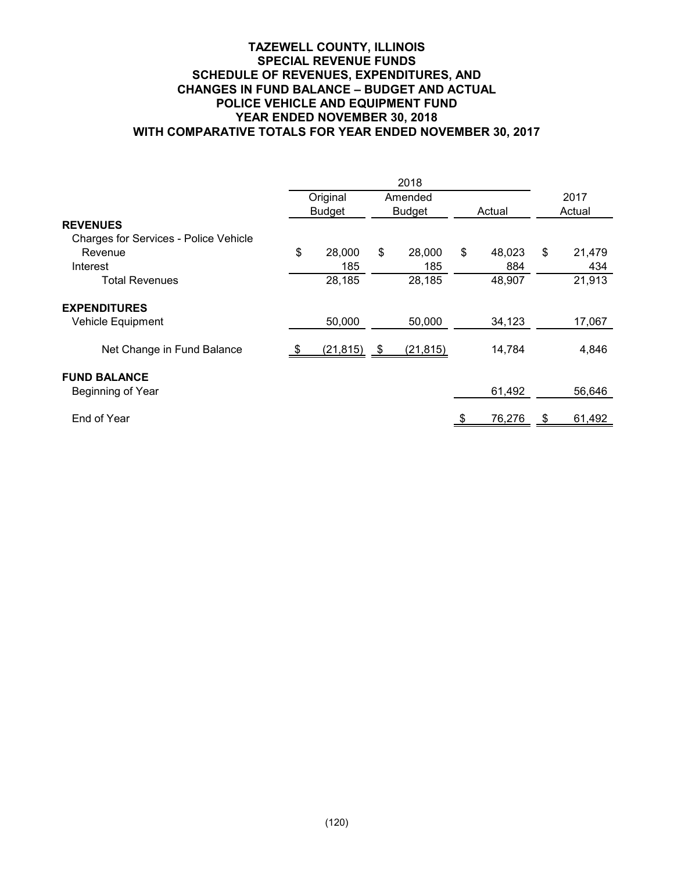## **TAZEWELL COUNTY, ILLINOIS SPECIAL REVENUE FUNDS SCHEDULE OF REVENUES, EXPENDITURES, AND CHANGES IN FUND BALANCE – BUDGET AND ACTUAL POLICE VEHICLE AND EQUIPMENT FUND YEAR ENDED NOVEMBER 30, 2018 WITH COMPARATIVE TOTALS FOR YEAR ENDED NOVEMBER 30, 2017**

|                                              |                | 2018          |        |        |        |        |
|----------------------------------------------|----------------|---------------|--------|--------|--------|--------|
|                                              | Original       | Amended       |        |        |        | 2017   |
|                                              | <b>Budget</b>  | <b>Budget</b> | Actual |        | Actual |        |
| <b>REVENUES</b>                              |                |               |        |        |        |        |
| <b>Charges for Services - Police Vehicle</b> |                |               |        |        |        |        |
| Revenue                                      | \$<br>28,000   | \$<br>28,000  | \$     | 48,023 | \$     | 21,479 |
| Interest                                     | 185            | 185           |        | 884    |        | 434    |
| Total Revenues                               | 28,185         | 28,185        |        | 48,907 |        | 21,913 |
| <b>EXPENDITURES</b>                          |                |               |        |        |        |        |
| Vehicle Equipment                            | 50,000         | 50,000        |        | 34,123 |        | 17,067 |
| Net Change in Fund Balance                   | $(21, 815)$ \$ | (21, 815)     |        | 14,784 |        | 4,846  |
| <b>FUND BALANCE</b>                          |                |               |        |        |        |        |
| Beginning of Year                            |                |               |        | 61,492 |        | 56,646 |
| End of Year                                  |                |               |        | 76,276 | - \$   | 61,492 |
|                                              |                |               |        |        |        |        |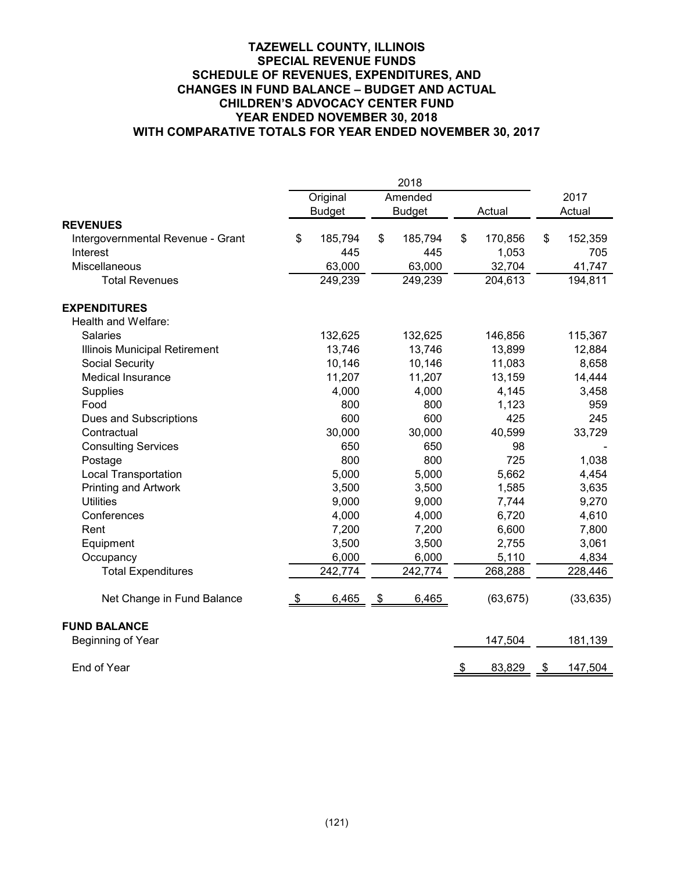## **TAZEWELL COUNTY, ILLINOIS SPECIAL REVENUE FUNDS SCHEDULE OF REVENUES, EXPENDITURES, AND CHANGES IN FUND BALANCE – BUDGET AND ACTUAL CHILDREN'S ADVOCACY CENTER FUND YEAR ENDED NOVEMBER 30, 2018 WITH COMPARATIVE TOTALS FOR YEAR ENDED NOVEMBER 30, 2017**

|                                   |               | 2018          |    |           |      |           |
|-----------------------------------|---------------|---------------|----|-----------|------|-----------|
|                                   | Original      | Amended       |    |           | 2017 |           |
|                                   | <b>Budget</b> | <b>Budget</b> |    | Actual    |      | Actual    |
| <b>REVENUES</b>                   |               |               |    |           |      |           |
| Intergovernmental Revenue - Grant | \$<br>185,794 | \$<br>185,794 | \$ | 170,856   | \$   | 152,359   |
| Interest                          | 445           | 445           |    | 1,053     |      | 705       |
| Miscellaneous                     | 63,000        | 63,000        |    | 32,704    |      | 41,747    |
| <b>Total Revenues</b>             | 249,239       | 249,239       |    | 204,613   |      | 194,811   |
| <b>EXPENDITURES</b>               |               |               |    |           |      |           |
| Health and Welfare:               |               |               |    |           |      |           |
| <b>Salaries</b>                   | 132,625       | 132,625       |    | 146,856   |      | 115,367   |
| Illinois Municipal Retirement     | 13,746        | 13,746        |    | 13,899    |      | 12,884    |
| <b>Social Security</b>            | 10,146        | 10,146        |    | 11,083    |      | 8,658     |
| <b>Medical Insurance</b>          | 11,207        | 11,207        |    | 13,159    |      | 14,444    |
| Supplies                          | 4,000         | 4,000         |    | 4,145     |      | 3,458     |
| Food                              | 800           | 800           |    | 1,123     |      | 959       |
| Dues and Subscriptions            | 600           | 600           |    | 425       |      | 245       |
| Contractual                       | 30,000        | 30,000        |    | 40,599    |      | 33,729    |
| <b>Consulting Services</b>        | 650           | 650           |    | 98        |      |           |
| Postage                           | 800           | 800           |    | 725       |      | 1,038     |
| <b>Local Transportation</b>       | 5,000         | 5,000         |    | 5,662     |      | 4,454     |
| <b>Printing and Artwork</b>       | 3,500         | 3,500         |    | 1,585     |      | 3,635     |
| <b>Utilities</b>                  | 9,000         | 9,000         |    | 7,744     |      | 9,270     |
| Conferences                       | 4,000         | 4,000         |    | 6,720     |      | 4,610     |
| Rent                              | 7,200         | 7,200         |    | 6,600     |      | 7,800     |
| Equipment                         | 3,500         | 3,500         |    | 2,755     |      | 3,061     |
| Occupancy                         | 6,000         | 6,000         |    | 5,110     |      | 4,834     |
| <b>Total Expenditures</b>         | 242,774       | 242,774       |    | 268,288   |      | 228,446   |
| Net Change in Fund Balance        | \$<br>6,465   | \$<br>6,465   |    | (63, 675) |      | (33, 635) |
| <b>FUND BALANCE</b>               |               |               |    |           |      |           |
| Beginning of Year                 |               |               |    | 147,504   |      | 181,139   |
| End of Year                       |               |               | \$ | 83,829    | \$   | 147,504   |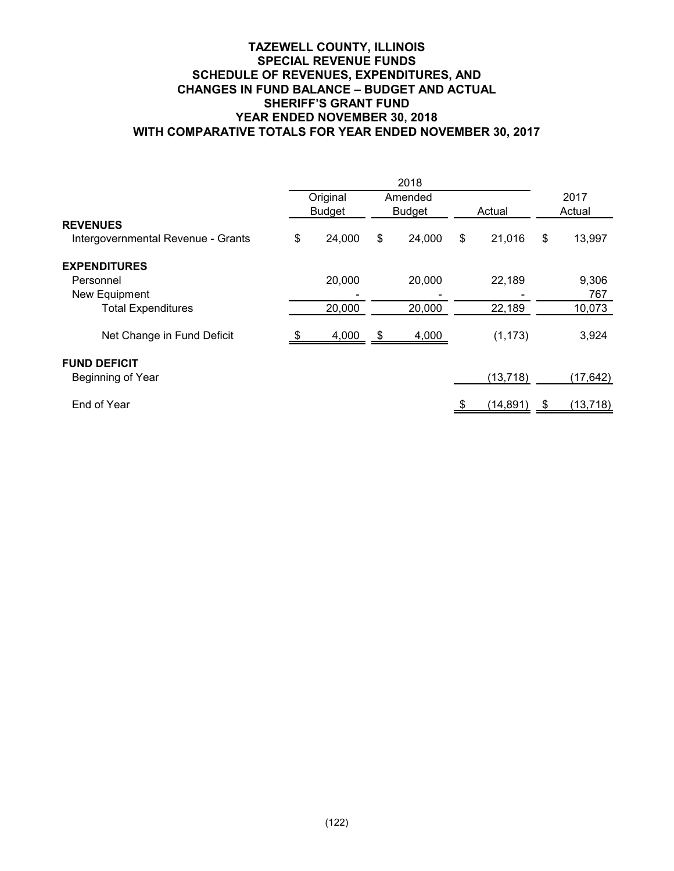## **TAZEWELL COUNTY, ILLINOIS SPECIAL REVENUE FUNDS SCHEDULE OF REVENUES, EXPENDITURES, AND CHANGES IN FUND BALANCE – BUDGET AND ACTUAL SHERIFF'S GRANT FUND YEAR ENDED NOVEMBER 30, 2018 WITH COMPARATIVE TOTALS FOR YEAR ENDED NOVEMBER 30, 2017**

|                                    |               | Original |               | Amended |        |           | 2017          |           |
|------------------------------------|---------------|----------|---------------|---------|--------|-----------|---------------|-----------|
|                                    | <b>Budget</b> |          | <b>Budget</b> |         | Actual |           | Actual        |           |
| <b>REVENUES</b>                    |               |          |               |         |        |           |               |           |
| Intergovernmental Revenue - Grants | \$            | 24,000   | \$            | 24,000  | \$     | 21,016    | $\sqrt[6]{2}$ | 13,997    |
| <b>EXPENDITURES</b>                |               |          |               |         |        |           |               |           |
| Personnel                          |               | 20,000   |               | 20,000  |        | 22,189    |               | 9,306     |
| New Equipment                      |               |          |               |         |        |           |               | 767       |
| <b>Total Expenditures</b>          |               | 20,000   |               | 20,000  |        | 22,189    |               | 10,073    |
| Net Change in Fund Deficit         | - \$          | 4,000    | $\sqrt{S}$    | 4,000   |        | (1, 173)  |               | 3,924     |
| <b>FUND DEFICIT</b>                |               |          |               |         |        |           |               |           |
| Beginning of Year                  |               |          |               |         |        | (13, 718) |               | (17, 642) |
| End of Year                        |               |          |               |         |        | (14, 891) | S             | (13, 718) |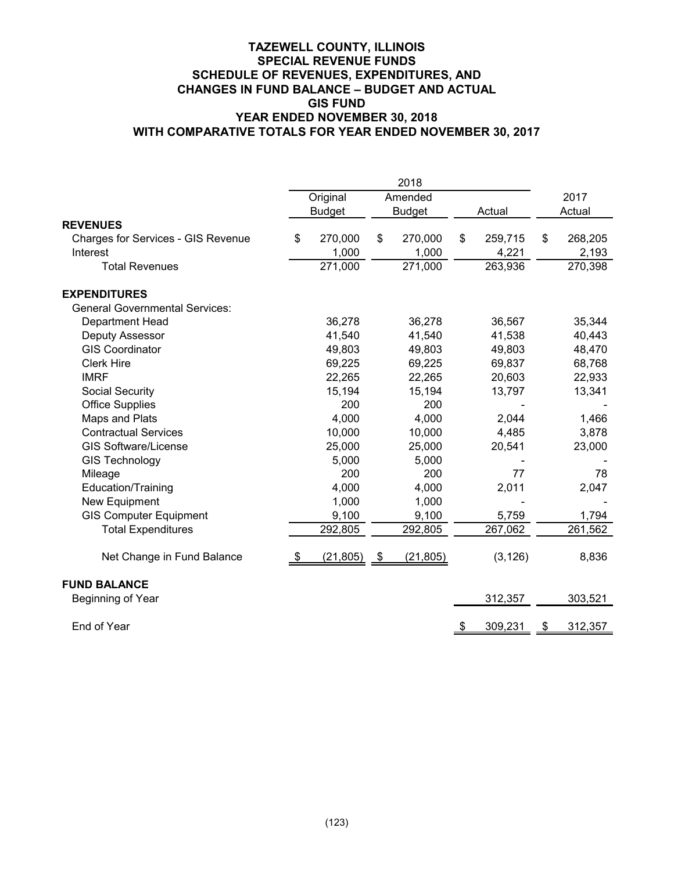## **TAZEWELL COUNTY, ILLINOIS SPECIAL REVENUE FUNDS SCHEDULE OF REVENUES, EXPENDITURES, AND CHANGES IN FUND BALANCE – BUDGET AND ACTUAL GIS FUND YEAR ENDED NOVEMBER 30, 2018 WITH COMPARATIVE TOTALS FOR YEAR ENDED NOVEMBER 30, 2017**

|                                           |     |               |               | 2018          |      |          |               |
|-------------------------------------------|-----|---------------|---------------|---------------|------|----------|---------------|
|                                           |     | Original      |               | Amended       |      |          | 2017          |
|                                           |     | <b>Budget</b> |               | <b>Budget</b> |      | Actual   | Actual        |
| <b>REVENUES</b>                           |     |               |               |               |      |          |               |
| <b>Charges for Services - GIS Revenue</b> | \$  | 270,000       | \$            | 270,000       | \$   | 259,715  | \$<br>268,205 |
| Interest                                  |     | 1,000         |               | 1,000         |      | 4,221    | 2,193         |
| <b>Total Revenues</b>                     |     | 271,000       |               | 271,000       |      | 263,936  | 270,398       |
| <b>EXPENDITURES</b>                       |     |               |               |               |      |          |               |
| <b>General Governmental Services:</b>     |     |               |               |               |      |          |               |
| Department Head                           |     | 36,278        |               | 36,278        |      | 36,567   | 35,344        |
| Deputy Assessor                           |     | 41,540        |               | 41,540        |      | 41,538   | 40,443        |
| <b>GIS Coordinator</b>                    |     | 49,803        |               | 49,803        |      | 49,803   | 48,470        |
| <b>Clerk Hire</b>                         |     | 69,225        |               | 69,225        |      | 69,837   | 68,768        |
| <b>IMRF</b>                               |     | 22,265        |               | 22,265        |      | 20,603   | 22,933        |
| Social Security                           |     | 15,194        |               | 15,194        |      | 13,797   | 13,341        |
| <b>Office Supplies</b>                    |     | 200           |               | 200           |      |          |               |
| Maps and Plats                            |     | 4,000         |               | 4,000         |      | 2,044    | 1,466         |
| <b>Contractual Services</b>               |     | 10,000        |               | 10,000        |      | 4,485    | 3,878         |
| <b>GIS Software/License</b>               |     | 25,000        |               | 25,000        |      | 20,541   | 23,000        |
| <b>GIS Technology</b>                     |     | 5,000         |               | 5,000         |      |          |               |
| Mileage                                   |     | 200           |               | 200           |      | 77       | 78            |
| Education/Training                        |     | 4,000         |               | 4,000         |      | 2,011    | 2,047         |
| New Equipment                             |     | 1,000         |               | 1,000         |      |          |               |
| <b>GIS Computer Equipment</b>             |     | 9,100         |               | 9,100         |      | 5,759    | 1,794         |
| <b>Total Expenditures</b>                 |     | 292,805       |               | 292,805       |      | 267,062  | 261,562       |
| Net Change in Fund Balance                | -\$ | (21, 805)     | $\frac{1}{2}$ | (21, 805)     |      | (3, 126) | 8,836         |
| <b>FUND BALANCE</b>                       |     |               |               |               |      |          |               |
| Beginning of Year                         |     |               |               |               |      | 312,357  | 303,521       |
| End of Year                               |     |               |               |               | - \$ | 309,231  | \$<br>312,357 |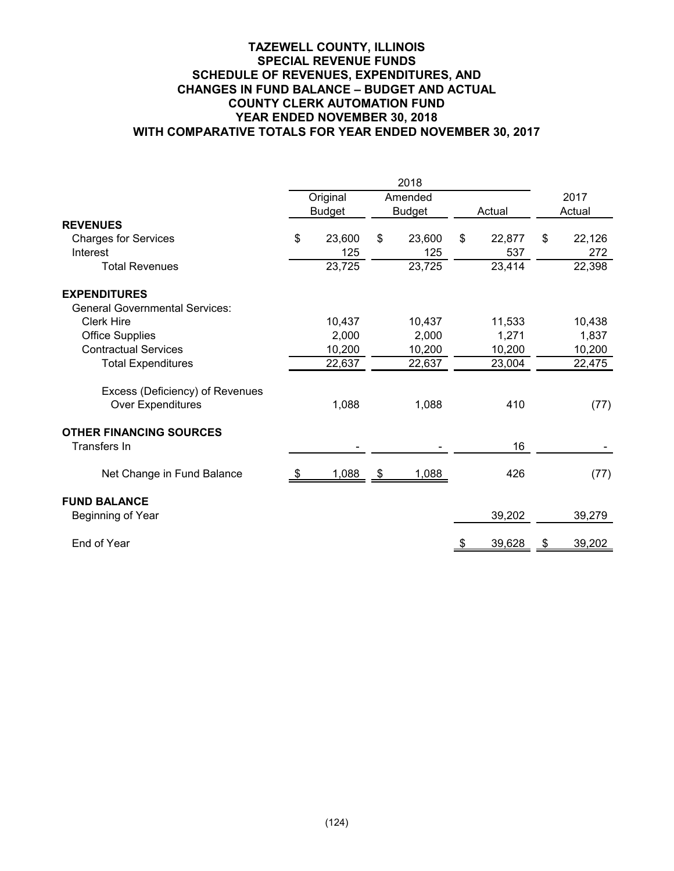## **TAZEWELL COUNTY, ILLINOIS SPECIAL REVENUE FUNDS SCHEDULE OF REVENUES, EXPENDITURES, AND CHANGES IN FUND BALANCE – BUDGET AND ACTUAL COUNTY CLERK AUTOMATION FUND YEAR ENDED NOVEMBER 30, 2018 WITH COMPARATIVE TOTALS FOR YEAR ENDED NOVEMBER 30, 2017**

|      |        |                           |        |                                  |        |        | 2017   |
|------|--------|---------------------------|--------|----------------------------------|--------|--------|--------|
|      |        |                           |        |                                  |        | Actual |        |
|      |        |                           |        |                                  |        |        |        |
| \$   | 23,600 | \$                        | 23,600 | \$                               | 22,877 | \$     | 22,126 |
|      | 125    |                           | 125    |                                  | 537    |        | 272    |
|      | 23,725 |                           | 23,725 |                                  | 23,414 |        | 22,398 |
|      |        |                           |        |                                  |        |        |        |
|      |        |                           |        |                                  |        |        |        |
|      | 10,437 |                           | 10,437 |                                  | 11,533 |        | 10,438 |
|      | 2,000  |                           | 2,000  |                                  | 1,271  |        | 1,837  |
|      | 10,200 |                           | 10,200 |                                  | 10,200 |        | 10,200 |
|      | 22,637 |                           | 22,637 |                                  | 23,004 |        | 22,475 |
|      |        |                           |        |                                  |        |        |        |
|      | 1,088  |                           | 1,088  |                                  | 410    |        | (77)   |
|      |        |                           |        |                                  |        |        |        |
|      |        |                           |        |                                  | 16     |        |        |
| - 56 | 1,088  | - \$                      | 1,088  |                                  | 426    |        | (77)   |
|      |        |                           |        |                                  |        |        |        |
|      |        |                           |        |                                  | 39,202 |        | 39,279 |
|      |        |                           |        |                                  | 39,628 | -5     | 39,202 |
|      |        | Original<br><b>Budget</b> |        | 2018<br>Amended<br><b>Budget</b> |        | Actual |        |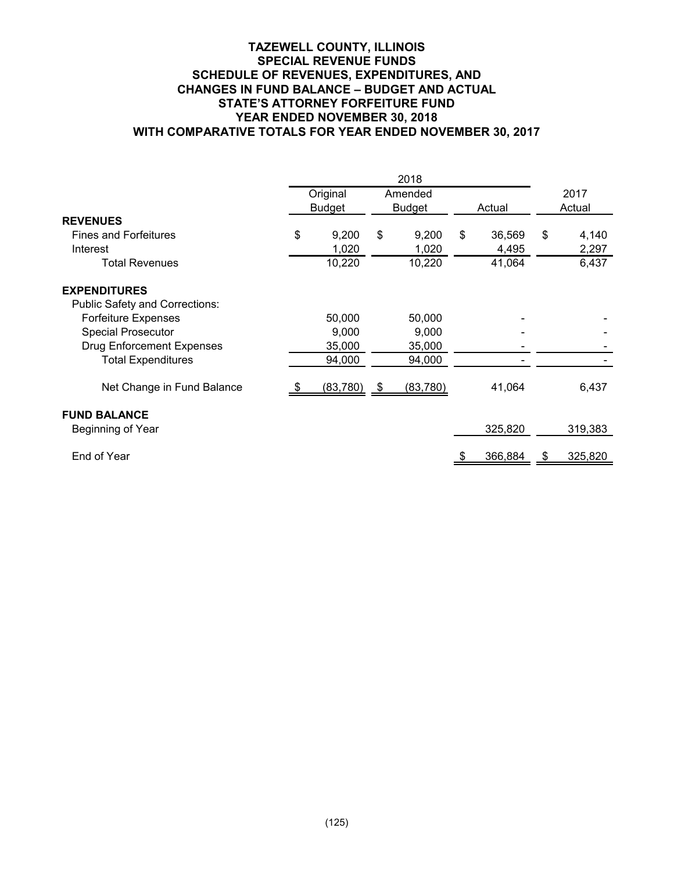## **TAZEWELL COUNTY, ILLINOIS SPECIAL REVENUE FUNDS SCHEDULE OF REVENUES, EXPENDITURES, AND CHANGES IN FUND BALANCE – BUDGET AND ACTUAL STATE'S ATTORNEY FORFEITURE FUND YEAR ENDED NOVEMBER 30, 2018 WITH COMPARATIVE TOTALS FOR YEAR ENDED NOVEMBER 30, 2017**

|                                       |               | Original  |      | Amended       |        |         | 2017 |         |
|---------------------------------------|---------------|-----------|------|---------------|--------|---------|------|---------|
| <b>REVENUES</b>                       | <b>Budget</b> |           |      | <b>Budget</b> | Actual |         |      | Actual  |
|                                       |               |           |      |               |        |         |      |         |
| <b>Fines and Forfeitures</b>          | \$            | 9,200     | \$   | 9,200         | \$     | 36,569  | \$   | 4,140   |
| Interest                              |               | 1,020     |      | 1,020         |        | 4,495   |      | 2,297   |
| <b>Total Revenues</b>                 |               | 10,220    |      | 10,220        |        | 41,064  |      | 6,437   |
| <b>EXPENDITURES</b>                   |               |           |      |               |        |         |      |         |
| <b>Public Safety and Corrections:</b> |               |           |      |               |        |         |      |         |
| <b>Forfeiture Expenses</b>            |               | 50,000    |      | 50,000        |        |         |      |         |
| <b>Special Prosecutor</b>             |               | 9,000     |      | 9,000         |        |         |      |         |
| <b>Drug Enforcement Expenses</b>      |               | 35,000    |      | 35,000        |        |         |      |         |
| <b>Total Expenditures</b>             |               | 94,000    |      | 94,000        |        |         |      |         |
|                                       |               |           |      |               |        |         |      |         |
| Net Change in Fund Balance            | - 95          | (83, 780) | - \$ | (83, 780)     |        | 41,064  |      | 6,437   |
| <b>FUND BALANCE</b>                   |               |           |      |               |        |         |      |         |
| Beginning of Year                     |               |           |      |               |        | 325,820 |      | 319,383 |
|                                       |               |           |      |               |        |         |      |         |
| End of Year                           |               |           |      |               |        | 366,884 |      | 325,820 |
|                                       |               |           |      |               |        |         |      |         |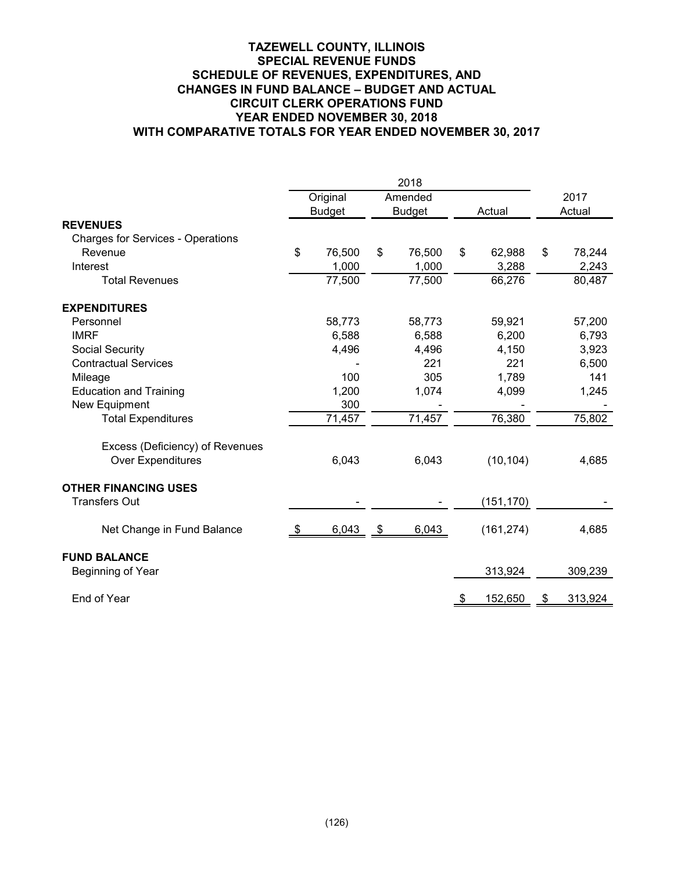## **TAZEWELL COUNTY, ILLINOIS SPECIAL REVENUE FUNDS SCHEDULE OF REVENUES, EXPENDITURES, AND CHANGES IN FUND BALANCE – BUDGET AND ACTUAL CIRCUIT CLERK OPERATIONS FUND YEAR ENDED NOVEMBER 30, 2018 WITH COMPARATIVE TOTALS FOR YEAR ENDED NOVEMBER 30, 2017**

|                                          | 2018 |               |    |               |        |            |        |         |
|------------------------------------------|------|---------------|----|---------------|--------|------------|--------|---------|
|                                          |      | Original      |    | Amended       |        |            |        | 2017    |
|                                          |      | <b>Budget</b> |    | <b>Budget</b> | Actual |            | Actual |         |
| <b>REVENUES</b>                          |      |               |    |               |        |            |        |         |
| <b>Charges for Services - Operations</b> |      |               |    |               |        |            |        |         |
| Revenue                                  | \$   | 76,500        | \$ | 76,500        | \$     | 62,988     | \$     | 78,244  |
| Interest                                 |      | 1,000         |    | 1,000         |        | 3,288      |        | 2,243   |
| <b>Total Revenues</b>                    |      | 77,500        |    | 77,500        |        | 66,276     |        | 80,487  |
| <b>EXPENDITURES</b>                      |      |               |    |               |        |            |        |         |
| Personnel                                |      | 58,773        |    | 58,773        |        | 59,921     |        | 57,200  |
| <b>IMRF</b>                              |      | 6,588         |    | 6,588         |        | 6,200      |        | 6,793   |
| <b>Social Security</b>                   |      | 4,496         |    | 4,496         |        | 4,150      |        | 3,923   |
| <b>Contractual Services</b>              |      |               |    | 221           |        | 221        |        | 6,500   |
| Mileage                                  |      | 100           |    | 305           |        | 1,789      |        | 141     |
| <b>Education and Training</b>            |      | 1,200         |    | 1,074         |        | 4,099      |        | 1,245   |
| New Equipment                            |      | 300           |    |               |        |            |        |         |
| <b>Total Expenditures</b>                |      | 71,457        |    | 71,457        |        | 76,380     |        | 75,802  |
| Excess (Deficiency) of Revenues          |      |               |    |               |        |            |        |         |
| <b>Over Expenditures</b>                 |      | 6,043         |    | 6,043         |        | (10, 104)  |        | 4,685   |
| <b>OTHER FINANCING USES</b>              |      |               |    |               |        |            |        |         |
| <b>Transfers Out</b>                     |      |               |    |               |        | (151,170)  |        |         |
| Net Change in Fund Balance               | - \$ | 6,043         | \$ | 6,043         |        | (161, 274) |        | 4,685   |
| <b>FUND BALANCE</b>                      |      |               |    |               |        |            |        |         |
| Beginning of Year                        |      |               |    |               |        | 313,924    |        | 309,239 |
| End of Year                              |      |               |    |               |        | 152,650    | \$     | 313,924 |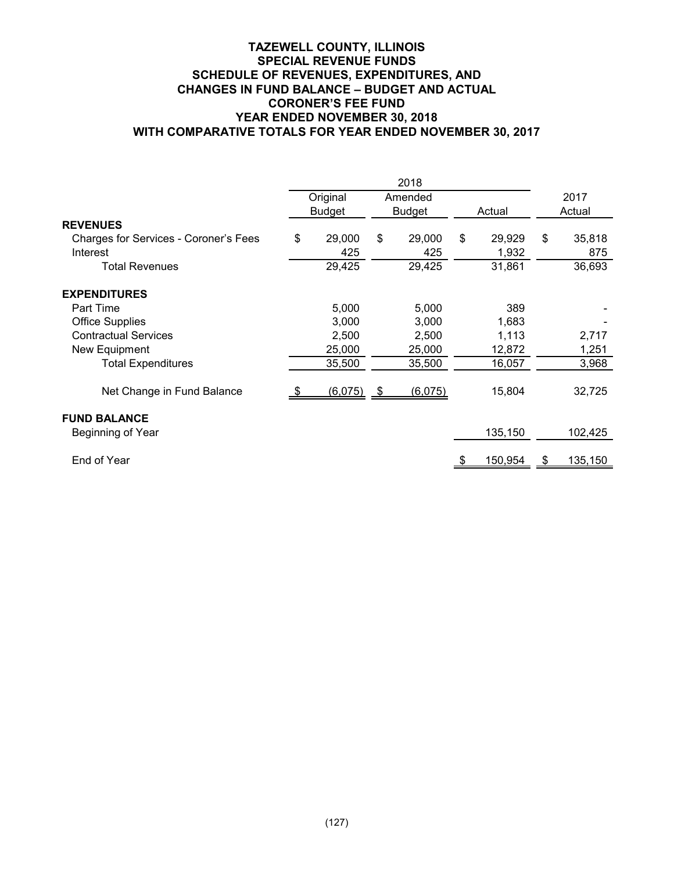## **TAZEWELL COUNTY, ILLINOIS SPECIAL REVENUE FUNDS SCHEDULE OF REVENUES, EXPENDITURES, AND CHANGES IN FUND BALANCE – BUDGET AND ACTUAL CORONER'S FEE FUND YEAR ENDED NOVEMBER 30, 2018 WITH COMPARATIVE TOTALS FOR YEAR ENDED NOVEMBER 30, 2017**

|                                       | Original      | Amended       |    |         | 2017 |         |
|---------------------------------------|---------------|---------------|----|---------|------|---------|
|                                       | <b>Budget</b> | <b>Budget</b> |    | Actual  |      | Actual  |
| <b>REVENUES</b>                       |               |               |    |         |      |         |
| Charges for Services - Coroner's Fees | \$<br>29,000  | \$<br>29,000  | \$ | 29,929  | \$   | 35,818  |
| Interest                              | 425           | 425           |    | 1,932   |      | 875     |
| Total Revenues                        | 29,425        | 29,425        |    | 31,861  |      | 36,693  |
| <b>EXPENDITURES</b>                   |               |               |    |         |      |         |
| Part Time                             | 5,000         | 5,000         |    | 389     |      |         |
| <b>Office Supplies</b>                | 3,000         | 3,000         |    | 1,683   |      |         |
| <b>Contractual Services</b>           | 2,500         | 2,500         |    | 1,113   |      | 2,717   |
| New Equipment                         | 25,000        | 25,000        |    | 12,872  |      | 1,251   |
| <b>Total Expenditures</b>             | 35,500        | 35,500        |    | 16,057  |      | 3,968   |
| Net Change in Fund Balance            | (6,075)       | \$<br>(6,075) |    | 15,804  |      | 32,725  |
| <b>FUND BALANCE</b>                   |               |               |    |         |      |         |
| Beginning of Year                     |               |               |    | 135,150 |      | 102,425 |
| End of Year                           |               |               |    | 150,954 |      | 135,150 |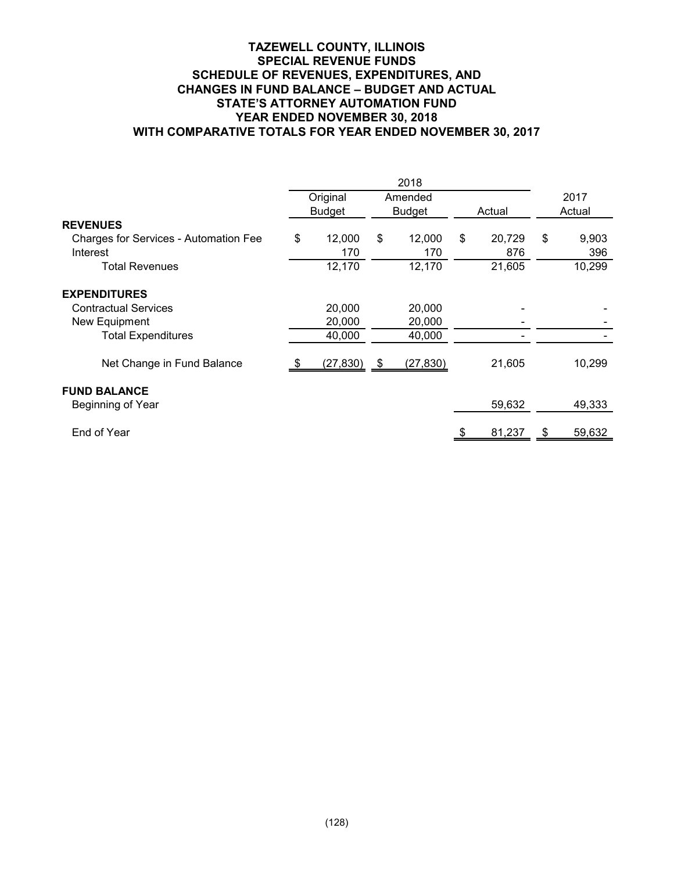## **TAZEWELL COUNTY, ILLINOIS SPECIAL REVENUE FUNDS SCHEDULE OF REVENUES, EXPENDITURES, AND CHANGES IN FUND BALANCE – BUDGET AND ACTUAL STATE'S ATTORNEY AUTOMATION FUND YEAR ENDED NOVEMBER 30, 2018 WITH COMPARATIVE TOTALS FOR YEAR ENDED NOVEMBER 30, 2017**

|                                       | Original      |      | Amended       |    |        |    | 2017   |  |
|---------------------------------------|---------------|------|---------------|----|--------|----|--------|--|
|                                       | <b>Budget</b> |      | <b>Budget</b> |    | Actual |    | Actual |  |
| <b>REVENUES</b>                       |               |      |               |    |        |    |        |  |
| Charges for Services - Automation Fee | \$<br>12,000  | \$   | 12,000        | \$ | 20,729 | \$ | 9,903  |  |
| Interest                              | 170           |      | 170           |    | 876    |    | 396    |  |
| Total Revenues                        | 12,170        |      | 12,170        |    | 21,605 |    | 10,299 |  |
| <b>EXPENDITURES</b>                   |               |      |               |    |        |    |        |  |
| <b>Contractual Services</b>           | 20,000        |      | 20,000        |    |        |    |        |  |
| New Equipment                         | 20,000        |      | 20,000        |    |        |    |        |  |
| <b>Total Expenditures</b>             | 40,000        |      | 40,000        |    |        |    |        |  |
| Net Change in Fund Balance            | (27, 830)     | - \$ | (27, 830)     |    | 21,605 |    | 10,299 |  |
| <b>FUND BALANCE</b>                   |               |      |               |    |        |    |        |  |
| Beginning of Year                     |               |      |               |    | 59,632 |    | 49,333 |  |
| End of Year                           |               |      |               |    | 81,237 | -5 | 59,632 |  |
|                                       |               |      |               |    |        |    |        |  |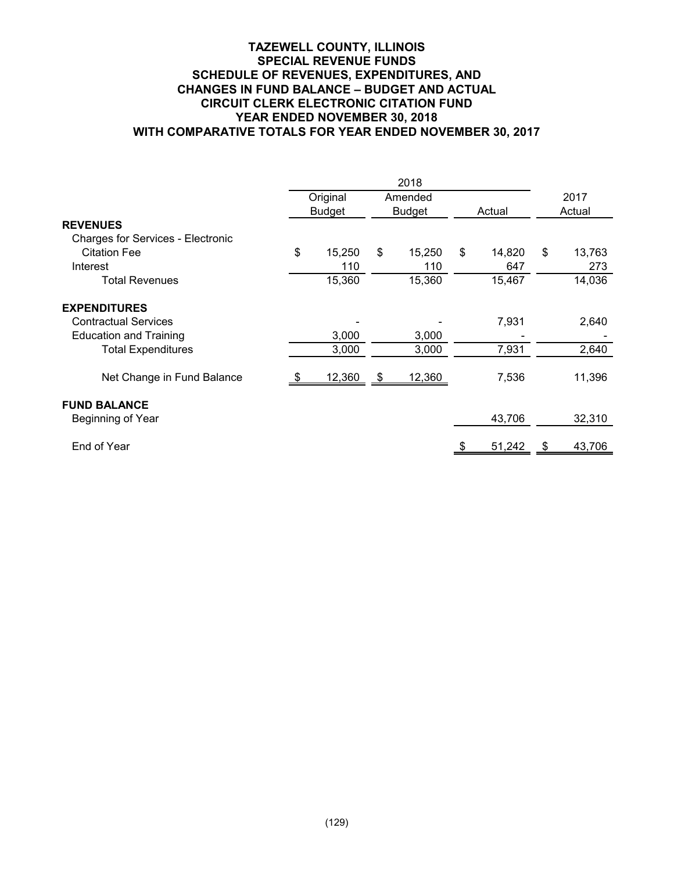## **TAZEWELL COUNTY, ILLINOIS SPECIAL REVENUE FUNDS SCHEDULE OF REVENUES, EXPENDITURES, AND CHANGES IN FUND BALANCE – BUDGET AND ACTUAL CIRCUIT CLERK ELECTRONIC CITATION FUND YEAR ENDED NOVEMBER 30, 2018 WITH COMPARATIVE TOTALS FOR YEAR ENDED NOVEMBER 30, 2017**

|                                                                                     |                           |      | 2018                     |                     |    |                |
|-------------------------------------------------------------------------------------|---------------------------|------|--------------------------|---------------------|----|----------------|
|                                                                                     | Original<br><b>Budget</b> |      | Amended<br><b>Budget</b> | Actual              |    | 2017<br>Actual |
| <b>REVENUES</b><br><b>Charges for Services - Electronic</b>                         |                           |      |                          |                     |    |                |
| <b>Citation Fee</b><br>Interest                                                     | \$<br>15,250<br>110       | \$   | 15,250<br>110            | \$<br>14,820<br>647 | \$ | 13,763<br>273  |
| <b>Total Revenues</b>                                                               | 15,360                    |      | 15,360                   | 15,467              |    | 14,036         |
| <b>EXPENDITURES</b><br><b>Contractual Services</b><br><b>Education and Training</b> | 3,000                     |      | 3,000                    | 7,931               |    | 2,640          |
| <b>Total Expenditures</b>                                                           | 3,000                     |      | 3,000                    | 7,931               |    | 2,640          |
| Net Change in Fund Balance                                                          | 12,360                    | - \$ | 12,360                   | 7,536               |    | 11,396         |
| <b>FUND BALANCE</b><br>Beginning of Year                                            |                           |      |                          | 43,706              |    | 32,310         |
| End of Year                                                                         |                           |      |                          | 51,242              | -8 | 43,706         |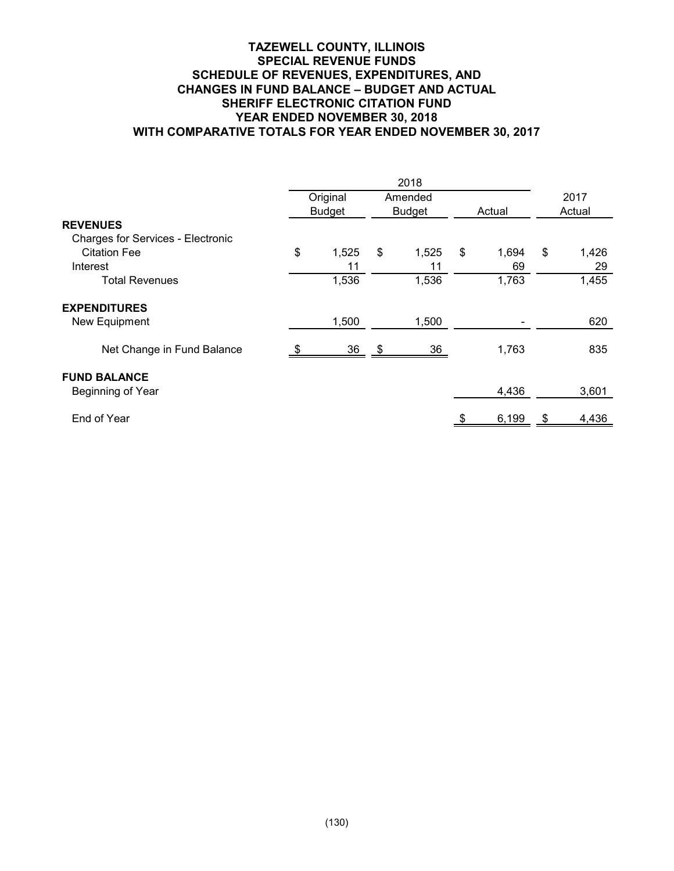## **TAZEWELL COUNTY, ILLINOIS SPECIAL REVENUE FUNDS SCHEDULE OF REVENUES, EXPENDITURES, AND CHANGES IN FUND BALANCE – BUDGET AND ACTUAL SHERIFF ELECTRONIC CITATION FUND YEAR ENDED NOVEMBER 30, 2018 WITH COMPARATIVE TOTALS FOR YEAR ENDED NOVEMBER 30, 2017**

|                                          |               | 2018          |             |      |        |
|------------------------------------------|---------------|---------------|-------------|------|--------|
|                                          | Original      | Amended       |             |      | 2017   |
|                                          | <b>Budget</b> | <b>Budget</b> | Actual      |      | Actual |
| <b>REVENUES</b>                          |               |               |             |      |        |
| <b>Charges for Services - Electronic</b> |               |               |             |      |        |
| <b>Citation Fee</b>                      | \$<br>1,525   | \$<br>1,525   | \$<br>1,694 | \$   | 1,426  |
| Interest                                 | 11            | 11            | 69          |      | 29     |
| <b>Total Revenues</b>                    | 1,536         | 1,536         | 1,763       |      | 1,455  |
| <b>EXPENDITURES</b>                      |               |               |             |      |        |
| New Equipment                            | 1,500         | 1,500         |             |      | 620    |
| Net Change in Fund Balance               | $36 \quad$ \$ | 36            | 1,763       |      | 835    |
| <b>FUND BALANCE</b>                      |               |               |             |      |        |
| Beginning of Year                        |               |               | 4,436       |      | 3,601  |
| End of Year                              |               |               | 6,199       | - \$ | 4,436  |
|                                          |               |               |             |      |        |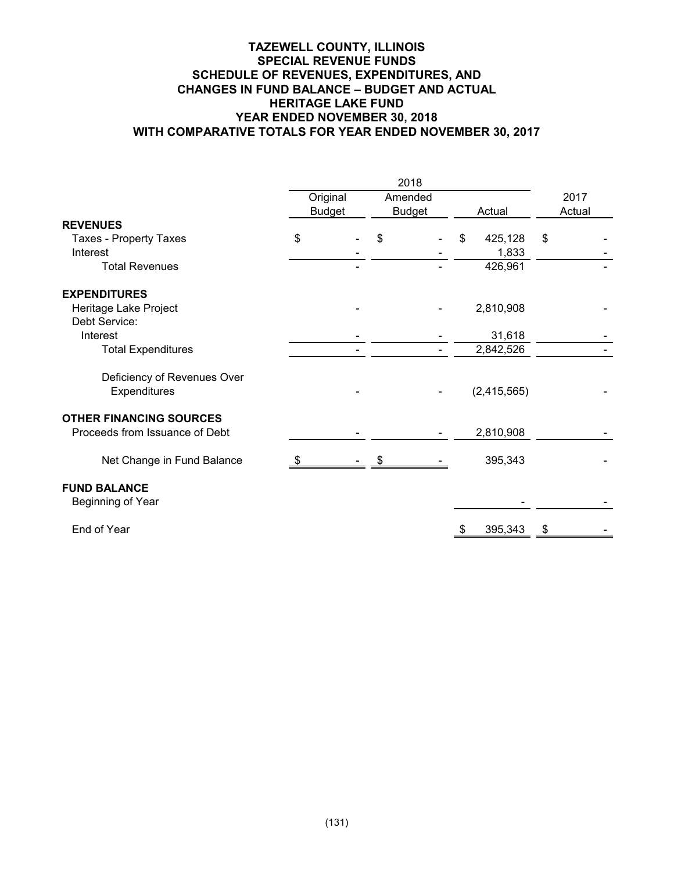## **TAZEWELL COUNTY, ILLINOIS SPECIAL REVENUE FUNDS SCHEDULE OF REVENUES, EXPENDITURES, AND CHANGES IN FUND BALANCE – BUDGET AND ACTUAL HERITAGE LAKE FUND YEAR ENDED NOVEMBER 30, 2018 WITH COMPARATIVE TOTALS FOR YEAR ENDED NOVEMBER 30, 2017**

|                                | 2018 |               |    |               |    |             |    |        |  |
|--------------------------------|------|---------------|----|---------------|----|-------------|----|--------|--|
|                                |      | Original      |    | Amended       |    |             |    | 2017   |  |
|                                |      | <b>Budget</b> |    | <b>Budget</b> |    | Actual      |    | Actual |  |
| <b>REVENUES</b>                |      |               |    |               |    |             |    |        |  |
| <b>Taxes - Property Taxes</b>  | \$   |               | \$ |               | \$ | 425,128     | \$ |        |  |
| Interest                       |      |               |    |               |    | 1,833       |    |        |  |
| <b>Total Revenues</b>          |      |               |    |               |    | 426,961     |    |        |  |
| <b>EXPENDITURES</b>            |      |               |    |               |    |             |    |        |  |
| Heritage Lake Project          |      |               |    |               |    | 2,810,908   |    |        |  |
| Debt Service:                  |      |               |    |               |    |             |    |        |  |
| Interest                       |      |               |    |               |    | 31,618      |    |        |  |
| <b>Total Expenditures</b>      |      |               |    |               |    | 2,842,526   |    |        |  |
| Deficiency of Revenues Over    |      |               |    |               |    |             |    |        |  |
| Expenditures                   |      |               |    |               |    | (2,415,565) |    |        |  |
| <b>OTHER FINANCING SOURCES</b> |      |               |    |               |    |             |    |        |  |
| Proceeds from Issuance of Debt |      |               |    |               |    | 2,810,908   |    |        |  |
| Net Change in Fund Balance     |      |               |    |               |    | 395,343     |    |        |  |
| <b>FUND BALANCE</b>            |      |               |    |               |    |             |    |        |  |
| Beginning of Year              |      |               |    |               |    |             |    |        |  |
| End of Year                    |      |               |    |               |    | 395,343     | -5 |        |  |
|                                |      |               |    |               |    |             |    |        |  |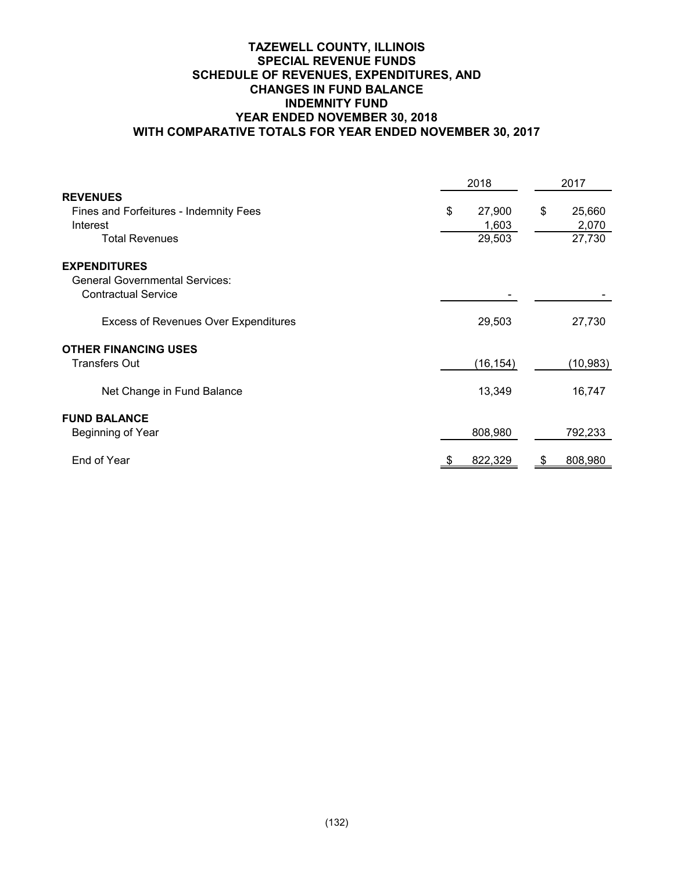## **TAZEWELL COUNTY, ILLINOIS SPECIAL REVENUE FUNDS SCHEDULE OF REVENUES, EXPENDITURES, AND CHANGES IN FUND BALANCE INDEMNITY FUND YEAR ENDED NOVEMBER 30, 2018 WITH COMPARATIVE TOTALS FOR YEAR ENDED NOVEMBER 30, 2017**

|                                             | 2018         |    | 2017      |
|---------------------------------------------|--------------|----|-----------|
| <b>REVENUES</b>                             |              |    |           |
| Fines and Forfeitures - Indemnity Fees      | \$<br>27,900 | \$ | 25,660    |
| Interest                                    | 1,603        |    | 2,070     |
| <b>Total Revenues</b>                       | 29,503       |    | 27,730    |
| <b>EXPENDITURES</b>                         |              |    |           |
| <b>General Governmental Services:</b>       |              |    |           |
| <b>Contractual Service</b>                  |              |    |           |
| <b>Excess of Revenues Over Expenditures</b> | 29,503       |    | 27,730    |
| <b>OTHER FINANCING USES</b>                 |              |    |           |
| <b>Transfers Out</b>                        | (16, 154)    |    | (10, 983) |
| Net Change in Fund Balance                  | 13,349       |    | 16,747    |
| <b>FUND BALANCE</b>                         |              |    |           |
| Beginning of Year                           | 808,980      |    | 792,233   |
| End of Year                                 | 822,329      |    | 808,980   |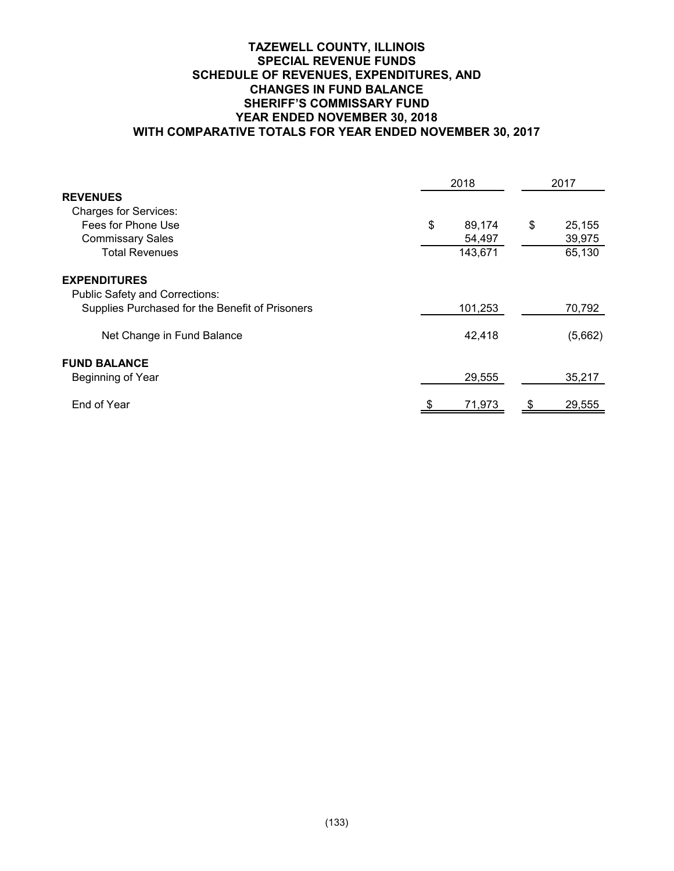## **TAZEWELL COUNTY, ILLINOIS SPECIAL REVENUE FUNDS SCHEDULE OF REVENUES, EXPENDITURES, AND CHANGES IN FUND BALANCE SHERIFF'S COMMISSARY FUND YEAR ENDED NOVEMBER 30, 2018 WITH COMPARATIVE TOTALS FOR YEAR ENDED NOVEMBER 30, 2017**

|                                                 | 2018         |    | 2017    |
|-------------------------------------------------|--------------|----|---------|
| <b>REVENUES</b>                                 |              |    |         |
| <b>Charges for Services:</b>                    |              |    |         |
| Fees for Phone Use                              | \$<br>89,174 | \$ | 25,155  |
| <b>Commissary Sales</b>                         | 54,497       |    | 39,975  |
| <b>Total Revenues</b>                           | 143,671      |    | 65,130  |
| <b>EXPENDITURES</b>                             |              |    |         |
| <b>Public Safety and Corrections:</b>           |              |    |         |
| Supplies Purchased for the Benefit of Prisoners | 101,253      |    | 70,792  |
| Net Change in Fund Balance                      | 42,418       |    | (5,662) |
| <b>FUND BALANCE</b>                             |              |    |         |
| Beginning of Year                               | 29,555       |    | 35,217  |
| End of Year                                     | 71,973       |    | 29,555  |
|                                                 |              |    |         |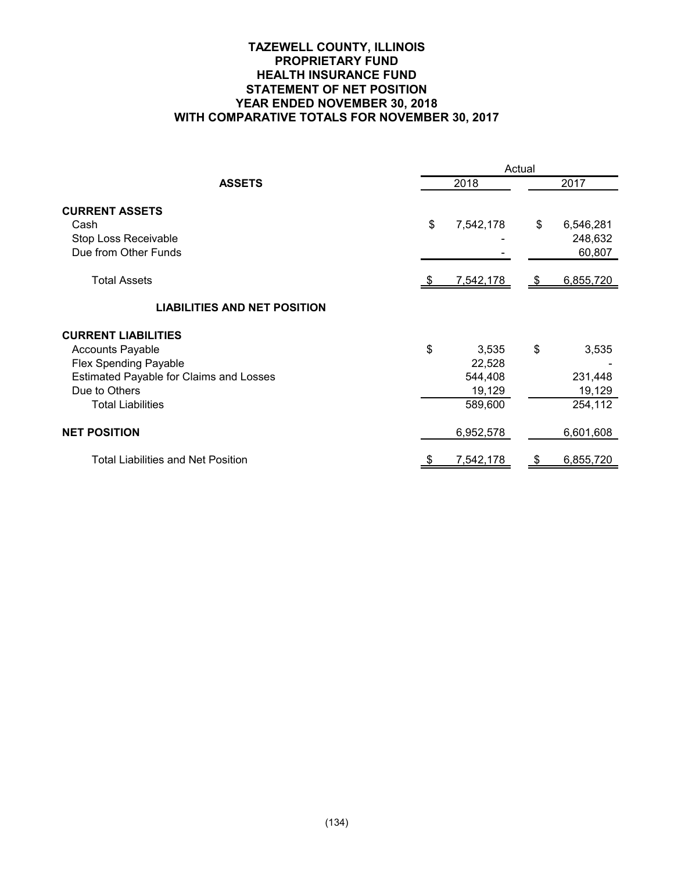## **TAZEWELL COUNTY, ILLINOIS PROPRIETARY FUND HEALTH INSURANCE FUND STATEMENT OF NET POSITION YEAR ENDED NOVEMBER 30, 2018 WITH COMPARATIVE TOTALS FOR NOVEMBER 30, 2017**

|                                                                                                                                                                               | Actual                                                |      |                                       |  |  |  |  |  |
|-------------------------------------------------------------------------------------------------------------------------------------------------------------------------------|-------------------------------------------------------|------|---------------------------------------|--|--|--|--|--|
| <b>ASSETS</b>                                                                                                                                                                 | 2018                                                  | 2017 |                                       |  |  |  |  |  |
| <b>CURRENT ASSETS</b><br>Cash<br>Stop Loss Receivable<br>Due from Other Funds                                                                                                 | \$<br>7,542,178                                       | \$   | 6,546,281<br>248,632<br>60,807        |  |  |  |  |  |
| <b>Total Assets</b>                                                                                                                                                           | 7,542,178                                             | - \$ | 6,855,720                             |  |  |  |  |  |
| <b>LIABILITIES AND NET POSITION</b>                                                                                                                                           |                                                       |      |                                       |  |  |  |  |  |
| <b>CURRENT LIABILITIES</b><br><b>Accounts Payable</b><br><b>Flex Spending Payable</b><br>Estimated Payable for Claims and Losses<br>Due to Others<br><b>Total Liabilities</b> | \$<br>3,535<br>22,528<br>544,408<br>19,129<br>589,600 | \$   | 3,535<br>231,448<br>19,129<br>254,112 |  |  |  |  |  |
| <b>NET POSITION</b>                                                                                                                                                           | 6,952,578                                             |      | 6,601,608                             |  |  |  |  |  |
| <b>Total Liabilities and Net Position</b>                                                                                                                                     | 7,542,178                                             |      | 6,855,720                             |  |  |  |  |  |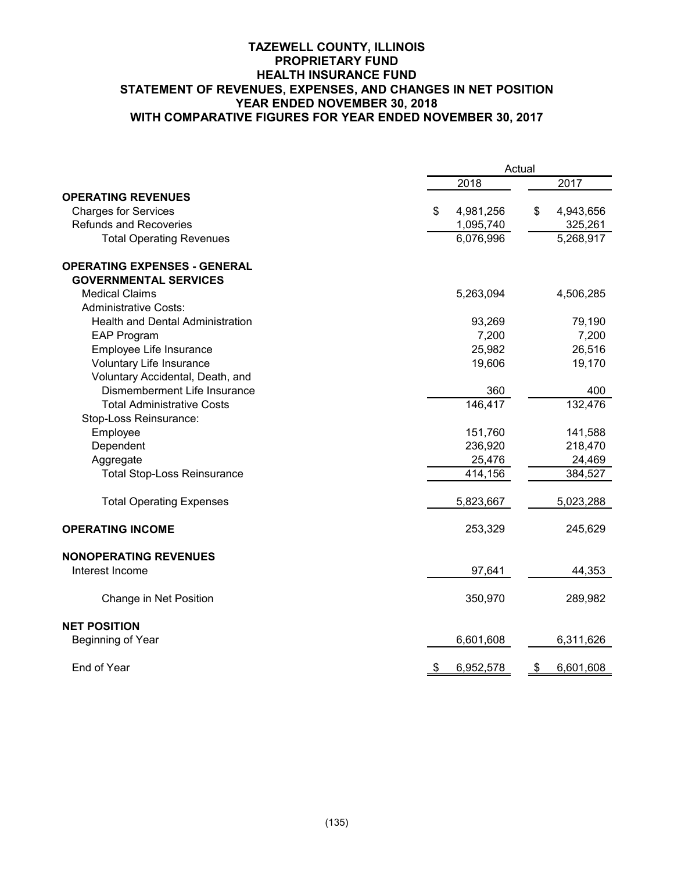## **TAZEWELL COUNTY, ILLINOIS PROPRIETARY FUND HEALTH INSURANCE FUND STATEMENT OF REVENUES, EXPENSES, AND CHANGES IN NET POSITION YEAR ENDED NOVEMBER 30, 2018 WITH COMPARATIVE FIGURES FOR YEAR ENDED NOVEMBER 30, 2017**

|                                         | Actual                 |                 |  |  |  |  |  |
|-----------------------------------------|------------------------|-----------------|--|--|--|--|--|
|                                         | 2018                   | 2017            |  |  |  |  |  |
| <b>OPERATING REVENUES</b>               |                        |                 |  |  |  |  |  |
| <b>Charges for Services</b>             | 4,981,256<br>S         | \$<br>4,943,656 |  |  |  |  |  |
| <b>Refunds and Recoveries</b>           | 1,095,740              | 325,261         |  |  |  |  |  |
| <b>Total Operating Revenues</b>         | 6,076,996              | 5,268,917       |  |  |  |  |  |
| <b>OPERATING EXPENSES - GENERAL</b>     |                        |                 |  |  |  |  |  |
| <b>GOVERNMENTAL SERVICES</b>            |                        |                 |  |  |  |  |  |
| <b>Medical Claims</b>                   | 5,263,094              | 4,506,285       |  |  |  |  |  |
| <b>Administrative Costs:</b>            |                        |                 |  |  |  |  |  |
| <b>Health and Dental Administration</b> | 93,269                 | 79,190          |  |  |  |  |  |
| <b>EAP Program</b>                      | 7,200                  | 7,200           |  |  |  |  |  |
| Employee Life Insurance                 | 25,982                 | 26,516          |  |  |  |  |  |
| Voluntary Life Insurance                | 19,606                 | 19,170          |  |  |  |  |  |
| Voluntary Accidental, Death, and        |                        |                 |  |  |  |  |  |
| Dismemberment Life Insurance            | 360                    | 400             |  |  |  |  |  |
| <b>Total Administrative Costs</b>       | 146,417                | 132,476         |  |  |  |  |  |
| Stop-Loss Reinsurance:                  |                        |                 |  |  |  |  |  |
| Employee                                | 151,760                | 141,588         |  |  |  |  |  |
| Dependent                               | 236,920                | 218,470         |  |  |  |  |  |
| Aggregate                               | 25,476                 | 24,469          |  |  |  |  |  |
| <b>Total Stop-Loss Reinsurance</b>      | 414,156                | 384,527         |  |  |  |  |  |
| <b>Total Operating Expenses</b>         | 5,823,667              | 5,023,288       |  |  |  |  |  |
| <b>OPERATING INCOME</b>                 | 253,329                | 245,629         |  |  |  |  |  |
| <b>NONOPERATING REVENUES</b>            |                        |                 |  |  |  |  |  |
| Interest Income                         | 97,641                 | 44,353          |  |  |  |  |  |
| Change in Net Position                  | 350,970                | 289,982         |  |  |  |  |  |
| <b>NET POSITION</b>                     |                        |                 |  |  |  |  |  |
| Beginning of Year                       | 6,601,608              | 6,311,626       |  |  |  |  |  |
| End of Year                             | 6,952,578<br><u>\$</u> | 6,601,608<br>\$ |  |  |  |  |  |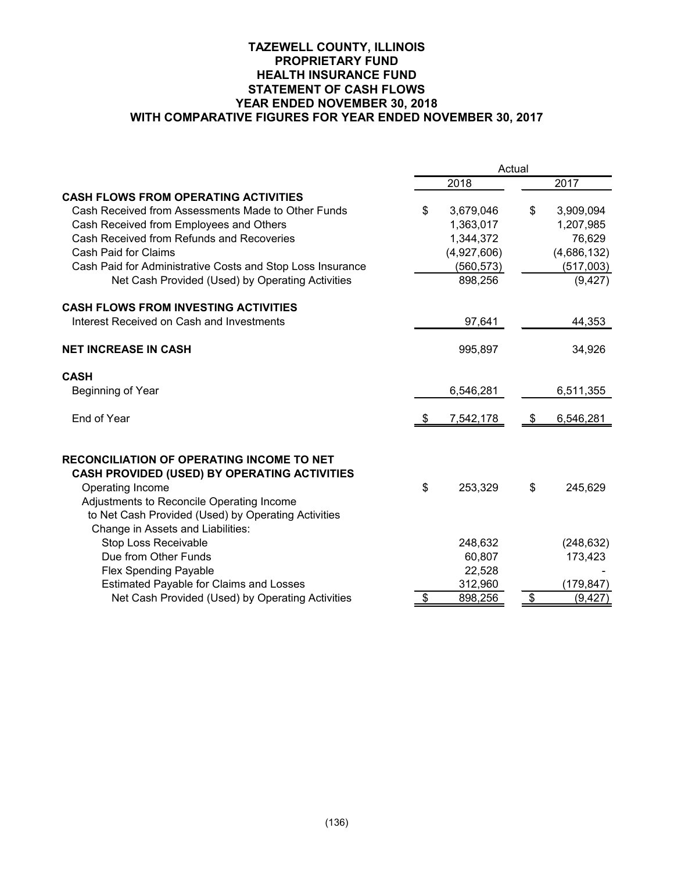## **TAZEWELL COUNTY, ILLINOIS PROPRIETARY FUND HEALTH INSURANCE FUND STATEMENT OF CASH FLOWS YEAR ENDED NOVEMBER 30, 2018 WITH COMPARATIVE FIGURES FOR YEAR ENDED NOVEMBER 30, 2017**

|                                                            | Actual          |                           |             |  |  |  |  |  |
|------------------------------------------------------------|-----------------|---------------------------|-------------|--|--|--|--|--|
|                                                            | 2018            |                           | 2017        |  |  |  |  |  |
| <b>CASH FLOWS FROM OPERATING ACTIVITIES</b>                |                 |                           |             |  |  |  |  |  |
| Cash Received from Assessments Made to Other Funds         | \$<br>3,679,046 | \$                        | 3,909,094   |  |  |  |  |  |
| Cash Received from Employees and Others                    | 1,363,017       |                           | 1,207,985   |  |  |  |  |  |
| Cash Received from Refunds and Recoveries                  | 1,344,372       |                           | 76,629      |  |  |  |  |  |
| Cash Paid for Claims                                       | (4,927,606)     |                           | (4,686,132) |  |  |  |  |  |
| Cash Paid for Administrative Costs and Stop Loss Insurance | (560, 573)      |                           | (517,003)   |  |  |  |  |  |
| Net Cash Provided (Used) by Operating Activities           | 898,256         |                           | (9, 427)    |  |  |  |  |  |
| <b>CASH FLOWS FROM INVESTING ACTIVITIES</b>                |                 |                           |             |  |  |  |  |  |
| Interest Received on Cash and Investments                  | 97,641          |                           | 44,353      |  |  |  |  |  |
| <b>NET INCREASE IN CASH</b>                                | 995,897         |                           | 34,926      |  |  |  |  |  |
| <b>CASH</b>                                                |                 |                           |             |  |  |  |  |  |
| Beginning of Year                                          | 6,546,281       |                           | 6,511,355   |  |  |  |  |  |
| End of Year                                                | 7,542,178       | -\$                       | 6,546,281   |  |  |  |  |  |
| <b>RECONCILIATION OF OPERATING INCOME TO NET</b>           |                 |                           |             |  |  |  |  |  |
| <b>CASH PROVIDED (USED) BY OPERATING ACTIVITIES</b>        |                 |                           |             |  |  |  |  |  |
| Operating Income                                           | \$<br>253,329   | \$                        | 245,629     |  |  |  |  |  |
| Adjustments to Reconcile Operating Income                  |                 |                           |             |  |  |  |  |  |
| to Net Cash Provided (Used) by Operating Activities        |                 |                           |             |  |  |  |  |  |
| Change in Assets and Liabilities:                          |                 |                           |             |  |  |  |  |  |
| <b>Stop Loss Receivable</b>                                | 248,632         |                           | (248, 632)  |  |  |  |  |  |
| Due from Other Funds                                       | 60,807          |                           | 173,423     |  |  |  |  |  |
| <b>Flex Spending Payable</b>                               | 22,528          |                           |             |  |  |  |  |  |
| <b>Estimated Payable for Claims and Losses</b>             | 312,960         |                           | (179, 847)  |  |  |  |  |  |
| Net Cash Provided (Used) by Operating Activities           | \$<br>898,256   | $\boldsymbol{\mathsf{S}}$ | (9, 427)    |  |  |  |  |  |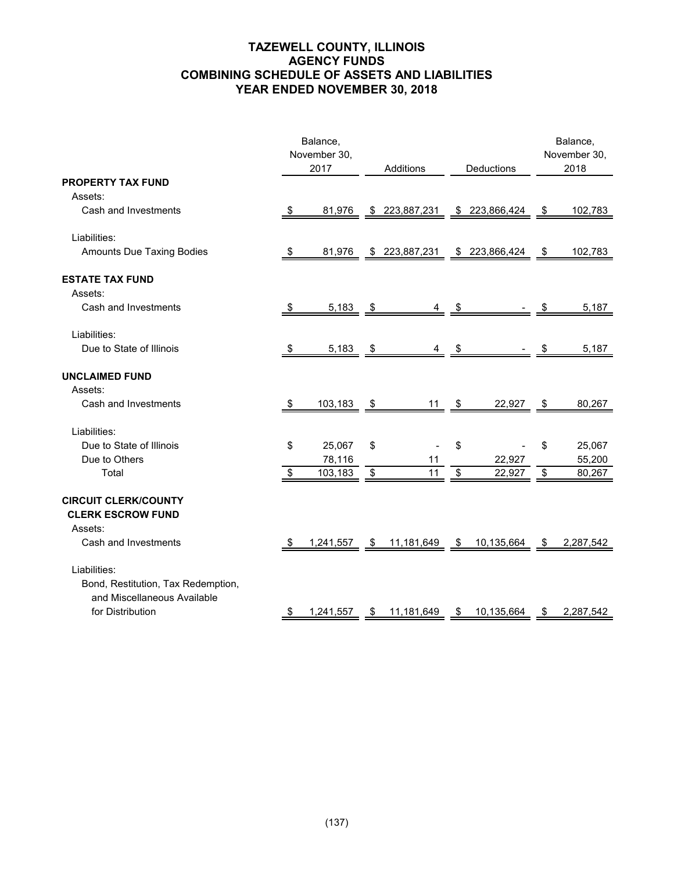# **TAZEWELL COUNTY, ILLINOIS AGENCY FUNDS COMBINING SCHEDULE OF ASSETS AND LIABILITIES YEAR ENDED NOVEMBER 30, 2018**

|                                                                                   |                         | Balance,<br>November 30,<br>2017 |      | Additions      |      |                |      | Balance,<br>November 30,<br>2018 |
|-----------------------------------------------------------------------------------|-------------------------|----------------------------------|------|----------------|------|----------------|------|----------------------------------|
| <b>PROPERTY TAX FUND</b>                                                          |                         |                                  |      |                |      | Deductions     |      |                                  |
| Assets:                                                                           |                         |                                  |      |                |      |                |      |                                  |
| Cash and Investments                                                              | -S                      | 81,976                           |      | \$ 223,887,231 |      | \$ 223,866,424 | \$   | 102,783                          |
| Liabilities:                                                                      |                         |                                  |      |                |      |                |      |                                  |
| Amounts Due Taxing Bodies                                                         | \$                      | 81,976                           |      | \$223,887,231  |      | \$223,866,424  | \$   | 102,783                          |
| <b>ESTATE TAX FUND</b>                                                            |                         |                                  |      |                |      |                |      |                                  |
| Assets:                                                                           |                         |                                  |      |                |      |                |      |                                  |
| Cash and Investments                                                              | -\$                     | 5,183                            | - \$ | 4              | - \$ |                | æ.   | 5,187                            |
| Liabilities:                                                                      |                         |                                  |      |                |      |                |      |                                  |
| Due to State of Illinois                                                          | -\$                     | 5,183                            | \$   | 4              | \$   |                | \$   | 5,187                            |
| <b>UNCLAIMED FUND</b>                                                             |                         |                                  |      |                |      |                |      |                                  |
| Assets:                                                                           |                         |                                  |      |                |      |                |      |                                  |
| Cash and Investments                                                              | -\$                     | 103,183                          | - \$ | $11 \quad $$   |      | 22,927         | - \$ | 80,267                           |
| Liabilities:                                                                      |                         |                                  |      |                |      |                |      |                                  |
| Due to State of Illinois                                                          | \$                      | 25,067                           | \$   |                | \$   |                | \$   | 25,067                           |
| Due to Others                                                                     |                         | 78,116                           |      | 11             |      | 22,927         |      | 55,200                           |
| Total                                                                             | $\sqrt[6]{\frac{1}{2}}$ | 103,183                          | \$   | 11             | \$   | 22,927         | \$   | 80,267                           |
| <b>CIRCUIT CLERK/COUNTY</b><br><b>CLERK ESCROW FUND</b><br>Assets:                |                         |                                  |      |                |      |                |      |                                  |
| Cash and Investments                                                              | -\$                     | 1,241,557                        | - \$ | 11,181,649     | - \$ | 10,135,664     | \$   | 2,287,542                        |
|                                                                                   |                         |                                  |      |                |      |                |      |                                  |
| Liabilities:<br>Bond, Restitution, Tax Redemption,<br>and Miscellaneous Available |                         |                                  |      |                |      |                |      |                                  |
| for Distribution                                                                  |                         | 1,241,557                        | \$   | 11,181,649     | \$   | 10,135,664     |      | 2,287,542                        |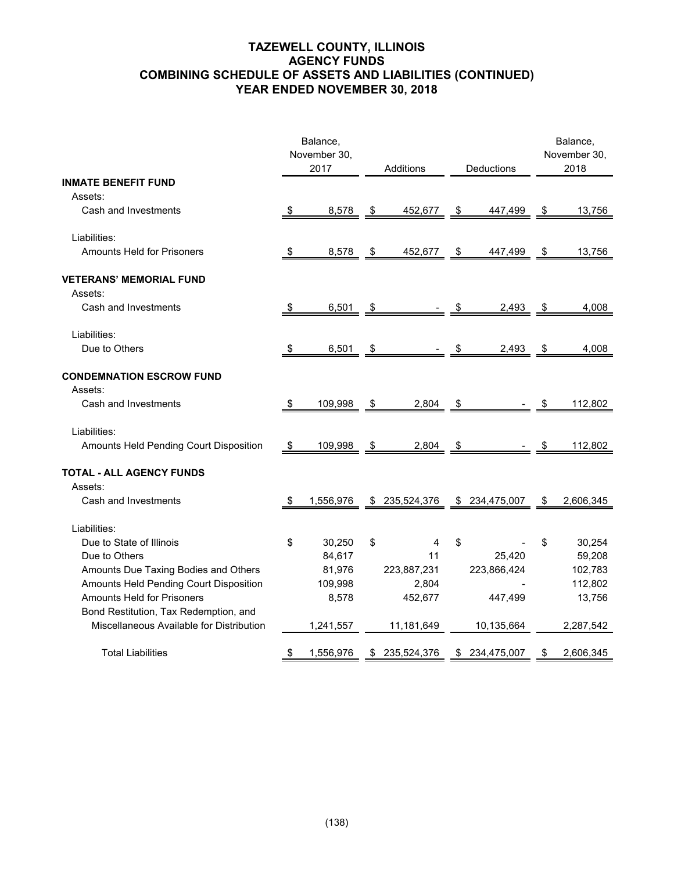# **TAZEWELL COUNTY, ILLINOIS AGENCY FUNDS COMBINING SCHEDULE OF ASSETS AND LIABILITIES (CONTINUED) YEAR ENDED NOVEMBER 30, 2018**

|                                                                            |           | Balance,             |      |               |               |                |      | Balance,             |
|----------------------------------------------------------------------------|-----------|----------------------|------|---------------|---------------|----------------|------|----------------------|
|                                                                            |           | November 30,<br>2017 |      | Additions     |               | Deductions     |      | November 30,<br>2018 |
| <b>INMATE BENEFIT FUND</b>                                                 |           |                      |      |               |               |                |      |                      |
| Assets:                                                                    |           |                      |      |               |               |                |      |                      |
| Cash and Investments                                                       | \$        | 8,578                | \$   | 452,677       | \$            | 447,499        | \$   | 13,756               |
| Liabilities:                                                               |           |                      |      |               |               |                |      |                      |
| <b>Amounts Held for Prisoners</b>                                          |           | 8,578                | \$   | 452,677       | $\frac{1}{2}$ | 447,499        | \$   | 13,756               |
| <b>VETERANS' MEMORIAL FUND</b><br>Assets:                                  |           |                      |      |               |               |                |      |                      |
| Cash and Investments                                                       | -\$       | 6,501                | \$   |               | \$            | 2,493          | \$   | 4,008                |
| Liabilities:                                                               |           |                      |      |               |               |                |      |                      |
| Due to Others                                                              | <u>\$</u> | 6,501                | - \$ |               | - \$          | 2,493          | - \$ | 4,008                |
| <b>CONDEMNATION ESCROW FUND</b><br>Assets:                                 |           |                      |      |               |               |                |      |                      |
| Cash and Investments                                                       | \$        | 109,998              | \$   | 2,804         | \$            |                |      | 112,802              |
| Liabilities:                                                               |           |                      |      |               |               |                |      |                      |
| Amounts Held Pending Court Disposition                                     | -\$       | 109,998              | \$   | 2,804         | \$            |                |      | 112,802              |
| <b>TOTAL - ALL AGENCY FUNDS</b><br>Assets:                                 |           |                      |      |               |               |                |      |                      |
| Cash and Investments                                                       | - 5       | 1,556,976            | \$   | 235,524,376   |               | \$ 234,475,007 | S    | 2,606,345            |
| Liabilities:                                                               |           |                      |      |               |               |                |      |                      |
| Due to State of Illinois                                                   | \$        | 30,250               | \$   | 4             | \$            |                | \$   | 30,254               |
| Due to Others                                                              |           | 84,617               |      | 11            |               | 25,420         |      | 59,208               |
| Amounts Due Taxing Bodies and Others                                       |           | 81,976               |      | 223,887,231   |               | 223,866,424    |      | 102,783              |
| Amounts Held Pending Court Disposition                                     |           | 109,998              |      | 2,804         |               |                |      | 112,802              |
| <b>Amounts Held for Prisoners</b><br>Bond Restitution, Tax Redemption, and |           | 8,578                |      | 452,677       |               | 447,499        |      | 13,756               |
| Miscellaneous Available for Distribution                                   |           | 1,241,557            |      | 11,181,649    |               | 10,135,664     |      | 2,287,542            |
| <b>Total Liabilities</b>                                                   | - \$      | 1,556,976            |      | \$235,524,376 |               | \$ 234,475,007 | \$   | 2,606,345            |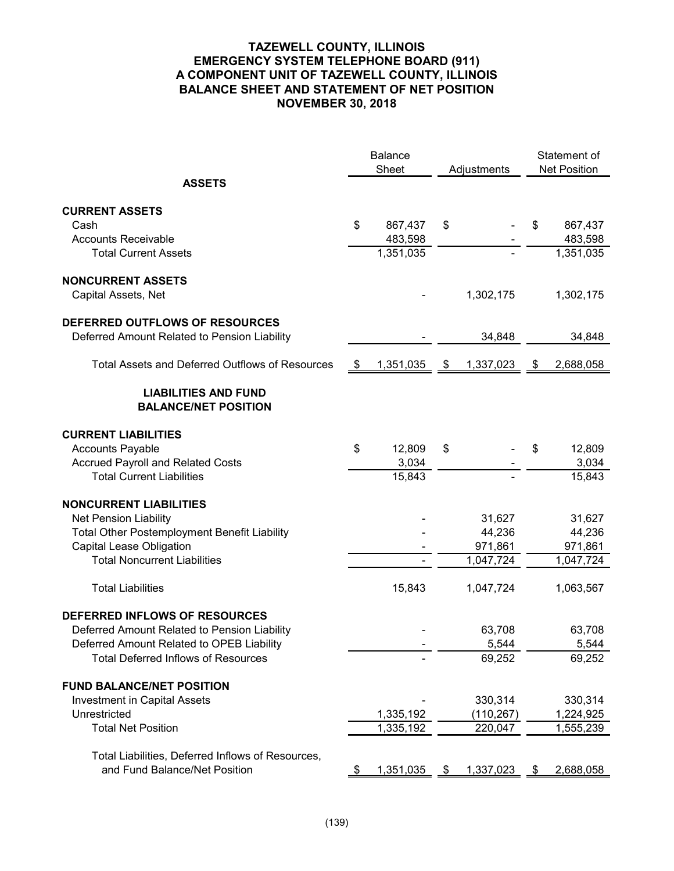# **TAZEWELL COUNTY, ILLINOIS EMERGENCY SYSTEM TELEPHONE BOARD (911) A COMPONENT UNIT OF TAZEWELL COUNTY, ILLINOIS BALANCE SHEET AND STATEMENT OF NET POSITION NOVEMBER 30, 2018**

|                                                                                                                                                                          |      | <b>Balance</b><br>Sheet   |               | Adjustments                      |    | Statement of<br><b>Net Position</b> |
|--------------------------------------------------------------------------------------------------------------------------------------------------------------------------|------|---------------------------|---------------|----------------------------------|----|-------------------------------------|
| <b>ASSETS</b>                                                                                                                                                            |      |                           |               |                                  |    |                                     |
| <b>CURRENT ASSETS</b><br>Cash<br><b>Accounts Receivable</b>                                                                                                              | \$   | 867,437<br>483,598        | \$            |                                  | \$ | 867,437<br>483,598                  |
| <b>Total Current Assets</b>                                                                                                                                              |      | 1,351,035                 |               |                                  |    | 1,351,035                           |
| <b>NONCURRENT ASSETS</b><br>Capital Assets, Net                                                                                                                          |      |                           |               | 1,302,175                        |    | 1,302,175                           |
| DEFERRED OUTFLOWS OF RESOURCES<br>Deferred Amount Related to Pension Liability                                                                                           |      |                           |               | 34,848                           |    | 34,848                              |
| <b>Total Assets and Deferred Outflows of Resources</b>                                                                                                                   | - \$ | 1,351,035                 | $\mathcal{S}$ | 1,337,023                        | \$ | 2,688,058                           |
| <b>LIABILITIES AND FUND</b><br><b>BALANCE/NET POSITION</b>                                                                                                               |      |                           |               |                                  |    |                                     |
| <b>CURRENT LIABILITIES</b><br><b>Accounts Payable</b><br><b>Accrued Payroll and Related Costs</b><br><b>Total Current Liabilities</b>                                    | \$   | 12,809<br>3,034<br>15,843 | \$            |                                  | \$ | 12,809<br>3,034<br>15,843           |
| <b>NONCURRENT LIABILITIES</b><br><b>Net Pension Liability</b>                                                                                                            |      |                           |               | 31,627                           |    | 31,627                              |
| <b>Total Other Postemployment Benefit Liability</b><br>Capital Lease Obligation<br><b>Total Noncurrent Liabilities</b>                                                   |      |                           |               | 44,236<br>971,861<br>1,047,724   |    | 44,236<br>971,861<br>1,047,724      |
| <b>Total Liabilities</b>                                                                                                                                                 |      | 15,843                    |               | 1,047,724                        |    | 1,063,567                           |
| DEFERRED INFLOWS OF RESOURCES<br>Deferred Amount Related to Pension Liability<br>Deferred Amount Related to OPEB Liability<br><b>Total Deferred Inflows of Resources</b> |      |                           |               | 63,708<br>5,544<br>69,252        |    | 63,708<br>5,544<br>69,252           |
| <b>FUND BALANCE/NET POSITION</b><br><b>Investment in Capital Assets</b><br>Unrestricted<br><b>Total Net Position</b>                                                     |      | 1,335,192<br>1,335,192    |               | 330,314<br>(110, 267)<br>220,047 |    | 330,314<br>1,224,925<br>1,555,239   |
| Total Liabilities, Deferred Inflows of Resources,<br>and Fund Balance/Net Position                                                                                       | P.   | 1,351,035                 | - \$          | 1,337,023                        | -S | 2,688,058                           |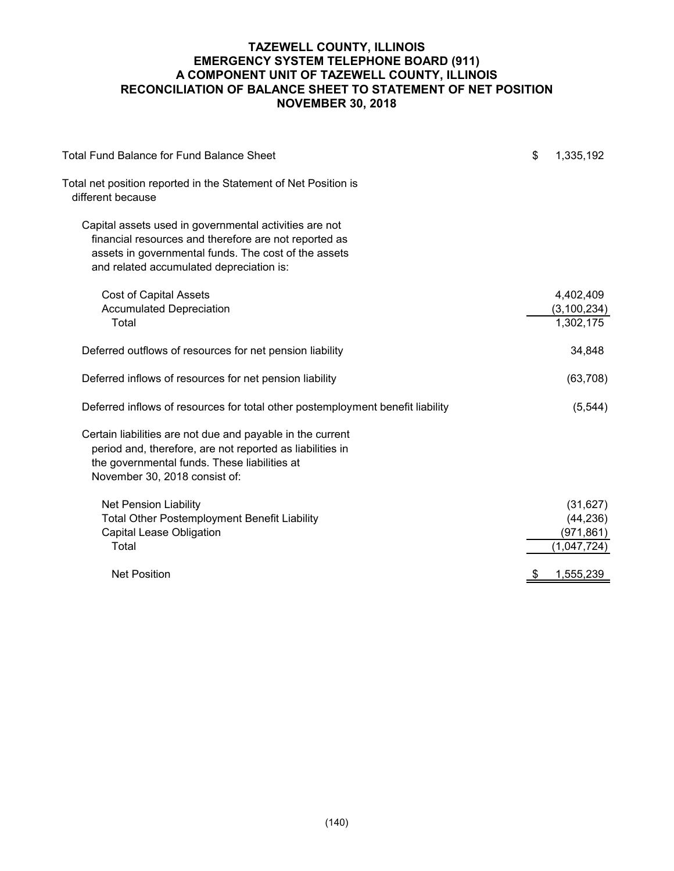# **TAZEWELL COUNTY, ILLINOIS EMERGENCY SYSTEM TELEPHONE BOARD (911) A COMPONENT UNIT OF TAZEWELL COUNTY, ILLINOIS RECONCILIATION OF BALANCE SHEET TO STATEMENT OF NET POSITION NOVEMBER 30, 2018**

| <b>Total Fund Balance for Fund Balance Sheet</b>                                                                                                                                                                    | \$<br>1,335,192                                     |
|---------------------------------------------------------------------------------------------------------------------------------------------------------------------------------------------------------------------|-----------------------------------------------------|
| Total net position reported in the Statement of Net Position is<br>different because                                                                                                                                |                                                     |
| Capital assets used in governmental activities are not<br>financial resources and therefore are not reported as<br>assets in governmental funds. The cost of the assets<br>and related accumulated depreciation is: |                                                     |
| <b>Cost of Capital Assets</b><br><b>Accumulated Depreciation</b><br>Total                                                                                                                                           | 4,402,409<br>(3, 100, 234)<br>1,302,175             |
| Deferred outflows of resources for net pension liability                                                                                                                                                            | 34,848                                              |
| Deferred inflows of resources for net pension liability                                                                                                                                                             | (63, 708)                                           |
| Deferred inflows of resources for total other postemployment benefit liability                                                                                                                                      | (5, 544)                                            |
| Certain liabilities are not due and payable in the current<br>period and, therefore, are not reported as liabilities in<br>the governmental funds. These liabilities at<br>November 30, 2018 consist of:            |                                                     |
| <b>Net Pension Liability</b><br><b>Total Other Postemployment Benefit Liability</b><br><b>Capital Lease Obligation</b><br>Total                                                                                     | (31, 627)<br>(44, 236)<br>(971, 861)<br>(1,047,724) |
| <b>Net Position</b>                                                                                                                                                                                                 | \$<br>1,555,239                                     |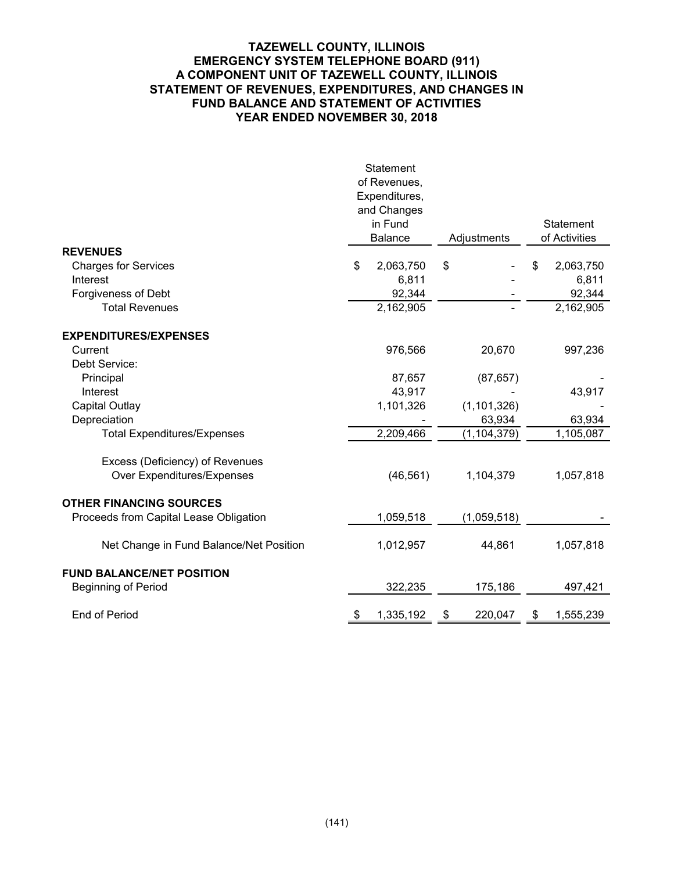## **TAZEWELL COUNTY, ILLINOIS EMERGENCY SYSTEM TELEPHONE BOARD (911) A COMPONENT UNIT OF TAZEWELL COUNTY, ILLINOIS STATEMENT OF REVENUES, EXPENDITURES, AND CHANGES IN FUND BALANCE AND STATEMENT OF ACTIVITIES YEAR ENDED NOVEMBER 30, 2018**

|                                         | Statement        |               |                  |
|-----------------------------------------|------------------|---------------|------------------|
|                                         | of Revenues,     |               |                  |
|                                         | Expenditures,    |               |                  |
|                                         | and Changes      |               |                  |
|                                         | in Fund          |               | Statement        |
|                                         | <b>Balance</b>   | Adjustments   | of Activities    |
| <b>REVENUES</b>                         |                  |               |                  |
| <b>Charges for Services</b>             | \$<br>2,063,750  | \$            | \$<br>2,063,750  |
| Interest                                | 6,811            |               | 6,811            |
| Forgiveness of Debt                     | 92,344           |               | 92,344           |
| <b>Total Revenues</b>                   | 2,162,905        |               | 2,162,905        |
| <b>EXPENDITURES/EXPENSES</b>            |                  |               |                  |
| Current                                 | 976,566          | 20,670        | 997,236          |
| Debt Service:                           |                  |               |                  |
| Principal                               | 87,657           | (87, 657)     |                  |
| Interest                                | 43,917           |               | 43,917           |
| Capital Outlay                          | 1,101,326        | (1, 101, 326) |                  |
| Depreciation                            |                  | 63,934        | 63,934           |
| <b>Total Expenditures/Expenses</b>      | 2,209,466        | (1, 104, 379) | 1,105,087        |
| Excess (Deficiency) of Revenues         |                  |               |                  |
| Over Expenditures/Expenses              | (46, 561)        | 1,104,379     | 1,057,818        |
| <b>OTHER FINANCING SOURCES</b>          |                  |               |                  |
| Proceeds from Capital Lease Obligation  | 1,059,518        | (1,059,518)   |                  |
| Net Change in Fund Balance/Net Position | 1,012,957        | 44,861        | 1,057,818        |
| <b>FUND BALANCE/NET POSITION</b>        |                  |               |                  |
| <b>Beginning of Period</b>              | 322,235          | 175,186       | 497,421          |
| End of Period                           | <u>1,335,192</u> | 220,047       | <u>1,555,239</u> |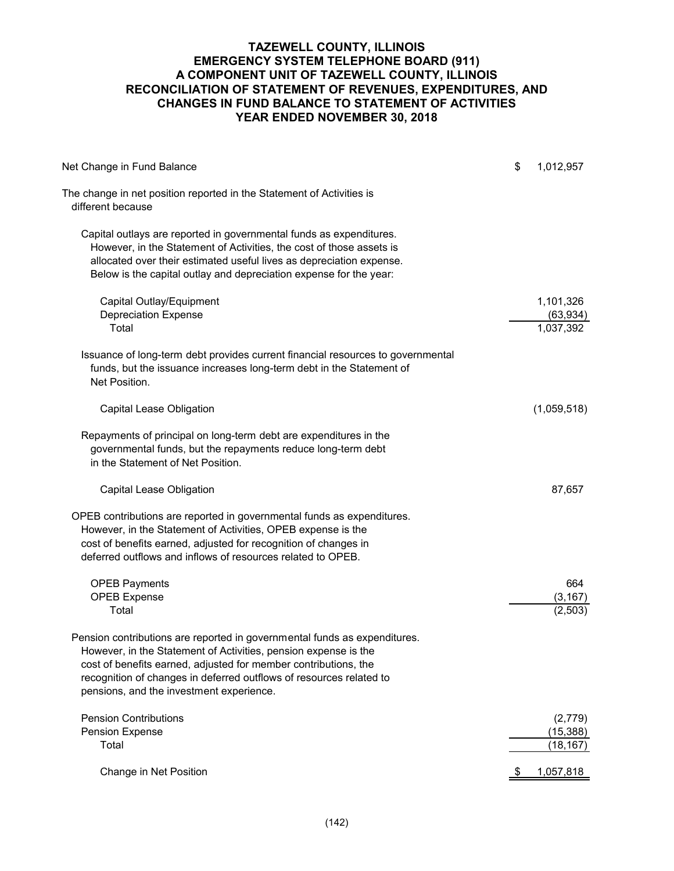## **TAZEWELL COUNTY, ILLINOIS EMERGENCY SYSTEM TELEPHONE BOARD (911) A COMPONENT UNIT OF TAZEWELL COUNTY, ILLINOIS RECONCILIATION OF STATEMENT OF REVENUES, EXPENDITURES, AND CHANGES IN FUND BALANCE TO STATEMENT OF ACTIVITIES YEAR ENDED NOVEMBER 30, 2018**

| Net Change in Fund Balance                                                                                                                                                                                                                                                                                                         | \$<br>1,012,957                     |
|------------------------------------------------------------------------------------------------------------------------------------------------------------------------------------------------------------------------------------------------------------------------------------------------------------------------------------|-------------------------------------|
| The change in net position reported in the Statement of Activities is<br>different because                                                                                                                                                                                                                                         |                                     |
| Capital outlays are reported in governmental funds as expenditures.<br>However, in the Statement of Activities, the cost of those assets is<br>allocated over their estimated useful lives as depreciation expense.<br>Below is the capital outlay and depreciation expense for the year:                                          |                                     |
| Capital Outlay/Equipment<br><b>Depreciation Expense</b><br>Total                                                                                                                                                                                                                                                                   | 1,101,326<br>(63, 934)<br>1,037,392 |
| Issuance of long-term debt provides current financial resources to governmental<br>funds, but the issuance increases long-term debt in the Statement of<br>Net Position.                                                                                                                                                           |                                     |
| Capital Lease Obligation                                                                                                                                                                                                                                                                                                           | (1,059,518)                         |
| Repayments of principal on long-term debt are expenditures in the<br>governmental funds, but the repayments reduce long-term debt<br>in the Statement of Net Position.                                                                                                                                                             |                                     |
| Capital Lease Obligation                                                                                                                                                                                                                                                                                                           | 87,657                              |
| OPEB contributions are reported in governmental funds as expenditures.<br>However, in the Statement of Activities, OPEB expense is the<br>cost of benefits earned, adjusted for recognition of changes in<br>deferred outflows and inflows of resources related to OPEB.                                                           |                                     |
| <b>OPEB Payments</b><br><b>OPEB Expense</b><br>Total                                                                                                                                                                                                                                                                               | 664<br>(3, 167)<br>(2, 503)         |
| Pension contributions are reported in governmental funds as expenditures.<br>However, in the Statement of Activities, pension expense is the<br>cost of benefits earned, adjusted for member contributions, the<br>recognition of changes in deferred outflows of resources related to<br>pensions, and the investment experience. |                                     |
| <b>Pension Contributions</b><br>Pension Expense<br>Total                                                                                                                                                                                                                                                                           | (2,779)<br>(15, 388)<br>(18, 167)   |
| Change in Net Position                                                                                                                                                                                                                                                                                                             | 1,057,818                           |
|                                                                                                                                                                                                                                                                                                                                    |                                     |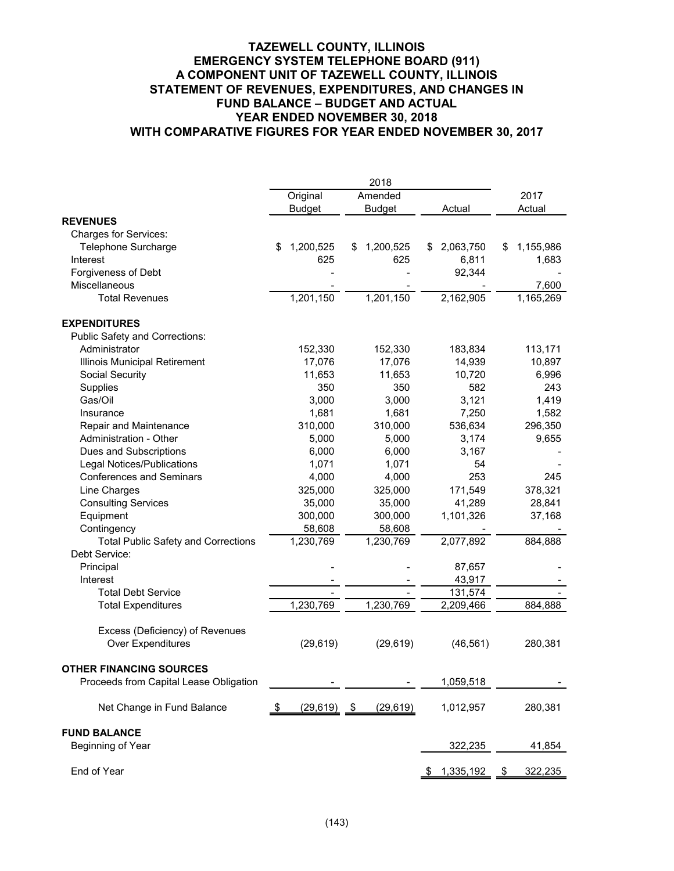#### **TAZEWELL COUNTY, ILLINOIS EMERGENCY SYSTEM TELEPHONE BOARD (911) A COMPONENT UNIT OF TAZEWELL COUNTY, ILLINOIS STATEMENT OF REVENUES, EXPENDITURES, AND CHANGES IN FUND BALANCE – BUDGET AND ACTUAL YEAR ENDED NOVEMBER 30, 2018 WITH COMPARATIVE FIGURES FOR YEAR ENDED NOVEMBER 30, 2017**

|                                            | Original            | Amended        |                 | 2017            |
|--------------------------------------------|---------------------|----------------|-----------------|-----------------|
|                                            | <b>Budget</b>       | <b>Budget</b>  | Actual          | Actual          |
| <b>REVENUES</b>                            |                     |                |                 |                 |
| Charges for Services:                      |                     |                |                 |                 |
| Telephone Surcharge                        | 1,200,525<br>\$     | 1,200,525<br>S | 2,063,750<br>S  | 1,155,986<br>\$ |
| Interest                                   | 625                 | 625            | 6,811           | 1,683           |
| Forgiveness of Debt                        |                     |                | 92,344          |                 |
| Miscellaneous                              |                     |                |                 | 7,600           |
| <b>Total Revenues</b>                      | 1,201,150           | 1,201,150      | 2,162,905       | 1,165,269       |
| <b>EXPENDITURES</b>                        |                     |                |                 |                 |
| Public Safety and Corrections:             |                     |                |                 |                 |
| Administrator                              | 152,330             | 152,330        | 183,834         | 113,171         |
| Illinois Municipal Retirement              | 17,076              | 17,076         | 14,939          | 10,897          |
| Social Security                            | 11,653              | 11,653         | 10,720          | 6,996           |
| Supplies                                   | 350                 | 350            | 582             | 243             |
| Gas/Oil                                    | 3,000               | 3,000          | 3,121           | 1,419           |
| Insurance                                  | 1,681               | 1,681          | 7,250           | 1,582           |
| Repair and Maintenance                     | 310,000             | 310,000        | 536,634         | 296,350         |
| Administration - Other                     | 5,000               | 5,000          | 3,174           | 9,655           |
| Dues and Subscriptions                     | 6,000               | 6,000          | 3,167           |                 |
| <b>Legal Notices/Publications</b>          | 1,071               | 1,071          | 54              |                 |
| <b>Conferences and Seminars</b>            | 4,000               | 4,000          | 253             | 245             |
| Line Charges                               | 325,000             | 325,000        | 171,549         | 378,321         |
| <b>Consulting Services</b>                 | 35,000              | 35,000         | 41,289          | 28,841          |
| Equipment                                  | 300,000             | 300,000        | 1,101,326       | 37,168          |
| Contingency                                | 58,608              | 58,608         |                 |                 |
| <b>Total Public Safety and Corrections</b> | 1,230,769           | 1,230,769      | 2,077,892       | 884,888         |
| Debt Service:                              |                     |                |                 |                 |
| Principal                                  |                     |                | 87,657          |                 |
| Interest                                   |                     |                | 43,917          |                 |
| <b>Total Debt Service</b>                  |                     |                | 131,574         |                 |
| <b>Total Expenditures</b>                  | 1,230,769           | 1,230,769      | 2,209,466       | 884,888         |
| Excess (Deficiency) of Revenues            |                     |                |                 |                 |
| Over Expenditures                          | (29, 619)           | (29, 619)      | (46, 561)       | 280,381         |
| <b>OTHER FINANCING SOURCES</b>             |                     |                |                 |                 |
| Proceeds from Capital Lease Obligation     |                     |                | 1,059,518       |                 |
| Net Change in Fund Balance                 | $(29,619)$ \$<br>\$ | (29, 619)      | 1,012,957       | 280,381         |
| <b>FUND BALANCE</b>                        |                     |                |                 |                 |
| Beginning of Year                          |                     |                | 322,235         | 41,854          |
| End of Year                                |                     |                | 1,335,192<br>\$ | 322,235<br>\$   |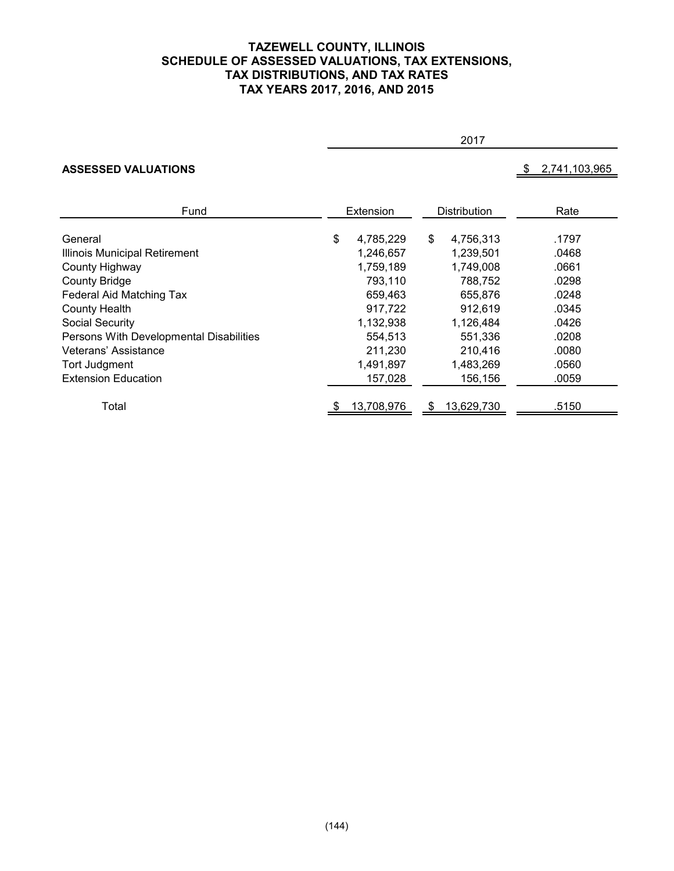## **TAZEWELL COUNTY, ILLINOIS SCHEDULE OF ASSESSED VALUATIONS, TAX EXTENSIONS, TAX DISTRIBUTIONS, AND TAX RATES TAX YEARS 2017, 2016, AND 2015**

#### 2017

# **ASSESSED VALUATIONS 8 2,741,103,965**

| Extension |                         | Distribution |                         | Rate  |  |
|-----------|-------------------------|--------------|-------------------------|-------|--|
|           |                         |              |                         | .1797 |  |
| 1,246,657 |                         | 1,239,501    |                         | .0468 |  |
| 1,759,189 |                         | 1,749,008    |                         | .0661 |  |
| 793,110   |                         | 788,752      |                         | .0298 |  |
| 659.463   |                         | 655.876      |                         | .0248 |  |
| 917,722   |                         | 912,619      |                         | .0345 |  |
| 1,132,938 |                         | 1,126,484    |                         | .0426 |  |
| 554,513   |                         | 551.336      |                         | .0208 |  |
| 211,230   |                         | 210,416      |                         | .0080 |  |
| 1,491,897 |                         | 1,483,269    |                         | .0560 |  |
| 157,028   |                         | 156,156      |                         | .0059 |  |
|           |                         |              |                         | .5150 |  |
| \$        | 4,785,229<br>13,708,976 | \$           | 4,756,313<br>13,629,730 |       |  |